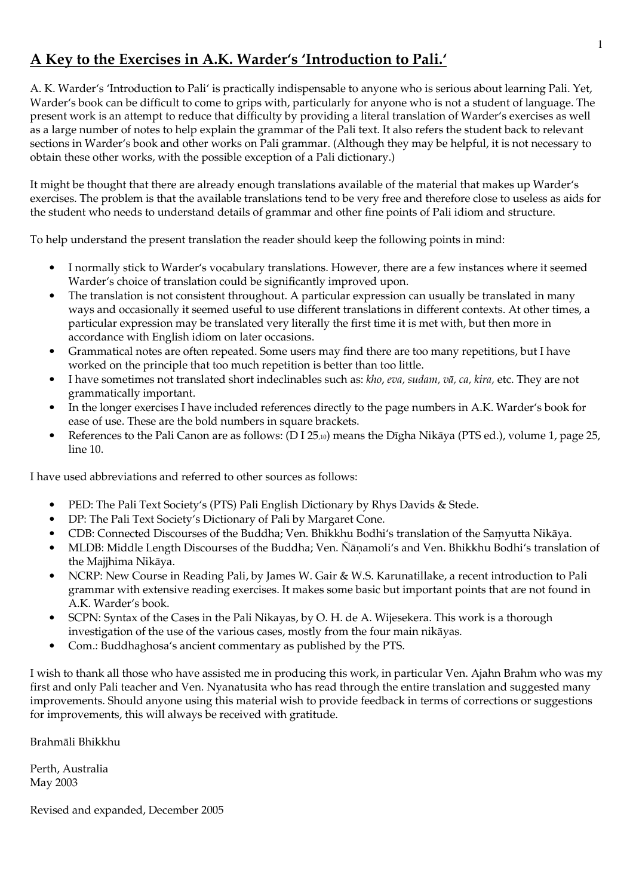# A Key to the Exercises in A.K. Warder's 'Introduction to Pali.'

A. K. Warder's 'Introduction to Pali' is practically indispensable to anyone who is serious about learning Pali. Yet, Warder's book can be difficult to come to grips with, particularly for anyone who is not a student of language. The present work is an attempt to reduce that difficulty by providing a literal translation of Warder's exercises as well as a large number of notes to help explain the grammar of the Pali text. It also refers the student back to relevant sections in Warder's book and other works on Pali grammar. (Although they may be helpful, it is not necessary to obtain these other works, with the possible exception of a Pali dictionary.)

It might be thought that there are already enough translations available of the material that makes up Warder's exercises. The problem is that the available translations tend to be very free and therefore close to useless as aids for the student who needs to understand details of grammar and other fine points of Pali idiom and structure.

To help understand the present translation the reader should keep the following points in mind:

- I normally stick to Warder's vocabulary translations. However, there are a few instances where it seemed Warder's choice of translation could be significantly improved upon.
- The translation is not consistent throughout. A particular expression can usually be translated in many ways and occasionally it seemed useful to use different translations in different contexts. At other times, a particular expression may be translated very literally the first time it is met with, but then more in accordance with English idiom on later occasions.
- Grammatical notes are often repeated. Some users may find there are too many repetitions, but I have worked on the principle that too much repetition is better than too little.
- I have sometimes not translated short indeclinables such as: kho, eva, sudam, vā, ca, kira, etc. They are not grammatically important.
- In the longer exercises I have included references directly to the page numbers in A.K. Warder's book for ease of use. These are the bold numbers in square brackets.
- References to the Pali Canon are as follows: (D I 25,10) means the Dīgha Nikāya (PTS ed.), volume 1, page 25, line 10.

I have used abbreviations and referred to other sources as follows:

- PED: The Pali Text Society's (PTS) Pali English Dictionary by Rhys Davids & Stede.  $\bullet$
- DP: The Pali Text Society's Dictionary of Pali by Margaret Cone.  $\bullet$
- CDB: Connected Discourses of the Buddha; Ven. Bhikkhu Bodhi's translation of the Samyutta Nikāya.  $\bullet$
- MLDB: Middle Length Discourses of the Buddha; Ven. Ñānamoli's and Ven. Bhikkhu Bodhi's translation of the Majjhima Nikāya.
- NCRP: New Course in Reading Pali, by James W. Gair & W.S. Karunatillake, a recent introduction to Pali grammar with extensive reading exercises. It makes some basic but important points that are not found in A.K. Warder's book.
- SCPN: Syntax of the Cases in the Pali Nikayas, by O. H. de A. Wijesekera. This work is a thorough investigation of the use of the various cases, mostly from the four main nikāyas.
- Com.: Buddhaghosa's ancient commentary as published by the PTS.

I wish to thank all those who have assisted me in producing this work, in particular Ven. Ajahn Brahm who was my first and only Pali teacher and Ven. Nyanatusita who has read through the entire translation and suggested many improvements. Should anyone using this material wish to provide feedback in terms of corrections or suggestions for improvements, this will always be received with gratitude.

Brahmāli Bhikkhu

Perth, Australia May 2003

Revised and expanded, December 2005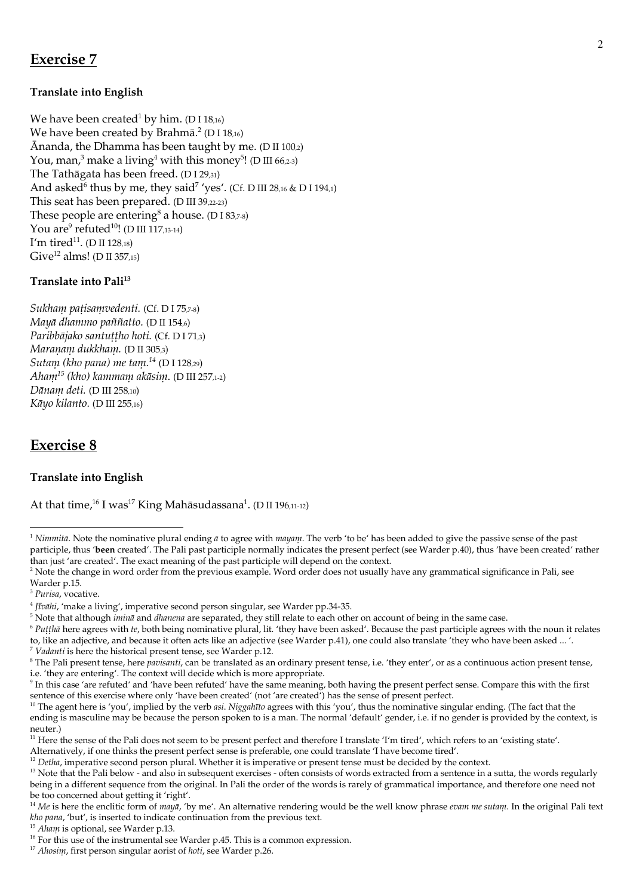# **Exercise 7**

## **Translate into English**

We have been created<sup>1</sup> by him. (D I 18,16) We have been created by Brahmā.<sup>2</sup> (D I 18,16) Ānanda, the Dhamma has been taught by me. (D II 100,2) You, man,<sup>3</sup> make a living<sup>4</sup> with this money<sup>5</sup>! (D III 66,2-3) The Tathāgata has been freed. (D I 29,31) And asked<sup>6</sup> thus by me, they said<sup>7</sup> 'yes'. (Cf. D III 28,16 & D I 194,1) This seat has been prepared. (D III 39,22-23) These people are entering<sup>8</sup> a house. (D I 83,7-8) You are<sup>9</sup> refuted<sup>10</sup>! (D III 117,13-14) I'm tired<sup>11</sup>. (D II 128,18) Give<sup>12</sup> alms! (D II 357,15)

### Translate into Pali<sup>13</sup>

Sukham patisamvedenti. (Cf. D I 75,7-8) Maya dhammo paññatto. (D II 154.6) Paribbājako santuttho hoti. (Cf. D I 71,3) Maranam dukkham. (D II 305,3) Sutam (kho pana) me tam. $^{14}$  (D I 128,29) Aham<sup>15</sup> (kho) kammam akāsim. (D III 257,1-2) Dānam deti. (D III 258,10) Kāyo kilanto. (D III 255,16)

## **Exercise 8**

### **Translate into English**

At that time,<sup>16</sup> I was<sup>17</sup> King Mahāsudassana<sup>1</sup>. (D II 196,11-12)

<sup>&</sup>lt;sup>1</sup> Nimmitā. Note the nominative plural ending  $\bar{a}$  to agree with mayam. The verb 'to be' has been added to give the passive sense of the past participle, thus 'been created'. The Pali past participle normally indicates the present perfect (see Warder p.40), thus 'have been created' rather than just 'are created'. The exact meaning of the past participle will depend on the context.

<sup>&</sup>lt;sup>2</sup> Note the change in word order from the previous example. Word order does not usually have any grammatical significance in Pali, see Warder p.15.

<sup>&</sup>lt;sup>3</sup> Purisa, vocative.

 $4$  [ $\bar{i}$ v $\bar{a}$ hi, 'make a living', imperative second person singular, see Warder pp.34-35.

<sup>&</sup>lt;sup>5</sup> Note that although *intina* and *dhanena* are separated, they still relate to each other on account of being in the same case.

 $6$  Putthā here agrees with te, both being nominative plural, lit. 'they have been asked'. Because the past participle agrees with the noun it relates to, like an adjective, and because it often acts like an adjective (see Warder p.41), one could also translate 'they who have been asked ... '. <sup>7</sup> Vadanti is here the historical present tense, see Warder p.12.

<sup>&</sup>lt;sup>8</sup> The Pali present tense, here *pavisanti*, can be translated as an ordinary present tense, i.e. 'they enter', or as a continuous action present tense, i.e. 'they are entering'. The context will decide which is more appropriate.

<sup>&</sup>lt;sup>9</sup> In this case 'are refuted' and 'have been refuted' have the same meaning, both having the present perfect sense. Compare this with the first sentence of this exercise where only 'have been created' (not 'are created') has the sense of present perfect.

<sup>&</sup>lt;sup>10</sup> The agent here is 'you', implied by the verb asi. Niggahīto agrees with this 'you', thus the nominative singular ending. (The fact that the ending is masculine may be because the person spoken to is a man. The normal 'default' gender, i.e. if no gender is provided by the context, is neuter.)

<sup>&</sup>lt;sup>11</sup> Here the sense of the Pali does not seem to be present perfect and therefore I translate 'I'm tired', which refers to an 'existing state'.

Alternatively, if one thinks the present perfect sense is preferable, one could translate 'I have become tired'.

 $12$  Detha, imperative second person plural. Whether it is imperative or present tense must be decided by the context.

<sup>&</sup>lt;sup>13</sup> Note that the Pali below - and also in subsequent exercises - often consists of words extracted from a sentence in a sutta, the words regularly being in a different sequence from the original. In Pali the order of the words is rarely of grammatical importance, and therefore one need not be too concerned about getting it 'right'.

<sup>&</sup>lt;sup>14</sup> Me is here the enclitic form of maya, 'by me'. An alternative rendering would be the well know phrase *coam me sutam*. In the original Pali text kho pana, 'but', is inserted to indicate continuation from the previous text.

<sup>&</sup>lt;sup>15</sup> Aham is optional, see Warder p.13.

<sup>&</sup>lt;sup>16</sup> For this use of the instrumental see Warder p.45. This is a common expression.

<sup>&</sup>lt;sup>17</sup> Ahosim, first person singular aorist of hoti, see Warder p.26.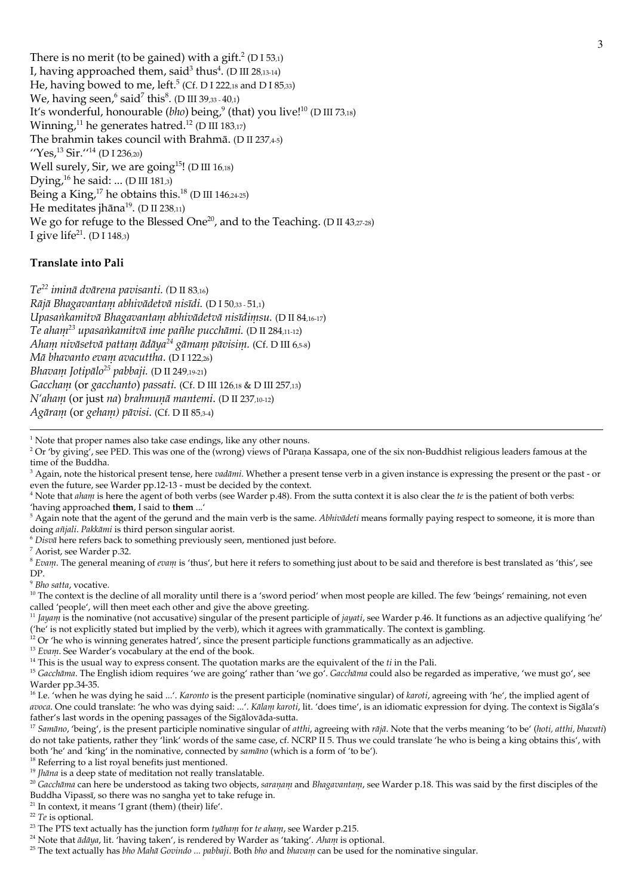There is no merit (to be gained) with a gift.<sup>2</sup> (D I 53,1) I, having approached them, said<sup>3</sup> thus<sup>4</sup>. (D III 28,13-14) He, having bowed to me, left.<sup>5</sup> (Cf. D I 222,18 and D I 85,33) We, having seen,  $6$  said<sup>7</sup> this $8$ . (D III 39,33 - 40,1) It's wonderful, honourable ( $bho$ ) being,<sup>9</sup> (that) you live!<sup>10</sup> (D III 73,18) Winning,<sup>11</sup> he generates hatred.<sup>12</sup> (D III 183,17) The brahmin takes council with Brahmā. (D II 237,4-5) "Yes,  ${}^{13}$  Sir."<sup>14</sup> (D I 236,20) Well surely, Sir, we are going<sup>15</sup>! (D III 16,18) Dying,  $^{16}$  he said: ... (D III 181,3) Being a King,<sup>17</sup> he obtains this.<sup>18</sup> (D III 146,24-25) He meditates jhāna<sup>19</sup>. (D II 238,11) We go for refuge to the Blessed One<sup>20</sup>, and to the Teaching. (D II 43,27-28) I give life<sup>21</sup>. (D I 148,3)

### Translate into Pali

 $Te^{22}$  iminā dvārena pavisanti. (D II 83,16) Rājā Bhagavantam abhivādetvā nisīdi. (D I 50,33 - 51,1) Upasankamitvā Bhagavantam abhivādetvā nisīdimsu. (D II 84,16-17) Te aham<sup>23</sup> upasankamitvā ime pañhe pucchāmi. (D II 284,11-12) Aham nivāsetvā pattam ādāya<sup>24</sup> gāmam pāvisim. (Cf. D III 6,5-8) Mā bhavanto evam avacuttha. (D I 122,26) Bhavam Jotipālo<sup>25</sup> pabbaji. (D II 249,19-21) Gaccham (or gacchanto) passati. (Cf. D III 126,18 & D III 257,13) N'aham (or just na) brahmunā mantemi. (D II 237,10-12) Agāram (or geham) pāvisi. (Cf. D II 85,3-4)

<sup>1</sup> Note that proper names also take case endings, like any other nouns.

<sup>2</sup> Or 'by giving', see PED. This was one of the (wrong) views of Pūraṇa Kassapa, one of the six non-Buddhist religious leaders famous at the time of the Buddha.

<sup>3</sup> Again, note the historical present tense, here vadāmi. Whether a present tense verb in a given instance is expressing the present or the past - or even the future, see Warder pp.12-13 - must be decided by the context.

 $4$  Note that *aliam* is here the agent of both verbs (see Warder p.48). From the sutta context it is also clear the *te* is the patient of both verbs: 'having approached them, I said to them ...'

<sup>5</sup> Again note that the agent of the gerund and the main verb is the same. *Abhivādeti* means formally paying respect to someone, it is more than doing añjali. Pakkāmi is third person singular aorist.

<sup>6</sup> Disva here refers back to something previously seen, mentioned just before.

<sup>7</sup> Aorist, see Warder p.32.

<sup>8</sup> Evam. The general meaning of cvam is 'thus', but here it refers to something just about to be said and therefore is best translated as 'this', see DP.

 $9$  Bho satta, vocative.

<sup>10</sup> The context is the decline of all morality until there is a 'sword period' when most people are killed. The few 'beings' remaining, not even called 'people', will then meet each other and give the above greeting.

<sup>11</sup> *Jayani* is the nominative (not accusative) singular of the present participle of *jayati*, see Warder p.46. It functions as an adjective qualifying 'he' ('he' is not explicitly stated but implied by the verb), which it agrees with grammatically. The context is gambling.

<sup>12</sup> Or 'he who is winning generates hatred', since the present participle functions grammatically as an adjective.

<sup>13</sup> Evam. See Warder's vocabulary at the end of the book.

 $14$  This is the usual way to express consent. The quotation marks are the equivalent of the  $ti$  in the Pali.

<sup>15</sup> Gacchānia. The English idiom requires 'we are going' rather than 'we go'. Gacchānia could also be regarded as imperative, 'we must go', see Warder pp.34-35.

<sup>16</sup> I.e. 'when he was dying he said ...'. *Karonto* is the present participle (nominative singular) of *karoti*, agreeing with 'he', the implied agent of avoca. One could translate: 'he who was dying said: ...'. Kālam karoti, lit. 'does time', is an idiomatic expression for dying. The context is Sigāla's father's last words in the opening passages of the Sigalovada-sutta.

<sup>17</sup> Samāno, 'being', is the present participle nominative singular of atthi, agreeing with rājā. Note that the verbs meaning 'to be' (hoti, atthi, bhavati) do not take patients, rather they 'link' words of the same case, cf. NCRP II 5. Thus we could translate 'he who is being a king obtains this', with both 'he' and 'king' in the nominative, connected by samano (which is a form of 'to be').

<sup>18</sup> Referring to a list royal benefits just mentioned.

<sup>20</sup> Gacchana can here be understood as taking two objects, saranam and Bhagavantam, see Warder p.18. This was said by the first disciples of the Buddha Vipassī, so there was no sangha yet to take refuge in.

 $21$  In context, it means 'I grant (them) (their) life'.

 $22$  Te is optional.

<sup>24</sup> Note that  $\bar{a}d\bar{a}ya$ , lit. 'having taken', is rendered by Warder as 'taking'. Aham is optional.

 $19$  *Jhāna* is a deep state of meditation not really translatable.

<sup>&</sup>lt;sup>23</sup> The PTS text actually has the junction form tyaham for te aham, see Warder p.215.

<sup>&</sup>lt;sup>25</sup> The text actually has bho Mahā Govindo ... pabbaji. Both bho and bhavam can be used for the nominative singular.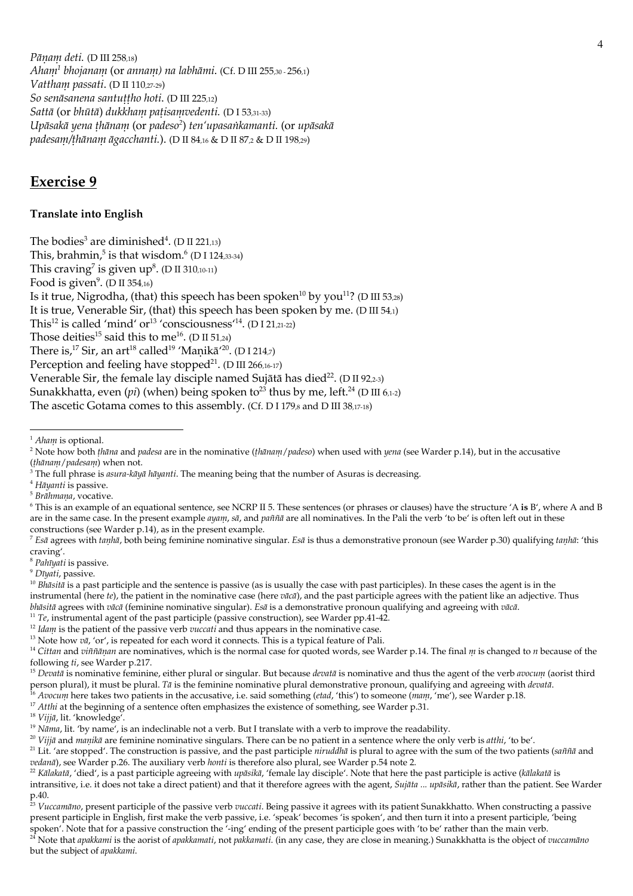Pāņam deti. (D III 258,18) Aham<sup>1</sup> bhojanam (or annam) na labhāmi. (Cf. D III 255,30 - 256,1) Vattham passati. (D II 110,27-29) So senāsanena santuțiho hoti. (D III 225,12) Sattā (or bhūtā) dukkham patisamvedenti. (D I 53,31-33) Upāsakā yena thānam (or padeso<sup>2</sup>) ten'upasankamanti. (or upāsakā padesam/thānam āgacchanti.). (D II 84,16 & D II 87,2 & D II 198,29)

# **Exercise 9**

### **Translate into English**

The bodies<sup>3</sup> are diminished<sup>4</sup>. (D II 221.13) This, brahmin, $5$  is that wisdom. $6$  (D I 124,33-34) This craving<sup>7</sup> is given  $up^8$ . (D II 310,10-11) Food is given<sup>9</sup>. (D II 354,16) Is it true, Nigrodha, (that) this speech has been spoken<sup>10</sup> by you<sup>11</sup>? (D III 53,28) It is true, Venerable Sir, (that) this speech has been spoken by me. (D III  $54.1$ ) This<sup>12</sup> is called 'mind' or<sup>13</sup> 'consciousness<sup>14</sup>. (D I 21,21-22) Those deities<sup>15</sup> said this to me<sup>16</sup>. (D II 51,24) There is,<sup>17</sup> Sir, an art<sup>18</sup> called<sup>19</sup> 'Manikā<sup>'20</sup>. (D I 214,7) Perception and feeling have stopped<sup>21</sup>. (D III 266,16-17) Venerable Sir, the female lay disciple named Sujātā has died<sup>22</sup>. (D II 92,2-3) Sunakkhatta, even (pi) (when) being spoken to<sup>23</sup> thus by me, left.<sup>24</sup> (D III 6,1-2) The ascetic Gotama comes to this assembly. (Cf. D I 179, and D III 38,17-18)

<sup>&</sup>lt;sup>1</sup> Aham is optional.

<sup>&</sup>lt;sup>2</sup> Note how both *thāna* and *padesa* are in the nominative (thānam/padeso) when used with yena (see Warder p.14), but in the accusative (thānam/padesam) when not.

 $3$  The full phrase is *asura-kāyā hāyanti*. The meaning being that the number of Asuras is decreasing.

<sup>&</sup>lt;sup>4</sup> Hāyanti is passive.

<sup>&</sup>lt;sup>5</sup> Brāhmaņa, vocative.

<sup>&</sup>lt;sup>6</sup> This is an example of an equational sentence, see NCRP II 5. These sentences (or phrases or clauses) have the structure 'A is B', where A and B are in the same case. In the present example ayant, sā, and paññā are all nominatives. In the Pali the verb 'to be' is often left out in these constructions (see Warder p.14), as in the present example.

<sup>&</sup>lt;sup>7</sup> Esā agrees with tauluā, both being feminine nominative singular. Esā is thus a demonstrative pronoun (see Warder p.30) qualifying tauluā: 'this craving'.

<sup>&</sup>lt;sup>8</sup> Pahīyati is passive.

<sup>&</sup>lt;sup>9</sup> Dīvati, passive.

 $10$  Bhāsitā is a past participle and the sentence is passive (as is usually the case with past participles). In these cases the agent is in the instrumental (here te), the patient in the nominative case (here  $\vec{v}$  and the past participle agrees with the patient like an adjective. Thus bhāsitā agrees with  $v\bar{a}c\bar{a}$  (feminine nominative singular). Esā is a demonstrative pronoun qualifying and agreeing with  $v\bar{a}c\bar{a}$ .

<sup>&</sup>lt;sup>11</sup> Te, instrumental agent of the past participle (passive construction), see Warder pp.41-42.

 $12$  Idam is the patient of the passive verb vuccati and thus appears in the nominative case.

<sup>&</sup>lt;sup>13</sup> Note how  $v\bar{a}$ , 'or', is repeated for each word it connects. This is a typical feature of Pali.

<sup>&</sup>lt;sup>14</sup> Cittan and viññāņan are nominatives, which is the normal case for quoted words, see Warder p.14. The final  $m$  is changed to n because of the following ti, see Warder p.217.

<sup>&</sup>lt;sup>15</sup> Devata is nominative feminine, either plural or singular. But because devata is nominative and thus the agent of the verb avocum (aorist third person plural), it must be plural. Tā is the feminine nominative plural demonstrative pronoun, qualifying and agreeing with *devatā*.<br><sup>16</sup> Avocum here takes two patients in the accusative, i.e. said something (*ctad*, 'th

<sup>&</sup>lt;sup>17</sup> Atthi at the beginning of a sentence often emphasizes the existence of something, see Warder p.31.

<sup>&</sup>lt;sup>18</sup> Vijjā, lit. 'knowledge'.

<sup>&</sup>lt;sup>19</sup> Nama, lit. 'by name', is an indeclinable not a verb. But I translate with a verb to improve the readability.

<sup>&</sup>lt;sup>20</sup> Vijjā and *manikā* are feminine nominative singulars. There can be no patient in a sentence where the only verb is *atthi*, 'to be'.

<sup>&</sup>lt;sup>21</sup> Lit. 'are stopped'. The construction is passive, and the past participle *niruddha* is plural to agree with the sum of the two patients (sañña and vedanā), see Warder p.26. The auxiliary verb honti is therefore also plural, see Warder p.54 note 2.

<sup>&</sup>lt;sup>22</sup> Kālakatā, 'died', is a past participle agreeing with *upāsikā*, 'female lay disciple'. Note that here the past participle is active (kālakatā is

intransitive, i.e. it does not take a direct patient) and that it therefore agrees with the agent, Sujāta ... upāsikā, rather than the patient. See Warder

p.40.<br><sup>23</sup> Vuccamāno, present participle of the passive verb vuccati. Being passive it agrees with its patient Sunakkhatto. When constructing a passive  $^{23}$  Vuccamāno, present participle, 'being present participle in English, first make the verb passive, i.e. 'speak' becomes 'is spoken', and then turn it into a present participle, 'being spoken'. Note that for a passive construction the '-ing' ending of the present participle goes with 'to be' rather than the main verb.<br><sup>24</sup> Note that *apakkanui* is the aorist of *apakkanuati*, not *pakkanuati*. (in any ca

but the subject of apakkami.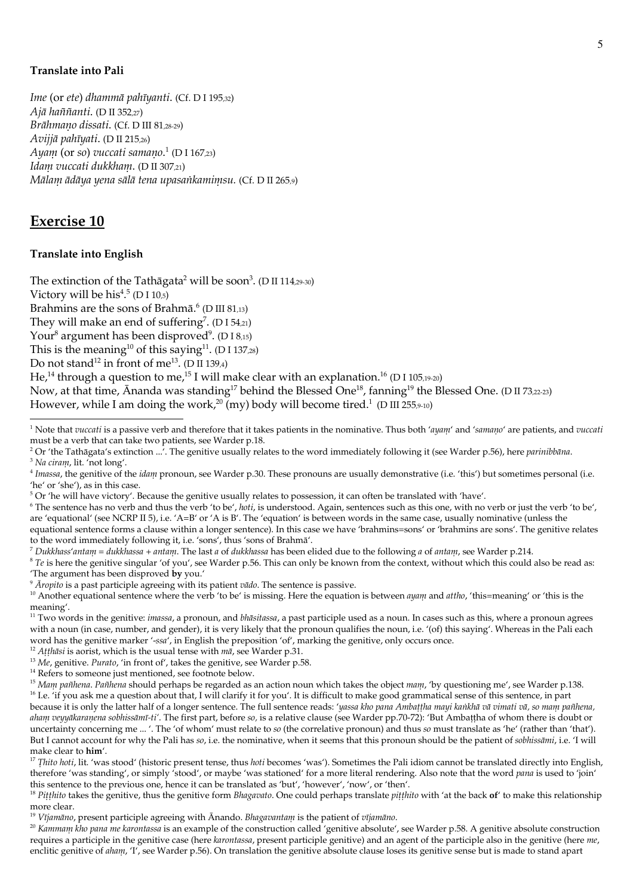#### **Translate into Pali**

Ime (or ete) dhammā pahīyanti. (Cf. D I 195,32) Ajā haññanti. (D II 352,27) Brāhmano dissati. (Cf. D III 81,28-29) Avijjā pahīyati. (D II 215,26) Ayam (or so) vuccati samano.<sup>1</sup> (D I 167,23) Idam vuccati dukkham. (D II 307,21) Mālam ādāya yena sālā tena upasankamimsu. (Cf. D II 265,9)

## **Exercise 10**

#### **Translate into English**

The extinction of the Tathāgata<sup>2</sup> will be soon<sup>3</sup>. (D II 114,29-30)

Victory will be  $his<sup>4,5</sup> (D I 10,5)$ 

Brahmins are the sons of Brahmā.<sup>6</sup> (D III 81,13)

They will make an end of suffering<sup>7</sup>. (D I 54.21)

Your<sup>8</sup> argument has been disproved<sup>9</sup>. (D I 8,15)

This is the meaning<sup>10</sup> of this saying<sup>11</sup>. (D I 137,28)

Do not stand<sup>12</sup> in front of me<sup>13</sup>. (D II 139,4)

He,<sup>14</sup> through a question to me,<sup>15</sup> I will make clear with an explanation.<sup>16</sup> (D I 105,19-20)

Now, at that time, Ananda was standing<sup>17</sup> behind the Blessed One<sup>18</sup>, fanning<sup>19</sup> the Blessed One. (D II 73,22-23)

However, while I am doing the work,<sup>20</sup> (my) body will become tired.<sup>1</sup> (D III 255,9-10)

 $\delta$   $\bar{A}$ ropito is a past participle agreeing with its patient vado. The sentence is passive.

<sup>14</sup> Refers to someone just mentioned, see footnote below.

aham veyyākaranena sobhissāmī-ti'. The first part, before so, is a relative clause (see Warder pp.70-72): 'But Ambattha of whom there is doubt or uncertainty concerning me ... '. The 'of whom' must relate to so (the correlative pronoun) and thus so must translate as 'he' (rather than 'that'). But I cannot account for why the Pali has so, i.e. the nominative, when it seems that this pronoun should be the patient of sobhissānii, i.e. 'I will make clear to him'.

<sup>17</sup> Thito hoti, lit. 'was stood' (historic present tense, thus hoti becomes 'was'). Sometimes the Pali idiom cannot be translated directly into English, therefore 'was standing', or simply 'stood', or maybe 'was stationed' for a more literal rendering. Also note that the word pana is used to 'join' this sentence to the previous one, hence it can be translated as 'but', 'however', 'now', or 'then'.

<sup>18</sup> Pitthito takes the genitive, thus the genitive form Bhagavato. One could perhaps translate pitthito with 'at the back of' to make this relationship more clear.

<sup>19</sup> Vījamāno, present participle agreeing with Ānando. Bhagavantam is the patient of vījamāno.

<sup>20</sup> Kanunam kho pana me karontassa is an example of the construction called 'genitive absolute', see Warder p.58. A genitive absolute construction requires a participle in the genitive case (here *karontassa*, present participle genitive) and an agent of the participle also in the genitive (here *nue*, enclitic genitive of aham, 'I', see Warder p.56). On translation the genitive absolute clause loses its genitive sense but is made to stand apart

<sup>&</sup>lt;sup>1</sup> Note that vuccati is a passive verb and therefore that it takes patients in the nominative. Thus both 'ayam' and 'samano' are patients, and vuccati must be a verb that can take two patients, see Warder p.18.

<sup>&</sup>lt;sup>2</sup> Or 'the Tathāgata's extinction ...<sup>7</sup>. The genitive usually relates to the word immediately following it (see Warder p.56), here *parinibhana*.

<sup>&</sup>lt;sup>3</sup> Na ciram, lit. 'not long'.

 $4$  Imassa, the genitive of the *idam* pronoun, see Warder p.30. These pronouns are usually demonstrative (i.e. 'this') but sometimes personal (i.e. 'he' or 'she'), as in this case.

<sup>&</sup>lt;sup>5</sup> Or 'he will have victory'. Because the genitive usually relates to possession, it can often be translated with 'have'.

<sup>&</sup>lt;sup>6</sup> The sentence has no verb and thus the verb 'to be', loti, is understood. Again, sentences such as this one, with no verb or just the verb 'to be', are 'equational' (see NCRP II 5), i.e. 'A=B' or 'A is B'. The 'equation' is between words in the same case, usually nominative (unless the equational sentence forms a clause within a longer sentence). In this case we have 'brahmins=sons' or 'brahmins are sons'. The genitive relates to the word immediately following it, i.e. 'sons', thus 'sons of Brahma'.

 $^7$  Dukkhass'antam = dukkhassa + antam. The last a of dukkhassa has been elided due to the following a of antam, see Warder p.214.

 $8$  Te is here the genitive singular 'of you', see Warder p.56. This can only be known from the context, without which this could also be read as: 'The argument has been disproved by you.'

<sup>&</sup>lt;sup>10</sup> Another equational sentence where the verb 'to be' is missing. Here the equation is between ayam and attho, 'this=meaning' or 'this is the meaning'.

<sup>&</sup>lt;sup>11</sup> Two words in the genitive: *inassa*, a pronoun, and *bhāsitassa*, a past participle used as a noun. In cases such as this, where a pronoun agrees with a noun (in case, number, and gender), it is very likely that the pronoun qualifies the noun, i.e. '(of) this saying'. Whereas in the Pali each word has the genitive marker '-ssa', in English the preposition 'of', marking the genitive, only occurs once.

<sup>&</sup>lt;sup>12</sup> Atthāsi is aorist, which is the usual tense with  $m\bar{a}$ , see Warder p.31.

<sup>&</sup>lt;sup>13</sup> Me, genitive. Purato, 'in front of', takes the genitive, see Warder p.58.

<sup>&</sup>lt;sup>15</sup> Mann pañhena. Pañhena should perhaps be regarded as an action noun which takes the object mann, 'by questioning me', see Warder p.138. <sup>16</sup> I.e. 'if you ask me a question about that, I will clarify it for you'. It is difficult to make good grammatical sense of this sentence, in part because it is only the latter half of a longer sentence. The full sentence reads: 'yassa kho pana Ambattha mayi kankhā vā vimati vā, so mam pañhena,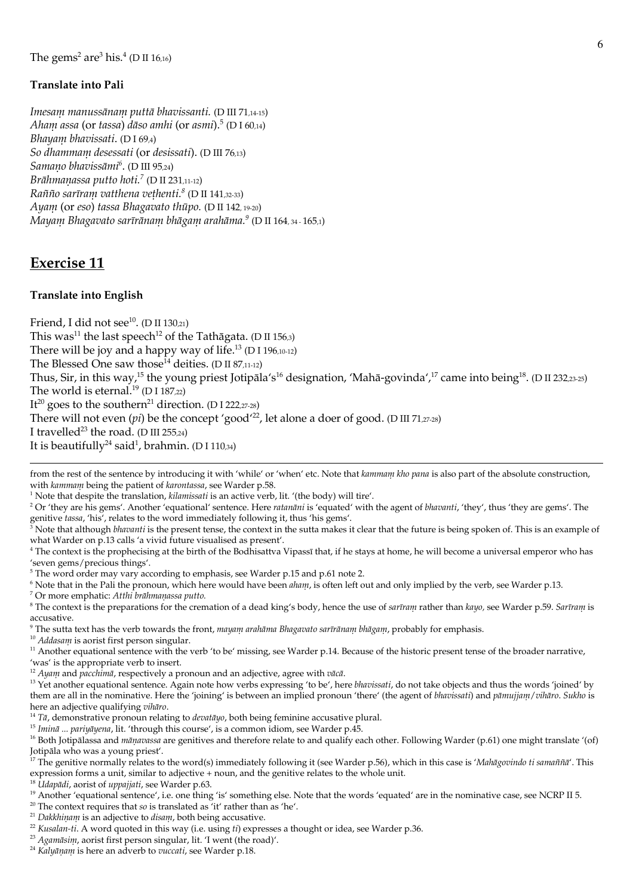## **Translate into Pali**

Imesam manussānam puttā bhavissanti. (D III 71,14-15) Aham assa (or tassa) dāso amhi (or asmi).<sup>5</sup> (D I 60.14) Bhayam bhavissati. (D  $I$  69,4) So dhammam desessati (or desissati). (D III 76,13) Samano bhavissāmi<sup>6</sup>. (D III 95,24) Brāhmaņassa putto hoti.<sup>7</sup> (D II 231,11-12) Rañño sarīram vatthena vethenti.<sup>8</sup> (D II 141,32-33) Ayam (or eso) tassa Bhagavato thūpo. (D II 142, 19-20) Mayam Bhagavato sarīrānam bhāgam arahāma.<sup>9</sup> (D II 164.34-165.1)

## **Exercise 11**

#### **Translate into English**

Friend, I did not see<sup>10</sup>. (D II 130,21) This was<sup>11</sup> the last speech<sup>12</sup> of the Tathāgata. (D II 156,3) There will be joy and a happy way of life.<sup>13</sup> (D I 196,10-12) The Blessed One saw those<sup>14</sup> deities. (D II 87,11-12) Thus, Sir, in this way,<sup>15</sup> the young priest Jotipala's<sup>16</sup> designation, 'Maha-govinda',<sup>17</sup> came into being<sup>18</sup>. (D II 232,23-25) The world is eternal.<sup>19</sup> (D I 187,22) It<sup>20</sup> goes to the southern<sup>21</sup> direction. (D I 222, 27-28) There will not even (pi) be the concept 'good<sup>22</sup>, let alone a doer of good. (D III 71,27-28) I travelled<sup>23</sup> the road. (D III 255,24) It is beautifully<sup>24</sup> said<sup>1</sup>, brahmin. (D I 110,34)

from the rest of the sentence by introducing it with 'while' or 'when' etc. Note that kammam kho pana is also part of the absolute construction, with kaninam being the patient of karontassa, see Warder p.58.

<sup>1</sup> Note that despite the translation, *kilamissati* is an active verb, lit. '(the body) will tire'.

<sup>2</sup> Or 'they are his gems'. Another 'equational' sentence. Here ratanani is 'equated' with the agent of bhavanti, 'they', thus 'they are gems'. The genitive tassa, 'his', relates to the word immediately following it, thus 'his gems'.

 $\frac{3}{4}$  Note that although *blavanti* is the present tense, the context in the sutta makes it clear that the future is being spoken of. This is an example of what Warder on p.13 calls 'a vivid future visualised as present'.

<sup>4</sup> The context is the prophecising at the birth of the Bodhisattva Vipassī that, if he stays at home, he will become a universal emperor who has 'seven gems/precious things'.

<sup>5</sup> The word order may vary according to emphasis, see Warder p.15 and p.61 note 2.

<sup>6</sup> Note that in the Pali the pronoun, which here would have been *aham*, is often left out and only implied by the verb, see Warder p.13.

 $\sigma$  Or more emphatic: Atthi brāhmaņassa putto.

<sup>8</sup> The context is the preparations for the cremation of a dead king's body, hence the use of sarirani rather than kayo, see Warder p.59. Sarirani is accusative.

<sup>9</sup> The sutta text has the verb towards the front, *mayam arahāma Bhagavato sarīrānam bhāgam*, probably for emphasis.

 $10$  Addasam is aorist first person singular.

<sup>11</sup> Another equational sentence with the verb 'to be' missing, see Warder p.14. Because of the historic present tense of the broader narrative, 'was' is the appropriate verb to insert.

<sup>12</sup> Ayanı and pacchimā, respectively a pronoun and an adjective, agree with  $v\bar{a}c\bar{a}$ .

<sup>13</sup> Yet another equational sentence. Again note how verbs expressing 'to be', here *bhavissati*, do not take objects and thus the words 'joined' by them are all in the nominative. Here the 'joining' is between an implied pronoun 'there' (the agent of bhavissati) and pāmujjam/vihāro. Sukho is here an adjective qualifying vihāro.

 $14$  Tā, demonstrative pronoun relating to *devatāyo*, both being feminine accusative plural.

<sup>15</sup> Iminā ... pariyāyena, lit. 'through this course', is a common idiom, see Warder p.45.

<sup>17</sup> The genitive normally relates to the word(s) immediately following it (see Warder p.56), which in this case is *'Mahāgovindo ti samaññā'*. This expression forms a unit, similar to adjective + noun, and the genitive relates to the whole unit.

<sup>18</sup> Udapādi, aorist of uppajjati, see Warder p.63.

- <sup>19</sup> Another 'equational sentence', i.e. one thing 'is' something else. Note that the words 'equated' are in the nominative case, see NCRP II 5.
- <sup>20</sup> The context requires that so is translated as 'it' rather than as 'he'.
- <sup>21</sup> Dakkhinam is an adjective to disam, both being accusative.
- $22$  Kusalan-ti. A word quoted in this way (i.e. using ti) expresses a thought or idea, see Warder p.36.
- <sup>23</sup> Agamāsim, aorist first person singular, lit. 'I went (the road)'.
- <sup>24</sup> Kalyānam is here an adverb to vuccati, see Warder p.18.

<sup>&</sup>lt;sup>16</sup> Both Jotipalassa and *manavassa* are genitives and therefore relate to and qualify each other. Following Warder (p.61) one might translate '(of) Jotipāla who was a young priest'.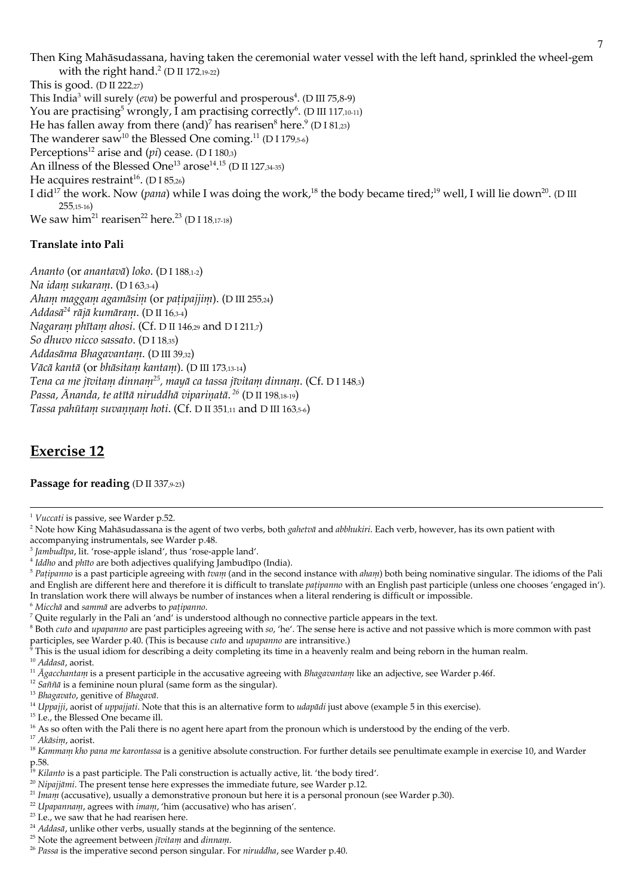Then King Mahāsudassana, having taken the ceremonial water vessel with the left hand, sprinkled the wheel-gem with the right hand. $^{2}$  (D II 172,19-22)

This is good. (D II 222,27) This India<sup>3</sup> will surely (eva) be powerful and prosperous<sup>4</sup>. (D III 75,8-9) You are practising<sup>5</sup> wrongly, I am practising correctly<sup>6</sup>. (D III 117,10-11) He has fallen away from there  $(and)^7$  has rearisen<sup>8</sup> here.<sup>9</sup> (D I 81,23) The wanderer saw<sup>10</sup> the Blessed One coming.<sup>11</sup> (D I 179,5-6) Perceptions<sup>12</sup> arise and  $(pi)$  cease. (D I 180,3) An illness of the Blessed One<sup>13</sup> arose<sup>14</sup>.<sup>15</sup> (D II 127,34-35) He acquires restraint<sup>16</sup>. (D I 85,26) I did<sup>17</sup> the work. Now (pana) while I was doing the work,<sup>18</sup> the body became tired;<sup>19</sup> well, I will lie down<sup>20</sup>. (D III  $255,15-16$ We saw him<sup>21</sup> rearisen<sup>22</sup> here.<sup>23</sup> (D I 1817-18)

## **Translate into Pali**

Ananto (or anantava) loko. (D I 188,1-2) Na idam sukaram. (DI 63,3-4) Ahanı magganı agamāsim (or patipajjim). (D III 255,24) Addas $\bar{a}^{24}$  rājā kumāram. (D II 16,3-4) Nagaram phītam ahosi. (Cf. D II 146,29 and D I 211,7) So dhuvo nicco sassato. (DI18,35) Addasāma Bhagavantam. (D III 39,32) Vācā kantā (or bhāsitam kantam), (D III 173.13-14) Tena ca me jīvitam dinnam<sup>25</sup>, mayā ca tassa jīvitam dinnam. (Cf. D I 148,3) Passa, Ānanda, te atītā niruddhā vipariņatā.<sup>26</sup> (D II 198,18-19) Tassa pahūtam suvannam hoti. (Cf. D II 351,11 and D III 163,5-6)

# **Exercise 12**

### Passage for reading (D II 337,9-23)

<sup>6</sup> Miccha and samma are adverbs to patipanno.

<sup>10</sup> Addasā, aorist.

<sup>11</sup>  $\bar{A}$ *gacclantam* is a present participle in the accusative agreeing with *Bhagavantam* like an adjective, see Warder p.46f.

- <sup>12</sup> Sañña is a feminine noun plural (same form as the singular).
- <sup>13</sup> Bhagavato, genitive of Bhagavā.

<sup>14</sup> Uppajji, aorist of *uppajjati*. Note that this is an alternative form to *udapādi* just above (example 5 in this exercise).

<sup>15</sup> I.e., the Blessed One became ill.

<sup>16</sup> As so often with the Pali there is no agent here apart from the pronoun which is understood by the ending of the verb.

<sup>17</sup> Akāsim, aorist.

- <sup>21</sup> Imam (accusative), usually a demonstrative pronoun but here it is a personal pronoun (see Warder p.30).
- <sup>22</sup> Upapannam, agrees with *imam*, 'him (accusative) who has arisen'.

<sup>&</sup>lt;sup>1</sup> Vuccati is passive, see Warder p.52.

<sup>&</sup>lt;sup>2</sup> Note how King Mahāsudassana is the agent of two verbs, both *galietvā* and *abbluikiri*. Each verb, however, has its own patient with accompanying instrumentals, see Warder p.48.

<sup>&</sup>lt;sup>3</sup> Jambudīpa, lit. 'rose-apple island', thus 'rose-apple land'.

<sup>&</sup>lt;sup>4</sup> Iddho and phīto are both adjectives qualifying Jambudīpo (India).

 $5$  Patipanno is a past participle agreeing with tram (and in the second instance with aham) both being nominative singular. The idioms of the Pali and English are different here and therefore it is difficult to translate *patipanno* with an English past participle (unless one chooses 'engaged in'). In translation work there will always be number of instances when a literal rendering is difficult or impossible.

<sup>7</sup> Quite regularly in the Pali an 'and' is understood although no connective particle appears in the text.

<sup>&</sup>lt;sup>8</sup> Both *cuto* and *upapanno* are past participles agreeing with so, 'he'. The sense here is active and not passive which is more common with past participles, see Warder p.40. (This is because *cuto* and *upapamo* are intransitive.)

This is the usual idiom for describing a deity completing its time in a heavenly realm and being reborn in the human realm.

<sup>&</sup>lt;sup>18</sup> Kanunam kho pana me karontassa is a genitive absolute construction. For further details see penultimate example in exercise 10, and Warder p.58.<br><sup>19</sup> Kilanto is a past participle. The Pali construction is actually active, lit. 'the body tired'.

<sup>&</sup>lt;sup>20</sup> Nipajjānu. The present tense here expresses the immediate future, see Warder p.12.

<sup>&</sup>lt;sup>23</sup> I.e., we saw that he had rearisen here.

<sup>&</sup>lt;sup>24</sup> Addasā, unlike other verbs, usually stands at the beginning of the sentence.

<sup>&</sup>lt;sup>25</sup> Note the agreement between *jīvitam* and *dinnam*.

<sup>&</sup>lt;sup>26</sup> Passa is the imperative second person singular. For niruddha, see Warder p.40.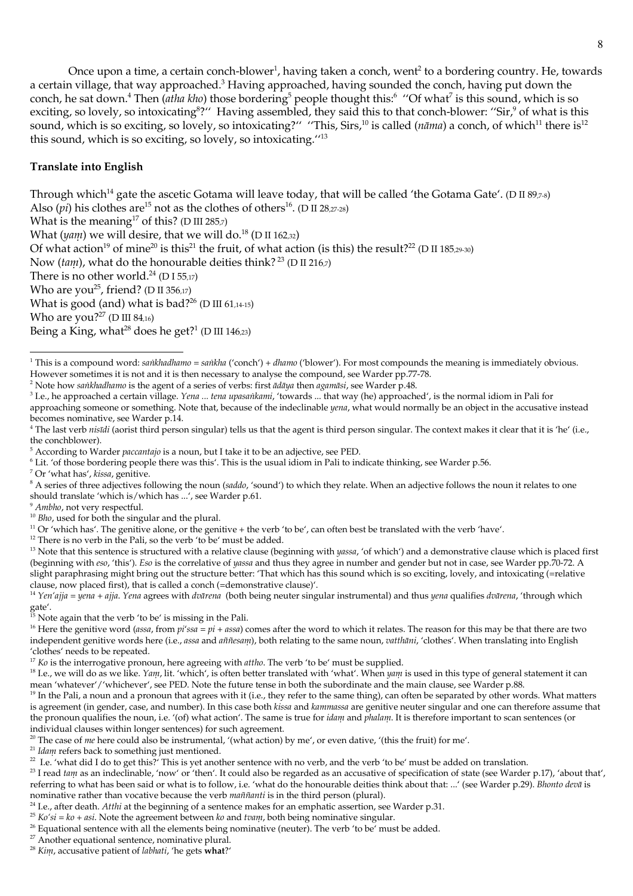Once upon a time, a certain conch-blower<sup>1</sup>, having taken a conch, went<sup>2</sup> to a bordering country. He, towards a certain village, that way approached.<sup>3</sup> Having approached, having sounded the conch, having put down the conch, he sat down.<sup>4</sup> Then (atha kho) those bordering<sup>5</sup> people thought this:<sup>6</sup> "Of what<sup>7</sup> is this sound, which is so exciting, so lovely, so intoxicating<sup>8</sup>?" Having assembled, they said this to that conch-blower: "Sir,<sup>9</sup> of what is this sound, which is so exciting, so lovely, so intoxicating?" "This, Sirs,<sup>10</sup> is called ( $n\bar{a}$  $n\bar{a}$ ) a conch, of which<sup>11</sup> there is<sup>12</sup> this sound, which is so exciting, so lovely, so intoxicating."13

### **Translate into English**

Through which<sup>14</sup> gate the ascetic Gotama will leave today, that will be called 'the Gotama Gate'. (D II 89,7-8) Also (*pi*) his clothes are<sup>15</sup> not as the clothes of others<sup>16</sup>. (D II 28,27-28) What is the meaning<sup>17</sup> of this? (D III 285,7) What  $(yam)$  we will desire, that we will do.<sup>18</sup> (D II 162.32) Of what action<sup>19</sup> of mine<sup>20</sup> is this<sup>21</sup> the fruit, of what action (is this) the result?<sup>22</sup> (D II 185,29-30) Now (tam), what do the honourable deities think?<sup>23</sup> (D II 216,7) There is no other world.<sup>24</sup> (D I 55,17) Who are you<sup>25</sup>, friend? (D II 356,17) What is good (and) what is bad?<sup>26</sup> (D III 61,14-15) Who are you?<sup>27</sup> (D III 84,16) Being a King, what<sup>28</sup> does he get?<sup>1</sup> (D III 146.23)

<sup>2</sup> Note how sankhadhamo is the agent of a series of verbs: first ādāya then agamāsi, see Warder p.48.

<sup>7</sup> Or 'what has', kissa, genitive.

- <sup>9</sup> Ambho, not very respectful.
- <sup>10</sup> Bho, used for both the singular and the plural.
- <sup>11</sup> Or 'which has'. The genitive alone, or the genitive + the verb 'to be', can often best be translated with the verb 'have'.
- <sup>12</sup> There is no verb in the Pali, so the verb 'to be' must be added.

<sup>21</sup> Idam refers back to something just mentioned.

 $^{22}$  I.e. 'what did I do to get this?' This is yet another sentence with no verb, and the verb 'to be' must be added on translation.

<sup>23</sup> I read tam as an indeclinable, 'now' or 'then'. It could also be regarded as an accusative of specification of state (see Warder p.17), 'about that', referring to what has been said or what is to follow, i.e. 'what do the honourable deities think about that: ...' (see Warder p.29). Bhonto deva is nominative rather than vocative because the verb maññanti is in the third person (plural).

<sup>27</sup> Another equational sentence, nominative plural.

<sup>&</sup>lt;sup>1</sup> This is a compound word: saikhadhamo = saikha ('conch') + dhamo ('blower'). For most compounds the meaning is immediately obvious. However sometimes it is not and it is then necessary to analyse the compound, see Warder pp.77-78.

<sup>&</sup>lt;sup>3</sup> I.e., he approached a certain village. Yena ... tena upasankanni, 'towards ... that way (he) approached', is the normal idiom in Pali for approaching someone or something. Note that, because of the indeclinable *yena*, what would normally be an object in the accusative instead becomes nominative, see Warder p.14.

<sup>&</sup>lt;sup>4</sup> The last verb *nisīdi* (aorist third person singular) tells us that the agent is third person singular. The context makes it clear that it is 'he' (i.e., the conchblower).

<sup>&</sup>lt;sup>5</sup> According to Warder *paccantajo* is a noun, but I take it to be an adjective, see PED.

<sup>&</sup>lt;sup>6</sup> Lit. 'of those bordering people there was this'. This is the usual idiom in Pali to indicate thinking, see Warder p.56.

 $8$  A series of three adjectives following the noun (saddo, 'sound') to which they relate. When an adjective follows the noun it relates to one should translate 'which is/which has ...', see Warder p.61.

<sup>&</sup>lt;sup>13</sup> Note that this sentence is structured with a relative clause (beginning with *yassa*, 'of which') and a demonstrative clause which is placed first (beginning with eso, 'this'). Eso is the correlative of yassa and thus they agree in number and gender but not in case, see Warder pp.70-72. A slight paraphrasing might bring out the structure better: 'That which has this sound which is so exciting, lovely, and intoxicating (=relative clause, now placed first), that is called a conch (=demonstrative clause)'.

<sup>&</sup>lt;sup>14</sup> Yen'ajja = yena + ajja. Yena agrees with dvārena (both being neuter singular instrumental) and thus yena qualifies dvārena, 'through which gate'.  $\sim$ <br><sup>15</sup> Note again that the verb 'to be' is missing in the Pali.

<sup>&</sup>lt;sup>16</sup> Here the genitive word (assa, from pi'ssa = pi + assa) comes after the word to which it relates. The reason for this may be that there are two independent genitive words here (i.e., assa and añnesam), both relating to the same noun, vatthāni, 'clothes'. When translating into English 'clothes' needs to be repeated.

 $17$  Ko is the interrogative pronoun, here agreeing with *attho*. The verb 'to be' must be supplied.

<sup>&</sup>lt;sup>18</sup> I.e., we will do as we like. Yann, lit. 'which', is often better translated with 'what'. When yann is used in this type of general statement it can mean 'whatever'/'whichever', see PED. Note the future tense in both the subordinate and the main clause, see Warder p.88.

<sup>&</sup>lt;sup>19</sup> In the Pali, a noun and a pronoun that agrees with it (i.e., they refer to the same thing), can often be separated by other words. What matters is agreement (in gender, case, and number). In this case both kissa and kanunassa are genitive neuter singular and one can therefore assume that the pronoun qualifies the noun, i.e. '(of) what action'. The same is true for *idam* and *phalam*. It is therefore important to scan sentences (or individual clauses within longer sentences) for such agreement.

<sup>&</sup>lt;sup>20</sup> The case of *me* here could also be instrumental, '(what action) by me', or even dative, '(this the fruit) for me'.

 $^{24}$  I.e., after death. Atthi at the beginning of a sentence makes for an emphatic assertion, see Warder p.31.

 $^{25}$  Ko'si = ko + asi. Note the agreement between ko and tvani, both being nominative singular.

<sup>&</sup>lt;sup>26</sup> Equational sentence with all the elements being nominative (neuter). The verb 'to be' must be added.

<sup>&</sup>lt;sup>28</sup> Kim, accusative patient of labhati, 'he gets what?'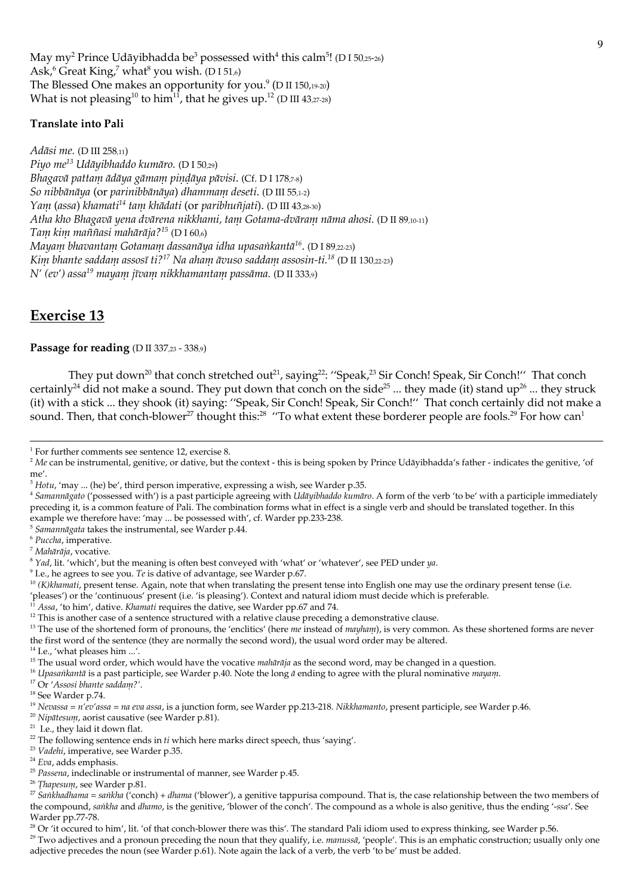May my<sup>2</sup> Prince Udāyibhadda be<sup>3</sup> possessed with<sup>4</sup> this calm<sup>5</sup>! (D I 50,25-26) Ask,<sup>6</sup> Great King,<sup>7</sup> what<sup>8</sup> you wish. (D I 51,6) The Blessed One makes an opportunity for you. $($ D II 150,19-20) What is not pleasing<sup>10</sup> to him<sup>11</sup>, that he gives up.<sup>12</sup> (D III 43,27-28)

### **Translate into Pali**

Adāsi me. (D III 258,11) Piyo me<sup>13</sup> Udāyibhaddo kumāro. (D I 50,29) Bhagavā pattam ādāya gāmam pindāya pāvisi. (Cf. D I 178,7-8) So nibbānāya (or parinibbānāya) dhammam deseti. (D III 55,1-2) Yam (assa) khamati<sup>14</sup> tam khādati (or paribhuñjati). (D III 43,28-30) Atha kho Bhagavā yena dvārena nikkhami, tam Gotama-dvāram nāma ahosi. (D II 89,10-11) Tam kim maññasi mahārāja?<sup>15</sup> (D I 60.6) Mayanı bhavantanı Gotanianı dassanāya idha upasankantā<sup>16</sup>. (D I 89,22-23) Kim bhante saddam assosī ti?<sup>17</sup> Na aham āvuso saddam assosin-ti.<sup>18</sup> (D II 130.22-23)  $N'(ev')$  assa<sup>19</sup> mayam jīvam nikkhamantam passāma. (D II 333,9)

# **Exercise 13**

Passage for reading (D II 337,23 - 338,9)

They put down<sup>20</sup> that conch stretched out<sup>21</sup>, saying<sup>22</sup>: "Speak,<sup>23</sup> Sir Conch! Speak, Sir Conch!" That conch certainly<sup>24</sup> did not make a sound. They put down that conch on the side<sup>25</sup> ... they made (it) stand up<sup>26</sup> ... they struck (it) with a stick ... they shook (it) saying: "Speak, Sir Conch! Speak, Sir Conch!" That conch certainly did not make a sound. Then, that conch-blower<sup>27</sup> thought this:<sup>28</sup> "To what extent these borderer people are fools.<sup>29</sup> For how can<sup>1</sup>

<sup>5</sup> Samannāgata takes the instrumental, see Warder p.44.

 $6$  Puccha, imperative.

<sup>7</sup> Mahārāja, vocative.

 $9$  I.e., he agrees to see you. Te is dative of advantage, see Warder p.67.

<sup>10</sup> (K)khamati, present tense. Again, note that when translating the present tense into English one may use the ordinary present tense (i.e.

- pleases') or the 'continuous' present (i.e. 'is pleasing'). Context and natural idiom must decide which is preferable.
- Assa, 'to him', dative. Khamati requires the dative, see Warder pp.67 and 74.
- <sup>12</sup> This is another case of a sentence structured with a relative clause preceding a demonstrative clause.
- <sup>13</sup> The use of the shortened form of pronouns, the 'enclitics' (here *me* instead of *mayham*), is very common. As these shortened forms are never the first word of the sentence (they are normally the second word), the usual word order may be altered.
- <sup>14</sup> I.e., 'what pleases him ...'.

- <sup>17</sup> Or 'Assosi bhante saddam?'.
- <sup>18</sup> See Warder p.74.

- <sup>20</sup> Nipātesum, aorist causative (see Warder p.81).
- <sup>21</sup> I.e., they laid it down flat.

<sup>23</sup> Vadelii, imperative, see Warder p.35.

 $1$  For further comments see sentence 12, exercise 8.

 $2$  Me can be instrumental, genitive, or dative, but the context - this is being spoken by Prince Udāyibhadda's father - indicates the genitive, 'of me'.

 $3$  Hotu, 'may ... (he) be', third person imperative, expressing a wish, see Warder p.35.

<sup>&</sup>lt;sup>4</sup> Samannāgato ('possessed with') is a past participle agreeing with Udāyibhaddo kumāro. A form of the verb 'to be' with a participle immediately preceding it, is a common feature of Pali. The combination forms what in effect is a single verb and should be translated together. In this example we therefore have: 'may ... be possessed with', cf. Warder pp.233-238.

 $8$  Yad, lit. 'which', but the meaning is often best conveyed with 'what' or 'whatever', see PED under ya.

<sup>&</sup>lt;sup>15</sup> The usual word order, which would have the vocative *mahārāja* as the second word, may be changed in a question.

<sup>&</sup>lt;sup>16</sup> Upasankantā is a past participle, see Warder p.40. Note the long  $\bar{a}$  ending to agree with the plural nominative mayam.

<sup>&</sup>lt;sup>19</sup> Nevassa = n'ev'assa = na eva assa, is a junction form, see Warder pp.213-218. Nikkhamanto, present participle, see Warder p.46.

<sup>&</sup>lt;sup>22</sup> The following sentence ends in  $ti$  which here marks direct speech, thus 'saying'.

<sup>&</sup>lt;sup>24</sup> Eva, adds emphasis.

<sup>&</sup>lt;sup>25</sup> Passena, indeclinable or instrumental of manner, see Warder p.45.

<sup>&</sup>lt;sup>26</sup> Thapesum, see Warder p.81.

<sup>&</sup>lt;sup>27</sup> Sankhadhama = sankha ('conch) + dhama ('blower'), a genitive tappurisa compound. That is, the case relationship between the two members of the compound, sanklua and dhamo, is the genitive, 'blower of the conch'. The compound as a whole is also genitive, thus the ending '-ssa'. See Warder pp.77-78.

<sup>&</sup>lt;sup>28</sup> Or 'it occured to him', lit. 'of that conch-blower there was this'. The standard Pali idiom used to express thinking, see Warder p.56.

<sup>&</sup>lt;sup>29</sup> Two adjectives and a pronoun preceding the noun that they qualify, i.e. *manussa*, 'people'. This is an emphatic construction; usually only one adjective precedes the noun (see Warder p.61). Note again the lack of a verb, the verb 'to be' must be added.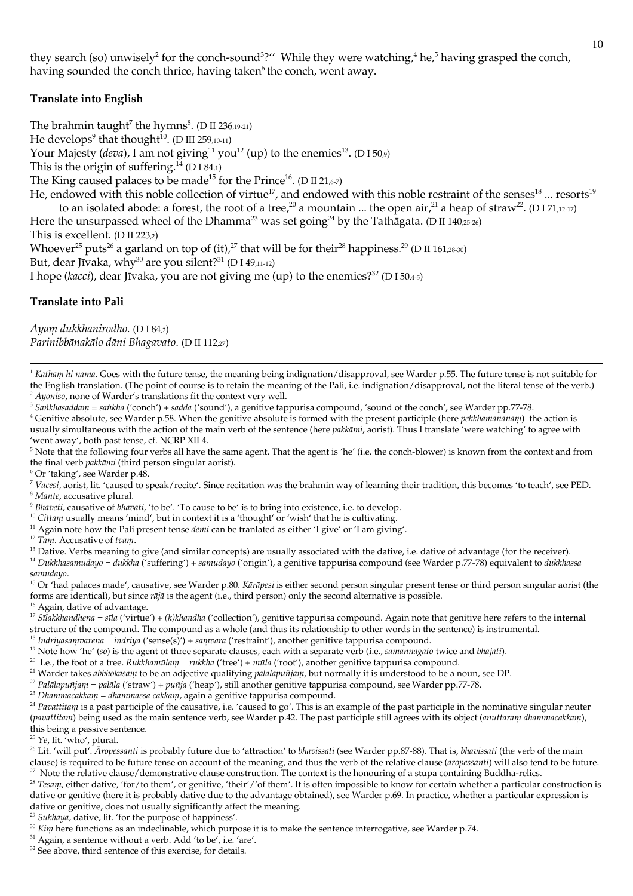they search (so) unwisely<sup>2</sup> for the conch-sound<sup>3</sup>?" While they were watching,<sup>4</sup> he,<sup>5</sup> having grasped the conch, having sounded the conch thrice, having taken<sup>6</sup> the conch, went away.

### **Translate into English**

The brahmin taught<sup>7</sup> the hymns<sup>8</sup>. (D II 236,19-21) He develops<sup>9</sup> that thought<sup>10</sup>. (D III 259,10-11) Your Majesty (deva), I am not giving<sup>11</sup> you<sup>12</sup> (up) to the enemies<sup>13</sup>. (D I 50,9) This is the origin of suffering.<sup>14</sup> (D I 84.1) The King caused palaces to be made<sup>15</sup> for the Prince<sup>16</sup>. (D II 21,67) He, endowed with this noble collection of virtue<sup>17</sup>, and endowed with this noble restraint of the senses<sup>18</sup> ... resorts<sup>19</sup> to an isolated abode: a forest, the root of a tree,<sup>20</sup> a mountain ... the open air,<sup>21</sup> a heap of straw<sup>22</sup>. (D I 71,12-17) Here the unsurpassed wheel of the Dhamma<sup>23</sup> was set going<sup>24</sup> by the Tathagata. (D II 140,25-26) This is excellent. (D II 223,2) Whoever<sup>25</sup> puts<sup>26</sup> a garland on top of (it),<sup>27</sup> that will be for their<sup>28</sup> happiness.<sup>29</sup> (D II 161,28-30) But, dear Jīvaka, why<sup>30</sup> are you silent?<sup>31</sup> (D I 49,11-12) I hope (kacci), dear Jīvaka, you are not giving me (up) to the enemies?<sup>32</sup> (D I 50,4-5)

#### **Translate into Pali**

Ayam dukkhanirodho. (D I 84,2) Parinibbānakālo dāni Bhagavato. (D II 112,27)

<sup>1</sup> Katham hi nāma. Goes with the future tense, the meaning being indignation/disapproval, see Warder p.55. The future tense is not suitable for the English translation. (The point of course is to retain the meaning of the Pali, i.e. indignation/disapproval, not the literal tense of the verb.) <sup>2</sup> Ayoniso, none of Warder's translations fit the context very well.

<sup>3</sup> Sankhasaddam = sankha ('conch') + sadda ('sound'), a genitive tappurisa compound, 'sound of the conch', see Warder pp.77-78.

<sup>4</sup> Genitive absolute, see Warder p.58. When the genitive absolute is formed with the present participle (here *pekkhamānānam*) the action is usually simultaneous with the action of the main verb of the sentence (here pakkānii, aorist). Thus I translate 'were watching' to agree with 'went away', both past tense, cf. NCRP XII 4.

<sup>5</sup> Note that the following four verbs all have the same agent. That the agent is 'he' (i.e. the conch-blower) is known from the context and from the final verb pakkāmi (third person singular aorist).

 $6$  Or 'taking', see Warder p.48.

<sup>7</sup> Vācesi, aorist, lit. 'caused to speak/recite'. Since recitation was the brahmin way of learning their tradition, this becomes 'to teach', see PED. <sup>8</sup> Mante, accusative plural.

<sup>9</sup> Bhāveti, causative of bhavati, 'to be'. 'To cause to be' is to bring into existence, i.e. to develop.

<sup>10</sup> Cittam usually means 'mind', but in context it is a 'thought' or 'wish' that he is cultivating.

<sup>11</sup> Again note how the Pali present tense *denti* can be tranlated as either 'I give' or 'I am giving'.

<sup>12</sup> Tam. Accusative of tvam.

<sup>13</sup> Dative. Verbs meaning to give (and similar concepts) are usually associated with the dative, i.e. dative of advantage (for the receiver).

<sup>14</sup> Dukkhasanudayo = dukkha ('suffering') + sanudayo ('origin'), a genitive tappurisa compound (see Warder p.77-78) equivalent to dukkhassa samudayo.

<sup>15</sup> Or 'had palaces made', causative, see Warder p.80. Kārāpesi is either second person singular present tense or third person singular aorist (the forms are identical), but since  $r\bar{a}j\bar{a}$  is the agent (i.e., third person) only the second alternative is possible. <sup>16</sup> Again, dative of advantage.

<sup>17</sup> Sīlakkhandhena = sīla ('virtue') + (k)khandha ('collection'), genitive tappurisa compound. Again note that genitive here refers to the internal

structure of the compound. The compound as a whole (and thus its relationship to other words in the sentence) is instrumental.

<sup>18</sup> Indriyasanvarena = indriya ('sense(s)') + sanvara ('restraint'), another genitive tappurisa compound.

<sup>19</sup> Note how 'he' (so) is the agent of three separate clauses, each with a separate verb (i.e., samannagato twice and blajati).

<sup>20</sup> I.e., the foot of a tree. Rukkhamūlam = rukkha ('tree') + mūla ('root'), another genitive tappurisa compound.

<sup>21</sup> Warder takes abbhokāsam to be an adjective qualifying palālapuñjam, but normally it is understood to be a noun, see DP.

<sup>22</sup> Palālapuñjam = palāla ('straw') + puñja ('heap'), still another genitive tappurisa compound, see Warder pp.77-78.

<sup>23</sup> Dhanimacakkam = dhanimassa cakkam, again a genitive tappurisa compound.

<sup>24</sup> Pavattitam is a past participle of the causative, i.e. 'caused to go'. This is an example of the past participle in the nominative singular neuter (pavattitam) being used as the main sentence verb, see Warder p.42. The past participle still agrees with its object (anuttaram dhammacakkam), this being a passive sentence.

<sup>25</sup> Ye, lit. 'who', plural.

<sup>26</sup> Lit. 'will put'. Aropessanti is probably future due to 'attraction' to bhavissati (see Warder pp.87-88). That is, bhavissati (the verb of the main clause) is required to be future tense on account of the meaning, and thus the verb of the relative clause (aropessanti) will also tend to be future. <sup>27</sup> Note the relative clause/demonstrative clause construction. The context is the honouring of a stupa containing Buddha-relics.

<sup>28</sup> Tesanu, either dative, 'for/to them', or genitive, 'their'/'of them'. It is often impossible to know for certain whether a particular construction is dative or genitive (here it is probably dative due to the advantage obtained), see Warder p.69. In practice, whether a particular expression is dative or genitive, does not usually significantly affect the meaning.

<sup>29</sup> Sukhāya, dative, lit. 'for the purpose of happiness'.

 $30$  Kim here functions as an indeclinable, which purpose it is to make the sentence interrogative, see Warder p.74.

<sup>31</sup> Again, a sentence without a verb. Add 'to be', i.e. 'are'.

<sup>32</sup> See above, third sentence of this exercise, for details.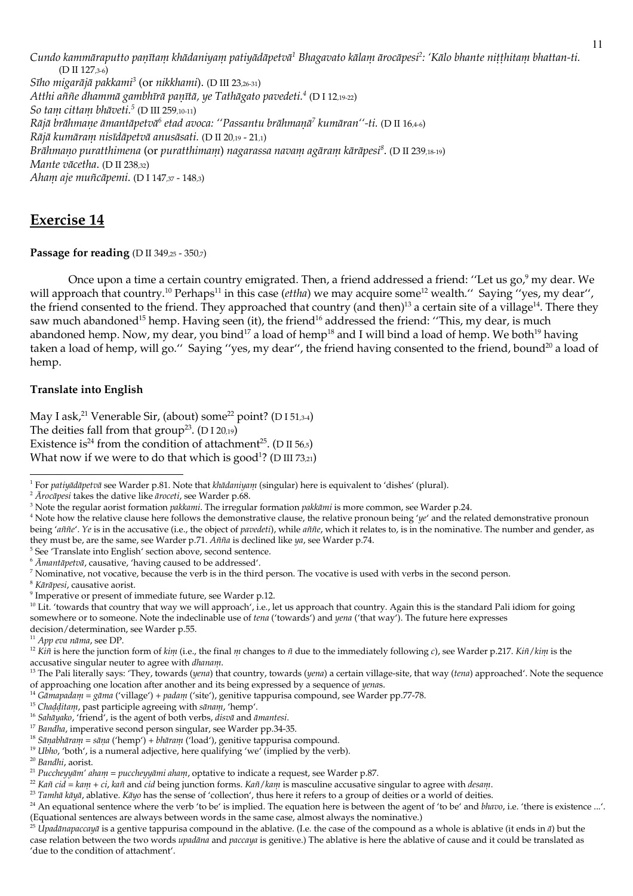Cundo kanınıāraputto panītam khādaniyam patiyādāpetvā<sup>1</sup> Bhagavato kālam ārocāpesi<sup>2</sup>: 'Kālo bhante nitthitam bhattan-ti. (D II 127,3-6) Sīho migarājā pakkami<sup>3</sup> (or nikkhami). (D III 23,26-31) Atthi aññe dhannuā gambhīrā paṇītā, ye Tathāgato pavedeti.<sup>4</sup> (D I 12,19-22) So tam cittam bhāveti.<sup>5</sup> (D III 259,10-11) Rājā brāhmane āmantāpetvā<sup>6</sup> etad avoca: "Passantu brāhmanā<sup>7</sup> kumāran"-ti, (D II 16.4-6) Rājā kumāram nisīdāpetvā anusāsati. (D II 20.19 - 21.1) Brāhmano puratthimena (or puratthimam) nagarassa navam agāram kārāpesi<sup>8</sup>. (D II 239,18-19) Mante vācetha. (D II 238.32) Aham aje muñcāpemi. (D I 147,37 - 148,3)

# **Exercise 14**

### Passage for reading ( $D \text{ II } 349,25 - 350,7$ )

Once upon a time a certain country emigrated. Then, a friend addressed a friend: "Let us go, my dear. We will approach that country.<sup>10</sup> Perhaps<sup>11</sup> in this case (*ettha*) we may acquire some<sup>12</sup> wealth." Saying "yes, my dear", the friend consented to the friend. They approached that country (and then)<sup>13</sup> a certain site of a village<sup>14</sup>. There they saw much abandoned<sup>15</sup> hemp. Having seen (it), the friend<sup>16</sup> addressed the friend: "This, my dear, is much abandoned hemp. Now, my dear, you bind<sup>17</sup> a load of hemp<sup>18</sup> and I will bind a load of hemp. We both<sup>19</sup> having taken a load of hemp, will go." Saying "yes, my dear", the friend having consented to the friend, bound<sup>20</sup> a load of hemp.

## **Translate into English**

May I ask,<sup>21</sup> Venerable Sir, (about) some<sup>22</sup> point? (D151,34) The deities fall from that  $group^{23}$ . (D I 20,19) Existence is<sup>24</sup> from the condition of attachment<sup>25</sup>. (D II 56,5) What now if we were to do that which is good<sup>1</sup>? ( $D$  III 73,21)

<sup>5</sup> See 'Translate into English' section above, second sentence.

 $^8$  Kārāpesi, causative aorist.

<sup>&</sup>lt;sup>1</sup> For patiyādāpetvā see Warder p.81. Note that klūdaniyan! (singular) here is equivalent to 'dishes' (plural).

<sup>&</sup>lt;sup>2</sup>  $\bar{A}$ rocapesi takes the dative like aroceti, see Warder p.68.

<sup>&</sup>lt;sup>3</sup> Note the regular aorist formation pakkami. The irregular formation pakkāmi is more common, see Warder p.24.

<sup>&</sup>lt;sup>4</sup> Note how the relative clause here follows the demonstrative clause, the relative pronoun being 'ye' and the related demonstrative pronoun being 'antile'. Ye is in the accusative (i.e., the object of pavedeti), while antile, which it relates to, is in the nominative. The number and gender, as they must be, are the same, see Warder p.71.  $\hat{A}$ *nina* is declined like  $\eta$ *a*, see Warder p.74.

 $6$   $\bar{A}$ mantāpetvā, causative, 'having caused to be addressed'.

 $7$  Nominative, not vocative, because the verb is in the third person. The vocative is used with verbs in the second person.

<sup>&</sup>lt;sup>9</sup> Imperative or present of immediate future, see Warder p.12.

<sup>&</sup>lt;sup>10</sup> Lit. 'towards that country that way we will approach', i.e., let us approach that country. Again this is the standard Pali idiom for going somewhere or to someone. Note the indeclinable use of tena ('towards') and yena ('that way'). The future here expresses decision/determination, see Warder p.55.

 $11$  App eva nāma, see DP.

<sup>&</sup>lt;sup>12</sup> Kin is here the junction form of kim (i.e., the final m changes to  $\tilde{n}$  due to the immediately following c), see Warder p.217. Kin/kim is the accusative singular neuter to agree with dhanam.

<sup>&</sup>lt;sup>13</sup> The Pali literally says: 'They, towards (yena) that country, towards (yena) a certain village-site, that way (tena) approached'. Note the sequence of approaching one location after another and its being expressed by a sequence of yenas.

<sup>&</sup>lt;sup>14</sup> Gāmapadam = gāma ('village') + padam ('site'), genitive tappurisa compound, see Warder pp.77-78.

<sup>&</sup>lt;sup>15</sup> Chadditam, past participle agreeing with sanam, 'hemp'.

<sup>&</sup>lt;sup>16</sup> Salīāyako, 'friend', is the agent of both verbs, disvā and āmantesi.

<sup>&</sup>lt;sup>17</sup> Bandha, imperative second person singular, see Warder pp.34-35.

<sup>&</sup>lt;sup>18</sup> Sāņabhāram = sāņa ('hemp') + bhāram ('load'), genitive tappurisa compound.

<sup>&</sup>lt;sup>19</sup> Ubho, 'both', is a numeral adjective, here qualifying 'we' (implied by the verb).

<sup>&</sup>lt;sup>20</sup> Bandhi, aorist.

<sup>&</sup>lt;sup>21</sup> Puccheyyām' aham = puccheyyāmi aham, optative to indicate a request, see Warder p.87.

<sup>&</sup>lt;sup>22</sup> Kañ cid = kam + ci, kañ and cid being junction forms. Kañ/kam is masculine accusative singular to agree with desam.

<sup>&</sup>lt;sup>23</sup> Tanuluā kāyā, ablative. Kāyo has the sense of 'collection', thus here it refers to a group of deities or a world of deities.

<sup>&</sup>lt;sup>24</sup> An equational sentence where the verb 'to be' is implied. The equation here is between the agent of 'to be' and *blavo*, i.e. 'there is existence ...'. (Equational sentences are always between words in the same case, almost always the nominative.)<br><sup>25</sup> *Upadānapaccayā* is a gentive tappurisa compound in the ablative. (I.e. the case of the compound as a whole is ablative

case relation between the two words *upadāna* and *paccaya* is genitive.) The ablative is here the ablative of cause and it could be translated as 'due to the condition of attachment'.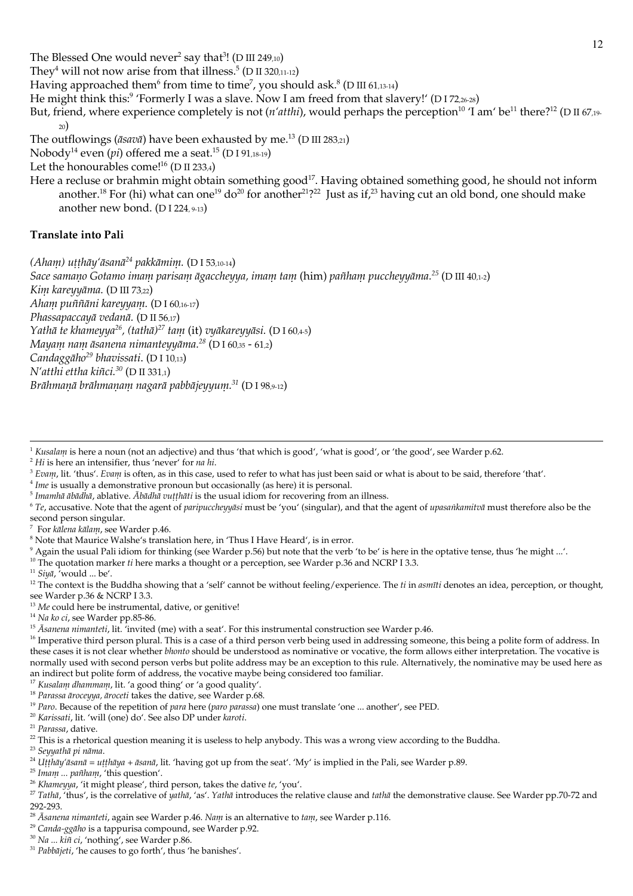They<sup>4</sup> will not now arise from that illness.<sup>5</sup> (D II 320,11-12)

Having approached them<sup>6</sup> from time to time<sup>7</sup>, you should ask.<sup>8</sup> (D III 61,13-14)

He might think this:<sup>9</sup> 'Formerly I was a slave. Now I am freed from that slavery!' (D I 72,26-28)

But, friend, where experience completely is not (n'atthi), would perhaps the perception<sup>10</sup> 'I am' be<sup>11</sup> there?<sup>12</sup> (D II 67,19- $\mathcal{D}$ 

The outflowings ( $\bar{a}$ sav $\bar{a}$ ) have been exhausted by me.<sup>13</sup> (D III 283,21)

Nobody<sup>14</sup> even (pi) offered me a seat.<sup>15</sup> (D I 91,18-19)

Let the honourables come!<sup>16</sup> (D II 233,4)

Here a recluse or brahmin might obtain something good<sup>17</sup>. Having obtained something good, he should not inform another.<sup>18</sup> For (hi) what can one<sup>19</sup> do<sup>20</sup> for another<sup>21</sup>?<sup>22</sup> Just as if,<sup>23</sup> having cut an old bond, one should make another new bond.  $(DI 224, 9-13)$ 

### **Translate into Pali**

(Aham) utthāy'āsanā<sup>24</sup> pakkāmim. (D I 53,10-14)

Sace samano Gotamo imam parisam āgaccheyya, imam tam (him) pañham puccheyyāma.<sup>25</sup> (D III 40,1-2) Kim kareyyāma. (D III 73,22) Aham puññāni kareyyam. (DI 60,16-17)

Phassapaccayā vedanā. (D II 56,17)

Yathā te khameyya<sup>26</sup>, (tathā)<sup>27</sup> tam (it) vyākareyyāsi. (D I 60,4-5)

Мауат пат āsanena nimanteyyāma.<sup>28</sup> (D I 60,35 - 61,2)

Candaggāho<sup>29</sup> bhavissati. (D I 10,13)

N'atthi ettha kiñci.<sup>30</sup> (D II 331,1)

Brāhmanā brāhmanam nagarā pabbājeyyum.<sup>31</sup> (D I 98,9-12)

 $2$  Hi is here an intensifier, thus 'never' for na hi.

- <sup>3</sup> Evam, lit. 'thus'. Evam is often, as in this case, used to refer to what has just been said or what is about to be said, therefore 'that'.
- $4$  Ime is usually a demonstrative pronoun but occasionally (as here) it is personal.
- $5$  Imamhā ābādhā, ablative. Ābādhā vuṭṭhāti is the usual idiom for recovering from an illness.
- $6 Te$ , accusative. Note that the agent of paripuccheyyāsi must be 'you' (singular), and that the agent of upasankamitvā must therefore also be the second person singular.
- <sup>7</sup> For kalena kalam, see Warder p.46.

<sup>8</sup> Note that Maurice Walshe's translation here, in 'Thus I Have Heard', is in error.

Again the usual Pali idiom for thinking (see Warder p.56) but note that the verb 'to be' is here in the optative tense, thus 'he might ...'.

<sup>10</sup> The quotation marker ti here marks a thought or a perception, see Warder p.36 and NCRP I 3.3.

 $^{11}$   $Siy\bar{a}$  , 'would … be'.

<sup>12</sup> The context is the Buddha showing that a 'self' cannot be without feeling/experience. The  $ti$  in *asmiti* denotes an idea, perception, or thought, see Warder p.36 & NCRP I 3.3.

<sup>13</sup> Me could here be instrumental, dative, or genitive!

<sup>14</sup> Na ko ci, see Warder pp.85-86.

<sup>15</sup> Asanena nimanteti, lit. 'invited (me) with a seat'. For this instrumental construction see Warder p.46.

<sup>16</sup> Imperative third person plural. This is a case of a third person verb being used in addressing someone, this being a polite form of address. In these cases it is not clear whether *blonto* should be understood as nominative or vocative, the form allows either interpretation. The vocative is normally used with second person verbs but polite address may be an exception to this rule. Alternatively, the nominative may be used here as an indirect but polite form of address, the vocative maybe being considered too familiar.

<sup>17</sup> Kusalam dhammam, lit. 'a good thing' or 'a good quality'.

<sup>18</sup> Parassa āroceyya, āroceti takes the dative, see Warder p.68.

<sup>19</sup> Paro. Because of the repetition of para here (paro parassa) one must translate 'one ... another', see PED.

<sup>20</sup> Karissati, lit. 'will (one) do'. See also DP under karoti.

<sup>21</sup> Parassa, dative.

 $22$  This is a rhetorical question meaning it is useless to help anybody. This was a wrong view according to the Buddha.

<sup>23</sup> Seyyathā pi nāma.

<sup>24</sup> Utthāy'āsanā = utthāya + āsanā, lit. 'having got up from the seat'. 'My' is implied in the Pali, see Warder p.89.

<sup>25</sup> Imam ... pañham, 'this question'.

- <sup>26</sup> Khameyya, 'it might please', third person, takes the dative te, 'you'.
- <sup>27</sup> Tathā, 'thus', is the correlative of yathā, 'as'. Yathā introduces the relative clause and tathā the demonstrative clause. See Warder pp.70-72 and 292-293

<sup>28</sup> Asanena nimanteti, again see Warder p.46. Nam is an alternative to tam, see Warder p.116.

<sup>29</sup> Canda-ggāho is a tappurisa compound, see Warder p.92.

<sup>30</sup> Na ... kiñ ci, 'nothing', see Warder p.86.

<sup>31</sup> Pabbājeti, 'he causes to go forth', thus 'he banishes'.

<sup>&</sup>lt;sup>1</sup> Kusalam is here a noun (not an adjective) and thus 'that which is good', 'what is good', or 'the good', see Warder p.62.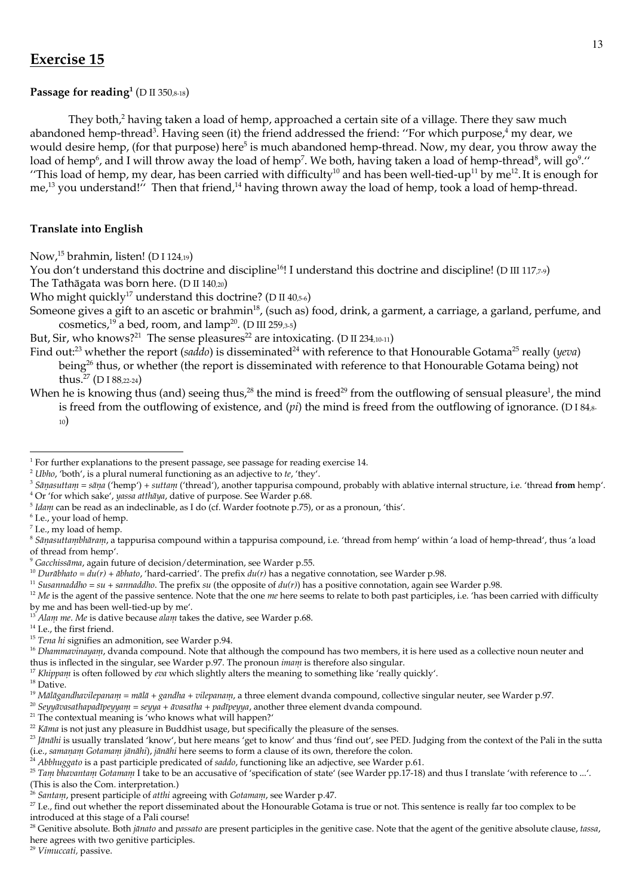# **Exercise 15**

## Passage for reading<sup>1</sup> (D II 350,8-18)

They both,<sup>2</sup> having taken a load of hemp, approached a certain site of a village. There they saw much abandoned hemp-thread<sup>3</sup>. Having seen (it) the friend addressed the friend: "For which purpose,<sup>4</sup> my dear, we would desire hemp, (for that purpose) here<sup>5</sup> is much abandoned hemp-thread. Now, my dear, you throw away the load of hemp<sup>6</sup>, and I will throw away the load of hemp<sup>7</sup>. We both, having taken a load of hemp-thread<sup>8</sup>, will go<sup>9</sup>." "This load of hemp, my dear, has been carried with difficulty<sup>10</sup> and has been well-tied-up<sup>11</sup> by me<sup>12</sup>. It is enough for me,<sup>13</sup> you understand!" Then that friend,<sup>14</sup> having thrown away the load of hemp, took a load of hemp-thread.

## **Translate into English**

Now,<sup>15</sup> brahmin, listen! (D I 124,19)

You don't understand this doctrine and discipline<sup>16</sup>! I understand this doctrine and discipline! (D III 117,<sup>2,9</sup>)

The Tathāgata was born here. (D II 140,20)

Who might quickly<sup>17</sup> understand this doctrine? (D II 40,5-6)

Someone gives a gift to an ascetic or brahmin<sup>18</sup>, (such as) food, drink, a garment, a carriage, a garland, perfume, and cosmetics,<sup>19</sup> a bed, room, and  $\text{lamp}^{20}$ . (D III 259,3-5)

But, Sir, who knows?<sup>21</sup> The sense pleasures<sup>22</sup> are intoxicating. (D II 234,10-11)

Find out:<sup>23</sup> whether the report (saddo) is disseminated<sup>24</sup> with reference to that Honourable Gotama<sup>25</sup> really (yeva) being<sup>26</sup> thus, or whether (the report is disseminated with reference to that Honourable Gotama being) not thus.<sup>27</sup> (DI 88.22-24)

When he is knowing thus (and) seeing thus,<sup>28</sup> the mind is freed<sup>29</sup> from the outflowing of sensual pleasure<sup>1</sup>, the mind

is freed from the outflowing of existence, and  $pi$ ) the mind is freed from the outflowing of ignorance. (D184,8- $_{10}$ 

<sup>10</sup> Durābhato =  $du(r)$  + ābhato, 'hard-carried'. The prefix  $du(r)$  has a negative connotation, see Warder p.98.

<sup>11</sup> Susannaddho = su + sannaddho. The prefix su (the opposite of  $du(r)$ ) has a positive connotation, again see Warder p.98.

 $12$  Me is the agent of the passive sentence. Note that the one *nue* here seems to relate to both past participles, i.e. 'has been carried with difficulty by me and has been well-tied-up by me'.<br><sup>13</sup> *Alam me. Me* is dative because *alam* takes the dative, see Warder p.68.

<sup>17</sup> Khippani is often followed by eva which slightly alters the meaning to something like 'really quickly'.

<sup>20</sup> Seyyavasatlapadīpeyyam = seyya + āvasatla + padīpeyya, another three element dvanda compound.

<sup>24</sup> Abbluggato is a past participle predicated of saddo, functioning like an adjective, see Warder p.61.

<sup>29</sup> Vimuccati, passive.

 $1$  For further explanations to the present passage, see passage for reading exercise 14.

 $2$  Ubho, 'both', is a plural numeral functioning as an adjective to te, 'they'.

<sup>&</sup>lt;sup>3</sup> Sānasuttam = sāna ('hemp') + suttam ('thread'), another tappurisa compound, probably with ablative internal structure, i.e. 'thread from hemp'. <sup>4</sup> Or 'for which sake', yassa atthaya, dative of purpose. See Warder p.68.

 $5$  Idam can be read as an indeclinable, as I do (cf. Warder footnote p.75), or as a pronoun, 'this'.

<sup>&</sup>lt;sup>6</sup> I.e., your load of hemp.

<sup>&</sup>lt;sup>7</sup> I.e., my load of hemp.

<sup>&</sup>lt;sup>8</sup> Sāņasuttambhāram, a tappurisa compound within a tappurisa compound, i.e. 'thread from hemp' within 'a load of hemp-thread', thus 'a load of thread from hemp'.

<sup>&</sup>lt;sup>9</sup> Gacchissāma, again future of decision/determination, see Warder p.55.

<sup>&</sup>lt;sup>14</sup> I.e., the first friend.

<sup>&</sup>lt;sup>15</sup> Tena hi signifies an admonition, see Warder p.94.

<sup>&</sup>lt;sup>16</sup> Dhammavinayam, dvanda compound. Note that although the compound has two members, it is here used as a collective noun neuter and thus is inflected in the singular, see Warder p.97. The pronoun *imam* is therefore also singular.

 $18$  Dative.

<sup>&</sup>lt;sup>19</sup> Mālāgandhavilepanam = mālā + gandha + vilepanam, a three element dvanda compound, collective singular neuter, see Warder p.97.

<sup>&</sup>lt;sup>21</sup> The contextual meaning is 'who knows what will happen?'

<sup>&</sup>lt;sup>22</sup> Kāma is not just any pleasure in Buddhist usage, but specifically the pleasure of the senses.

<sup>&</sup>lt;sup>23</sup> Jānāhi is usually translated 'know', but here means 'get to know' and thus 'find out', see PED. Judging from the context of the Pali in the sutta (i.e., samanam Gotamam jānāhi), jānāhi here seems to form a clause of its own, therefore the colon.

<sup>&</sup>lt;sup>25</sup> Tam bhavantam Gotamam I take to be an accusative of 'specification of state' (see Warder pp.17-18) and thus I translate 'with reference to ...'. (This is also the Com. interpretation.)

 $\frac{1}{6}$  Santam, present participle of atthi agreeing with Gotamam, see Warder p.47.

<sup>&</sup>lt;sup>27</sup> I.e., find out whether the report disseminated about the Honourable Gotama is true or not. This sentence is really far too complex to be introduced at this stage of a Pali course!

<sup>&</sup>lt;sup>28</sup> Genitive absolute. Both janato and passato are present participles in the genitive case. Note that the agent of the genitive absolute clause, tassa, here agrees with two genitive participles.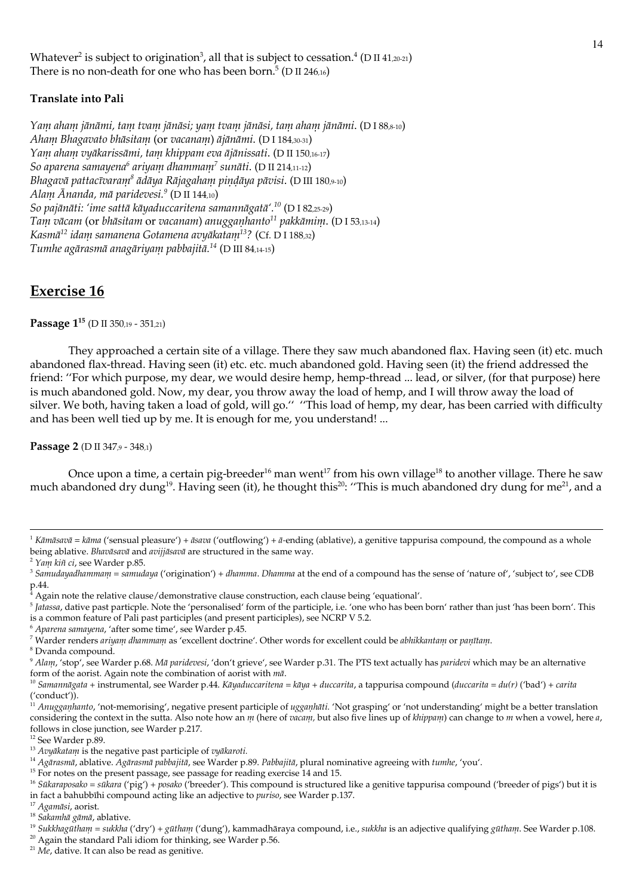Whatever<sup>2</sup> is subject to origination<sup>3</sup>, all that is subject to cessation.<sup>4</sup> (D II 41,20-21) There is no non-death for one who has been born.<sup>5</sup> (D II 246,16)

### **Translate into Pali**

Yanı ahanı jānāmi, tanı tvanı jānāsi; yanı tvanı jānāsi, tanı ahanı jānāmi. (DI88,8-10) Aham Bhagavato bhāsitam (or vacanam) ājānāmi. (D I 184,30-31) Yanı ahanı vyākarissānu, tanı khippanı eva ājānissati. (D II 150,16-17) So aparena samayena<sup>6</sup> ariyam dhammanı<sup>7</sup> sunāti. (D II 214,11-12) Bhagavā pattacīvaraņi<sup>8</sup> ādāya Rājagahaņi pindāya pāvisi. (D III 180,9-10) Alam Ānanda, mā paridevesi.<sup>9</sup> (D II 144,10) So pajānāti: 'ime sattā kāyaduccaritena samannāgatā'.<sup>10</sup> (D I 82,25-29) Tanı vācanı (or bhāsitam or vacanam) anugganhanto<sup>11</sup> pakkāmin. (D I 53,13-14) Kasmā<sup>12</sup> idam samanena Gotamena avyākatam<sup>13</sup>? (Cf. D I 188,32) Tumhe agārasmā anagāriyam pabbajitā.<sup>14</sup> (D III 84,14-15)

## **Exercise 16**

Passage  $1^{15}$  (D II 350,19 - 351,21)

They approached a certain site of a village. There they saw much abandoned flax. Having seen (it) etc. much abandoned flax-thread. Having seen (it) etc. etc. much abandoned gold. Having seen (it) the friend addressed the friend: "For which purpose, my dear, we would desire hemp, hemp-thread ... lead, or silver, (for that purpose) here is much abandoned gold. Now, my dear, you throw away the load of hemp, and I will throw away the load of silver. We both, having taken a load of gold, will go." "This load of hemp, my dear, has been carried with difficulty and has been well tied up by me. It is enough for me, you understand! ...

Passage 2 (D II 347,9 - 348,1)

Once upon a time, a certain pig-breeder<sup>16</sup> man went<sup>17</sup> from his own village<sup>18</sup> to another village. There he saw much abandoned dry dung<sup>19</sup>. Having seen (it), he thought this<sup>20</sup>: "This is much abandoned dry dung for me<sup>21</sup>, and a

<sup>6</sup> Aparena samayena, 'after some time', see Warder p.45.

<sup>8</sup> Dvanda compound.

<sup>20</sup> Again the standard Pali idiom for thinking, see Warder p.56.

<sup>&</sup>lt;sup>1</sup> Kāmāsavā = kāma ('sensual pleasure') + āsava ('outflowing') + ā-ending (ablative), a genitive tappurisa compound, the compound as a whole being ablative. Bhavāsavā and avijjāsavā are structured in the same way.

<sup>&</sup>lt;sup>2</sup> Yam kiñ ci, see Warder p.85.

<sup>3</sup> Sanudayadhanmani = sanudaya ('origination') + dhanma. Dhanma at the end of a compound has the sense of 'nature of', 'subject to', see CDB  $p.44.$ 

Again note the relative clause/demonstrative clause construction, each clause being 'equational'.

 $\frac{6}{10}$  Jatassa, dative past particple. Note the 'personalised' form of the participle, i.e. 'one who has been born' rather than just 'has been born'. This is a common feature of Pali past participles (and present participles), see NCRP V 5.2.

<sup>&</sup>lt;sup>7</sup> Warder renders ariyam dhammam as 'excellent doctrine'. Other words for excellent could be abhikkantam or panītam.

<sup>&</sup>lt;sup>9</sup> Alanu, 'stop', see Warder p.68. Mā paridevesi, 'don't grieve', see Warder p.31. The PTS text actually has paridevi which may be an alternative form of the aorist. Again note the combination of aorist with mā.

<sup>&</sup>lt;sup>10</sup> Samannāgata + instrumental, see Warder p.44. Kāyaduccaritena = kāya + duccarita, a tappurisa compound (duccarita = du(r) ('bad') + carita ('conduct')).

 $\hat{H}$  Anugganlanto, 'not-memorising', negative present participle of ugganlati. 'Not grasping' or 'not understanding' might be a better translation considering the context in the sutta. Also note how an m (here of vacam, but also five lines up of khippam) can change to m when a vowel, here a, follows in close junction, see Warder p.217.

<sup>&</sup>lt;sup>12</sup> See Warder p.89.

<sup>&</sup>lt;sup>13</sup> Avyākataņi is the negative past participle of vyākaroti.

<sup>&</sup>lt;sup>14</sup> Agārasnuā, ablative. Agārasnuā pabbajitā, see Warder p.89. Pabbajitā, plural nominative agreeing with tunuhe, 'you'.

<sup>&</sup>lt;sup>15</sup> For notes on the present passage, see passage for reading exercise 14 and 15.

<sup>&</sup>lt;sup>16</sup> Sūkaraposako = sūkara ('pig') + posako ('breeder'). This compound is structured like a genitive tappurisa compound ('breeder of pigs') but it is in fact a bahubbīhi compound acting like an adjective to puriso, see Warder p.137.

<sup>&</sup>lt;sup>17</sup> Agamāsi, aorist.

<sup>&</sup>lt;sup>18</sup> Sakamhā gāmā, ablative.

<sup>&</sup>lt;sup>19</sup> Sukkhagūtham = sukkha ('dry') + gūtham ('dung'), kammadhāraya compound, i.e., sukkha is an adjective qualifying gūtham. See Warder p.108.

 $21$  Me, dative. It can also be read as genitive.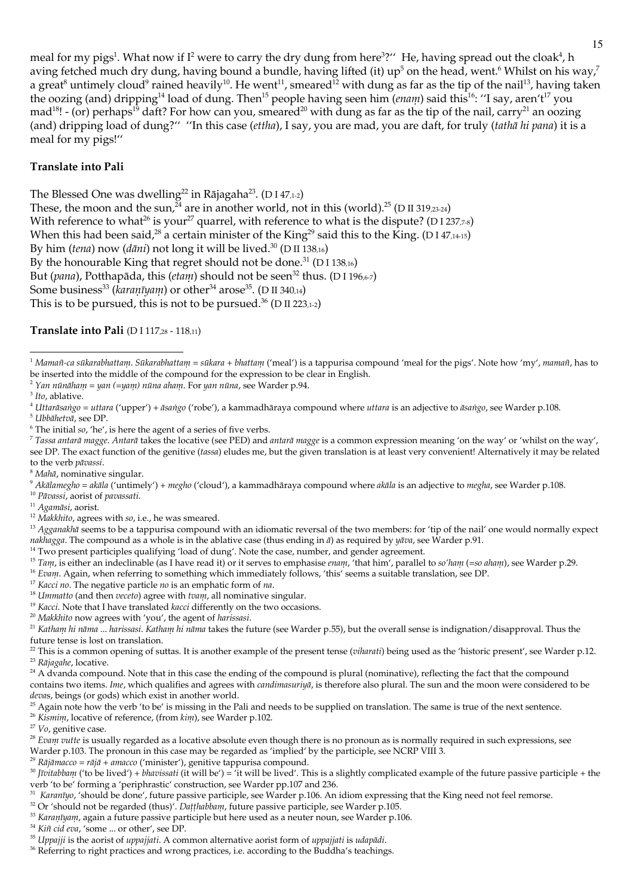meal for my pigs<sup>1</sup>. What now if  $I^2$  were to carry the dry dung from here<sup>3</sup>?" He, having spread out the cloak<sup>4</sup>, h aving fetched much dry dung, having bound a bundle, having lifted (it) up<sup>5</sup> on the head, went.<sup>6</sup> Whilst on his way,<sup>7</sup> a great<sup>8</sup> untimely cloud<sup>9</sup> rained heavily<sup>10</sup>. He went<sup>11</sup>, smeared<sup>12</sup> with dung as far as the tip of the nail<sup>13</sup>, having taken the oozing (and) dripping<sup>14</sup> load of dung. Then<sup>15</sup> people having seen him (enam) said this<sup>16</sup>: "I say, aren't<sup>17</sup> you  $\text{mad}^{18}$ ! - (or) perhaps<sup>19</sup> daft? For how can you, smeared<sup>20</sup> with dung as far as the tip of the nail, carry<sup>21</sup> an oozing (and) dripping load of dung?" "In this case (ettha), I say, you are mad, you are daft, for truly (tatha hi pana) it is a meal for my pigs!"

### **Translate into Pali**

The Blessed One was dwelling<sup>22</sup> in Rājagaha<sup>23</sup>. (D I 47,1-2) These, the moon and the sun,  $24$  are in another world, not in this (world).<sup>25</sup> (D II 319,23-24) With reference to what<sup>26</sup> is your<sup>27</sup> quarrel, with reference to what is the dispute? (D I 237,7-8) When this had been said,<sup>28</sup> a certain minister of the King<sup>29</sup> said this to the King. (D I 47,14-15) By him (tena) now (dāni) not long it will be lived.<sup>30</sup> (D II 138,16) By the honourable King that regret should not be done.<sup>31</sup> (D I 138,16) But (pana), Potthapāda, this (etam) should not be seen<sup>32</sup> thus. (D I 196,6-7) Some business<sup>33</sup> (karanīyam) or other<sup>34</sup> arose<sup>35</sup>. (D II 340,14) This is to be pursued, this is not to be pursued.<sup>36</sup> (D II 223,1-2)

Translate into Pali (DI 117,28 - 118,11)

<sup>2</sup> Yan nūnāham = yan (=yam) nūna aham. For yan nūna, see Warder p.94.

<sup>4</sup> Uttarāsango = uttara ('upper') + āsango ('robe'), a kammadhāraya compound where uttara is an adjective to āsango, see Warder p.108.

<sup>5</sup> Ubbāhetvā, see DP.

 $6$  The initial so, 'he', is here the agent of a series of five verbs.

7 Tassa antarā magge. Antarā takes the locative (see PED) and antarā magge is a common expression meaning 'on the way' or 'whilst on the way', see DP. The exact function of the genitive (tassa) eludes me, but the given translation is at least very convenient! Alternatively it may be related to the verb pāvassi.

 $8$  Mahā, nominative singular.

 $^9$  Akālamegho = akāla ('untimely') + megho ('cloud'), a kammadhāraya compound where akāla is an adjective to megha, see Warder p.108.

<sup>10</sup> Pāvassi, aorist of pavassati.

 $^{\rm 11}$  Agamāsi, aorist.

 $12$  Makkhito, agrees with so, i.e., he was smeared.

<sup>13</sup> Agganakhā seems to be a tappurisa compound with an idiomatic reversal of the two members: for 'tip of the nail' one would normally expect nakhagga. The compound as a whole is in the ablative case (thus ending in  $\bar{a}$ ) as required by yāva, see Warder p.91.

<sup>14</sup> Two present participles qualifying 'load of dung'. Note the case, number, and gender agreement.

<sup>15</sup> Tam, is either an indeclinable (as I have read it) or it serves to emphasise enam, 'that him', parallel to so'ham (=so aham), see Warder p.29.

<sup>16</sup> Evam. Again, when referring to something which immediately follows, 'this' seems a suitable translation, see DP.

 $17$  Kacci no. The negative particle no is an emphatic form of na.

 $18$  Unmatto (and then veceto) agree with tvan, all nominative singular.

<sup>19</sup> Kacci. Note that I have translated kacci differently on the two occasions.

<sup>20</sup> Makkhito now agrees with 'you', the agent of harissasi.

 $^{21}$  Katham hi nāma ... harissasi. Katham hi nāma takes the future (see Warder p.55), but the overall sense is indignation/disapproval. Thus the future tense is lost on translation.

<sup>22</sup> This is a common opening of suttas. It is another example of the present tense (vilarati) being used as the 'historic present', see Warder p.12. <sup>23</sup> Rājagahe, locative.

<sup>24</sup> A dvanda compound. Note that in this case the ending of the compound is plural (nominative), reflecting the fact that the compound contains two items. Inte, which qualifies and agrees with candinasuriya, is therefore also plural. The sun and the moon were considered to be devas, beings (or gods) which exist in another world.

<sup>25</sup> Again note how the verb 'to be' is missing in the Pali and needs to be supplied on translation. The same is true of the next sentence.

<sup>26</sup> Kismin, locative of reference, (from kini), see Warder p.102.

<sup>27</sup> Vo, genitive case.

<sup>28</sup> Evam vutte is usually regarded as a locative absolute even though there is no pronoun as is normally required in such expressions, see

Warder p.103. The pronoun in this case may be regarded as 'implied' by the participle, see NCRP VIII 3. <sup>29</sup> Rājāmacco = rājā + amacco ('minister'), genitive tappurisa compound.

<sup>30</sup> Jīvitabbanı ('to be lived') + bhavissati (it will be') = 'it will be lived'. This is a slightly complicated example of the future passive participle + the verb 'to be' forming a 'periphrastic' construction, see Warder pp.107 and 236.

<sup>31</sup> Karanīyo, 'should be done', future passive participle, see Warder p.106. An idiom expressing that the King need not feel remorse.

<sup>32</sup> Or 'should not be regarded (thus)'. Datthabbann, future passive participle, see Warder p.105.

<sup>33</sup> Karanīyam, again a future passive participle but here used as a neuter noun, see Warder p.106.

 $^{34}$  Kiñ cid eva, 'some ... or other', see DP.

<sup>35</sup> Uppajji is the aorist of *uppajjati*. A common alternative aorist form of *uppajjati* is *udapādi*.

<sup>36</sup> Referring to right practices and wrong practices, i.e. according to the Buddha's teachings.

 $1$  Mamañ-ca sūkarabhattam. Sūkarabhattam = sūkara + bhattam ('meal') is a tappurisa compound 'meal for the pigs'. Note how 'my', mamañ, has to be inserted into the middle of the compound for the expression to be clear in English.

 $3$  Ito, ablative.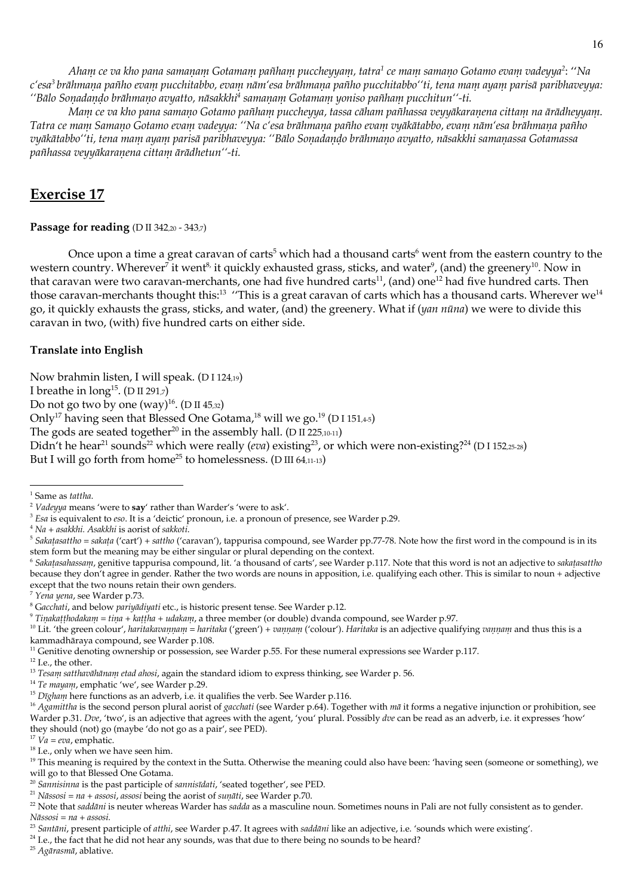Aham ce va kho pana samanam Gotamam pañham puccheyyam, tatra<sup>1</sup> ce mam samano Gotamo evam vadeyya<sup>2</sup>: "Na c'esa<sup>3</sup> brāhmana pañho evam pucchitabbo, evam nām'esa brāhmana pañho pucchitabbo''ti, tena mam ayam parisā paribhaveyya: "Bālo Sonadando brāhmano avyatto, nāsakkhi<sup>4</sup> samanam Gotamam yoniso pañham pucchitun"-ti.

Manı ce va kho pana samano Gotamo pañham puccheyya, tassa cāham pañhassa veyyākaranena cittam na ārādheyyam. Tatra ce mam Samano Gotamo evam vadeyya: "Na c'esa brāhmana pañho evam vyākātabbo, evam nām'esa brāhmana pañho vyākātabbo''ti, tena mam ayam parisā paribhaveyya: ''Bālo Sonadando brāhmano avyatto, nāsakkhi samanassa Gotamassa pañhassa veyyākaranena cittam ārādhetun"-ti.

# **Exercise 17**

### Passage for reading (D II 342,20 - 343,7)

Once upon a time a great caravan of carts<sup>5</sup> which had a thousand carts<sup>6</sup> went from the eastern country to the western country. Wherever<sup>7</sup> it went<sup>8,</sup> it quickly exhausted grass, sticks, and water<sup>9</sup>, (and) the greenery<sup>10</sup>. Now in that caravan were two caravan-merchants, one had five hundred carts<sup>11</sup>, (and) one<sup>12</sup> had five hundred carts. Then those caravan-merchants thought this:<sup>13</sup> "This is a great caravan of carts which has a thousand carts. Wherever we<sup>14</sup> go, it quickly exhausts the grass, sticks, and water, (and) the greenery. What if (yan nūna) we were to divide this caravan in two, (with) five hundred carts on either side.

## **Translate into English**

Now brahmin listen, I will speak. (D I 124,19)

I breathe in  $\text{long}^{15}$ . (D II 291,7)

Do not go two by one  $(way)^{16}$ . (D II 45,32)

Only<sup>17</sup> having seen that Blessed One Gotama,<sup>18</sup> will we go.<sup>19</sup> (D I 151,45)

The gods are seated together<sup>20</sup> in the assembly hall. (D II 225,10-11)

Didn't he hear<sup>21</sup> sounds<sup>22</sup> which were really (eva) existing<sup>23</sup>, or which were non-existing?<sup>24</sup> (D I 152,25-28)

But I will go forth from home<sup>25</sup> to homelessness. (D III 64,11-13)

<sup>6</sup> Sakatasaluassanu, genitive tappurisa compound, lit. 'a thousand of carts', see Warder p.117. Note that this word is not an adjective to sakatasattluo because they don't agree in gender. Rather the two words are nouns in apposition, i.e. qualifying each other. This is similar to noun + adjective except that the two nouns retain their own genders.

<sup>14</sup> Te mayam, emphatic 'we', see Warder p.29.

<sup>25</sup> Agārasmā, ablative.

 $^{\rm 1}$  Same as tattha.

<sup>&</sup>lt;sup>2</sup> Vadeyya means 'were to  $\textbf{say}'$  rather than Warder's 'were to ask'.

<sup>&</sup>lt;sup>3</sup> Esa is equivalent to eso. It is a 'deictic' pronoun, i.e. a pronoun of presence, see Warder p.29.

 $4$  Na + asakklui. Asakklui is aorist of sakkoti.

 $5$  Sakatasattho = sakata ('cart') + sattho ('caravan'), tappurisa compound, see Warder pp.77-78. Note how the first word in the compound is in its stem form but the meaning may be either singular or plural depending on the context.

<sup>7</sup> Yena yena, see Warder p.73.

<sup>&</sup>lt;sup>8</sup> Gacclati, and below pariyadiyati etc., is historic present tense. See Warder p.12.

<sup>&</sup>lt;sup>9</sup> Tinakatthodakam = tina + kattha + udakam, a three member (or double) dvanda compound, see Warder p.97.

<sup>&</sup>lt;sup>10</sup> Lit. 'the green colour', haritakavannam = haritaka ('green') + vannam ('colour'). Haritaka is an adjective qualifying vannam and thus this is a kammadhāraya compound, see Warder p.108.

 $^{11}$  Genitive denoting ownership or possession, see Warder p.55. For these numeral expressions see Warder p.117.

 $12$  I.e., the other.

<sup>&</sup>lt;sup>13</sup> Tesanu satthavāhānam etad ahosi, again the standard idiom to express thinking, see Warder p. 56.

<sup>&</sup>lt;sup>15</sup> Dīgham here functions as an adverb, i.e. it qualifies the verb. See Warder p.116.

<sup>&</sup>lt;sup>16</sup> Agamittha is the second person plural aorist of gacchati (see Warder p.64). Together with ma it forms a negative injunction or prohibition, see Warder p.31. Dve, 'two', is an adjective that agrees with the agent, 'you' plural. Possibly dve can be read as an adverb, i.e. it expresses 'how' they should (not) go (maybe 'do not go as a pair', see PED).

 $v^2$   $\check{Va}$  = eva, emphatic.

<sup>&</sup>lt;sup>18</sup> I.e., only when we have seen him.

<sup>&</sup>lt;sup>19</sup> This meaning is required by the context in the Sutta. Otherwise the meaning could also have been: 'having seen (someone or something), we will go to that Blessed One Gotama.

<sup>&</sup>lt;sup>20</sup> Sannisinna is the past participle of sannisīdati, 'seated together', see PED.

<sup>&</sup>lt;sup>21</sup> Nāssosi =  $na$  + assosi, assosi being the aorist of sunāti, see Warder p.70.

<sup>&</sup>lt;sup>22</sup> Note that saddāni is neuter whereas Warder has sadda as a masculine noun. Sometimes nouns in Pali are not fully consistent as to gender.  $N\bar{a}s\cos i = na + assosi.$ 

<sup>&</sup>lt;sup>23</sup> Santāni, present participle of atthi, see Warder p.47. It agrees with saddāni like an adjective, i.e. 'sounds which were existing'.

<sup>&</sup>lt;sup>24</sup> I.e., the fact that he did not hear any sounds, was that due to there being no sounds to be heard?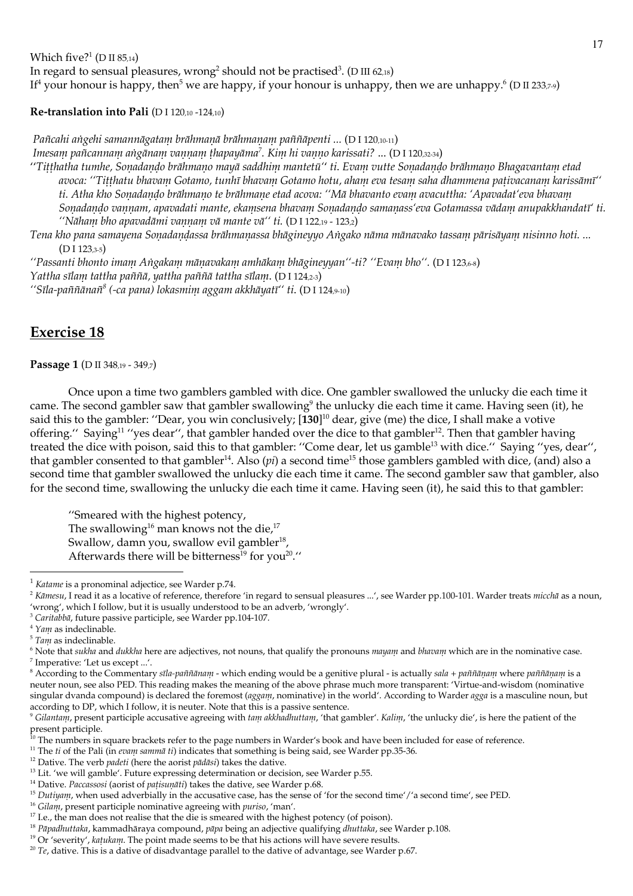Which five? $1(DII 85,14)$ In regard to sensual pleasures, wrong<sup>2</sup> should not be practised<sup>3</sup>. (D III 62,18) If<sup>4</sup> your honour is happy, then<sup>5</sup> we are happy, if your honour is unhappy, then we are unhappy.<sup>6</sup> (D II 233,7-9)

Re-translation into Pali (DI 120,10 -124,10)

Pañcahi angehi samannāgatam brāhmanā brāhmanam paññāpenti ... (D I 120,10-11) Imesam pañcannam angānam vannam thapayāma<sup>7</sup>. Kim hi vanno karissati? ... (D I 120,32-34) "Titthatha tumhe, Sonadando brāhmano mayā saddhim mantetū" ti. Evam vutte Sonadando brāhmano Bhagavantam etad avoca: "Titthatu bhavam Gotamo, tunhī bhavam Gotamo hotu, aham eva tesam saha dhammena pativacanam karissāmī" ti. Atha kho Sonadando brāhmano te brāhmane etad acova: ''Mā bhavanto evam avacuttha: 'Apavadat'eva bhavam Sonadando vannam, apavadati mante, ekamsena bhavam Sonadando samanass'eva Gotamassa vādam anupakkhandatī' ti. "Nāham bho apavadāmi vannam vā mante vā" ti. (D I 122,19 - 123,2)

Tena kho pana samayena Sonadandassa brāhmanassa bhāgineyyo Angako nāma mānavako tassam pārisāyam nisinno hoti.  $(D I 123.3-5)$ 

"Passanti bhonto imam Angakam mānavakam amhākam bhāgineyyan"-ti? "Evam bho". (D I 123,6-8) Yattha sīlam tattha paññā, yattha paññā tattha sīlam. (D I 124,2-3) "Sīla-paññānañ<sup>8</sup> (-ca pana) lokasmim aggam akkhāyatī" ti. (D I 124,9-10)

# **Exercise 18**

Passage 1 (D II 348,19 - 349,7)

Once upon a time two gamblers gambled with dice. One gambler swallowed the unlucky die each time it came. The second gambler saw that gambler swallowing<sup>9</sup> the unlucky die each time it came. Having seen (it), he said this to the gambler: "Dear, you win conclusively; [130]<sup>10</sup> dear, give (me) the dice, I shall make a votive offering." Saying<sup>11</sup> "yes dear", that gambler handed over the dice to that gambler<sup>12</sup>. Then that gambler having treated the dice with poison, said this to that gambler: "Come dear, let us gamble<sup>13</sup> with dice." Saying "yes, dear", that gambler consented to that gambler<sup>14</sup>. Also (*pi*) a second time<sup>15</sup> those gamblers gambled with dice, (and) also a second time that gambler swallowed the unlucky die each time it came. The second gambler saw that gambler, also for the second time, swallowing the unlucky die each time it came. Having seen (it), he said this to that gambler:

"Smeared with the highest potency, The swallowing<sup>16</sup> man knows not the die,<sup>17</sup> Swallow, damn you, swallow evil gambler<sup>18</sup>, Afterwards there will be bitterness<sup>19</sup> for you<sup>20</sup>."

 $4$  Yam as indeclinable.

<sup>7</sup> Imperative: 'Let us except ...'.

<sup>8</sup> According to the Commentary sīla-paññānam - which ending would be a genitive plural - is actually sala + paññāṇaṃ where paññāṇaṃ is a neuter noun, see also PED. This reading makes the meaning of the above phrase much more transparent: 'Virtue-and-wisdom (nominative singular dvanda compound) is declared the foremost (agganu, nominative) in the world'. According to Warder agga is a masculine noun, but according to DP, which I follow, it is neuter. Note that this is a passive sentence.

 $1$  Katame is a pronominal adjectice, see Warder p.74.

<sup>&</sup>lt;sup>2</sup> Kāmesu, I read it as a locative of reference, therefore 'in regard to sensual pleasures ...', see Warder pp.100-101. Warder treats micchā as a noun, 'wrong', which I follow, but it is usually understood to be an adverb, 'wrongly'.

<sup>&</sup>lt;sup>3</sup> Caritabbā, future passive participle, see Warder pp.104-107.

 $5$  Tam as indeclinable.

 $6$  Note that sukha and dukkha here are adjectives, not nouns, that qualify the pronouns  $mayany$  and bhavan which are in the nominative case.

<sup>&</sup>lt;sup>9</sup> Gilantani, present participle accusative agreeing with tam akkhadhuttani, 'that gambler'. Kalini, 'the unlucky die', is here the patient of the present participle.<br><sup>10</sup> The numbers in square brackets refer to the page numbers in Warder's book and have been included for ease of reference.

<sup>&</sup>lt;sup>11</sup> The ti of the Pali (in evani sanuna ti) indicates that something is being said, see Warder pp.35-36.

<sup>&</sup>lt;sup>12</sup> Dative. The verb *padeti* (here the aorist  $p\bar{a}d\bar{a}si$ ) takes the dative.

<sup>&</sup>lt;sup>13</sup> Lit. 'we will gamble'. Future expressing determination or decision, see Warder p.55.

<sup>&</sup>lt;sup>14</sup> Dative. Paccassosi (aorist of pațisunāti) takes the dative, see Warder p.68.

<sup>&</sup>lt;sup>15</sup> Dutiyani, when used adverbially in the accusative case, has the sense of 'for the second time'/'a second time', see PED.

<sup>&</sup>lt;sup>16</sup> Gilam, present participle nominative agreeing with puriso, 'man'.

<sup>&</sup>lt;sup>17</sup> I.e., the man does not realise that the die is smeared with the highest potency (of poison).

<sup>&</sup>lt;sup>18</sup> Pāpadluttaka, kammadhāraya compound, pāpa being an adjective qualifying dluttaka, see Warder p.108.

<sup>&</sup>lt;sup>19</sup> Or 'severity', katukam. The point made seems to be that his actions will have severe results.

 $20$  Te, dative. This is a dative of disadvantage parallel to the dative of advantage, see Warder p.67.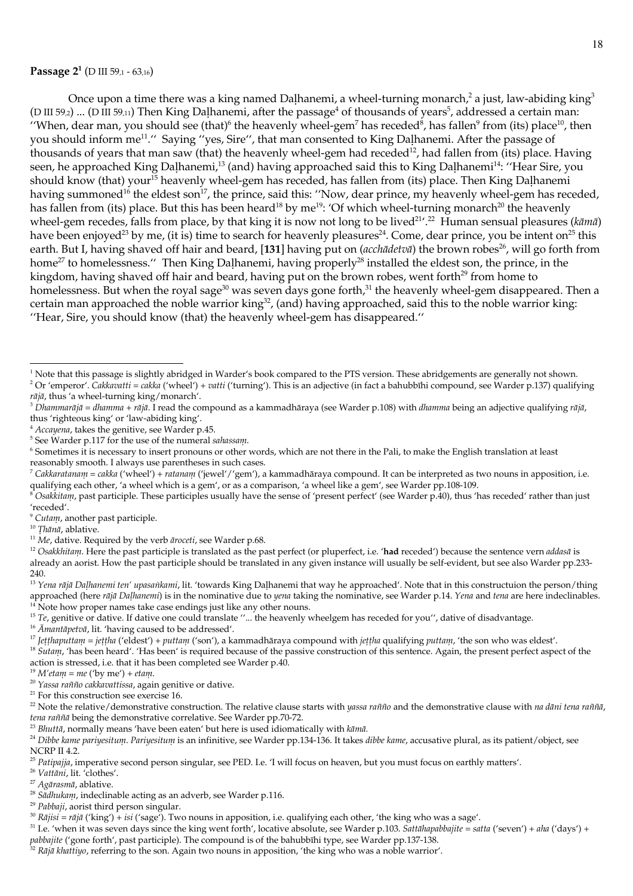### Passage 2<sup>1</sup> (D III 59,1 - 63,16)

Once upon a time there was a king named Dalhanemi, a wheel-turning monarch,<sup>2</sup> a just, law-abiding king<sup>3</sup> (D III 59<sub>2</sub>) ... (D III 59,1) Then King Dalhanemi, after the passage<sup>4</sup> of thousands of years<sup>5</sup>, addressed a certain man: "When, dear man, you should see (that)<sup>6</sup> the heavenly wheel-gem<sup>7</sup> has receded<sup>8</sup>, has fallen<sup>9</sup> from (its) place<sup>10</sup>, then you should inform me<sup>11</sup>." Saying "yes, Sire", that man consented to King Dalhanemi. After the passage of thousands of years that man saw (that) the heavenly wheel-gem had receded<sup>12</sup>, had fallen from (its) place. Having seen, he approached King Dalhanemi,<sup>13</sup> (and) having approached said this to King Dalhanemi<sup>14</sup>: "Hear Sire, you should know (that) your<sup>15</sup> heavenly wheel-gem has receded, has fallen from (its) place. Then King Dalhanemi having summoned<sup>16</sup> the eldest son<sup>17</sup>, the prince, said this: "Now, dear prince, my heavenly wheel-gem has receded, has fallen from (its) place. But this has been heard<sup>18</sup> by me<sup>19</sup>: 'Of which wheel-turning monarch<sup>20</sup> the heavenly wheel-gem recedes, falls from place, by that king it is now not long to be lived<sup>21, 22</sup> Human sensual pleasures ( $k\bar{a}m\bar{a}$ ) have been enjoyed<sup>23</sup> by me, (it is) time to search for heavenly pleasures<sup>24</sup>. Come, dear prince, you be intent on<sup>25</sup> this earth. But I, having shaved off hair and beard, [131] having put on (acchadetva) the brown robes<sup>26</sup>, will go forth from home<sup>27</sup> to homelessness." Then King Dalhanemi, having properly<sup>28</sup> installed the eldest son, the prince, in the kingdom, having shaved off hair and beard, having put on the brown robes, went forth<sup>29</sup> from home to homelessness. But when the royal sage<sup>30</sup> was seven days gone forth,<sup>31</sup> the heavenly wheel-gem disappeared. Then a certain man approached the noble warrior king<sup>32</sup>, (and) having approached, said this to the noble warrior king: "Hear, Sire, you should know (that) the heavenly wheel-gem has disappeared."

<sup>2</sup> Or 'emperor'. Cakkavatti = cakka ('wheel') + vatti ('turning'). This is an adjective (in fact a bahubbīhi compound, see Warder p.137) qualifying  $r\bar{a}j\bar{a}$ , thus 'a wheel-turning king/monarch'.

<sup>23</sup> Bhuttā, normally means 'have been eaten' but here is used idiomatically with kāmā.

pabbajite ('gone forth', past participle). The compound is of the bahubbīhi type, see Warder pp.137-138.

 $1$  Note that this passage is slightly abridged in Warder's book compared to the PTS version. These abridgements are generally not shown.

<sup>&</sup>lt;sup>3</sup> Dhammarājā = dhamma + rājā. I read the compound as a kammadhāraya (see Warder p.108) with dhamma being an adjective qualifying rājā, thus 'righteous king' or 'law-abiding king'.

<sup>&</sup>lt;sup>4</sup> Accayena, takes the genitive, see Warder p.45.

<sup>&</sup>lt;sup>5</sup> See Warder p.117 for the use of the numeral saluassam.

<sup>&</sup>lt;sup>6</sup> Sometimes it is necessary to insert pronouns or other words, which are not there in the Pali, to make the English translation at least reasonably smooth. I always use parentheses in such cases.

 $^7$  Cakkaratanam = cakka ('wheel') + ratanam ('jewel'/'gem'), a kammadhāraya compound. It can be interpreted as two nouns in apposition, i.e. qualifying each other, 'a wheel which is a gem', or as a comparison, 'a wheel like a gem', see Warder pp.108-109.

 $\delta$  Osakkitam, past participle. These participles usually have the sense of 'present perfect' (see Warder p.40), thus 'has receded' rather than just 'receded'.

<sup>&</sup>lt;sup>9</sup> Cutam, another past participle.

<sup>&</sup>lt;sup>10</sup> Thānā, ablative.

<sup>&</sup>lt;sup>11</sup> Me, dative. Required by the verb  $\bar{a}$ roceti, see Warder p.68.

<sup>&</sup>lt;sup>12</sup> Osakkhitam. Here the past participle is translated as the past perfect (or pluperfect, i.e. 'had receded') because the sentence vern addasā is already an aorist. How the past participle should be translated in any given instance will usually be self-evident, but see also Warder pp.233-240.

<sup>&</sup>lt;sup>13</sup> Yena rājā Daļhanemi ten' upasankami, lit. 'towards King Daļhanemi that way he approached'. Note that in this constructuion the person/thing approached (here rājā Daļhanemi) is in the nominative due to yena taking the nominative, see Warder p.14. Yena and tena are here indeclinables. Note how proper names take case endings just like any other nouns.

<sup>&</sup>lt;sup>15</sup> Te, genitive or dative. If dative one could translate "... the heavenly wheelgem has receded for you", dative of disadvantage.

<sup>&</sup>lt;sup>16</sup> Amantapetva, lit. 'having caused to be addressed'.

<sup>&</sup>lt;sup>17</sup> *Ietthaputtam* = *jettha* ('eldest') + *puttam* ('son'), a kammadhāraya compound with *jettha* qualifying *puttam*, 'the son who was eldest'.

<sup>&</sup>lt;sup>18</sup> Sutam, 'has been heard'. 'Has been' is required because of the passive construction of this sentence. Again, the present perfect aspect of the action is stressed, i.e. that it has been completed see Warder p.40.

 $^{19}$  M'etam = me ('by me') + etam.

<sup>&</sup>lt;sup>20</sup> Yassa rañño cakkavattissa, again genitive or dative.

 $21$  For this construction see exercise 16.

<sup>&</sup>lt;sup>22</sup> Note the relative/demonstrative construction. The relative clause starts with yassa rañño and the demonstrative clause with na dāni tena raññā, tena rañña being the demonstrative correlative. See Warder pp.70-72.

<sup>&</sup>lt;sup>24</sup> Dibbe kame parivesitum. Parivesitum is an infinitive, see Warder pp.134-136. It takes dibbe kame, accusative plural, as its patient/object, see **NCRP II 4.2.** 

<sup>&</sup>lt;sup>25</sup> Patipajja, imperative second person singular, see PED. I.e. 'I will focus on heaven, but you must focus on earthly matters'.

<sup>&</sup>lt;sup>26</sup> Vattāni, lit. 'clothes'.

 $27$  Agārasmā, ablative.

<sup>&</sup>lt;sup>28</sup> Sādlukanu, indeclinable acting as an adverb, see Warder p.116.

<sup>&</sup>lt;sup>29</sup> Pabbaji, aorist third person singular.

<sup>&</sup>lt;sup>30</sup> Rājisi = rājā ('king') + isi ('sage'). Two nouns in apposition, i.e. qualifying each other, 'the king who was a sage'.

<sup>&</sup>lt;sup>31</sup> I.e. 'when it was seven days since the king went forth', locative absolute, see Warder p.103. Sattāhapabbajite = satta ('seven') + aha ('days') +

 $32$  Rājā khattiyo, referring to the son. Again two nouns in apposition, 'the king who was a noble warrior'.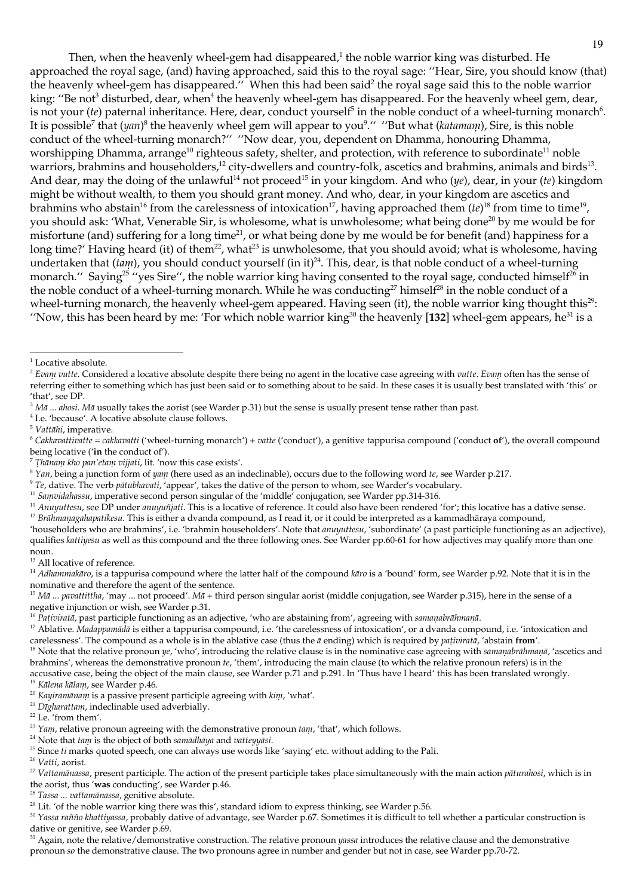Then, when the heavenly wheel-gem had disappeared,<sup>1</sup> the noble warrior king was disturbed. He approached the royal sage, (and) having approached, said this to the royal sage: "Hear, Sire, you should know (that) the heavenly wheel-gem has disappeared." When this had been said<sup>2</sup> the royal sage said this to the noble warrior king: "Be not<sup>3</sup> disturbed, dear, when<sup>4</sup> the heavenly wheel-gem has disappeared. For the heavenly wheel gem, dear, is not your (te) paternal inheritance. Here, dear, conduct yourself<sup>5</sup> in the noble conduct of a wheel-turning monarch<sup>6</sup>. It is possible<sup>7</sup> that  $(yan)^8$  the heavenly wheel gem will appear to you<sup>9</sup>." "But what (katamam), Sire, is this noble conduct of the wheel-turning monarch?" "Now dear, you, dependent on Dhamma, honouring Dhamma, worshipping Dhamma, arrange<sup>10</sup> righteous safety, shelter, and protection, with reference to subordinate<sup>11</sup> noble warriors, brahmins and householders,<sup>12</sup> city-dwellers and country-folk, ascetics and brahmins, animals and birds<sup>13</sup>. And dear, may the doing of the unlawful<sup>14</sup> not proceed<sup>15</sup> in your kingdom. And who (ye), dear, in your (te) kingdom might be without wealth, to them you should grant money. And who, dear, in your kingdom are ascetics and brahmins who abstain<sup>16</sup> from the carelessness of intoxication<sup>17</sup>, having approached them  $(te)^{18}$  from time to time<sup>19</sup>, you should ask: 'What, Venerable Sir, is wholesome, what is unwholesome; what being done<sup>20</sup> by me would be for misfortune (and) suffering for a long time<sup>21</sup>, or what being done by me would be for benefit (and) happiness for a long time?' Having heard (it) of them<sup>22</sup>, what<sup>23</sup> is unwholesome, that you should avoid; what is wholesome, having undertaken that  $(tan)$ , you should conduct yourself (in it)<sup>24</sup>. This, dear, is that noble conduct of a wheel-turning monarch." Saying<sup>25</sup> "yes Sire", the noble warrior king having consented to the royal sage, conducted himself<sup>26</sup> in the noble conduct of a wheel-turning monarch. While he was conducting<sup>27</sup> himself<sup>28</sup> in the noble conduct of a wheel-turning monarch, the heavenly wheel-gem appeared. Having seen (it), the noble warrior king thought this<sup>29</sup>: "Now, this has been heard by me: 'For which noble warrior king<sup>30</sup> the heavenly [132] wheel-gem appears, he<sup>31</sup> is a

- <sup>4</sup> I.e. 'because'. A locative absolute clause follows.
- $5$  Vattāhi, imperative.
- $6$  Cakkavattivatte = cakkavatti ('wheel-turning monarch') + vatte ('conduct'), a genitive tappurisa compound ('conduct of'), the overall compound being locative ('in the conduct of').
- $\frac{7}{7}$ Thānam kho pan'etam vijjati, lit. 'now this case exists'.
- $8$  Yan, being a junction form of yam (here used as an indeclinable), occurs due to the following word te, see Warder p.217.
- $9$  Te, dative. The verb pātubhavati, 'appear', takes the dative of the person to whom, see Warder's vocabulary.

<sup>10</sup> Samvidahassu, imperative second person singular of the 'middle' conjugation, see Warder pp.314-316.

- <sup>11</sup> Anumuttesu, see DP under anumuijati. This is a locative of reference. It could also have been rendered 'for'; this locative has a dative sense.
- <sup>12</sup> Brāhmanagahapatikesu. This is either a dvanda compound, as I read it, or it could be interpreted as a kammadhāraya compound, 'householders who are brahmins', i.e. 'brahmin householders'. Note that *anumittesu*, 'subordinate' (a past participle functioning as an adjective), qualifies kattiyesu as well as this compound and the three following ones. See Warder pp.60-61 for how adjectives may qualify more than one noun.

<sup>13</sup> All locative of reference.

<sup>14</sup> Adhammakāro, is a tappurisa compound where the latter half of the compound kāro is a 'bound' form, see Warder p.92. Note that it is in the nominative and therefore the agent of the sentence.

<sup>15</sup> Mā ... pavattittha, 'may ... not proceed'. Mā + third person singular aorist (middle conjugation, see Warder p.315), here in the sense of a negative injunction or wish, see Warder p.31.

<sup>16</sup> Pativiratā, past participle functioning as an adjective, 'who are abstaining from', agreeing with samanabrāhmanā.

- 
- <sup>20</sup> Kayiramānam is a passive present participle agreeing with kim, 'what'. <sup>21</sup> Dīgharattam, indeclinable used adverbially.
- $22$  I.e. 'from them'.
- <sup>23</sup> Yanu, relative pronoun agreeing with the demonstrative pronoun  $tanu$ , 'that', which follows.
- <sup>24</sup> Note that tam is the object of both samādhāya and vatteyyāsi.
- <sup>25</sup> Since ti marks quoted speech, one can always use words like 'saying' etc. without adding to the Pali.
- <sup>26</sup> Vatti, aorist.

<sup>27</sup> Vattamānassa, present participle. The action of the present participle takes place simultaneously with the main action pāturahosi, which is in the aorist, thus 'was conducting', see Warder p.46.

- <sup>28</sup> Tassa ... vattamānassa, genitive absolute.
- <sup>29</sup> Lit. 'of the noble warrior king there was this', standard idiom to express thinking, see Warder p.56.

<sup>30</sup> Yassa rañño kluattiyassa, probably dative of advantage, see Warder p.67. Sometimes it is difficult to tell whether a particular construction is dative or genitive, see Warder p.69.

 $31$  Again, note the relative/demonstrative construction. The relative pronoun *yassa* introduces the relative clause and the demonstrative pronoun so the demonstrative clause. The two pronouns agree in number and gender but not in case, see Warder pp.70-72.

 $^{\rm 1}$  Locative absolute.

<sup>&</sup>lt;sup>2</sup> Evan vutte. Considered a locative absolute despite there being no agent in the locative case agreeing with vutte. Evan often has the sense of referring either to something which has just been said or to something about to be said. In these cases it is usually best translated with 'this' or 'that', see DP.

 $3$  M $\bar{a}$  ... alosi. M $\bar{a}$  usually takes the aorist (see Warder p.31) but the sense is usually present tense rather than past.

<sup>&</sup>lt;sup>17</sup> Ablative. Madappamādā is either a tappurisa compound, i.e. 'the carelessness of intoxication', or a dvanda compound, i.e. 'intoxication and carelessness'. The compound as a whole is in the ablative case (thus the  $\bar{a}$  ending) which is required by *pativirata*, 'abstain from'.

<sup>&</sup>lt;sup>18</sup> Note that the relative pronoun ye, 'who', introducing the relative clause is in the nominative case agreeing with samanabrāhmanā, 'ascetics and brahmins', whereas the demonstrative pronoun te, 'them', introducing the main clause (to which the relative pronoun refers) is in the

accusative case, being the object of the main clause, see Warder p.71 and p.291. In 'Thus have I heard' this has been translated wrongly. <sup>19</sup> Kālena kālam, see Warder p.46.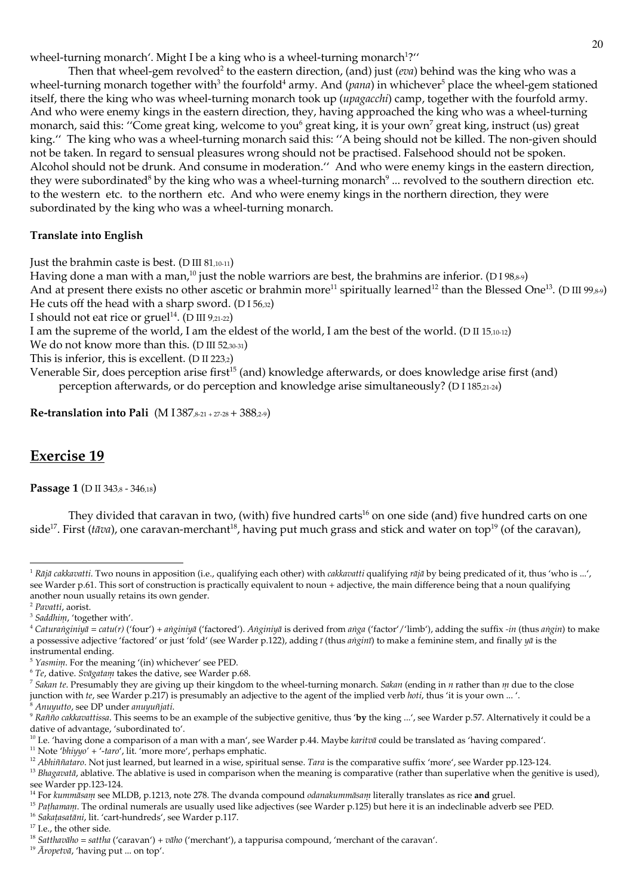wheel-turning monarch'. Might I be a king who is a wheel-turning monarch<sup>1</sup>?"

Then that wheel-gem revolved<sup>2</sup> to the eastern direction, (and) just (*eva*) behind was the king who was a wheel-turning monarch together with<sup>3</sup> the fourfold<sup>4</sup> army. And (pana) in whichever<sup>5</sup> place the wheel-gem stationed itself, there the king who was wheel-turning monarch took up (upagacchi) camp, together with the fourfold army. And who were enemy kings in the eastern direction, they, having approached the king who was a wheel-turning monarch, said this: "Come great king, welcome to you<sup>6</sup> great king, it is your own<sup>7</sup> great king, instruct (us) great king." The king who was a wheel-turning monarch said this: "A being should not be killed. The non-given should not be taken. In regard to sensual pleasures wrong should not be practised. Falsehood should not be spoken. Alcohol should not be drunk. And consume in moderation." And who were enemy kings in the eastern direction, they were subordinated<sup>8</sup> by the king who was a wheel-turning monarch<sup>9</sup> ... revolved to the southern direction etc. to the western etc. to the northern etc. And who were enemy kings in the northern direction, they were subordinated by the king who was a wheel-turning monarch.

### **Translate into English**

Just the brahmin caste is best. (D III 81,10-11)

Having done a man with a man,<sup>10</sup> just the noble warriors are best, the brahmins are inferior. (D198,8-9) And at present there exists no other ascetic or brahmin more<sup>11</sup> spiritually learned<sup>12</sup> than the Blessed One<sup>13</sup>. (D III 99,8-9) He cuts off the head with a sharp sword. (DI 56,32)

I should not eat rice or gruel<sup>14</sup>. (D III 9,21-22)

I am the supreme of the world, I am the eldest of the world, I am the best of the world. (D II 15,10-12)

We do not know more than this. (D III 52,30-31)

This is inferior, this is excellent. ( $D \Pi$  223,2)

Venerable Sir, does perception arise first<sup>15</sup> (and) knowledge afterwards, or does knowledge arise first (and) perception afterwards, or do perception and knowledge arise simultaneously? (DI 185,21-24)

**Re-translation into Pali** (M  $1387,8-21+27-28+388,2-9$ )

# **Exercise 19**

Passage 1 (D II 343,8 - 346,18)

They divided that caravan in two, (with) five hundred carts<sup>16</sup> on one side (and) five hundred carts on one side<sup>17</sup>. First (*tāva*), one caravan-merchant<sup>18</sup>, having put much grass and stick and water on top<sup>19</sup> (of the caravan),

<sup>10</sup> I.e. 'having done a comparison of a man with a man', see Warder p.44. Maybe karitva could be translated as 'having compared'.

<sup>11</sup> Note 'bhiyyo' + '-taro', lit. 'more more', perhaps emphatic.

<sup>&</sup>lt;sup>1</sup> Rājā cakkavatti. Two nouns in apposition (i.e., qualifying each other) with cakkavatti qualifying rājā by being predicated of it, thus 'who is ...', see Warder p.61. This sort of construction is practically equivalent to noun + adjective, the main difference being that a noun qualifying another noun usually retains its own gender.

<sup>&</sup>lt;sup>2</sup> Pavatti, aorist.

<sup>&</sup>lt;sup>3</sup> Saddhim, 'together with'.

<sup>&</sup>lt;sup>4</sup> Caturanginiyā = catu(r) ('four') + anginiyā ('factored'). Anginiyā is derived from anga ('factor'/'limb'), adding the suffix -in (thus angin) to make a possessive adjective 'factored' or just 'fold' (see Warder p.122), adding  $\bar{t}$  (thus *angini*) to make a feminine stem, and finally  $\bar{y}a$  is the instrumental ending.

<sup>&</sup>lt;sup>5</sup> Yasmim. For the meaning '(in) whichever' see PED.

 $6$  Te, dative. Svāgatam takes the dative, see Warder p.68.

<sup>&</sup>lt;sup>7</sup> Sakan te. Presumably they are giving up their kingdom to the wheel-turning monarch. Sakan (ending in  $n$  rather than  $m$  due to the close junction with te, see Warder p.217) is presumably an adjective to the agent of the implied verb hoti, thus 'it is your own ...'. <sup>8</sup> Anuyutto, see DP under anuyuñjati.

<sup>&</sup>lt;sup>9</sup> Rañño cakkavattissa. This seems to be an example of the subjective genitive, thus 'by the king ...', see Warder p.57. Alternatively it could be a dative of advantage, 'subordinated to'.

<sup>&</sup>lt;sup>12</sup> Abhiññataro. Not just learned, but learned in a wise, spiritual sense. Tara is the comparative suffix 'more', see Warder pp.123-124.

<sup>&</sup>lt;sup>13</sup> Bhagavatā, ablative. The ablative is used in comparison when the meaning is comparative (rather than superlative when the genitive is used), see Warder pp.123-124.

<sup>&</sup>lt;sup>14</sup> For kummāsam see MLDB, p.1213, note 278. The dvanda compound odanakummāsam literally translates as rice and gruel.

<sup>&</sup>lt;sup>15</sup> Pathamam. The ordinal numerals are usually used like adjectives (see Warder p.125) but here it is an indeclinable adverb see PED.

<sup>&</sup>lt;sup>16</sup> Sakatasatāni, lit. 'cart-hundreds', see Warder p.117.

 $^{\rm 17}$  I.e., the other side.

<sup>&</sup>lt;sup>18</sup> Satthavāho = sattha ('caravan') + vāho ('merchant'), a tappurisa compound, 'merchant of the caravan'.

<sup>&</sup>lt;sup>19</sup> Āropetvā, 'having put ... on top'.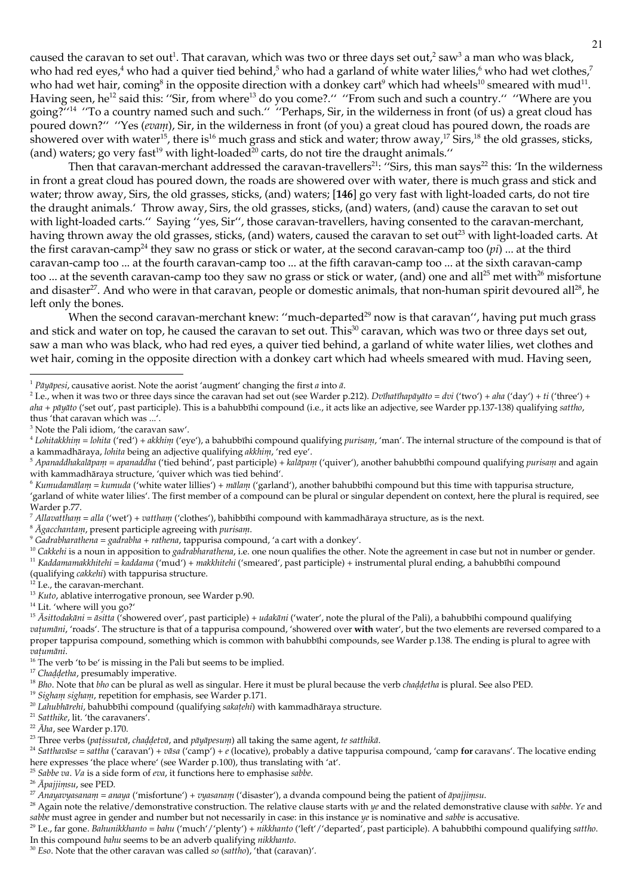caused the caravan to set out<sup>1</sup>. That caravan, which was two or three days set out,<sup>2</sup> saw<sup>3</sup> a man who was black, who had red eyes,<sup>4</sup> who had a quiver tied behind,<sup>5</sup> who had a garland of white water lilies,<sup>6</sup> who had wet clothes,<sup>7</sup> who had wet hair, coming<sup>8</sup> in the opposite direction with a donkey cart<sup>9</sup> which had wheels<sup>10</sup> smeared with mud<sup>11</sup>. Having seen, he<sup>12</sup> said this: "Sir, from where<sup>13</sup> do you come?." "From such and such a country." "Where are you going?"<sup>14</sup> "To a country named such and such." "Perhaps, Sir, in the wilderness in front (of us) a great cloud has poured down?" "Yes (evam), Sir, in the wilderness in front (of you) a great cloud has poured down, the roads are showered over with water<sup>15</sup>, there is<sup>16</sup> much grass and stick and water; throw away,<sup>17</sup> Sirs,<sup>18</sup> the old grasses, sticks, (and) waters; go very fast<sup>19</sup> with light-loaded<sup>20</sup> carts, do not tire the draught animals."

Then that caravan-merchant addressed the caravan-travellers<sup>21</sup>: "Sirs, this man says<sup>22</sup> this: 'In the wilderness in front a great cloud has poured down, the roads are showered over with water, there is much grass and stick and water; throw away, Sirs, the old grasses, sticks, (and) waters; [146] go very fast with light-loaded carts, do not tire the draught animals.' Throw away, Sirs, the old grasses, sticks, (and) waters, (and) cause the caravan to set out with light-loaded carts." Saying "yes, Sir", those caravan-travellers, having consented to the caravan-merchant, having thrown away the old grasses, sticks, (and) waters, caused the caravan to set out<sup>23</sup> with light-loaded carts. At the first caravan-camp<sup>24</sup> they saw no grass or stick or water, at the second caravan-camp too (*pi*) ... at the third caravan-camp too ... at the fourth caravan-camp too ... at the fifth caravan-camp too ... at the sixth caravan-camp too ... at the seventh caravan-camp too they saw no grass or stick or water, (and) one and all<sup>25</sup> met with<sup>26</sup> misfortune and disaster<sup>27</sup>. And who were in that caravan, people or domestic animals, that non-human spirit devoured all<sup>28</sup>, he left only the bones.

When the second caravan-merchant knew: "much-departed<sup>29</sup> now is that caravan", having put much grass and stick and water on top, he caused the caravan to set out. This<sup>30</sup> caravan, which was two or three days set out, saw a man who was black, who had red eyes, a quiver tied behind, a garland of white water lilies, wet clothes and wet hair, coming in the opposite direction with a donkey cart which had wheels smeared with mud. Having seen,

 $8\bar{A}$ gacchantam, present participle agreeing with purisam.

<sup>10</sup> Cakkehi is a noun in apposition to gadrabharathena, i.e. one noun qualifies the other. Note the agreement in case but not in number or gender. <sup>11</sup> Kaddamamakkhitehi = kaddama ('mud') + makkhitehi ('smeared', past participle) + instrumental plural ending, a bahubbīhi compound

(qualifying *cakkelii*) with tappurisa structure.

I.e., the caravan-merchant.

<sup>14</sup> Lit. 'where will you go?'

<sup>&</sup>lt;sup>1</sup> Pāyāpesi, causative aorist. Note the aorist 'augment' changing the first  $a$  into  $\bar{a}$ .

<sup>&</sup>lt;sup>2</sup> I.e., when it was two or three days since the caravan had set out (see Warder p.212). *Dvihatihapāyāto* = dvi ('two') + aha ('day') + ti ('three') + aha + pāyāto ('set out', past participle). This is a bahubbīhi compound (i.e., it acts like an adjective, see Warder pp.137-138) qualifying sattho, thus 'that caravan which was ...'.

<sup>&</sup>lt;sup>3</sup> Note the Pali idiom, 'the caravan saw'.

<sup>&</sup>lt;sup>4</sup> Lohitakkhim = lohita ('red') + akkhim ('eye'), a bahubbīhi compound qualifying purisam, 'man'. The internal structure of the compound is that of a kammadhāraya, lohita being an adjective qualifying akkhim, 'red eye'.

<sup>&</sup>lt;sup>5</sup> Apanaddhakalāpam = apanaddha ('tied behind', past participle) + kalāpam ('quiver'), another bahubbīhi compound qualifying purisam and again with kammadhāraya structure, 'quiver which was tied behind'.

<sup>&</sup>lt;sup>6</sup> Kumudamālam = kumuda ('white water lillies') + mālam ('garland'), another bahubbīhi compound but this time with tappurisa structure, 'garland of white water lilies'. The first member of a compound can be plural or singular dependent on context, here the plural is required, see Warder p.77.

 $^7$  Allavattham = alla ('wet') + vattham ('clothes'), bahibbīhi compound with kammadhāraya structure, as is the next.

 $\degree$  Gadrabharathena = gadrabha + rathena, tappurisa compound, 'a cart with a donkey'.

 $13$  Kuto, ablative interrogative pronoun, see Warder p.90.

<sup>&</sup>lt;sup>15</sup> Asittodakāni = āsitta ('showered over', past participle) + udakāni ('water', note the plural of the Pali), a bahubbīhi compound qualifying vatuniani, 'roads'. The structure is that of a tappurisa compound, 'showered over with water', but the two elements are reversed compared to a proper tappurisa compound, something which is common with bahubbīhi compounds, see Warder p.138. The ending is plural to agree with vatumāni.

 $16$  The verb 'to be' is missing in the Pali but seems to be implied.

<sup>&</sup>lt;sup>17</sup> Chaddetha, presumably imperative.

<sup>&</sup>lt;sup>18</sup> Bho. Note that bho can be plural as well as singular. Here it must be plural because the verb *chaddetha* is plural. See also PED.

<sup>&</sup>lt;sup>19</sup> Sigham sigham, repetition for emphasis, see Warder p.171.

<sup>&</sup>lt;sup>20</sup> Lahubhārehi, bahubbīhi compound (qualifying sakațehi) with kammadhāraya structure.

 $^{21}$  Satthike, lit. 'the caravaners'.

<sup>&</sup>lt;sup>22</sup>  $\bar{A}$ ha, see Warder p.170.

<sup>&</sup>lt;sup>23</sup> Three verbs (patissutvā, chaddetvā, and pāyāpesum) all taking the same agent, te satthikā.

<sup>&</sup>lt;sup>24</sup> Satthavāse = sattha ('caravan') + vāsa ('camp') + e (locative), probably a dative tappurisa compound, 'camp for caravans'. The locative ending here expresses 'the place where' (see Warder p.100), thus translating with 'at'.

<sup>&</sup>lt;sup>25</sup> Sabbe va. Va is a side form of eva, it functions here to emphasise sabbe.

<sup>&</sup>lt;sup>26</sup> Āpajjimsu, see PED.

<sup>&</sup>lt;sup>27</sup> Anayavyasanam = anaya ('misfortune') + vyasanam ('disaster'), a dvanda compound being the patient of *āpajjimsu*.

<sup>&</sup>lt;sup>28</sup> Again note the relative/demonstrative construction. The relative clause starts with ye and the related demonstrative clause with sabbe. Ye and sabbe must agree in gender and number but not necessarily in case: in this instance ye is nominative and sabbe is accusative.

<sup>&</sup>lt;sup>29</sup> I.e., far gone. Bahunikkhanto = bahu ('much'/'plenty') + nikkhanto ('left'/'departed', past participle). A bahubbīhi compound qualifying sattho. In this compound bahu seems to be an adverb qualifying nikkhanto.

 $30$  Eso. Note that the other caravan was called so (sattho), 'that (caravan)'.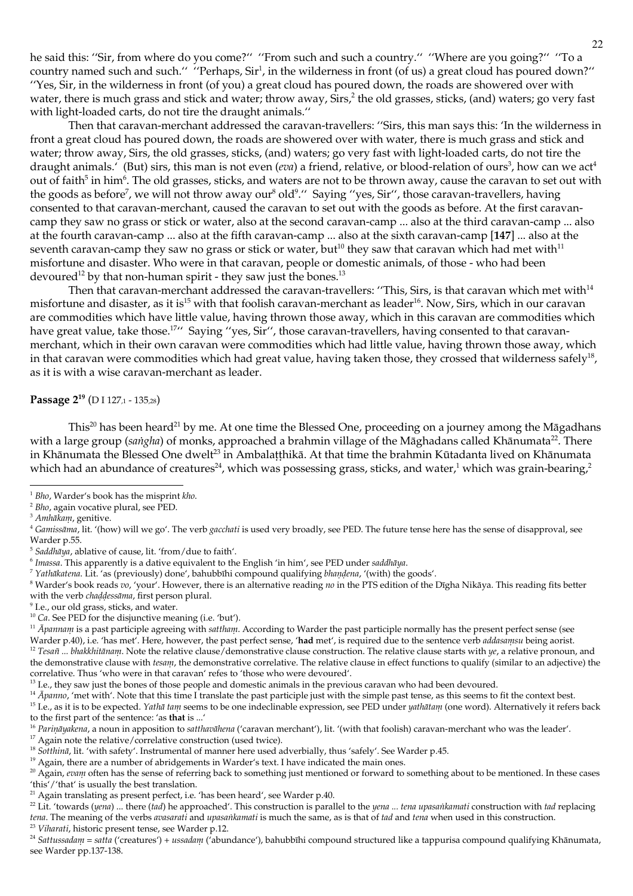he said this: "Sir, from where do you come?" "From such and such a country." "Where are you going?" "To a country named such and such." "Perhaps, Sir<sup>1</sup>, in the wilderness in front (of us) a great cloud has poured down?" "Yes, Sir, in the wilderness in front (of you) a great cloud has poured down, the roads are showered over with water, there is much grass and stick and water; throw away, Sirs,<sup>2</sup> the old grasses, sticks, (and) waters; go very fast with light-loaded carts, do not tire the draught animals."

Then that caravan-merchant addressed the caravan-travellers: "Sirs, this man says this: 'In the wilderness in front a great cloud has poured down, the roads are showered over with water, there is much grass and stick and water; throw away, Sirs, the old grasses, sticks, (and) waters; go very fast with light-loaded carts, do not tire the draught animals. (But) sirs, this man is not even (*eva*) a friend, relative, or blood-relation of ours<sup>3</sup>, how can we act<sup>4</sup> out of faith<sup>5</sup> in him<sup>6</sup>. The old grasses, sticks, and waters are not to be thrown away, cause the caravan to set out with the goods as before<sup>7</sup>, we will not throw away our<sup>8</sup> old<sup>9</sup>." Saying "yes, Sir", those caravan-travellers, having consented to that caravan-merchant, caused the caravan to set out with the goods as before. At the first caravancamp they saw no grass or stick or water, also at the second caravan-camp ... also at the third caravan-camp ... also at the fourth caravan-camp ... also at the fifth caravan-camp ... also at the sixth caravan-camp [147] ... also at the seventh caravan-camp they saw no grass or stick or water, but<sup>10</sup> they saw that caravan which had met with<sup>11</sup> misfortune and disaster. Who were in that caravan, people or domestic animals, of those - who had been devoured<sup>12</sup> by that non-human spirit - they saw just the bones.<sup>13</sup>

Then that caravan-merchant addressed the caravan-travellers: "This, Sirs, is that caravan which met with<sup>14</sup> misfortune and disaster, as it is<sup>15</sup> with that foolish caravan-merchant as leader<sup>16</sup>. Now, Sirs, which in our caravan are commodities which have little value, having thrown those away, which in this caravan are commodities which have great value, take those.<sup>17</sup>" Saying "yes, Sir", those caravan-travellers, having consented to that caravanmerchant, which in their own caravan were commodities which had little value, having thrown those away, which in that caravan were commodities which had great value, having taken those, they crossed that wilderness safely<sup>18</sup>, as it is with a wise caravan-merchant as leader.

Passage 2<sup>19</sup> (D I 127,1 - 135,28)

This<sup>20</sup> has been heard<sup>21</sup> by me. At one time the Blessed One, proceeding on a journey among the Māgadhans with a large group (sangha) of monks, approached a brahmin village of the Māghadans called Khānumata<sup>22</sup>. There in Khānumata the Blessed One dwelt<sup>23</sup> in Ambalatthikā. At that time the brahmin Kūtadanta lived on Khānumata which had an abundance of creatures<sup>24</sup>, which was possessing grass, sticks, and water,<sup>1</sup> which was grain-bearing,<sup>2</sup>

<sup>5</sup> Saddhāya, ablative of cause, lit. 'from/due to faith'.

7 Yathākatena. Lit. 'as (previously) done', bahubbīhi compound qualifying bhandena, '(with) the goods'.

 $8$  Warder's book reads  $vo$ , 'your'. However, there is an alternative reading  $no$  in the PTS edition of the Dīgha Nikāya. This reading fits better with the verb chaddessāma, first person plural.

<sup>9</sup> I.e., our old grass, sticks, and water.

<sup>15</sup> I.e., as it is to be expected. Yathā tam seems to be one indeclinable expression, see PED under yathātam (one word). Alternatively it refers back to the first part of the sentence: 'as that is ...'

<sup>17</sup> Again note the relative/correlative construction (used twice).

- <sup>19</sup> Again, there are a number of abridgements in Warder's text. I have indicated the main ones.
- <sup>20</sup> Again, evam often has the sense of referring back to something just mentioned or forward to something about to be mentioned. In these cases 'this'/'that' is usually the best translation.
- <sup>21</sup> Again translating as present perfect, i.e. 'has been heard', see Warder p.40.
- <sup>22</sup> Lit. 'towards (yena) ... there (tad) he approached'. This construction is parallel to the yena ... tena upasankamati construction with tad replacing tena. The meaning of the verbs avasarati and upasankamati is much the same, as is that of tad and tena when used in this construction. <sup>23</sup> Viharati, historic present tense, see Warder p.12.

<sup>&</sup>lt;sup>1</sup> Bho, Warder's book has the misprint kho.

 $2$  Bho, again vocative plural, see PED.

<sup>&</sup>lt;sup>3</sup> Amhākam, genitive.

<sup>&</sup>lt;sup>4</sup> Gamissama, lit. '(how) will we go'. The verb gacchati is used very broadly, see PED. The future tense here has the sense of disapproval, see Warder p.55.

 $6$  Imassa. This apparently is a dative equivalent to the English 'in him', see PED under saddhāya.

 $^{10}$  Ca. See PED for the disjunctive meaning (i.e. 'but').

 $^{11}$   $\bar{A}$ pannam is a past participle agreeing with sattham. According to Warder the past participle normally has the present perfect sense (see Warder p.40), i.e. 'has met'. Here, however, the past perfect sense, 'had met', is required due to the sentence verb addasamsu being aorist. <sup>12</sup> Tesañ ... bhakkhitānam. Note the relative clause/demonstrative clause construction. The relative clause starts with  $ye$ , a relative pronoun, and the demonstrative clause with tesam, the demonstrative correlative. The relative clause in effect functions to qualify (similar to an adjective) the correlative. Thus 'who were in that caravan' refes to 'those who were devoured'.

<sup>&</sup>lt;sup>13</sup> I.e., they saw just the bones of those people and domestic animals in the previous caravan who had been devoured.

<sup>&</sup>lt;sup>14</sup>  $\bar{A}$ *panno*, 'met with'. Note that this time I translate the past participle just with the simple past tense, as this seems to fit the context best.

<sup>&</sup>lt;sup>16</sup> Parināyakena, a noun in apposition to satthavāhena ('caravan merchant'), lit. '(with that foolish) caravan-merchant who was the leader'.

<sup>&</sup>lt;sup>18</sup> Sotthinā, lit. 'with safety'. Instrumental of manner here used adverbially, thus 'safely'. See Warder p.45.

<sup>&</sup>lt;sup>24</sup> Sattussadam = satta ('creatures') + ussadam ('abundance'), bahubbīhi compound structured like a tappurisa compound qualifying Khānumata, see Warder pp.137-138.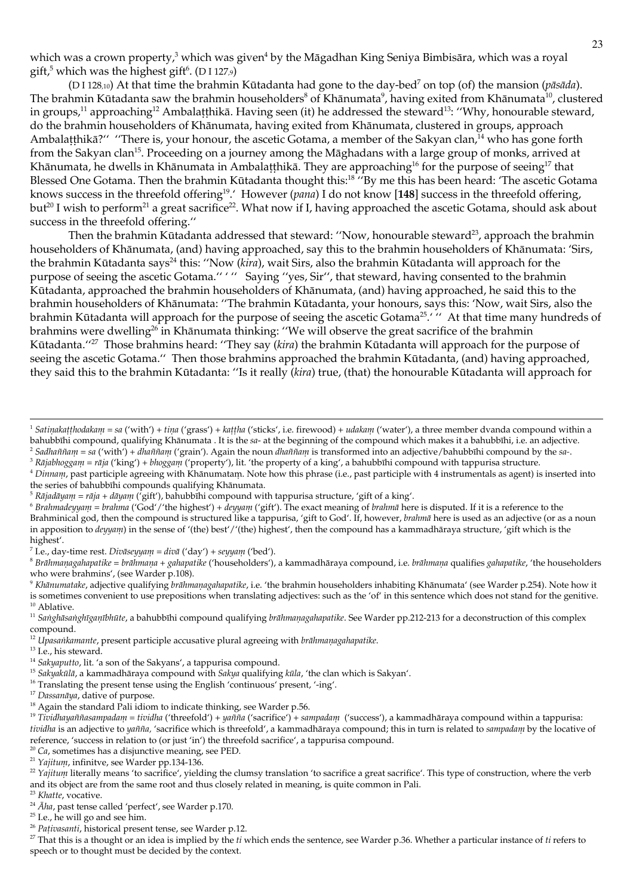which was a crown property,<sup>3</sup> which was given<sup>4</sup> by the Māgadhan King Seniya Bimbisāra, which was a royal gift,<sup>5</sup> which was the highest gift<sup>6</sup>. (D I 127.9)

(D I 128,10) At that time the brahmin Kūtadanta had gone to the day-bed<sup>7</sup> on top (of) the mansion (*pāsāda*). The brahmin Kūtadanta saw the brahmin householders<sup>8</sup> of Khānumata<sup>9</sup>, having exited from Khānumata<sup>10</sup>, clustered in groups,<sup>11</sup> approaching<sup>12</sup> Ambalatthikā. Having seen (it) he addressed the steward<sup>13</sup>: "Why, honourable steward, do the brahmin householders of Khānumata, having exited from Khānumata, clustered in groups, approach Ambalatthikā?" "There is, your honour, the ascetic Gotama, a member of the Sakyan clan,<sup>14</sup> who has gone forth from the Sakyan clan<sup>15</sup>. Proceeding on a journey among the Māghadans with a large group of monks, arrived at Khānumata, he dwells in Khānumata in Ambalaṭṭhikā. They are approaching<sup>16</sup> for the purpose of seeing<sup>17</sup> that Blessed One Gotama. Then the brahmin Kūtadanta thought this:<sup>18</sup> "By me this has been heard: 'The ascetic Gotama knows success in the threefold offering<sup>19</sup>. However (*pana*) I do not know [148] success in the threefold offering, but<sup>20</sup> I wish to perform<sup>21</sup> a great sacrifice<sup>22</sup>. What now if I, having approached the ascetic Gotama, should ask about success in the threefold offering."

Then the brahmin Kūtadanta addressed that steward: "Now, honourable steward<sup>23</sup>, approach the brahmin householders of Khānumata, (and) having approached, say this to the brahmin householders of Khānumata: 'Sirs, the brahmin Kūtadanta says<sup>24</sup> this: "Now (kira), wait Sirs, also the brahmin Kūtadanta will approach for the purpose of seeing the ascetic Gotama." "" Saying "yes, Sir", that steward, having consented to the brahmin Kūtadanta, approached the brahmin householders of Khānumata, (and) having approached, he said this to the brahmin householders of Khānumata: "The brahmin Kūtadanta, your honours, says this: 'Now, wait Sirs, also the brahmin Kūtadanta will approach for the purpose of seeing the ascetic Gotama<sup>25</sup>.' " At that time many hundreds of brahmins were dwelling<sup>26</sup> in Khānumata thinking: "We will observe the great sacrifice of the brahmin Kūtadanta."<sup>27</sup> Those brahmins heard: "They say (kira) the brahmin Kūtadanta will approach for the purpose of seeing the ascetic Gotama." Then those brahmins approached the brahmin Kūtadanta, (and) having approached, they said this to the brahmin Kūtadanta: "Is it really (kira) true, (that) the honourable Kūtadanta will approach for

<sup>3</sup> Rājabhoggam = rāja ('king') + bhoggam ('property'), lit. 'the property of a king', a bahubbīhi compound with tappurisa structure.

<sup>6</sup> Brahmadeyyam = brahma ('God'/'the highest') +  $d$ eyyam ('gift'). The exact meaning of brahma here is disputed. If it is a reference to the Brahminical god, then the compound is structured like a tappurisa, 'gift to God'. If, however, brahma here is used as an adjective (or as a noun in apposition to deyyam) in the sense of '(the) best'/'(the) highest', then the compound has a kammadhāraya structure, 'gift which is the highest'.

<sup>7</sup> I.e., day-time rest. *Divāseyyanı* = divā ('day') + seyyanı ('bed').

 ${}^8$  Brāhmaṇagahapatike = brāhmaṇa + gahapatike ('householders'), a kammadhāraya compound, i.e. brāhmaṇa qualifies gahapatike, 'the householders who were brahmins', (see Warder p.108).

 $^9$  Khāmmatake, adjective qualifying brāhmaṇagahapatike, i.e. 'the brahmin householders inhabiting Khānumata' (see Warder p.254). Note how it is sometimes convenient to use prepositions when translating adjectives: such as the 'of' in this sentence which does not stand for the genitive.  $10$  Ablative.

<sup>13</sup> I.e., his steward.

- <sup>14</sup> Sakyaputto, lit. 'a son of the Sakyans', a tappurisa compound.
- <sup>15</sup> Sakyakūlā, a kammadhāraya compound with Sakya qualifying kūla, 'the clan which is Sakyan'.
- <sup>16</sup> Translating the present tense using the English 'continuous' present, '-ing'.
- <sup>17</sup> Dassanāya, dative of purpose.

<sup>&</sup>lt;sup>1</sup> Satinakaṭṭhodakaṇī = sa ('with') + tiṇa ('grass') + kaṭṭha ('sticks', i.e. firewood) + udakaṇī ('water'), a three member dvanda compound within a bahubbīhi compound, qualifying Khānumata . It is the sa- at the beginning of the compound which makes it a bahubbīhi, i.e. an adjective. <sup>2</sup> Sadhaññam = sa ('with') + dhaññam ('grain'). Again the noun dhaññam is transformed into an adjective/bahubbīhi compound by the sa-.

<sup>&</sup>lt;sup>4</sup> Dinnam, past participle agreeing with Khānumatam. Note how this phrase (i.e., past participle with 4 instrumentals as agent) is inserted into the series of bahubbīhi compounds qualifying Khānumata.

<sup>&</sup>lt;sup>5</sup> Rājadāyam = rāja + dāyam ('gift'), bahubbīhi compound with tappurisa structure, 'gift of a king'.

<sup>&</sup>lt;sup>11</sup> Sanghāsanghīganībhūte, a bahubbīhi compound qualifying brāhmaņagahapatike. See Warder pp.212-213 for a deconstruction of this complex compound.

<sup>&</sup>lt;sup>12</sup> Upasankamante, present participle accusative plural agreeing with brāhmaņagahapatike.

<sup>&</sup>lt;sup>18</sup> Again the standard Pali idiom to indicate thinking, see Warder p.56.

<sup>&</sup>lt;sup>19</sup> Tividhayaññasampadam = tividha ('threefold') + yañña ('sacrifice') + sampadam ('success'), a kammadhāraya compound within a tappurisa: tividha is an adjective to yañña, 'sacrifice which is threefold', a kammadhāraya compound; this in turn is related to sampadam by the locative of reference, 'success in relation to (or just 'in') the threefold sacrifice', a tappurisa compound.

 $20$  Ca, sometimes has a disjunctive meaning, see PED.

<sup>&</sup>lt;sup>21</sup> Yajitum, infinitve, see Warder pp.134-136.

<sup>&</sup>lt;sup>22</sup> Yajitum literally means 'to sacrifice', yielding the clumsy translation 'to sacrifice a great sacrifice'. This type of construction, where the verb and its object are from the same root and thus closely related in meaning, is quite common in Pali.

<sup>&</sup>lt;sup>23</sup> Khatte, vocative.

 $^{24}$   $\bar{A}$ lu, past tense called 'perfect', see Warder p.170.

<sup>&</sup>lt;sup>25</sup> I.e., he will go and see him.

<sup>&</sup>lt;sup>26</sup> Pativasanti, historical present tense, see Warder p.12.

 $^{27}$  That this is a thought or an idea is implied by the ti which ends the sentence, see Warder p.36. Whether a particular instance of ti refers to speech or to thought must be decided by the context.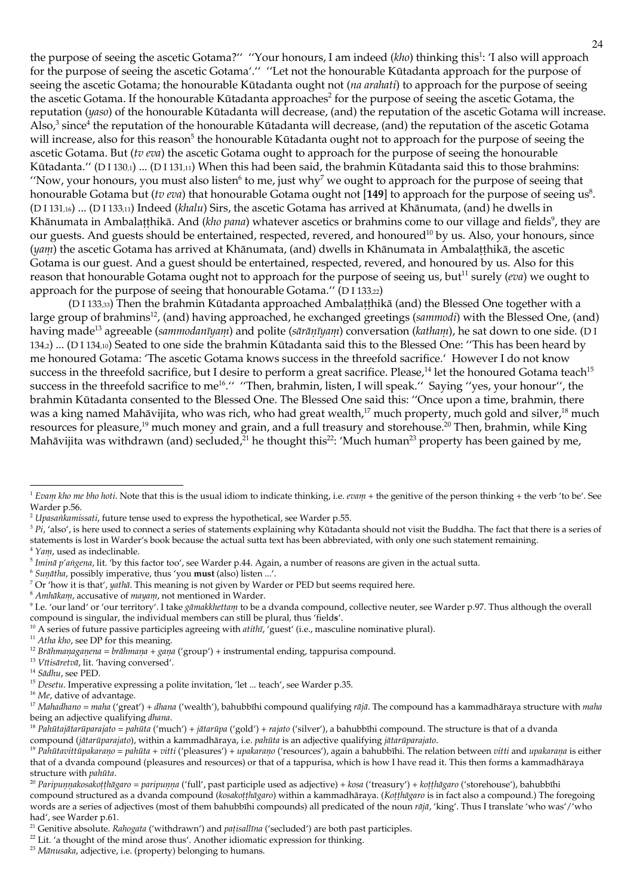the purpose of seeing the ascetic Gotama?" "Your honours, I am indeed (kho) thinking this<sup>1</sup>: 'I also will approach for the purpose of seeing the ascetic Gotama'." "Let not the honourable Kūtadanta approach for the purpose of seeing the ascetic Gotama; the honourable Kūtadanta ought not (na arahati) to approach for the purpose of seeing the ascetic Gotama. If the honourable Kūtadanta approaches<sup>2</sup> for the purpose of seeing the ascetic Gotama, the reputation (yaso) of the honourable Kūtadanta will decrease, (and) the reputation of the ascetic Gotama will increase. Also, $3$  since<sup>4</sup> the reputation of the honourable Kūtadanta will decrease, (and) the reputation of the ascetic Gotama will increase, also for this reason<sup>5</sup> the honourable Kūtadanta ought not to approach for the purpose of seeing the ascetic Gotama. But (tv eva) the ascetic Gotama ought to approach for the purpose of seeing the honourable Kūtadanta." (DI 130,1) ... (DI 131,11) When this had been said, the brahmin Kūtadanta said this to those brahmins: "Now, your honours, you must also listen<sup>6</sup> to me, just why<sup>7</sup> we ought to approach for the purpose of seeing that honourable Gotama but (tv eva) that honourable Gotama ought not [149] to approach for the purpose of seeing us<sup>8</sup>. (DI131,16) ... (DI133,11) Indeed (khalu) Sirs, the ascetic Gotama has arrived at Khānumata, (and) he dwells in Khānumata in Ambalatthikā. And (kho pana) whatever ascetics or brahmins come to our village and fields<sup>9</sup>, they are our guests. And guests should be entertained, respected, revered, and honoured<sup>10</sup> by us. Also, your honours, since (yam) the ascetic Gotama has arrived at Khānumata, (and) dwells in Khānumata in Ambalatthikā, the ascetic Gotama is our guest. And a guest should be entertained, respected, revered, and honoured by us. Also for this reason that honourable Gotama ought not to approach for the purpose of seeing us, but<sup>11</sup> surely (eva) we ought to approach for the purpose of seeing that honourable Gotama." (DI 133,22)

(DI 133,33) Then the brahmin Kūtadanta approached Ambalatthikā (and) the Blessed One together with a large group of brahmins<sup>12</sup>, (and) having approached, he exchanged greetings (sammodi) with the Blessed One, (and) having made<sup>13</sup> agreeable (sanunodanīyam) and polite (sārānīyam) conversation (katham), he sat down to one side. (DI 134<sub>2</sub>) ... (DI 134<sub>10</sub>) Seated to one side the brahmin Kūtadanta said this to the Blessed One: "This has been heard by me honoured Gotama: 'The ascetic Gotama knows success in the threefold sacrifice.' However I do not know success in the threefold sacrifice, but I desire to perform a great sacrifice. Please,<sup>14</sup> let the honoured Gotama teach<sup>15</sup> success in the threefold sacrifice to me<sup>16</sup>." "Then, brahmin, listen, I will speak." Saying "yes, your honour", the brahmin Kūtadanta consented to the Blessed One. The Blessed One said this: "Once upon a time, brahmin, there was a king named Mahāvijita, who was rich, who had great wealth,<sup>17</sup> much property, much gold and silver,<sup>18</sup> much resources for pleasure,<sup>19</sup> much money and grain, and a full treasury and storehouse.<sup>20</sup> Then, brahmin, while King Mahāvijita was withdrawn (and) secluded,  $21$  he thought this<sup>22</sup>: 'Much human<sup>23</sup> property has been gained by me,

- $5$  Inuina p'angena, lit. 'by this factor too', see Warder p.44. Again, a number of reasons are given in the actual sutta.
- <sup>6</sup> Sunātha, possibly imperative, thus 'you must (also) listen ...'.
- <sup>7</sup> Or 'how it is that', yathā. This meaning is not given by Warder or PED but seems required here.
- $8$  Anthākam, accusative of mayam, not mentioned in Warder.
- <sup>9</sup> I.e. 'our land' or 'our territory'. I take gamakkhettam to be a dvanda compound, collective neuter, see Warder p.97. Thus although the overall compound is singular, the individual members can still be plural, thus 'fields'.
- <sup>10</sup> A series of future passive participles agreeing with *atithu*, 'guest' (i.e., masculine nominative plural).
- <sup>11</sup> Atha kho, see DP for this meaning.
- <sup>12</sup> Brāhmaņagaņena = brāhmaņa + gaņa ('group') + instrumental ending, tappurisa compound.
- <sup>13</sup> Vītisāretvā, lit. 'having conversed'.
- $^{14}$  Sādhu, see PED.

<sup>16</sup> Me, dative of advantage.

<sup>17</sup> Mahadhano = maha ('great') + dhana ('wealth'), bahubbīhi compound qualifying rājā. The compound has a kammadhāraya structure with maha being an adjective qualifying dhana.

<sup>23</sup> Mānusaka, adjective, i.e. (property) belonging to humans.

<sup>&</sup>lt;sup>1</sup> Evam kho me bho hoti. Note that this is the usual idiom to indicate thinking, i.e. evam + the genitive of the person thinking + the verb 'to be'. See Warder p.56.

<sup>&</sup>lt;sup>2</sup> Upasankamissati, future tense used to express the hypothetical, see Warder p.55.

 $3 P'_t$ , 'also', is here used to connect a series of statements explaining why Kūtadanta should not visit the Buddha. The fact that there is a series of statements is lost in Warder's book because the actual sutta text has been abbreviated, with only one such statement remaining.  $4$  Yam, used as indeclinable.

<sup>&</sup>lt;sup>15</sup> Desetu. Imperative expressing a polite invitation, 'let ... teach', see Warder p.35.

<sup>&</sup>lt;sup>18</sup> Pahūtajātarūparajato = pahūta ('much') + jātarūpa ('gold') + rajato ('silver'), a bahubbīhi compound. The structure is that of a dvanda compound (jātarūparajato), within a kammadhāraya, i.e. pahūta is an adjective qualifying jātarūparajato.

<sup>&</sup>lt;sup>19</sup> Pahūtavittūpakarano = pahūta + vitti ('pleasures') + upakarano ('resources'), again a bahubbīhi. The relation between vitti and upakarana is either that of a dvanda compound (pleasures and resources) or that of a tappurisa, which is how I have read it. This then forms a kammadhāraya structure with pahūta.

<sup>&</sup>lt;sup>20</sup> Paripumakosakoțihāgaro = paripuma ('full', past participle used as adjective) + kosa ('treasury') + koțihāgaro ('storehouse'), bahubbīhi compound structured as a dvanda compound (kosakotthagaro) within a kammadhāraya. (Kotthagaro is in fact also a compound.) The foregoing words are a series of adjectives (most of them bahubbīhi compounds) all predicated of the noun rājā, 'king'. Thus I translate 'who was'/'who had', see Warder p.61.

<sup>&</sup>lt;sup>21</sup> Genitive absolute. Rahogata ('withdrawn') and patisallīna ('secluded') are both past participles.

<sup>&</sup>lt;sup>22</sup> Lit. 'a thought of the mind arose thus'. Another idiomatic expression for thinking.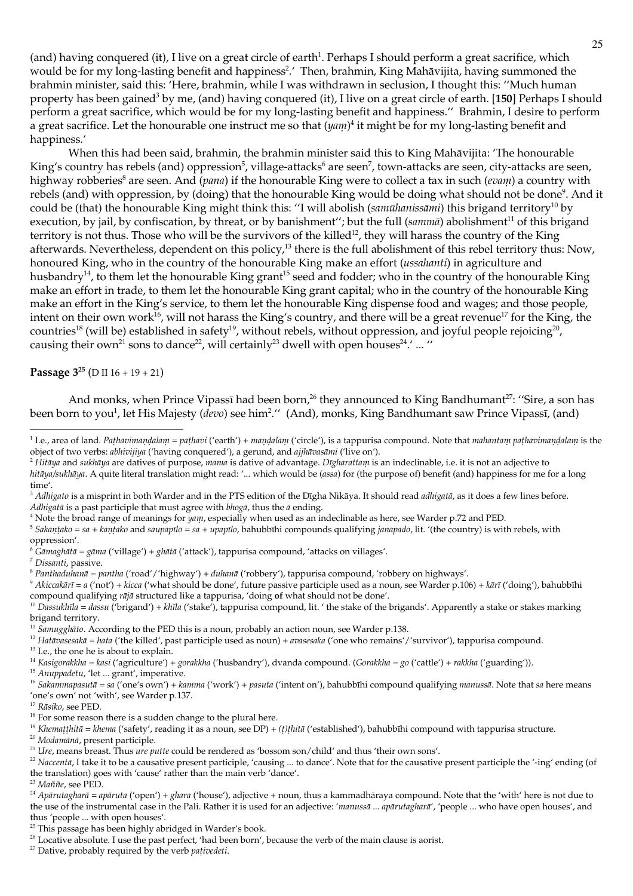(and) having conquered (it), I live on a great circle of earth<sup>1</sup>. Perhaps I should perform a great sacrifice, which would be for my long-lasting benefit and happiness<sup>2</sup>.' Then, brahmin, King Mahāvijita, having summoned the brahmin minister, said this: 'Here, brahmin, while I was withdrawn in seclusion, I thought this: "Much human property has been gained<sup>3</sup> by me, (and) having conquered (it), I live on a great circle of earth. [150] Perhaps I should perform a great sacrifice, which would be for my long-lasting benefit and happiness." Brahmin, I desire to perform a great sacrifice. Let the honourable one instruct me so that  $(yam)^4$  it might be for my long-lasting benefit and happiness.'

When this had been said, brahmin, the brahmin minister said this to King Mahāvijita: 'The honourable King's country has rebels (and) oppression<sup>5</sup>, village-attacks<sup>6</sup> are seen<sup>7</sup>, town-attacks are seen, city-attacks are seen, highway robberies<sup>8</sup> are seen. And (pana) if the honourable King were to collect a tax in such (evam) a country with rebels (and) with oppression, by (doing) that the honourable King would be doing what should not be done<sup>9</sup>. And it could be (that) the honourable King might think this: "I will abolish (samula has almi) this brigand territory<sup>10</sup> by execution, by jail, by confiscation, by threat, or by banishment"; but the full (samma) abolishment<sup>11</sup> of this brigand territory is not thus. Those who will be the survivors of the killed<sup>12</sup>, they will harass the country of the King afterwards. Nevertheless, dependent on this policy,<sup>13</sup> there is the full abolishment of this rebel territory thus: Now, honoured King, who in the country of the honourable King make an effort *(ussahanti)* in agriculture and husbandry<sup>14</sup>, to them let the honourable King grant<sup>15</sup> seed and fodder; who in the country of the honourable King make an effort in trade, to them let the honourable King grant capital; who in the country of the honourable King make an effort in the King's service, to them let the honourable King dispense food and wages; and those people, intent on their own work<sup>16</sup>, will not harass the King's country, and there will be a great revenue<sup>17</sup> for the King, the countries<sup>18</sup> (will be) established in safety<sup>19</sup>, without rebels, without oppression, and joyful people rejoicing<sup>20</sup>, causing their own<sup>21</sup> sons to dance<sup>22</sup>, will certainly<sup>23</sup> dwell with open houses<sup>24</sup>.' ... "

Passage  $3^{25}$  (D II  $16 + 19 + 21$ )

And monks, when Prince Vipassī had been born,<sup>26</sup> they announced to King Bandhumant<sup>27</sup>: "Sire, a son has been born to you<sup>1</sup>, let His Majesty (*devo*) see him<sup>2</sup>." (And), monks, King Bandhumant saw Prince Vipassi, (and)

<sup>2</sup> Hitāya and sukhāya are datives of purpose, mama is dative of advantage. Dīgharattam is an indeclinable, i.e. it is not an adjective to hitāya/sukhāya. A quite literal translation might read: '... which would be (assa) for (the purpose of) benefit (and) happiness for me for a long time'.

<sup>4</sup> Note the broad range of meanings for yan, especially when used as an indeclinable as here, see Warder p.72 and PED.

<sup>5</sup> Sakantako = sa + kantako and saupapīlo = sa + upapīlo, bahubbīhi compounds qualifying janapado, lit. '(the country) is with rebels, with oppression'.

<sup>6</sup> Gāmaghātā = gāma ('village') + ghātā ('attack'), tappurisa compound, 'attacks on villages'.

<sup>7</sup> Dissanti, passive.

<sup>8</sup> Panthaduhanā = pantha ('road'/'highway') + duhanā ('robbery'), tappurisa compound, 'robbery on highways'.

<sup>9</sup> Akiccakārī = a ('not') + kicca ('what should be done', future passive participle used as a noun, see Warder p.106) + kārī ('doing'), bahubbīhi compound qualifying rājā structured like a tappurisa, 'doing of what should not be done'.

 $11$  Sanugghato. According to the PED this is a noun, probably an action noun, see Warder p.138.

<sup>12</sup> Hatāvasesakā = hata ('the killed', past participle used as noun) + avasesaka ('one who remains'/'survivor'), tappurisa compound.

<sup>13</sup> I.e., the one he is about to explain.

<sup>14</sup> Kasigorakklıa = kasi ('agriculture') + gorakklıa ('husbandry'), dvanda compound. (Gorakklıa = go ('cattle') + rakklıa ('guarding')).

<sup>15</sup> Anuppadetu, 'let ... grant', imperative.

<sup>16</sup> Sakanimapasutā = sa ('one's own') + kamma ('work') + pasuta ('intent on'), bahubbīhi compound qualifying manussā. Note that sa here means 'one's own' not 'with', see Warder p.137.

 $^{17}$  Rāsiko, see PED.

<sup>19</sup> Khemaṭṭhitā = khema ('safety', reading it as a noun, see DP) + (t)thitā ('established'), bahubbīhi compound with tappurisa structure.

<sup>20</sup> Modamānā, present participle.

 $^{23}$  Maññe, see PED.

<sup>27</sup> Dative, probably required by the verb pativedeti.

<sup>&</sup>lt;sup>1</sup> I.e., area of land. Pathavimandalam = pathavi ('earth') + mandalam ('circle'), is a tappurisa compound. Note that mahantam pathavimandalam is the object of two verbs: abhivijiya ('having conquered'), a gerund, and ajjhāvasāmi ('live on').

<sup>&</sup>lt;sup>3</sup> Adhigato is a misprint in both Warder and in the PTS edition of the Dīgha Nikāya. It should read *adhigatā*, as it does a few lines before. Adhigatā is a past participle that must agree with  $b \log a$ , thus the  $\bar{a}$  ending.

<sup>&</sup>lt;sup>10</sup> Dassukhīla = dassu ('brigand') + khīla ('stake'), tappurisa compound, lit. ' the stake of the brigands'. Apparently a stake or stakes marking brigand territory.

<sup>&</sup>lt;sup>18</sup> For some reason there is a sudden change to the plural here.

<sup>&</sup>lt;sup>21</sup> Ure, means breast. Thus *ure putte* could be rendered as 'bossom son/child' and thus 'their own sons'.

<sup>&</sup>lt;sup>22</sup> Naccentā, I take it to be a causative present participle, 'causing ... to dance'. Note that for the causative present participle the '-ing' ending (of the translation) goes with 'cause' rather than the main verb 'dance'.

<sup>&</sup>lt;sup>24</sup> Apārutagluarā = apāruta ('open') + gluara ('house'), adjective + noun, thus a kammadhāraya compound. Note that the 'with' here is not due to the use of the instrumental case in the Pali. Rather it is used for an adjective: 'manussā ... apārutagharā', 'people ... who have open houses', and thus 'people ... with open houses'.

<sup>&</sup>lt;sup>25</sup> This passage has been highly abridged in Warder's book.

<sup>&</sup>lt;sup>26</sup> Locative absolute. I use the past perfect, 'had been born', because the verb of the main clause is aorist.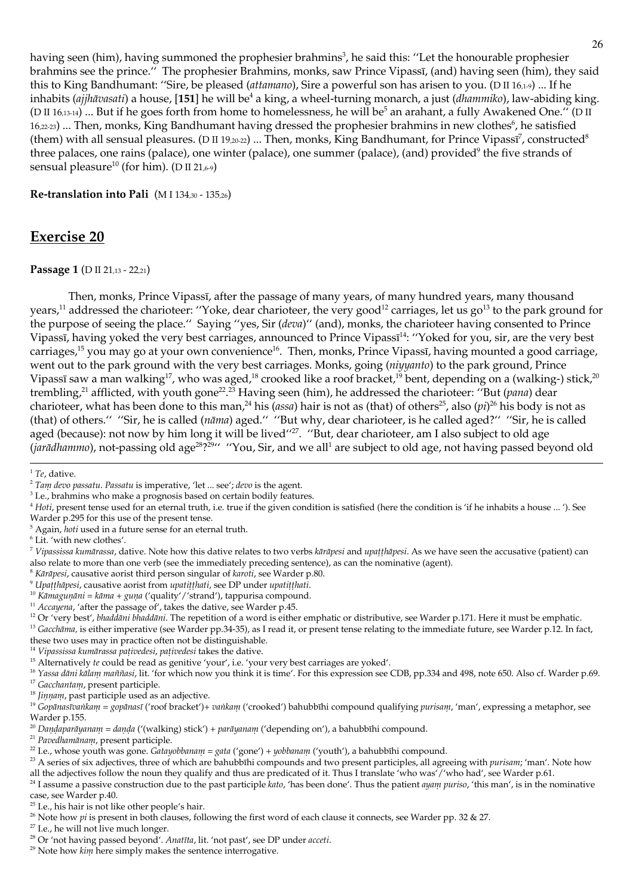having seen (him), having summoned the prophesier brahmins<sup>3</sup>, he said this: "Let the honourable prophesier brahmins see the prince." The prophesier Brahmins, monks, saw Prince Vipassī, (and) having seen (him), they said this to King Bandhumant: "Sire, be pleased (attamano), Sire a powerful son has arisen to you. (D II 16,1-9) ... If he inhabits (ajjhāvasati) a house, [151] he will be<sup>4</sup> a king, a wheel-turning monarch, a just (dhammiko), law-abiding king. (D II 16,13-14) ... But if he goes forth from home to homelessness, he will be<sup>5</sup> an arahant, a fully Awakened One." (D II 16,22-23) ... Then, monks, King Bandhumant having dressed the prophesier brahmins in new clothes<sup>6</sup>, he satisfied (them) with all sensual pleasures. (D II 19,20-22) ... Then, monks, King Bandhumant, for Prince Vipassi<sup>7</sup>, constructed<sup>8</sup> three palaces, one rains (palace), one winter (palace), one summer (palace), (and) provided<sup>9</sup> the five strands of sensual pleasure<sup>10</sup> (for him). (D II 21,6-9)

Re-translation into Pali (MI134,30 - 135,26)

## **Exercise 20**

#### Passage 1 (D II 21,13 - 22,21)

Then, monks, Prince Vipassī, after the passage of many years, of many hundred years, many thousand years,<sup>11</sup> addressed the charioteer: "Yoke, dear charioteer, the very good<sup>12</sup> carriages, let us go<sup>13</sup> to the park ground for the purpose of seeing the place." Saying "yes, Sir (deva)" (and), monks, the charioteer having consented to Prince Vipass<sub>I</sub>, having yoked the very best carriages, announced to Prince Vipass<sup>14</sup>: "Yoked for you, sir, are the very best carriages,<sup>15</sup> you may go at your own convenience<sup>16</sup>. Then, monks, Prince Vipassī, having mounted a good carriage, went out to the park ground with the very best carriages. Monks, going (niyyanto) to the park ground, Prince Vipassī saw a man walking<sup>17</sup>, who was aged,<sup>18</sup> crooked like a roof bracket,<sup>19</sup> bent, depending on a (walking-) stick,<sup>20</sup> trembling,<sup>21</sup> afflicted, with youth gone<sup>22</sup>.<sup>23</sup> Having seen (him), he addressed the charioteer: "But (pana) dear charioteer, what has been done to this man,<sup>24</sup> his (assa) hair is not as (that) of others<sup>25</sup>, also (pi)<sup>26</sup> his body is not as (that) of others." "Sir, he is called (nāma) aged." "But why, dear charioteer, is he called aged?" "Sir, he is called aged (because): not now by him long it will be lived"<sup>27</sup>. "But, dear charioteer, am I also subject to old age (jarādhammo), not-passing old age<sup>28</sup>?<sup>29</sup>" "You, Sir, and we all<sup>1</sup> are subject to old age, not having passed beyond old

- <sup>4</sup> Hoti, present tense used for an eternal truth, i.e. true if the given condition is satisfied (here the condition is 'if he inhabits a house ... '). See
- Warder p.295 for this use of the present tense.
- $5$  Again, *hoti* used in a future sense for an eternal truth.
- <sup>6</sup> Lit. 'with new clothes'.

<sup>8</sup> Kārāpesi, causative aorist third person singular of karoti, see Warder p.80.

 $^{10}$  Kāmagunāni = kāma + guna ('quality'/'strand'), tappurisa compound.

<sup>16</sup> Yassa dāni kālam maññasi, lit. 'for which now you think it is time'. For this expression see CDB, pp.334 and 498, note 650. Also cf. Warder p.69.

<sup>17</sup> Gacchantam, present participle.

<sup>18</sup> Jimam, past participle used as an adjective.

<sup>20</sup> Dandaparāyanam = danda ('(walking) stick') + parāyanam ('depending on'), a bahubbīhi compound.

<sup>21</sup> Pavedhamānam, present participle.

<sup>25</sup> I.e., his hair is not like other people's hair.

 $^{27}$  I.e., he will not live much longer.

 $1$  Te, dative.

<sup>&</sup>lt;sup>2</sup> Tam devo passatu. Passatu is imperative, 'let ... see'; devo is the agent.

<sup>&</sup>lt;sup>3</sup> I.e., brahmins who make a prognosis based on certain bodily features.

<sup>&</sup>lt;sup>7</sup> Vipassissa kumārassa, dative. Note how this dative relates to two verbs kārāpesi and upațțluāpesi. As we have seen the accusative (patient) can also relate to more than one verb (see the immediately preceding sentence), as can the nominative (agent).

 $^9$ Upatthāpesi, causative aorist from upatiți<br/>hati, see DP under upatiți<br/>hati.

 $11$  Accayena, 'after the passage of', takes the dative, see Warder p.45.

<sup>&</sup>lt;sup>12</sup> Or 'very best', bhaddani bhaddani. The repetition of a word is either emphatic or distributive, see Warder p.171. Here it must be emphatic.

<sup>&</sup>lt;sup>13</sup> Gacchanna, is either imperative (see Warder pp.34-35), as I read it, or present tense relating to the immediate future, see Warder p.12. In fact, these two uses may in practice often not be distinguishable.

<sup>&</sup>lt;sup>14</sup> Vipassissa kumārassa pațivedesi, pațivedesi takes the dative.

<sup>&</sup>lt;sup>15</sup> Alternatively te could be read as genitive 'your', i.e. 'your very best carriages are yoked'.

<sup>&</sup>lt;sup>19</sup> Gopānasīvankam = gopānasī ('roof bracket')+ vankam ('crooked') bahubbīhi compound qualifying purisam, 'man', expressing a metaphor, see Warder p.155.

<sup>&</sup>lt;sup>22</sup> I.e., whose youth was gone. *Gatayobbanani* = gata ('gone') + yobbanani ('youth'), a bahubbīhi compound.

<sup>&</sup>lt;sup>23</sup> A series of six adjectives, three of which are bahubbihi compounds and two present participles, all agreeing with purisanu; 'man'. Note how all the adjectives follow the noun they qualify and thus are predicated of it. Thus I translate 'who was'/'who had', see Warder p.61.

<sup>&</sup>lt;sup>24</sup> I assume a passive construction due to the past participle kato, 'has been done'. Thus the patient ayani puriso, 'this man', is in the nominative case, see Warder p.40.

<sup>&</sup>lt;sup>26</sup> Note how *pi* is present in both clauses, following the first word of each clause it connects, see Warder pp. 32 & 27.

<sup>&</sup>lt;sup>28</sup> Or 'not having passed beyond'. Anatīta, lit. 'not past', see DP under acceti.

<sup>&</sup>lt;sup>29</sup> Note how kim here simply makes the sentence interrogative.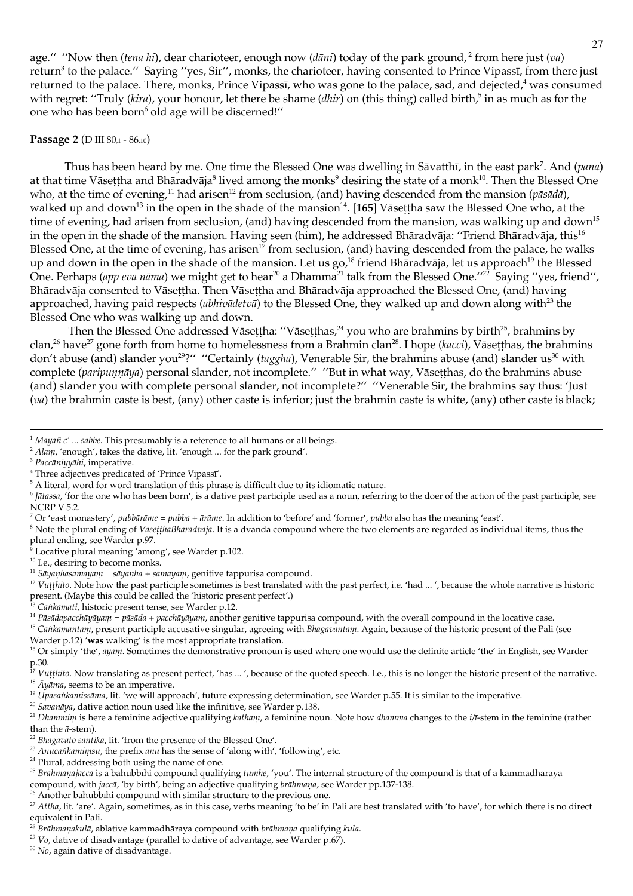age." "Now then (tena hi), dear charioteer, enough now (dāni) today of the park ground,<sup>2</sup> from here just (va) return<sup>3</sup> to the palace." Saying "yes, Sir", monks, the charioteer, having consented to Prince Vipassī, from there just returned to the palace. There, monks, Prince Vipass<sub>I</sub>, who was gone to the palace, sad, and dejected,<sup>4</sup> was consumed with regret: "Truly (kira), your honour, let there be shame (dhir) on (this thing) called birth,<sup>5</sup> in as much as for the one who has been born<sup>6</sup> old age will be discerned!"

#### **Passage 2 (D III 80,1 - 86,10)**

Thus has been heard by me. One time the Blessed One was dwelling in Sāvatthī, in the east park<sup>7</sup>. And (pana) at that time Vāsettha and Bharadvāja<sup>8</sup> lived among the monks<sup>9</sup> desiring the state of a monk<sup>10</sup>. Then the Blessed One who, at the time of evening,<sup>11</sup> had arisen<sup>12</sup> from seclusion, (and) having descended from the mansion (*pāsādā*), walked up and down<sup>13</sup> in the open in the shade of the mansion<sup>14</sup>. [165] Vāsettha saw the Blessed One who, at the time of evening, had arisen from seclusion, (and) having descended from the mansion, was walking up and down<sup>15</sup> in the open in the shade of the mansion. Having seen (him), he addressed Bhāradvāja: "Friend Bhāradvāja, this<sup>16</sup> Blessed One, at the time of evening, has arisen<sup>17</sup> from seclusion, (and) having descended from the palace, he walks up and down in the open in the shade of the mansion. Let us go,<sup>18</sup> friend Bharadvaja, let us approach<sup>19</sup> the Blessed One. Perhaps (app eva nāma) we might get to hear<sup>20</sup> a Dhamma<sup>21</sup> talk from the Blessed One."<sup>22</sup> Saying "yes, friend", Bhāradvāja consented to Vāsettha. Then Vāsettha and Bhāradvāja approached the Blessed One, (and) having approached, having paid respects (abhivadetva) to the Blessed One, they walked up and down along with<sup>23</sup> the Blessed One who was walking up and down.

Then the Blessed One addressed Vāsettha: "Vāsetthas,  $24$  you who are brahmins by birth $25$ , brahmins by clan,<sup>26</sup> have<sup>27</sup> gone forth from home to homelessness from a Brahmin clan<sup>28</sup>. I hope (kacci), Vāsetthas, the brahmins don't abuse (and) slander you<sup>29</sup>?" "Certainly (taggha), Venerable Sir, the brahmins abuse (and) slander us<sup>30</sup> with complete (paripunnāya) personal slander, not incomplete." "But in what way, Vāsetthas, do the brahmins abuse (and) slander you with complete personal slander, not incomplete?" "Venerable Sir, the brahmins say thus: 'Just (va) the brahmin caste is best, (any) other caste is inferior; just the brahmin caste is white, (any) other caste is black;

<sup>8</sup> Note the plural ending of *VāsetthaBhāradvājā*. It is a dvanda compound where the two elements are regarded as individual items, thus the plural ending, see Warder p.97.

Locative plural meaning 'among', see Warder p.102.

- <sup>10</sup> I.e., desiring to become monks.
- $11$  Sāyanhasaniayanı = sāyanha + samayanı, genitive tappurisa compound.

<sup>12</sup> Vutthito. Note how the past participle sometimes is best translated with the past perfect, i.e. 'had ...', because the whole narrative is historic present. (Maybe this could be called the 'historic present perfect'.)<br><sup>13</sup> Caikamati, historic present tense, see Warder p.12.

- 
- <sup>14</sup> Pāsādapacchāyāyam = pāsāda + pacchāyāyam, another genitive tappurisa compound, with the overall compound in the locative case.

<sup>15</sup> Cankamantam, present participle accusative singular, agreeing with Bhagavantam. Again, because of the historic present of the Pali (see Warder p.12) 'was walking' is the most appropriate translation.

p.30.<br><sup>17</sup> Vutthito. Now translating as present perfect, 'has ...', because of the quoted speech. I.e., this is no longer the historic present of the narrative. <sup>18</sup>  $\vec{A}$ *u* $\vec{a}$ *ma*, seems to be an imperative.

- <sup>19</sup> Upasaikamissāma, lit. 'we will approach', future expressing determination, see Warder p.55. It is similar to the imperative.
- <sup>20</sup> Savanāya, dative action noun used like the infinitive, see Warder p.138.

<sup>21</sup> Dhanmin is here a feminine adjective qualifying kathan, a feminine noun. Note how dhamma changes to the i/ī-stem in the feminine (rather than the  $\bar{a}$ -stem).

- <sup>22</sup> Bhagavato santikā, lit. 'from the presence of the Blessed One'.
- <sup>23</sup> Anucankanimsu, the prefix anu has the sense of 'along with', 'following', etc.
- <sup>24</sup> Plural, addressing both using the name of one.

- $29$  Vo, dative of disadvantage (parallel to dative of advantage, see Warder p.67).
- <sup>30</sup> No, again dative of disadvantage.

<sup>&</sup>lt;sup>1</sup> Mayañ  $c'$  ... sabbe. This presumably is a reference to all humans or all beings.

<sup>&</sup>lt;sup>2</sup> Alam, 'enough', takes the dative, lit. 'enough ... for the park ground'.

<sup>&</sup>lt;sup>3</sup> Paccāniņņāhi, imperative.

<sup>&</sup>lt;sup>4</sup> Three adjectives predicated of 'Prince Vipassi'.

<sup>&</sup>lt;sup>5</sup> A literal, word for word translation of this phrase is difficult due to its idiomatic nature.

 $6$  Jātassa, 'for the one who has been born', is a dative past participle used as a noun, referring to the doer of the action of the past participle, see **NCRP V 5.2.** 

<sup>&</sup>lt;sup>7</sup> Or 'east monastery', pubbārānie = pubba + ārānie. In addition to 'before' and 'former', pubba also has the meaning 'east'.

<sup>&</sup>lt;sup>16</sup> Or simply 'the', *ayant*. Sometimes the demonstrative pronoun is used where one would use the definite article 'the' in English, see Warder

<sup>&</sup>lt;sup>25</sup> Brāhmanajaccā is a bahubbīhi compound qualifying tumhe, 'you'. The internal structure of the compound is that of a kammadhāraya compound, with jaccā, 'by birth', being an adjective qualifying brāhmana, see Warder pp.137-138.

<sup>&</sup>lt;sup>26</sup> Another bahubbīhi compound with similar structure to the previous one.

<sup>&</sup>lt;sup>27</sup> Attha, lit. 'are'. Again, sometimes, as in this case, verbs meaning 'to be' in Pali are best translated with 'to have', for which there is no direct equivalent in Pali.

 $^{28}$ Brālmaņakulā, ablative kammadhāraya compound with brālmaņa qualifying kula.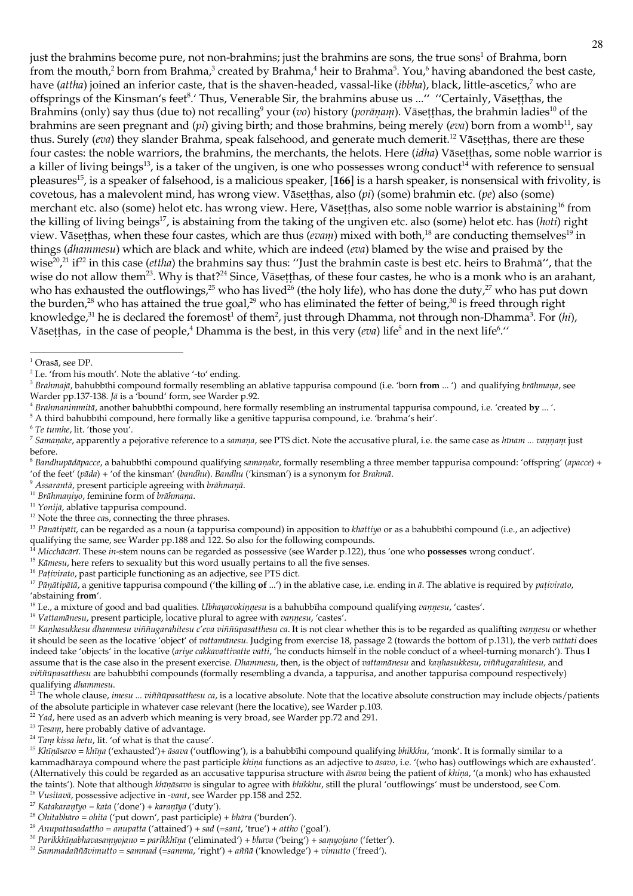just the brahmins become pure, not non-brahmins; just the brahmins are sons, the true sons<sup>1</sup> of Brahma, born from the mouth,<sup>2</sup> born from Brahma,<sup>3</sup> created by Brahma,<sup>4</sup> heir to Brahma<sup>5</sup>. You,<sup>6</sup> having abandoned the best caste, have (attha) joined an inferior caste, that is the shaven-headed, vassal-like (ibbha), black, little-ascetics,<sup>7</sup> who are offsprings of the Kinsman's feet<sup>8</sup>.' Thus, Venerable Sir, the brahmins abuse us ..." "Certainly, Vāsetthas, the Brahmins (only) say thus (due to) not recalling<sup>9</sup> your (vo) history (porānam). Vāsetthas, the brahmin ladies<sup>10</sup> of the brahmins are seen pregnant and (*pi*) giving birth; and those brahmins, being merely (*cva*) born from a womb<sup>11</sup>, say thus. Surely (eva) they slander Brahma, speak falsehood, and generate much demerit.<sup>12</sup> Vāsetthas, there are these four castes: the noble warriors, the brahmins, the merchants, the helots. Here (idha) Vāsetthas, some noble warrior is a killer of living beings<sup>13</sup>, is a taker of the ungiven, is one who possesses wrong conduct<sup>14</sup> with reference to sensual pleasures<sup>15</sup>, is a speaker of falsehood, is a malicious speaker, [166] is a harsh speaker, is nonsensical with frivolity, is covetous, has a malevolent mind, has wrong view. Vāsetthas, also ( $pi$ ) (some) brahmin etc. ( $pe$ ) also (some) merchant etc. also (some) helot etc. has wrong view. Here, Vāsetthas, also some noble warrior is abstaining<sup>16</sup> from the killing of living beings<sup>17</sup>, is abstaining from the taking of the ungiven etc. also (some) helot etc. has (hoti) right view. Vāsetthas, when these four castes, which are thus (*cvam*) mixed with both,<sup>18</sup> are conducting themselves<sup>19</sup> in things (dhammesu) which are black and white, which are indeed (eva) blamed by the wise and praised by the wise<sup>20</sup>,<sup>21</sup> if<sup>22</sup> in this case (*ettha*) the brahmins say thus: "Just the brahmin caste is best etc. heirs to Brahmā", that the wise do not allow them<sup>23</sup>. Why is that?<sup>24</sup> Since, Vāsetthas, of these four castes, he who is a monk who is an arahant, who has exhausted the outflowings,<sup>25</sup> who has lived<sup>26</sup> (the holy life), who has done the duty,<sup>27</sup> who has put down the burden,<sup>28</sup> who has attained the true goal,<sup>29</sup> who has eliminated the fetter of being,<sup>30</sup> is freed through right knowledge,<sup>31</sup> he is declared the foremost<sup>1</sup> of them<sup>2</sup>, just through Dhamma, not through non-Dhamma<sup>3</sup>. For (hi), Vāsetthas, in the case of people,<sup>4</sup> Dhamma is the best, in this very (*cva*) life<sup>5</sup> and in the next life<sup>6</sup>."

 $5$  A third bahubbīhi compound, here formally like a genitive tappurisa compound, i.e. 'brahma's heir'.

- 7 Samanake, apparently a pejorative reference to a samana, see PTS dict. Note the accusative plural, i.e. the same case as hinam ... vannam just hefore
- <sup>8</sup> Bandhupādāpacce, a bahubbīhi compound qualifying samanake, formally resembling a three member tappurisa compound: 'offspring' (apacce) + 'of the feet' (pāda) + 'of the kinsman' (bandhu). Bandhu ('kinsman') is a synonym for Brahmā.
- <sup>9</sup> Assarantā, present participle agreeing with brāhmaņā.

<sup>10</sup> Brāhmaniyo, feminine form of brāhmaņa.

<sup>11</sup> Yonijā, ablative tappurisa compound.

 $12$  Note the three  $cas$ , connecting the three phrases.

<sup>13</sup> Pānātipātī, can be regarded as a noun (a tappurisa compound) in apposition to khattiyo or as a bahubbīhi compound (i.e., an adjective) qualifying the same, see Warder pp.188 and 122. So also for the following compounds.

Micchācārī. These in-stem nouns can be regarded as possessive (see Warder p.122), thus 'one who possesses wrong conduct'.

 $15$  Kamesu, here refers to sexuality but this word usually pertains to all the five senses.

<sup>16</sup> Pativirato, past participle functioning as an adjective, see PTS dict.

<sup>17</sup> Pāņātipātā, a genitive tappurisa compound ('the killing of ...') in the ablative case, i.e. ending in ā. The ablative is required by pativirato, 'abstaining from'.

<sup>18</sup> I.e., a mixture of good and bad qualities. Ubhayavokinnesu is a bahubbīha compound qualifying vannesu, 'castes'.

<sup>19</sup> Vattamānesu, present participle, locative plural to agree with vannesu, 'castes'.

<sup>20</sup> Kanhasukkesu dhammesu viññugarahitesu c'eva viññūpasatthesu ca. It is not clear whether this is to be regarded as qualifting vannesu or whether it should be seen as the locative 'object' of vattamanesu. Judging from exercise 18, passage 2 (towards the bottom of p.131), the verb vattati does indeed take 'objects' in the locative (ariye cakkavattivatte vatti, 'he conducts himself in the noble conduct of a wheel-turning monarch'). Thus I assume that is the case also in the present exercise. Dhammesu, then, is the object of vattamānesu and kanhasukkesu, viññugarahitesu, and viññūpasatthesu are bahubbīhi compounds (formally resembling a dvanda, a tappurisa, and another tappurisa compound respectively) qualifying *dhammesu*.<br><sup>21</sup> The whole clause, *intesu* ... *vififitipasatthesu ca*, is a locative absolute. Note that the locative absolute construction may include objects/patients

of the absolute participle in whatever case relevant (here the locative), see Warder p.103.

 $22$  Yad, here used as an adverb which meaning is very broad, see Warder pp.72 and 291.

<sup>23</sup> Tesam, here probably dative of advantage.

<sup>24</sup> Tam kissa hetu, lit. 'of what is that the cause'.

<sup>25</sup> Khīņāsavo = khīņa ('exhausted')+ āsava ('outflowing'), is a bahubbīhi compound qualifying bhikkhu, 'monk'. It is formally similar to a kammadhāraya compound where the past participle khina functions as an adjective to asavo, i.e. '(who has) outflowings which are exhausted'. (Alternatively this could be regarded as an accusative tappurisa structure with  $\bar{a}$ sava being the patient of khina, '(a monk) who has exhausted the taints'). Note that although khīnāsavo is singular to agree with bhikkhu, still the plural 'outflowings' must be understood, see Com. <sup>26</sup> Vusitavā, possessive adjective in -vant, see Warder pp.158 and 252.

- <sup>27</sup> Katakaranīyo = kata ('done') + karanīya ('duty').
- <sup>28</sup> Ohitabhāro = ohita ('put down', past participle) + bhāra ('burden').

<sup>30</sup> Parikkhīnabhavasannyojano = parikkhīna ('eliminated') + bhava ('being') + sannyojano ('fetter').

 $1$  Orasā, see DP.

<sup>&</sup>lt;sup>2</sup> I.e. 'from his mouth'. Note the ablative '-to' ending.

<sup>&</sup>lt;sup>3</sup> Brahmajā, bahubbīhi compound formally resembling an ablative tappurisa compound (i.e. 'born from ... ') and qualifying brāhmaņa, see Warder pp.137-138. Jā is a 'bound' form, see Warder p.92.

<sup>&</sup>lt;sup>4</sup> Brahmanimunitā, another bahubbīhi compound, here formally resembling an instrumental tappurisa compound, i.e. 'created by ...'.

<sup>&</sup>lt;sup>6</sup> Te tumhe, lit. 'those you'.

 $^{29}$  Anupattasadattho =  $\hat{a}nu$ patta ('attained') + sad (=sant, 'true') + attho ('goal').

 $31$  Sammadaññāvimutto = sammad (= samma, 'right') + aññā ('knowledge') + vimutto ('freed').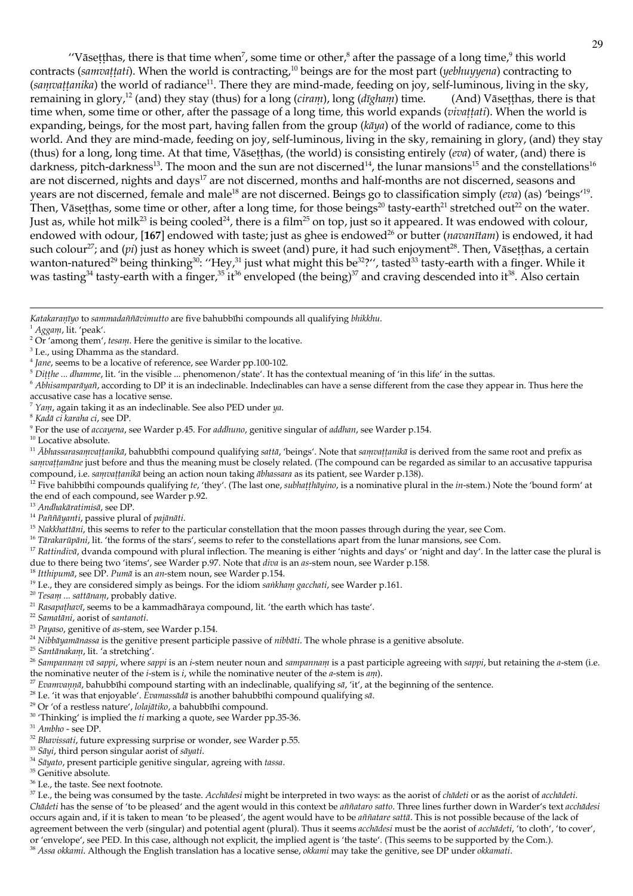"Vāsetthas, there is that time when<sup>7</sup>, some time or other,<sup>8</sup> after the passage of a long time, $\theta$  this world contracts (sanvattati). When the world is contracting,<sup>10</sup> beings are for the most part (yebhuyyena) contracting to (sanvattanika) the world of radiance<sup>11</sup>. There they are mind-made, feeding on joy, self-luminous, living in the sky, remaining in glory,<sup>12</sup> (and) they stay (thus) for a long (ciram), long (dīgham) time. (And) Vāsetthas, there is that time when, some time or other, after the passage of a long time, this world expands (vivattati). When the world is expanding, beings, for the most part, having fallen from the group ( $k\bar{a}$  $y$ a) of the world of radiance, come to this world. And they are mind-made, feeding on joy, self-luminous, living in the sky, remaining in glory, (and) they stay (thus) for a long, long time. At that time, Vāsetthas, (the world) is consisting entirely (eva) of water, (and) there is darkness, pitch-darkness<sup>13</sup>. The moon and the sun are not discerned<sup>14</sup>, the lunar mansions<sup>15</sup> and the constellations<sup>16</sup> are not discerned, nights and days<sup>17</sup> are not discerned, months and half-months are not discerned, seasons and years are not discerned, female and male<sup>18</sup> are not discerned. Beings go to classification simply (*eva*) (as) 'beings'<sup>19</sup>. Then, Vāsetthas, some time or other, after a long time, for those beings<sup>20</sup> tasty-earth<sup>21</sup> stretched out<sup>22</sup> on the water. Just as, while hot milk<sup>23</sup> is being cooled<sup>24</sup>, there is a film<sup>25</sup> on top, just so it appeared. It was endowed with colour, endowed with odour, [167] endowed with taste; just as ghee is endowed<sup>26</sup> or butter (*navanitam*) is endowed, it had such colour<sup>27</sup>; and (*pi*) just as honey which is sweet (and) pure, it had such enjoyment<sup>28</sup>. Then, Vāsetthas, a certain wanton-natured<sup>29</sup> being thinking<sup>30</sup>: "Hey,<sup>31</sup> just what might this be<sup>32</sup>?", tasted<sup>33</sup> tasty-earth with a finger. While it was tasting<sup>34</sup> tasty-earth with a finger,<sup>35</sup> it<sup>36</sup> enveloped (the being)<sup>37</sup> and craving descended into it<sup>38</sup>. Also certain

<sup>1</sup> Aggam, lit. 'peak'.

- <sup>4</sup> Jane, seems to be a locative of reference, see Warder pp.100-102.
- $\frac{1}{10}$  bittle ... dhannue, lit. 'in the visible ... phenomenon/state'. It has the contextual meaning of 'in this life' in the suttas.

 $6$  Abhisamparāyañ, according to DP it is an indeclinable. Indeclinables can have a sense different from the case they appear in. Thus here the

accusative case has a locative sense.

 $7$  Yam, again taking it as an indeclinable. See also PED under  $\eta a$ .

<sup>9</sup> For the use of accayena, see Warder p.45. For addhuno, genitive singular of addhan, see Warder p.154.

 $10$  Locative absolute.

<sup>11</sup> Abhassarasanvattanikā, bahubbīhi compound qualifying sattā, 'beings'. Note that sanvattanikā is derived from the same root and prefix as samvattamanc just before and thus the meaning must be closely related. (The compound can be regarded as similar to an accusative tappurisa compound, i.e. sanvattanikā being an action noun taking ābhassara as its patient, see Warder p.138).

<sup>12</sup> Five bahibbīhi compounds qualifying te, 'they'. (The last one, subhatthayino, is a nominative plural in the in-stem.) Note the 'bound form' at the end of each compound, see Warder p.92.

<sup>13</sup> Andhakāratimisā, see DP.

<sup>14</sup> Paññāyanti, passive plural of pajānāti.

<sup>15</sup> Nakkhattāni, this seems to refer to the particular constellation that the moon passes through during the year, see Com.

<sup>16</sup> Tārakarūpāni, lit. 'the forms of the stars', seems to refer to the constellations apart from the lunar mansions, see Com.

<sup>17</sup> Rattindiva, dvanda compound with plural inflection. The meaning is either 'nights and days' or 'night and day'. In the latter case the plural is due to there being two 'items', see Warder p.97. Note that diva is an as-stem noun, see Warder p.158.

<sup>18</sup> Itthipumā, see DP. Pumā is an an-stem noun, see Warder p.154.

<sup>19</sup> I.e., they are considered simply as beings. For the idiom *sailkham gacchati*, see Warder p.161.

<sup>20</sup> Tesam ... sattānam, probably dative.

<sup>25</sup> Santānakam, lit. 'a stretching'.

<sup>26</sup> Sampannam vā sappi, where sappi is an i-stem neuter noun and sampannam is a past participle agreeing with sappi, but retaining the a-stem (i.e. the nominative neuter of the *i*-stem is *i*, while the nominative neuter of the *a*-stem is  $a_{11}$ .

- <sup>27</sup> Evanivanina, bahubbīhi compound starting with an indeclinable, qualifying sā, 'it', at the beginning of the sentence.
- <sup>28</sup> I.e. 'it was that enjoyable'.  $\vec{E}$ vamassādā is another bahubbīhi compound qualifying sā.
- <sup>29</sup> Or 'of a restless nature', *lolajātiko*, a bahubbīhi compound.
- $^{\rm 30}$  'Thinking' is implied the  $t\bar{t}$  marking a quote, see Warder pp.35-36.

 $31$  Ambho - see DP.

- <sup>32</sup> Bhavissati, future expressing surprise or wonder, see Warder p.55.
- <sup>33</sup> Sāyi, third person singular aorist of sāyati.
- <sup>34</sup> Sayato, present participle genitive singular, agreing with tassa.
- <sup>35</sup> Genitive absolute.
- $^{36}$  I.e., the taste. See next footnote.

<sup>37</sup> I.e., the being was consumed by the taste. Acchadesi might be interpreted in two ways: as the aorist of chadeti or as the aorist of acchadeti. Chādeti has the sense of 'to be pleased' and the agent would in this context be añiataro satto. Three lines further down in Warder's text acchādesi occurs again and, if it is taken to mean 'to be pleased', the agent would have to be añiatare sattā. This is not possible because of the lack of agreement between the verb (singular) and potential agent (plural). Thus it seems acchadesi must be the aorist of acchadeti, 'to cloth', 'to cover', or 'envelope', see PED. In this case, although not explicit, the implied agent is 'the taste'. (This seems to be supported by the Com.). <sup>38</sup> Assa okkanii. Although the English translation has a locative sense, okkanii may take the genitive, see DP under okkanati.

Katakaranīyo to sammadaññāvimutto are five bahubbīhi compounds all qualifying bhikkhu.

<sup>&</sup>lt;sup>2</sup> Or 'among them', tesam. Here the genitive is similar to the locative.

<sup>&</sup>lt;sup>3</sup> I.e., using Dhamma as the standard.

<sup>&</sup>lt;sup>8</sup> Kadā ci karaha ci, see DP.

<sup>&</sup>lt;sup>21</sup> Rasapathavī, seems to be a kammadhāraya compound, lit. 'the earth which has taste'.

<sup>&</sup>lt;sup>22</sup> Samatāni, aorist of santanoti.

<sup>&</sup>lt;sup>23</sup> Payaso, genitive of as-stem, see Warder p.154.

<sup>&</sup>lt;sup>24</sup> Nibbāyamānassa is the genitive present participle passive of *nibbāti*. The whole phrase is a genitive absolute.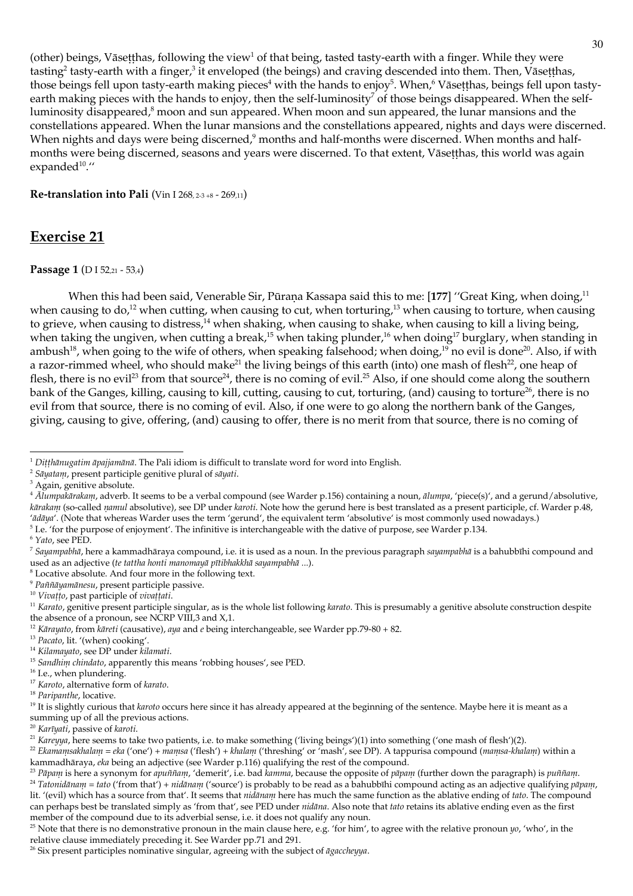(other) beings, Vāsetthas, following the view<sup>1</sup> of that being, tasted tasty-earth with a finger. While they were tasting<sup>2</sup> tasty-earth with a finger,<sup>3</sup> it enveloped (the beings) and craving descended into them. Then, Vāsetthas, those beings fell upon tasty-earth making pieces<sup>4</sup> with the hands to enjoy<sup>5</sup>. When,<sup>6</sup> Vāsetthas, beings fell upon tastyearth making pieces with the hands to enjoy, then the self-luminosity<sup>7</sup> of those beings disappeared. When the selfluminosity disappeared,<sup>8</sup> moon and sun appeared. When moon and sun appeared, the lunar mansions and the constellations appeared. When the lunar mansions and the constellations appeared, nights and days were discerned. When nights and days were being discerned,<sup>9</sup> months and half-months were discerned. When months and halfmonths were being discerned, seasons and years were discerned. To that extent, Vāsetthas, this world was again expanded $10.4$ 

### **Re-translation into Pali** (Vin I 268, 2-3 +8 - 269, 11)

## **Exercise 21**

### Passage 1 (D I 52,21 - 53,4)

When this had been said, Venerable Sir, Pūrana Kassapa said this to me: [177] "Great King, when doing,<sup>11</sup> when causing to do,<sup>12</sup> when cutting, when causing to cut, when torturing,<sup>13</sup> when causing to torture, when causing to grieve, when causing to distress,<sup>14</sup> when shaking, when causing to shake, when causing to kill a living being, when taking the ungiven, when cutting a break,<sup>15</sup> when taking plunder,<sup>16</sup> when doing<sup>17</sup> burglary, when standing in ambush<sup>18</sup>, when going to the wife of others, when speaking falsehood; when doing,<sup>19</sup> no evil is done<sup>20</sup>. Also, if with a razor-rimmed wheel, who should make<sup>21</sup> the living beings of this earth (into) one mash of flesh<sup>22</sup>, one heap of flesh, there is no evil<sup>23</sup> from that source<sup>24</sup>, there is no coming of evil.<sup>25</sup> Also, if one should come along the southern bank of the Ganges, killing, causing to kill, cutting, causing to cut, torturing, (and) causing to torture<sup>26</sup>, there is no evil from that source, there is no coming of evil. Also, if one were to go along the northern bank of the Ganges, giving, causing to give, offering, (and) causing to offer, there is no merit from that source, there is no coming of

<sup>5</sup> I.e. 'for the purpose of enjoyment'. The infinitive is interchangeable with the dative of purpose, see Warder p.134.

 $6$  Yato, see PED.

<sup>8</sup> Locative absolute. And four more in the following text.

 $^9$  Paññāyamānesu, present participle passive.

<sup>19</sup> It is slightly curious that *karoto* occurs here since it has already appeared at the beginning of the sentence. Maybe here it is meant as a summing up of all the previous actions.

<sup>20</sup> Karīyati, passive of karoti.

<sup>21</sup> Kareyya, here seems to take two patients, i.e. to make something ('living beings')(1) into something ('one mash of flesh')(2).

 $^1$  Ditthānugatim āpajjamānā. The Pali idiom is difficult to translate word for word into English.

<sup>&</sup>lt;sup>2</sup> Sāyatam, present participle genitive plural of sāyati.

<sup>&</sup>lt;sup>3</sup> Again, genitive absolute.

<sup>&</sup>lt;sup>4</sup> Alumpakārakam, adverb. It seems to be a verbal compound (see Warder p.156) containing a noun, ālumpa, 'piece(s)', and a gerund/absolutive, kārakam (so-called namul absolutive), see DP under karoti. Note how the gerund here is best translated as a present participle, cf. Warder p.48, 'ādāya'. (Note that whereas Warder uses the term 'gerund', the equivalent term 'absolutive' is most commonly used nowadays.)

 $^7$  Sayampabliā, here a kammadhāraya compound, i.e. it is used as a noun. In the previous paragraph sayampabliā is a bahubbīhi compound and used as an adjective (te tattha honti manomayā pītibhakkhā sayampabhā ...).

<sup>&</sup>lt;sup>10</sup> Vivațio, past participle of vivațiati.

<sup>&</sup>lt;sup>11</sup> Karato, genitive present participle singular, as is the whole list following karato. This is presumably a genitive absolute construction despite the absence of a pronoun, see NCRP VIII,3 and X,1.

<sup>&</sup>lt;sup>12</sup> Kārayato, from kāreti (causative), aya and e being interchangeable, see Warder pp.79-80 + 82.

<sup>&</sup>lt;sup>13</sup> Pacato, lit. '(when) cooking'.

<sup>&</sup>lt;sup>14</sup> Kilamayato, see DP under kilamati.

<sup>&</sup>lt;sup>15</sup> Sandhim chindato, apparently this means 'robbing houses', see PED.

<sup>&</sup>lt;sup>16</sup> I.e., when plundering.

<sup>&</sup>lt;sup>17</sup> Karoto, alternative form of karato.

<sup>&</sup>lt;sup>18</sup> Paripanthe, locative.

<sup>&</sup>lt;sup>22</sup> Ekamamsakhalam = eka ('one') + mamsa ('flesh') + khalam ('threshing' or 'mash', see DP). A tappurisa compound (mamsa-khalam) within a kammadhāraya, eka being an adjective (see Warder p.116) qualifying the rest of the compound.

<sup>&</sup>lt;sup>23</sup> Pāpam is here a synonym for apuññam, 'demerit', i.e. bad kamma, because the opposite of pāpam (further down the paragraph) is puññam. <sup>24</sup> Tatonidānam = tato ('from that') + nidānam ('source') is probably to be read as a bahubbīhi compound acting as an adjective qualifying pāpam, lit. '(evil) which has a source from that'. It seems that *nidānam* here has much the same function as the ablative ending of tato. The compound can perhaps best be translated simply as 'from that', see PED under *nidāna*. Also note that *tato* retains its ablative ending even as the first member of the compound due to its adverbial sense, i.e. it does not qualify any noun.

<sup>&</sup>lt;sup>25</sup> Note that there is no demonstrative pronoun in the main clause here, e.g. 'for him', to agree with the relative pronoun  $yo$ , 'who', in the relative clause immediately preceding it. See Warder pp.71 and 291.

<sup>&</sup>lt;sup>26</sup> Six present participles nominative singular, agreeing with the subject of  $\bar{a}$ *gaccheyya*.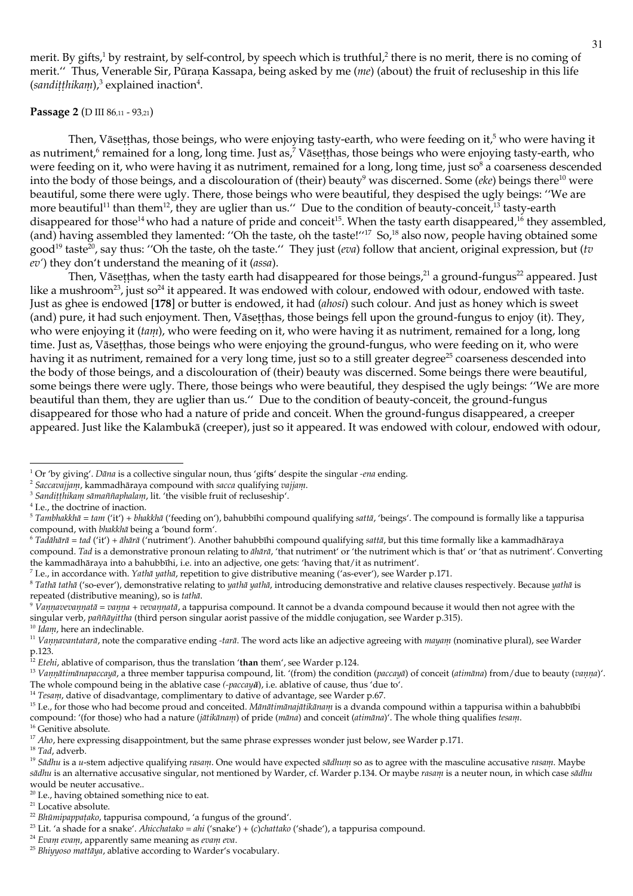merit. By gifts,<sup>1</sup> by restraint, by self-control, by speech which is truthful,<sup>2</sup> there is no merit, there is no coming of merit." Thus, Venerable Sir, Pūraņa Kassapa, being asked by me (me) (about) the fruit of recluseship in this life  $(sand itthikam)<sup>3</sup>$  explained inaction<sup>4</sup>.

#### Passage 2 (D III 86,11 - 93,21)

Then, Vāsetthas, those beings, who were enjoying tasty-earth, who were feeding on it,<sup>5</sup> who were having it as nutriment,<sup>6</sup> remained for a long, long time. Just as,<sup>7</sup> Vāsetthas, those beings who were enjoying tasty-earth, who were feeding on it, who were having it as nutriment, remained for a long, long time, just so<sup>8</sup> a coarseness descended into the body of those beings, and a discolouration of (their) beauty<sup>9</sup> was discerned. Some (*eke*) beings there<sup>10</sup> were beautiful, some there were ugly. There, those beings who were beautiful, they despised the ugly beings: "We are more beautiful<sup>11</sup> than them<sup>12</sup>, they are uglier than us." Due to the condition of beauty-conceit,  $13$  tasty-earth disappeared for those<sup>14</sup> who had a nature of pride and conceit<sup>15</sup>. When the tasty earth disappeared,<sup>16</sup> they assembled, (and) having assembled they lamented: "Oh the taste, oh the taste!"<sup>17</sup> So,<sup>18</sup> also now, people having obtained some good<sup>19</sup> taste<sup>20</sup>, say thus: "Oh the taste, oh the taste." They just (*eva*) follow that ancient, original expression, but (*tv* ev') they don't understand the meaning of it (assa).

Then, Vāsetthas, when the tasty earth had disappeared for those beings, $21$  a ground-fungus $22$  appeared. Just like a mushroom<sup>23</sup>, just so<sup>24</sup> it appeared. It was endowed with colour, endowed with odour, endowed with taste. Just as ghee is endowed [178] or butter is endowed, it had (ahosi) such colour. And just as honey which is sweet (and) pure, it had such enjoyment. Then, Vāsetthas, those beings fell upon the ground-fungus to enjoy (it). They, who were enjoying it (tam), who were feeding on it, who were having it as nutriment, remained for a long, long time. Just as, Vāsetthas, those beings who were enjoying the ground-fungus, who were feeding on it, who were having it as nutriment, remained for a very long time, just so to a still greater degree<sup>25</sup> coarseness descended into the body of those beings, and a discolouration of (their) beauty was discerned. Some beings there were beautiful, some beings there were ugly. There, those beings who were beautiful, they despised the ugly beings: "We are more beautiful than them, they are uglier than us." Due to the condition of beauty-conceit, the ground-fungus disappeared for those who had a nature of pride and conceit. When the ground-fungus disappeared, a creeper appeared. Just like the Kalambukā (creeper), just so it appeared. It was endowed with colour, endowed with odour,

<sup>6</sup> Tadāhārā = tad ('it') + āhārā ('nutriment'). Another bahubbīhi compound qualifying sattā, but this time formally like a kammadhāraya compound. Tad is a demonstrative pronoun relating to āliārā, 'that nutriment' or 'the nutriment which is that' or 'that as nutriment'. Converting

the kammadhāraya into a bahubbīhi, i.e. into an adjective, one gets: 'having that/it as nutriment'. <sup>7</sup> I.e., in accordance with. Yathā yathā, repetition to give distributive meaning ('as-ever'), see Warder p.171.

 $14$  Tesam, dative of disadvantage, complimentary to dative of advantage, see Warder p.67.

<sup>16</sup> Genitive absolute.

 $18$  Tad, adverb.

<sup>23</sup> Lit. 'a shade for a snake'. Ahicchatako = ahi ('snake') + (c)chattako ('shade'), a tappurisa compound.

<sup>&</sup>lt;sup>1</sup> Or 'by giving'. Dana is a collective singular noun, thus 'gifts' despite the singular -ena ending.

<sup>&</sup>lt;sup>2</sup> Saccavajjanı, kammadhāraya compound with sacca qualifying vajjanı.

<sup>&</sup>lt;sup>3</sup> Sanditthikam sāmaññaphalam, lit. 'the visible fruit of recluseship'.

 $^4$  I.e., the doctrine of inaction.

<sup>&</sup>lt;sup>5</sup> Tambhakkhā = tam ('it') + bhakkhā ('feeding on'), bahubbīhi compound qualifying sattā, 'beings'. The compound is formally like a tappurisa compound, with bhakkhā being a 'bound form'.

<sup>&</sup>lt;sup>8</sup> Tathā tathā ('so-ever'), demonstrative relating to yathā yathā, introducing demonstrative and relative clauses respectively. Because yathā is repeated (distributive meaning), so is tathā.

 $9\%$  *Oamavevamatā* = *vama* + *vevamatā*, a tappurisa compound. It cannot be a dvanda compound because it would then not agree with the singular verb, paññāyittha (third person singular aorist passive of the middle conjugation, see Warder p.315). <sup>10</sup> Idam, here an indeclinable.

<sup>&</sup>lt;sup>11</sup> Vannavantatarā, note the comparative ending -tarā. The word acts like an adjective agreeing with mayam (nominative plural), see Warder p.123.<br><sup>12</sup> *Etelii*, ablative of comparison, thus the translation 'than them', see Warder p.124.

<sup>&</sup>lt;sup>13</sup> Vannatimanapaccaya, a three member tappurisa compound, lit. '(from) the condition (paccaya) of conceit (atimana) from/due to beauty (vanna)'. The whole compound being in the ablative case (-paccaya), i.e. ablative of cause, thus 'due to'.

<sup>&</sup>lt;sup>15</sup> I.e., for those who had become proud and conceited. Mānātimānajātikānam is a dvanda compound within a tappurisa within a bahubbībi compound: '(for those) who had a nature (jātikānam) of pride (māna) and conceit (atimāna)'. The whole thing qualifies tesam.

 $17$  Aho, here expressing disappointment, but the same phrase expresses wonder just below, see Warder p.171.

<sup>&</sup>lt;sup>19</sup> Sādhu is a u-stem adjective qualifying rasanu. One would have expected sādhum so as to agree with the masculine accusative rasam. Maybe sādhu is an alternative accusative singular, not mentioned by Warder, cf. Warder p.134. Or maybe rasam is a neuter noun, in which case sādhu would be neuter accusative..

<sup>&</sup>lt;sup>20</sup> I.e., having obtained something nice to eat.

<sup>&</sup>lt;sup>21</sup> Locative absolute.

<sup>&</sup>lt;sup>22</sup> Bhūmipappaṭako, tappurisa compound, 'a fungus of the ground'.

<sup>&</sup>lt;sup>24</sup> Evam evam, apparently same meaning as evam eva.

<sup>&</sup>lt;sup>25</sup> Bhinnoso mattaya, ablative according to Warder's vocabulary.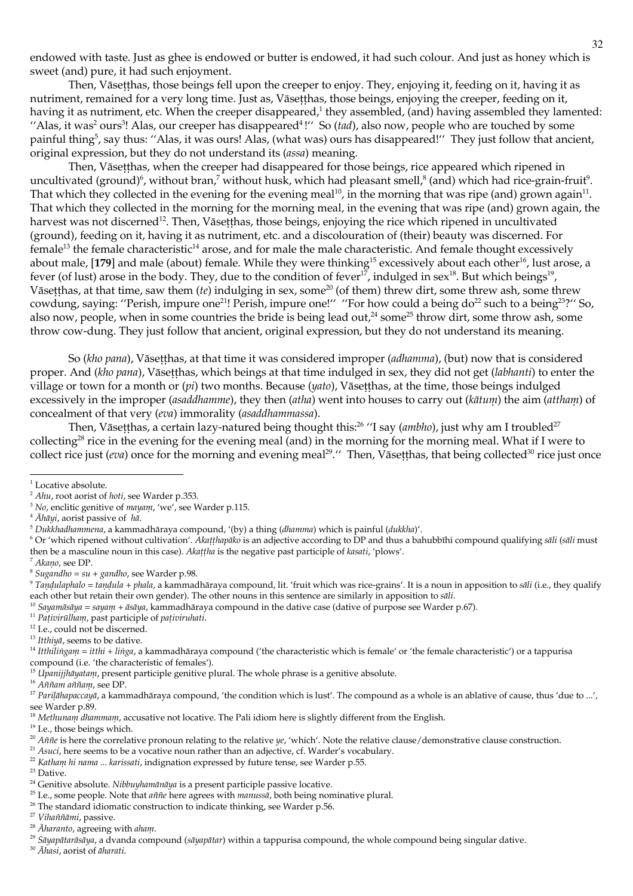endowed with taste. Just as ghee is endowed or butter is endowed, it had such colour. And just as honey which is sweet (and) pure, it had such enjoyment.

Then, Vāsetthas, those beings fell upon the creeper to enjoy. They, enjoying it, feeding on it, having it as nutriment, remained for a very long time. Just as, Vāsetthas, those beings, enjoying the creeper, feeding on it, having it as nutriment, etc. When the creeper disappeared,<sup>1</sup> they assembled, (and) having assembled they lamented: "Alas, it was<sup>2</sup> ours<sup>3</sup>! Alas, our creeper has disappeared<sup>4</sup>!" So (tad), also now, people who are touched by some painful thing<sup>5</sup>, say thus: "Alas, it was ours! Alas, (what was) ours has disappeared!" They just follow that ancient, original expression, but they do not understand its (assa) meaning.

Then, Vāsetthas, when the creeper had disappeared for those beings, rice appeared which ripened in uncultivated (ground)<sup>6</sup>, without bran,<sup>7</sup> without husk, which had pleasant smell, $^8$  (and) which had rice-grain-fruit<sup>9</sup>. That which they collected in the evening for the evening meal<sup>10</sup>, in the morning that was ripe (and) grown again<sup>11</sup>. That which they collected in the morning for the morning meal, in the evening that was ripe (and) grown again, the harvest was not discerned<sup>12</sup>. Then, Vāsetthas, those beings, enjoying the rice which ripened in uncultivated (ground), feeding on it, having it as nutriment, etc. and a discolouration of (their) beauty was discerned. For  $f$ emale<sup>13</sup> the female characteristic<sup>14</sup> arose, and for male the male characteristic. And female thought excessively about male, [179] and male (about) female. While they were thinking<sup>15</sup> excessively about each other<sup>16</sup>, lust arose, a fever (of lust) arose in the body. They, due to the condition of fever<sup>17</sup>, indulged in sex<sup>18</sup>. But which beings<sup>19</sup>, Vāsetthas, at that time, saw them (te) indulging in sex, some<sup>20</sup> (of them) threw dirt, some threw ash, some threw cowdung, saying: "Perish, impure one<sup>21</sup>! Perish, impure one!" "For how could a being do<sup>22</sup> such to a being<sup>23</sup>?" So, also now, people, when in some countries the bride is being lead out,<sup>24</sup> some<sup>25</sup> throw dirt, some throw ash, some throw cow-dung. They just follow that ancient, original expression, but they do not understand its meaning.

So (kho pana), Vāsetthas, at that time it was considered improper (adhamma), (but) now that is considered proper. And (kho pana), Vāsetthas, which beings at that time indulged in sex, they did not get (labhanti) to enter the village or town for a month or  $(p_i)$  two months. Because  $(y_{q_i}, V$  aset thas, at the time, those beings indulged excessively in the improper (asaddhamme), they then (atha) went into houses to carry out (kātum) the aim (attham) of concealment of that very (eva) immorality (asaddhammassa).

Then, Vāsetthas, a certain lazy-natured being thought this:<sup>26</sup> "I say (*ambho*), just why am I troubled<sup>27</sup> collecting<sup>28</sup> rice in the evening for the evening meal (and) in the morning for the morning meal. What if I were to collect rice just (eva) once for the morning and evening meal<sup>29</sup>." Then, Vasetthas, that being collected<sup>30</sup> rice just once

<sup>6</sup> Or 'which ripened without cultivation'. Akatthapako is an adjective according to DP and thus a bahubbihi compound qualifying sali (sali must then be a masculine noun in this case). Akattha is the negative past participle of kasati, 'plows'.

<sup>11</sup> Pativirūlham, past participle of pativiruhati.

<sup>12</sup> I.e., could not be discerned.

<sup>13</sup> Itthiva, seems to be dative.

<sup>14</sup> Itthilingam = itthi + linga, a kammadhāraya compound ('the characteristic which is female' or 'the female characteristic') or a tappurisa compound (i.e. 'the characteristic of females').

<sup>15</sup> Upanijjhāyatam, present participle genitive plural. The whole phrase is a genitive absolute.

<sup>16</sup> Aññam aññam, see DP.

 $^{\rm 19}$  I.e., those beings which.

 $23$  Dative.

<sup>30</sup> Ahasi, aorist of aharati.

 $^{\rm 1}$  Locative absolute.

<sup>&</sup>lt;sup>2</sup> Ahu, root aorist of hoti, see Warder p.353.

<sup>&</sup>lt;sup>3</sup> No, enclitic genitive of  $mayanu$ , 'we', see Warder p.115.

 $4$   $\overline{A}h\overline{a}$ *yi*, aorist passive of  $Xa$ .

 $5$  Dukkhadhanmena, a kammadhāraya compound, '(by) a thing (dhanma) which is painful (dukkha)'.

<sup>&</sup>lt;sup>7</sup> Akano, see DP.

 $8$  Sugandho = su + gandho, see Warder p.98.

 $9$  Tandulaphalo = tandula + phala, a kammadhāraya compound, lit. 'fruit which was rice-grains'. It is a noun in apposition to sāli (i.e., they qualify each other but retain their own gender). The other nouns in this sentence are similarly in apposition to sāli.

<sup>&</sup>lt;sup>10</sup> Sayamāsāya = sayam + āsāya, kammadhāraya compound in the dative case (dative of purpose see Warder p.67).

<sup>&</sup>lt;sup>17</sup> Parilāhapaccayā, a kammadhāraya compound, 'the condition which is lust'. The compound as a whole is an ablative of cause, thus 'due to ...', see Warder p.89.

<sup>&</sup>lt;sup>18</sup> Methunann dhamman, accusative not locative. The Pali idiom here is slightly different from the English.

<sup>&</sup>lt;sup>20</sup> Aññe is here the correlative pronoun relating to the relative ye, 'which'. Note the relative clause/demonstrative clause construction.

<sup>&</sup>lt;sup>21</sup> Asuci, here seems to be a vocative noun rather than an adjective, cf. Warder's vocabulary.

<sup>&</sup>lt;sup>22</sup> Katham hi nama ... karissati, indignation expressed by future tense, see Warder p.55.

<sup>&</sup>lt;sup>24</sup> Genitive absolute. Nibbuyhamānāya is a present participle passive locative.

<sup>&</sup>lt;sup>25</sup> I.e., some people. Note that *aññe* here agrees with *manussā*, both being nominative plural.

<sup>&</sup>lt;sup>26</sup> The standard idiomatic construction to indicate thinking, see Warder p.56.

<sup>&</sup>lt;sup>27</sup> Vihaññāmi, passive.

<sup>&</sup>lt;sup>28</sup> Āharanto, agreeing with aham.

<sup>&</sup>lt;sup>29</sup> Sāyapātarāsāya, a dvanda compound (sāyapātar) within a tappurisa compound, the whole compound being singular dative.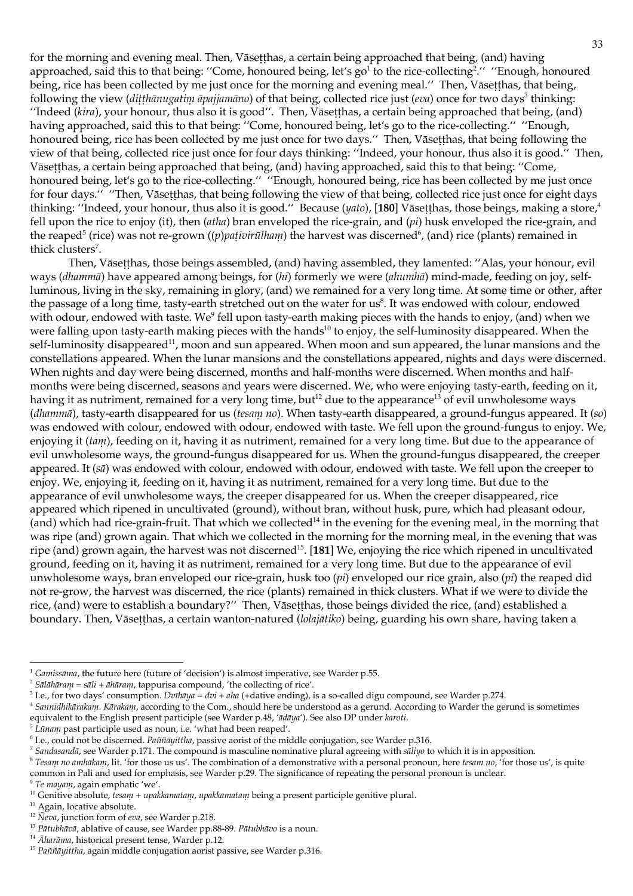for the morning and evening meal. Then, Vāsetthas, a certain being approached that being, (and) having approached, said this to that being: "Come, honoured being, let's go<sup>1</sup> to the rice-collecting<sup>2</sup>." "Enough, honoured being, rice has been collected by me just once for the morning and evening meal." Then, Vāsetthas, that being, following the view (ditthānugatin āpajjanāno) of that being, collected rice just (eva) once for two days<sup>3</sup> thinking: "Indeed (kira), your honour, thus also it is good". Then, Vāsetthas, a certain being approached that being, (and) having approached, said this to that being: "Come, honoured being, let's go to the rice-collecting." "Enough, honoured being, rice has been collected by me just once for two days." Then, Vāsetthas, that being following the view of that being, collected rice just once for four days thinking: "Indeed, your honour, thus also it is good." Then, Vāsetthas, a certain being approached that being, (and) having approached, said this to that being: "Come, honoured being, let's go to the rice-collecting." "Enough, honoured being, rice has been collected by me just once for four days." "Then, Vāsetthas, that being following the view of that being, collected rice just once for eight days thinking: "Indeed, your honour, thus also it is good." Because (yato), [180] Vāsetthas, those beings, making a store,<sup>4</sup> fell upon the rice to enjoy (it), then (atha) bran enveloped the rice-grain, and ( $pi$ ) husk enveloped the rice-grain, and the reaped<sup>5</sup> (rice) was not re-grown ((*p*)*pativirullam*) the harvest was discerned<sup>6</sup>, (and) rice (plants) remained in thick clusters<sup>7</sup>.

Then, Vāsetthas, those beings assembled, (and) having assembled, they lamented: "Alas, your honour, evil ways (dhammā) have appeared among beings, for (hi) formerly we were (ahumhā) mind-made, feeding on joy, selfluminous, living in the sky, remaining in glory, (and) we remained for a very long time. At some time or other, after the passage of a long time, tasty-earth stretched out on the water for us<sup>8</sup>. It was endowed with colour, endowed with odour, endowed with taste. We<sup>9</sup> fell upon tasty-earth making pieces with the hands to enjoy, (and) when we were falling upon tasty-earth making pieces with the hands<sup>10</sup> to enjoy, the self-luminosity disappeared. When the self-luminosity disappeared<sup>11</sup>, moon and sun appeared. When moon and sun appeared, the lunar mansions and the constellations appeared. When the lunar mansions and the constellations appeared, nights and days were discerned. When nights and day were being discerned, months and half-months were discerned. When months and halfmonths were being discerned, seasons and years were discerned. We, who were enjoying tasty-earth, feeding on it, having it as nutriment, remained for a very long time, but<sup>12</sup> due to the appearance<sup>13</sup> of evil unwholesome ways (dhammā), tasty-earth disappeared for us (tesam no). When tasty-earth disappeared, a ground-fungus appeared. It (so) was endowed with colour, endowed with odour, endowed with taste. We fell upon the ground-fungus to enjoy. We, enjoying it *(tam)*, feeding on it, having it as nutriment, remained for a very long time. But due to the appearance of evil unwholesome ways, the ground-fungus disappeared for us. When the ground-fungus disappeared, the creeper appeared. It  $(s\bar{a})$  was endowed with colour, endowed with odour, endowed with taste. We fell upon the creeper to enjoy. We, enjoying it, feeding on it, having it as nutriment, remained for a very long time. But due to the appearance of evil unwholesome ways, the creeper disappeared for us. When the creeper disappeared, rice appeared which ripened in uncultivated (ground), without bran, without husk, pure, which had pleasant odour, (and) which had rice-grain-fruit. That which we collected<sup>14</sup> in the evening for the evening meal, in the morning that was ripe (and) grown again. That which we collected in the morning for the morning meal, in the evening that was ripe (and) grown again, the harvest was not discerned<sup>15</sup>. [181] We, enjoying the rice which ripened in uncultivated ground, feeding on it, having it as nutriment, remained for a very long time. But due to the appearance of evil unwholesome ways, bran enveloped our rice-grain, husk too  $pi)$  enveloped our rice grain, also  $pi)$  the reaped did not re-grow, the harvest was discerned, the rice (plants) remained in thick clusters. What if we were to divide the rice, (and) were to establish a boundary?" Then, Vāsetthas, those beings divided the rice, (and) established a boundary. Then, Vāsetthas, a certain wanton-natured (lolajātiko) being, guarding his own share, having taken a

<sup>9</sup> Te mayam, again emphatic 'we'.

 $1$  Gamissāma, the future here (future of 'decision') is almost imperative, see Warder p.55.

<sup>&</sup>lt;sup>2</sup> Sālāhāram = sāli + āhāram, tappurisa compound, 'the collecting of rice'.

<sup>&</sup>lt;sup>3</sup> I.e., for two days' consumption. Dvīhāya = dvi + aha (+dative ending), is a so-called digu compound, see Warder p.274.

<sup>&</sup>lt;sup>4</sup> Sannidhikārakam. Kārakam, according to the Com., should here be understood as a gerund. According to Warder the gerund is sometimes equivalent to the English present participle (see Warder p.48, 'ādāya'). See also DP under karoti.

 $5$  Lūnam past participle used as noun, i.e. 'what had been reaped'.

<sup>&</sup>lt;sup>6</sup> I.e., could not be discerned. Paññāyittha, passive aorist of the middle conjugation, see Warder p.316.

 $^7$  Sandasandā, see Warder p.171. The compound is masculine nominative plural agreeing with saliyo to which it is in apposition.

<sup>&</sup>lt;sup>8</sup> Tesam no amhākam, lit. 'for those us us'. The combination of a demonstrative with a personal pronoun, here tesam no, 'for those us', is quite common in Pali and used for emphasis, see Warder p.29. The significance of repeating the personal pronoun is unclear.

<sup>&</sup>lt;sup>10</sup> Genitive absolute, tesam + upakkamatam, upakkamatam being a present participle genitive plural.

 $11$  Again, locative absolute.

<sup>&</sup>lt;sup>12</sup> Neva, junction form of eva, see Warder p.218.

<sup>&</sup>lt;sup>13</sup> Pātubhāvā, ablative of cause, see Warder pp.88-89. Pātubhāvo is a noun.

<sup>&</sup>lt;sup>14</sup> Āharāma, historical present tense, Warder p.12.

<sup>&</sup>lt;sup>15</sup> Paññāyittha, again middle conjugation aorist passive, see Warder p.316.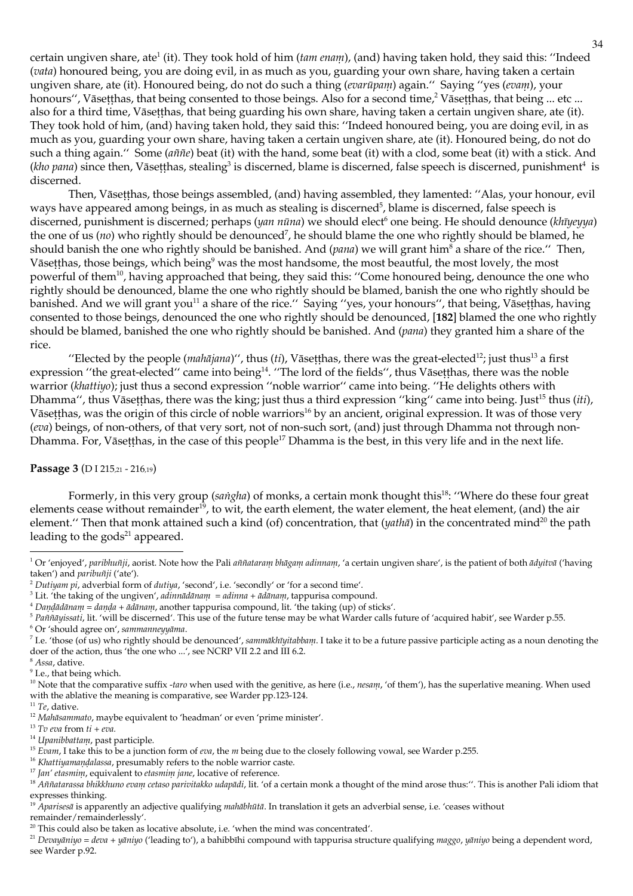certain ungiven share, ate<sup>1</sup> (it). They took hold of him (tam enam), (and) having taken hold, they said this: "Indeed (vata) honoured being, you are doing evil, in as much as you, guarding your own share, having taken a certain ungiven share, ate (it). Honoured being, do not do such a thing (evarūpam) again." Saying "yes (evam), your honours", Vāsetthas, that being consented to those beings. Also for a second time,<sup>2</sup> Vāsetthas, that being ... etc ... also for a third time, Vāsetthas, that being guarding his own share, having taken a certain ungiven share, ate (it). They took hold of him, (and) having taken hold, they said this: "Indeed honoured being, you are doing evil, in as much as you, guarding your own share, having taken a certain ungiven share, ate (it). Honoured being, do not do such a thing again." Some (aññe) beat (it) with the hand, some beat (it) with a clod, some beat (it) with a stick. And (kho pana) since then, Vāsetthas, stealing<sup>3</sup> is discerned, blame is discerned, false speech is discerned, punishment<sup>4</sup> is discerned.

Then, Vāsetthas, those beings assembled, (and) having assembled, they lamented: "Alas, your honour, evil ways have appeared among beings, in as much as stealing is discerned<sup>5</sup>, blame is discerned, false speech is discerned, punishment is discerned; perhaps (yan nūna) we should elect<sup>6</sup> one being. He should denounce (khūyeyya) the one of us (*no*) who rightly should be denounced<sup>7</sup>, he should blame the one who rightly should be blamed, he should banish the one who rightly should be banished. And ( $pana$ ) we will grant him<sup>8</sup> a share of the rice." Then, Vāsetthas, those beings, which being<sup>9</sup> was the most handsome, the most beautful, the most lovely, the most powerful of them<sup>10</sup>, having approached that being, they said this: "Come honoured being, denounce the one who rightly should be denounced, blame the one who rightly should be blamed, banish the one who rightly should be banished. And we will grant you<sup>11</sup> a share of the rice." Saying "yes, your honours", that being, Vāsetthas, having consented to those beings, denounced the one who rightly should be denounced, [182] blamed the one who rightly should be blamed, banished the one who rightly should be banished. And (pana) they granted him a share of the rice.

"Elected by the people  $(mahājana)$ ", thus (*ti*), Vāsetthas, there was the great-elected<sup>12</sup>; just thus<sup>13</sup> a first expression "the great-elected" came into being<sup>14</sup>. "The lord of the fields", thus Vāsetthas, there was the noble warrior (khattiyo); just thus a second expression "noble warrior" came into being. "He delights others with Dhamma", thus Vāsetthas, there was the king; just thus a third expression "king" came into being. Just<sup>15</sup> thus (iti), Vāsetthas, was the origin of this circle of noble warriors<sup>16</sup> by an ancient, original expression. It was of those very (eva) beings, of non-others, of that very sort, not of non-such sort, (and) just through Dhamma not through non-Dhamma. For, Vāsetthas, in the case of this people<sup>17</sup> Dhamma is the best, in this very life and in the next life.

### Passage 3 (D I 215,21 - 216,19)

Formerly, in this very group (sangha) of monks, a certain monk thought this<sup>18</sup>: "Where do these four great elements cease without remainder<sup>19</sup>, to wit, the earth element, the water element, the heat element, (and) the air element." Then that monk attained such a kind (of) concentration, that  $(yath\bar{a})$  in the concentrated mind<sup>20</sup> the path leading to the gods<sup>21</sup> appeared.

<sup>6</sup> Or 'should agree on', sammanneyyāma.

 $^7$  I.e. 'those (of us) who rightly should be denounced', sammāklūyitabbam. I take it to be a future passive participle acting as a noun denoting the doer of the action, thus 'the one who ...', see NCRP VII 2.2 and III 6.2.

<sup>&</sup>lt;sup>1</sup> Or 'enjoyed', pariblumiji, aorist. Note how the Pali ammatarani blagani adinnani, 'a certain ungiven share', is the patient of both adyitva ('having taken') and *paribuñji* ('ate').

 $^2$  Dutiyam pi, adverbial form of dutiya, 'second', i.e. 'secondly' or 'for a second time'.

<sup>&</sup>lt;sup>3</sup> Lit. 'the taking of the ungiven', adinnadanam = adinna + adanam, tappurisa compound.

<sup>&</sup>lt;sup>4</sup> Dandādānam = danda + ādānam, another tappurisa compound, lit. 'the taking (up) of sticks'.

<sup>&</sup>lt;sup>5</sup> Paññāyissati, lit. 'will be discerned'. This use of the future tense may be what Warder calls future of 'acquired habit', see Warder p.55.

<sup>&</sup>lt;sup>8</sup> Assa, dative.

 $9$  I.e., that being which.

<sup>&</sup>lt;sup>10</sup> Note that the comparative suffix -taro when used with the genitive, as here (i.e., nesam, 'of them'), has the superlative meaning. When used with the ablative the meaning is comparative, see Warder pp.123-124.

 $^{\rm 11}$   $Te,$  dative.

<sup>&</sup>lt;sup>12</sup> Mahāsammato, maybe equivalent to 'headman' or even 'prime minister'.

 $^{13}$  Tv eva from  $t\bar{t}$  + eva.

<sup>&</sup>lt;sup>14</sup> Upanibbattam, past participle.

<sup>&</sup>lt;sup>15</sup> Evam, I take this to be a junction form of eva, the  $m$  being due to the closely following vowal, see Warder p.255.

<sup>&</sup>lt;sup>16</sup> Khattiyamandalassa, presumably refers to the noble warrior caste.

<sup>&</sup>lt;sup>17</sup> Jan' etasmini, equivalent to etasmini jane, locative of reference.

<sup>&</sup>lt;sup>18</sup> Aññatarassa bhikkhuno evam cetaso parivitakko udapādi, lit. 'of a certain monk a thought of the mind arose thus:". This is another Pali idiom that expresses thinking.

<sup>&</sup>lt;sup>19</sup> Aparisesā is apparently an adjective qualifying *mahābhūtā*. In translation it gets an adverbial sense, i.e. 'ceases without remainder/remainderlessly'.

 $20$  This could also be taken as locative absolute, i.e. 'when the mind was concentrated'.

<sup>&</sup>lt;sup>21</sup> Devayāniyo = deva + yāniyo ('leading to'), a bahibbīhi compound with tappurisa structure qualifying maggo, yāniyo being a dependent word, see Warder p.92.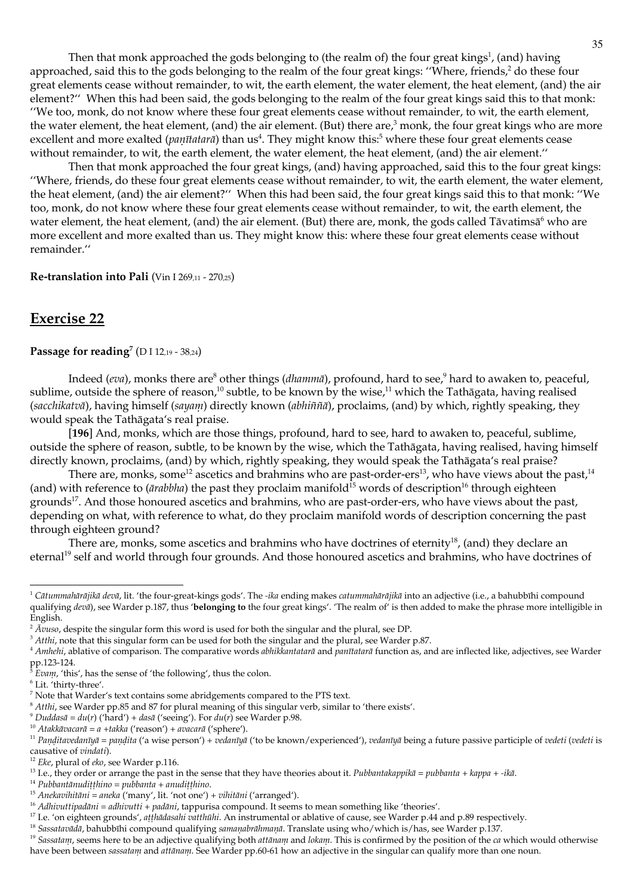Then that monk approached the gods belonging to (the realm of) the four great kings<sup>1</sup>, (and) having approached, said this to the gods belonging to the realm of the four great kings: "Where, friends,<sup>2</sup> do these four great elements cease without remainder, to wit, the earth element, the water element, the heat element, (and) the air element?" When this had been said, the gods belonging to the realm of the four great kings said this to that monk: "We too, monk, do not know where these four great elements cease without remainder, to wit, the earth element, the water element, the heat element, (and) the air element. (But) there are, $\frac{3}{2}$  monk, the four great kings who are more excellent and more exalted (*panītatarā*) than us<sup>4</sup>. They might know this:<sup>5</sup> where these four great elements cease without remainder, to wit, the earth element, the water element, the heat element, (and) the air element."

Then that monk approached the four great kings, (and) having approached, said this to the four great kings: "Where, friends, do these four great elements cease without remainder, to wit, the earth element, the water element, the heat element, (and) the air element?" When this had been said, the four great kings said this to that monk: "We too, monk, do not know where these four great elements cease without remainder, to wit, the earth element, the water element, the heat element, (and) the air element. (But) there are, monk, the gods called Tāvatimsā<sup>6</sup> who are more excellent and more exalted than us. They might know this: where these four great elements cease without remainder."

Re-translation into Pali (Vin I 269,11 - 270,25)

## **Exercise 22**

## Passage for reading<sup>7</sup> (D I 12,19 - 38,24)

Indeed (eva), monks there are<sup>8</sup> other things (*dhammā*), profound, hard to see,<sup>9</sup> hard to awaken to, peaceful, sublime, outside the sphere of reason,<sup>10</sup> subtle, to be known by the wise,<sup>11</sup> which the Tathāgata, having realised (sacchikatvā), having himself (sayam) directly known (abhiññā), proclaims, (and) by which, rightly speaking, they would speak the Tathāgata's real praise.

[196] And, monks, which are those things, profound, hard to see, hard to awaken to, peaceful, sublime, outside the sphere of reason, subtle, to be known by the wise, which the Tathāgata, having realised, having himself directly known, proclaims, (and) by which, rightly speaking, they would speak the Tathāgata's real praise?

There are, monks, some<sup>12</sup> ascetics and brahmins who are past-order-ers<sup>13</sup>, who have views about the past,<sup>14</sup> (and) with reference to ( $\bar{a}$ rabbha) the past they proclaim manifold<sup>15</sup> words of description<sup>16</sup> through eighteen grounds<sup>17</sup>. And those honoured ascetics and brahmins, who are past-order-ers, who have views about the past, depending on what, with reference to what, do they proclaim manifold words of description concerning the past through eighteen ground?

There are, monks, some ascetics and brahmins who have doctrines of eternity<sup>18</sup>, (and) they declare an eternal<sup>19</sup> self and world through four grounds. And those honoured ascetics and brahmins, who have doctrines of

<sup>9</sup> Duddas $\bar{a} = du(r)$  ('hard') + das $\bar{a}$  ('seeing'). For  $du(r)$  see Warder p.98.

 $1$  Cātummahārājikā devā, lit. 'the four-great-kings gods'. The -ika ending makes catummahārājikā into an adjective (i.e., a bahubbīhi compound qualifying deva), see Warder p.187, thus 'belonging to the four great kings'. 'The realm of' is then added to make the phrase more intelligible in English.

 $2\overline{A}$ *vuso*, despite the singular form this word is used for both the singular and the plural, see DP.

 $3$  Atthi, note that this singular form can be used for both the singular and the plural, see Warder p.87.

 $4$  Anthelti, ablative of comparison. The comparative words *abhikkantatarā* and *panītatarā* function as, and are inflected like, adjectives, see Warder  $pp.123-124.$ 

Evan, 'this', has the sense of 'the following', thus the colon.

 $<sup>6</sup>$  Lit. 'thirty-three'.</sup>

 $7$  Note that Warder's text contains some abridgements compared to the PTS text.

 $^8$  Atthi, see Warder pp.85 and 87 for plural meaning of this singular verb, similar to 'there exists'.

<sup>&</sup>lt;sup>10</sup> Atakkāvacarā = a +takka ('reason') + avacarā ('sphere').

<sup>&</sup>lt;sup>11</sup> Panditavedanīyā = pandita ('a wise person') + vedanīyā ('to be known/experienced'), vedanīyā being a future passive participle of vedeti (vedeti is causative of vindati).

<sup>&</sup>lt;sup>12</sup> Eke, plural of eko, see Warder p.116.

<sup>&</sup>lt;sup>13</sup> I.e., they order or arrange the past in the sense that they have theories about it. *Pubbantakappika* = *pubbanta* + *kappa* + -*ika*.

 $^{14}$  Pubbantānu<br/>diṭṭhino = pubbanta + anudiṭṭhino.

<sup>&</sup>lt;sup>15</sup> Anekavihitāni = aneka ('many', lit. 'not one') + vihitāni ('arranged').

<sup>&</sup>lt;sup>16</sup> Adhivuttipadāni = adhivutti + padāni, tappurisa compound. It seems to mean something like 'theories'.

<sup>&</sup>lt;sup>17</sup> I.e. 'on eighteen grounds', atthadasahi vatthuhi. An instrumental or ablative of cause, see Warder p.44 and p.89 respectively.

<sup>&</sup>lt;sup>18</sup> Sassatavādā, bahubbīhi compound qualifying samaņabrāhmaņā. Translate using who/which is/has, see Warder p.137.

<sup>&</sup>lt;sup>19</sup> Sassatam, seems here to be an adjective qualifying both attanam and lokam. This is confirmed by the position of the ca which would otherwise have been between sassatam and attānam. See Warder pp.60-61 how an adjective in the singular can qualify more than one noun.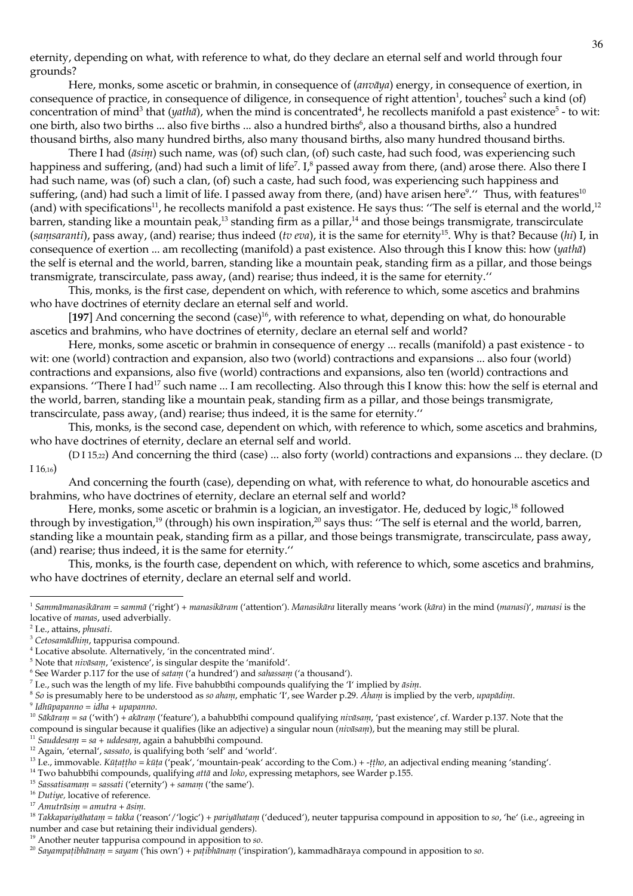eternity, depending on what, with reference to what, do they declare an eternal self and world through four grounds?

Here, monks, some ascetic or brahmin, in consequence of  $(anv\bar{a}ya)$  energy, in consequence of exertion, in consequence of practice, in consequence of diligence, in consequence of right attention<sup>1</sup>, touches<sup>2</sup> such a kind (of) concentration of mind<sup>3</sup> that (*yatha*), when the mind is concentrated<sup>4</sup>, he recollects manifold a past existence<sup>5</sup> - to wit: one birth, also two births ... also five births ... also a hundred births<sup>6</sup>, also a thousand births, also a hundred thousand births, also many hundred births, also many thousand births, also many hundred thousand births.

There I had (āsini) such name, was (of) such clan, (of) such caste, had such food, was experiencing such happiness and suffering, (and) had such a limit of life<sup>7</sup>. I,<sup>8</sup> passed away from there, (and) arose there. Also there I had such name, was (of) such a clan, (of) such a caste, had such food, was experiencing such happiness and suffering, (and) had such a limit of life. I passed away from there, (and) have arisen here<sup>9</sup>." Thus, with features<sup>10</sup> (and) with specifications<sup>11</sup>, he recollects manifold a past existence. He says thus: "The self is eternal and the world,<sup>12</sup> barren, standing like a mountain peak,<sup>13</sup> standing firm as a pillar,<sup>14</sup> and those beings transmigrate, transcirculate (samsaranti), pass away, (and) rearise; thus indeed (tv eva), it is the same for eternity<sup>15</sup>. Why is that? Because (hi) I, in consequence of exertion ... am recollecting (manifold) a past existence. Also through this I know this: how (yatha) the self is eternal and the world, barren, standing like a mountain peak, standing firm as a pillar, and those beings transmigrate, transcirculate, pass away, (and) rearise; thus indeed, it is the same for eternity."

This, monks, is the first case, dependent on which, with reference to which, some ascetics and brahmins who have doctrines of eternity declare an eternal self and world.

[197] And concerning the second (case)<sup>16</sup>, with reference to what, depending on what, do honourable ascetics and brahmins, who have doctrines of eternity, declare an eternal self and world?

Here, monks, some ascetic or brahmin in consequence of energy ... recalls (manifold) a past existence - to wit: one (world) contraction and expansion, also two (world) contractions and expansions ... also four (world) contractions and expansions, also five (world) contractions and expansions, also ten (world) contractions and expansions. "There I had<sup>17</sup> such name ... I am recollecting. Also through this I know this: how the self is eternal and the world, barren, standing like a mountain peak, standing firm as a pillar, and those beings transmigrate, transcirculate, pass away, (and) rearise; thus indeed, it is the same for eternity."

This, monks, is the second case, dependent on which, with reference to which, some ascetics and brahmins, who have doctrines of eternity, declare an eternal self and world.

(DI15,22) And concerning the third (case) ... also forty (world) contractions and expansions ... they declare. (D I  $16,16)$ 

And concerning the fourth (case), depending on what, with reference to what, do honourable ascetics and brahmins, who have doctrines of eternity, declare an eternal self and world?

Here, monks, some ascetic or brahmin is a logician, an investigator. He, deduced by logic,<sup>18</sup> followed through by investigation,<sup>19</sup> (through) his own inspiration,<sup>20</sup> says thus: "The self is eternal and the world, barren, standing like a mountain peak, standing firm as a pillar, and those beings transmigrate, transcirculate, pass away, (and) rearise; thus indeed, it is the same for eternity."

This, monks, is the fourth case, dependent on which, with reference to which, some ascetics and brahmins, who have doctrines of eternity, declare an eternal self and world.

<sup>2</sup> I.e., attains, phusati.

<sup>8</sup> So is presumably here to be understood as so aham, emphatic *'I'*, see Warder p.29. Aham is implied by the verb, upapādim.

 $\degree$  Idhūpapanno = idha + upapanno.

- <sup>10</sup> Sākāram = sa ('with') + akāram ('feature'), a bahubbīhi compound qualifying nivāsam, 'past existence', cf. Warder p.137. Note that the compound is singular because it qualifies (like an adjective) a singular noun (nivasam), but the meaning may still be plural.
- <sup>11</sup> Sauddesam = sa + uddesam, again a bahubbīhi compound.

<sup>&</sup>lt;sup>1</sup> Sammāmanasikāram = sammā ('right') + manasikāram ('attention'). Manasikāra literally means 'work (kāra) in the mind (manasi)', manasi is the locative of manas, used adverbially.

<sup>&</sup>lt;sup>3</sup> Cetosamādhim, tappurisa compound.

<sup>&</sup>lt;sup>4</sup> Locative absolute. Alternatively, 'in the concentrated mind'.

<sup>&</sup>lt;sup>5</sup> Note that nivasam, 'existence', is singular despite the 'manifold'.

 $6$  See Warder p.117 for the use of satam ('a hundred') and salussam ('a thousand').

<sup>&</sup>lt;sup>7</sup> I.e., such was the length of my life. Five bahubbihi compounds qualifying the 'I' implied by  $\bar{a}$ sin.

<sup>&</sup>lt;sup>12</sup> Again, 'eternal', sassato, is qualifying both 'self' and 'world'.

<sup>&</sup>lt;sup>13</sup> I.e., immovable. Kūțațțlu = kūța ('peak', 'mountain-peak' according to the Com.) + -ttlu, an adjectival ending meaning 'standing'.

<sup>&</sup>lt;sup>14</sup> Two bahubbīhi compounds, qualifying attā and loko, expressing metaphors, see Warder p.155.

<sup>&</sup>lt;sup>15</sup> Sassatisamam = sassati ('eternity') + samam ('the same').

<sup>&</sup>lt;sup>16</sup> Dutiye, locative of reference.

 $^{17}$  Anuitrāsim = anuitra + āsim.

<sup>&</sup>lt;sup>18</sup> Takkapariyāhatam = takka ('reason'/'logic') + pariyāhatam ('deduced'), neuter tappurisa compound in apposition to so, 'he' (i.e., agreeing in number and case but retaining their individual genders).

 $19$  Another neuter tappurisa compound in apposition to so.

<sup>&</sup>lt;sup>20</sup> Sayampaṭibhānam = sayam ('his own') + paṭibhānam ('inspiration'), kammadhāraya compound in apposition to so.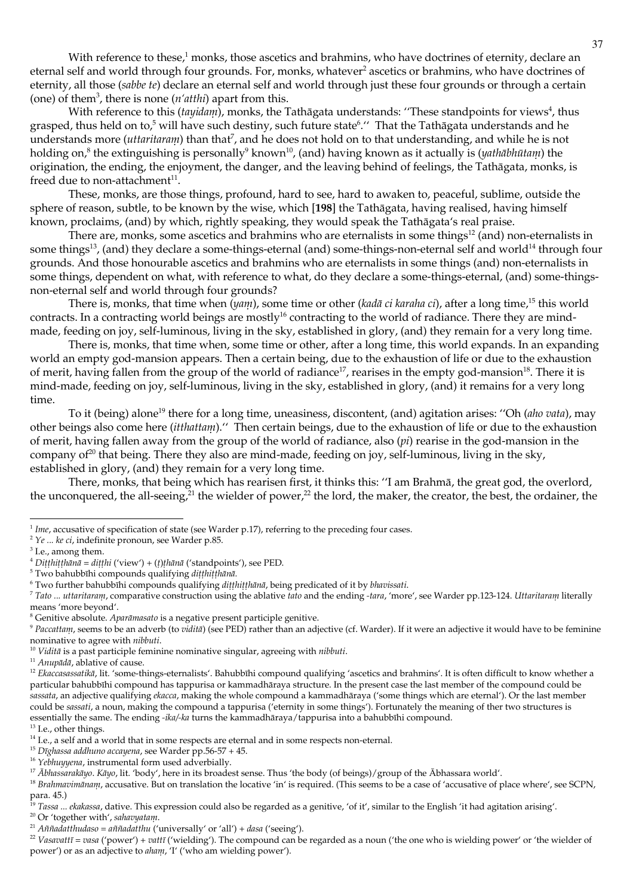With reference to these,<sup>1</sup> monks, those ascetics and brahmins, who have doctrines of eternity, declare an eternal self and world through four grounds. For, monks, whatever<sup>2</sup> ascetics or brahmins, who have doctrines of eternity, all those (sabbe te) declare an eternal self and world through just these four grounds or through a certain (one) of them<sup>3</sup>, there is none  $(n'atthi)$  apart from this.

With reference to this *(tayidam)*, monks, the Tathāgata understands: "These standpoints for views<sup>4</sup>, thus grasped, thus held on to,<sup>5</sup> will have such destiny, such future state<sup>6</sup>." That the Tathagata understands and he understands more (*uttaritaram*) than that<sup>7</sup>, and he does not hold on to that understanding, and while he is not holding on,<sup>8</sup> the extinguishing is personally<sup>9</sup> known<sup>10</sup>, (and) having known as it actually is (yathābhūtani) the origination, the ending, the enjoyment, the danger, and the leaving behind of feelings, the Tathāgata, monks, is freed due to non-attachment<sup>11</sup>.

These, monks, are those things, profound, hard to see, hard to awaken to, peaceful, sublime, outside the sphere of reason, subtle, to be known by the wise, which [198] the Tathāgata, having realised, having himself known, proclaims, (and) by which, rightly speaking, they would speak the Tathāgata's real praise.

There are, monks, some ascetics and brahmins who are eternalists in some things<sup>12</sup> (and) non-eternalists in some things<sup>13</sup>, (and) they declare a some-things-eternal (and) some-things-non-eternal self and world<sup>14</sup> through four grounds. And those honourable ascetics and brahmins who are eternalists in some things (and) non-eternalists in some things, dependent on what, with reference to what, do they declare a some-things-eternal, (and) some-thingsnon-eternal self and world through four grounds?

There is, monks, that time when (yam), some time or other (kadā ci karaha ci), after a long time,<sup>15</sup> this world contracts. In a contracting world beings are mostly<sup>16</sup> contracting to the world of radiance. There they are mindmade, feeding on joy, self-luminous, living in the sky, established in glory, (and) they remain for a very long time.

There is, monks, that time when, some time or other, after a long time, this world expands. In an expanding world an empty god-mansion appears. Then a certain being, due to the exhaustion of life or due to the exhaustion of merit, having fallen from the group of the world of radiance<sup>17</sup>, rearises in the empty god-mansion<sup>18</sup>. There it is mind-made, feeding on joy, self-luminous, living in the sky, established in glory, (and) it remains for a very long time.

To it (being) alone<sup>19</sup> there for a long time, uneasiness, discontent, (and) agitation arises: "Oh (*aho vata*), may other beings also come here *(itthattam)*." Then certain beings, due to the exhaustion of life or due to the exhaustion of merit, having fallen away from the group of the world of radiance, also  $pi)$  rearise in the god-mansion in the company of  $2^0$  that being. There they also are mind-made, feeding on joy, self-luminous, living in the sky, established in glory, (and) they remain for a very long time.

There, monks, that being which has rearisen first, it thinks this: "I am Brahmā, the great god, the overlord, the unconquered, the all-seeing,<sup>21</sup> the wielder of power,<sup>22</sup> the lord, the maker, the creator, the best, the ordainer, the

7 Tato ... uttaritaranu, comparative construction using the ablative tato and the ending -tara, 'more', see Warder pp.123-124. Uttaritaranu literally means 'more beyond'.

 $1$  Ime, accusative of specification of state (see Warder p.17), referring to the preceding four cases.

 $2$  Ye ... ke ci, indefinite pronoun, see Warder p.85.

<sup>&</sup>lt;sup>3</sup> I.e., among them.

<sup>&</sup>lt;sup>4</sup> Dițțhițțhānā = dițțhi ('view') + (t)țhānā ('standpoints'), see PED.

<sup>&</sup>lt;sup>5</sup> Two bahubbīhi compounds qualifying dițțhițțhānā.

<sup>&</sup>lt;sup>6</sup> Two further bahubbīhi compounds qualifying ditthitthānā, being predicated of it by bhavissati.

<sup>&</sup>lt;sup>8</sup> Genitive absolute. Aparāmasato is a negative present participle genitive.

<sup>&</sup>lt;sup>9</sup> Paccattam, seems to be an adverb (to vidita) (see PED) rather than an adjective (cf. Warder). If it were an adjective it would have to be feminine nominative to agree with *nibbuti*.

 $10$  Viditā is a past participle feminine nominative singular, agreeing with *nibbuti*.

<sup>&</sup>lt;sup>11</sup> Anupādā, ablative of cause.

<sup>&</sup>lt;sup>12</sup> Ekaccasassatikā, lit. 'some-things-eternalists'. Bahubbīhi compound qualifying 'ascetics and brahmins'. It is often difficult to know whether a particular bahubbīhi compound has tappurisa or kammadhāraya structure. In the present case the last member of the compound could be sassata, an adjective qualifying *ekacca*, making the whole compound a kammadhāraya ('some things which are eternal'). Or the last member could be sassati, a noun, making the compound a tappurisa ('eternity in some things'). Fortunately the meaning of ther two structures is essentially the same. The ending -ika/-ka turns the kammadhāraya/tappurisa into a bahubbīhi compound.

<sup>&</sup>lt;sup>13</sup> I.e., other things.

 $14$  I.e., a self and  $a$  world that in some respects are eternal and in some respects non-eternal.

<sup>&</sup>lt;sup>15</sup> Dīghassa addhuno accayena, see Warder pp.56-57 + 45.

<sup>&</sup>lt;sup>16</sup> Yebhuyyena, instrumental form used adverbially.

<sup>&</sup>lt;sup>17</sup> Abhassarakāyo. Kāyo, lit. 'body', here in its broadest sense. Thus 'the body (of beings)/group of the Abhassara world'.

<sup>&</sup>lt;sup>18</sup> Brahmavimānam, accusative. But on translation the locative 'in' is required. (This seems to be a case of 'accusative of place where', see SCPN, para. 45.)<br><sup>19</sup> Tassa ... *ekakassa*, dative. This expression could also be regarded as a genitive, 'of it', similar to the English 'it had agitation arising'.

<sup>&</sup>lt;sup>20</sup> Or 'together with', sahavyatan.

<sup>&</sup>lt;sup>21</sup> Aññadatthudaso = aññadatthu ('universally' or 'all') + dasa ('seeing').

 $^{22}$  Vasavattī = vasa ('power') + vattī ('wielding'). The compound can be regarded as a noun ('the one who is wielding power' or 'the wielder of power') or as an adjective to *aham*, 'I' ('who am wielding power').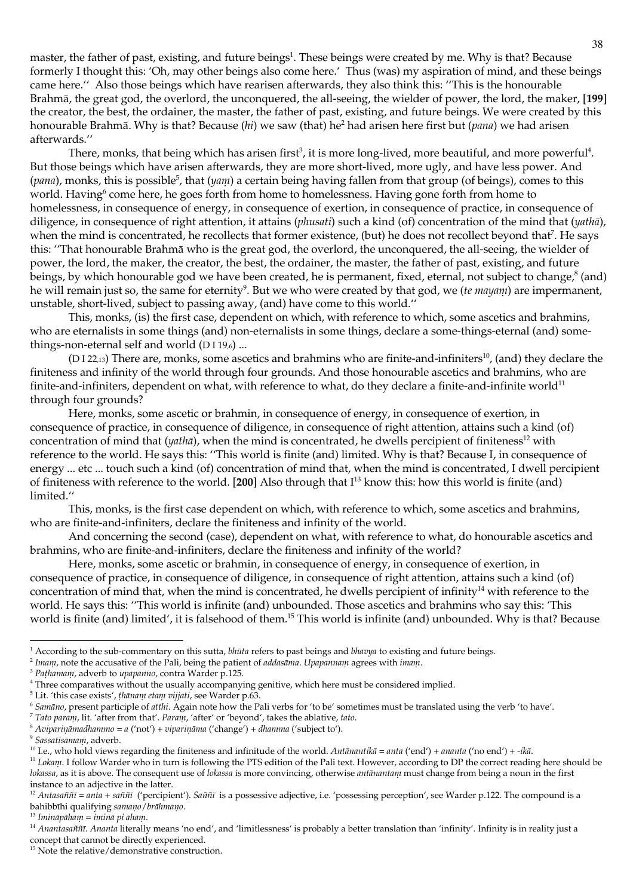master, the father of past, existing, and future beings<sup>1</sup>. These beings were created by me. Why is that? Because formerly I thought this: 'Oh, may other beings also come here.' Thus (was) my aspiration of mind, and these beings came here." Also those beings which have rearisen afterwards, they also think this: "This is the honourable Brahmā, the great god, the overlord, the unconquered, the all-seeing, the wielder of power, the lord, the maker, [199] the creator, the best, the ordainer, the master, the father of past, existing, and future beings. We were created by this honourable Brahmā. Why is that? Because (*hi*) we saw (that) he<sup>2</sup> had arisen here first but (*pana*) we had arisen afterwards."

There, monks, that being which has arisen first<sup>3</sup>, it is more long-lived, more beautiful, and more powerful<sup>4</sup>. But those beings which have arisen afterwards, they are more short-lived, more ugly, and have less power. And (pana), monks, this is possible<sup>5</sup>, that (yam) a certain being having fallen from that group (of beings), comes to this world. Having<sup>6</sup> come here, he goes forth from home to homelessness. Having gone forth from home to homelessness, in consequence of energy, in consequence of exertion, in consequence of practice, in consequence of diligence, in consequence of right attention, it attains (phusati) such a kind (of) concentration of the mind that (yathā), when the mind is concentrated, he recollects that former existence, (but) he does not recollect beyond that<sup>7</sup>. He says this: "That honourable Brahmā who is the great god, the overlord, the unconquered, the all-seeing, the wielder of power, the lord, the maker, the creator, the best, the ordainer, the master, the father of past, existing, and future beings, by which honourable god we have been created, he is permanent, fixed, eternal, not subject to change,<sup>8</sup> (and) he will remain just so, the same for eternity<sup>9</sup>. But we who were created by that god, we (*te mayam*) are impermanent, unstable, short-lived, subject to passing away, (and) have come to this world."

This, monks, (is) the first case, dependent on which, with reference to which, some ascetics and brahmins, who are eternalists in some things (and) non-eternalists in some things, declare a some-things-eternal (and) somethings-non-eternal self and world (DI19,6)...

(DI 22,13) There are, monks, some ascetics and brahmins who are finite-and-infiniters<sup>10</sup>, (and) they declare the finiteness and infinity of the world through four grounds. And those honourable ascetics and brahmins, who are finite-and-infiniters, dependent on what, with reference to what, do they declare a finite-and-infinite world $11$ through four grounds?

Here, monks, some ascetic or brahmin, in consequence of energy, in consequence of exertion, in consequence of practice, in consequence of diligence, in consequence of right attention, attains such a kind (of) concentration of mind that  $(yath\bar{a})$ , when the mind is concentrated, he dwells percipient of finiteness<sup>12</sup> with reference to the world. He says this: "This world is finite (and) limited. Why is that? Because I, in consequence of energy ... etc ... touch such a kind (of) concentration of mind that, when the mind is concentrated, I dwell percipient of finiteness with reference to the world. [200] Also through that  $I<sup>13</sup>$  know this: how this world is finite (and) limited."

This, monks, is the first case dependent on which, with reference to which, some ascetics and brahmins, who are finite-and-infiniters, declare the finiteness and infinity of the world.

And concerning the second (case), dependent on what, with reference to what, do honourable ascetics and brahmins, who are finite-and-infiniters, declare the finiteness and infinity of the world?

Here, monks, some ascetic or brahmin, in consequence of energy, in consequence of exertion, in consequence of practice, in consequence of diligence, in consequence of right attention, attains such a kind (of) concentration of mind that, when the mind is concentrated, he dwells percipient of infinity<sup>14</sup> with reference to the world. He says this: "This world is infinite (and) unbounded. Those ascetics and brahmins who say this: 'This world is finite (and) limited', it is falsehood of them.<sup>15</sup> This world is infinite (and) unbounded. Why is that? Because

<sup>&</sup>lt;sup>1</sup> According to the sub-commentary on this sutta,  $blu$  refers to past beings and  $blu v y a$  to existing and future beings.

<sup>&</sup>lt;sup>2</sup> Imam, note the accusative of the Pali, being the patient of addasama. Upapannam agrees with imam.

<sup>&</sup>lt;sup>3</sup> Pathamam, adverb to upapanno, contra Warder p.125.

<sup>&</sup>lt;sup>4</sup> Three comparatives without the usually accompanying genitive, which here must be considered implied.

<sup>&</sup>lt;sup>5</sup> Lit. 'this case exists', thānam etam vijjati, see Warder p.63.

<sup>&</sup>lt;sup>6</sup> Samano, present participle of atthi. Again note how the Pali verbs for 'to be' sometimes must be translated using the verb 'to have'.

<sup>&</sup>lt;sup>7</sup> Tato param, lit. 'after from that'. Param, 'after' or 'beyond', takes the ablative, tato.

<sup>&</sup>lt;sup>8</sup> Aviparināmadhammo = a ('not') + viparināma ('change') + dhamma ('subject to').

<sup>&</sup>lt;sup>9</sup> Sassatisamam, adverb.

<sup>&</sup>lt;sup>10</sup> I.e., who hold views regarding the finiteness and infinitude of the world. Antānantikā = anta ('end') + ananta ('no end') + -ikā.

<sup>&</sup>lt;sup>11</sup> Lokanu. I follow Warder who in turn is following the PTS edition of the Pali text. However, according to DP the correct reading here should be lokassa, as it is above. The consequent use of lokassa is more convincing, otherwise antānantam must change from being a noun in the first instance to an adjective in the latter.

<sup>&</sup>lt;sup>12</sup> Antasaññī = anta + saññī ('percipient'). Saññī is a possessive adjective, i.e. 'possessing perception', see Warder p.122. The compound is a bahibbīhi qualifying samaņo/brāhmaņo.

 $^{13}$ Imināpāham = iminā pi aham.

<sup>&</sup>lt;sup>14</sup> Anantasaññī. Ananta literally means 'no end', and 'limitlessness' is probably a better translation than 'infinity'. Infinity is in reality just a concept that cannot be directly experienced.

<sup>&</sup>lt;sup>15</sup> Note the relative/demonstrative construction.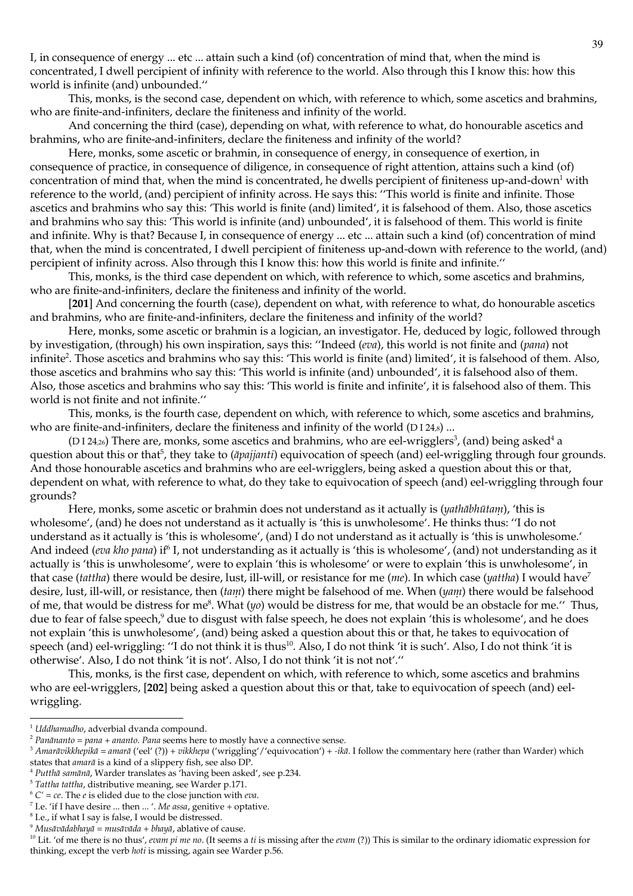I, in consequence of energy ... etc ... attain such a kind (of) concentration of mind that, when the mind is concentrated, I dwell percipient of infinity with reference to the world. Also through this I know this: how this world is infinite (and) unbounded."

This, monks, is the second case, dependent on which, with reference to which, some ascetics and brahmins, who are finite-and-infiniters, declare the finiteness and infinity of the world.

And concerning the third (case), depending on what, with reference to what, do honourable ascetics and brahmins, who are finite-and-infiniters, declare the finiteness and infinity of the world?

Here, monks, some ascetic or brahmin, in consequence of energy, in consequence of exertion, in consequence of practice, in consequence of diligence, in consequence of right attention, attains such a kind (of) concentration of mind that, when the mind is concentrated, he dwells percipient of finiteness up-and-down<sup>1</sup> with reference to the world, (and) percipient of infinity across. He says this: "This world is finite and infinite. Those ascetics and brahmins who say this: 'This world is finite (and) limited', it is falsehood of them. Also, those ascetics and brahmins who say this: 'This world is infinite (and) unbounded', it is falsehood of them. This world is finite and infinite. Why is that? Because I, in consequence of energy ... etc ... attain such a kind (of) concentration of mind that, when the mind is concentrated, I dwell percipient of finiteness up-and-down with reference to the world, (and) percipient of infinity across. Also through this I know this: how this world is finite and infinite."

This, monks, is the third case dependent on which, with reference to which, some ascetics and brahmins, who are finite-and-infiniters, declare the finiteness and infinity of the world.

[201] And concerning the fourth (case), dependent on what, with reference to what, do honourable ascetics and brahmins, who are finite-and-infiniters, declare the finiteness and infinity of the world?

Here, monks, some ascetic or brahmin is a logician, an investigator. He, deduced by logic, followed through by investigation, (through) his own inspiration, says this: "Indeed (eva), this world is not finite and (pana) not infinite<sup>2</sup>. Those ascetics and brahmins who say this: 'This world is finite (and) limited', it is falsehood of them. Also, those ascetics and brahmins who say this: 'This world is infinite (and) unbounded', it is falsehood also of them. Also, those ascetics and brahmins who say this: 'This world is finite and infinite', it is falsehood also of them. This world is not finite and not infinite."

This, monks, is the fourth case, dependent on which, with reference to which, some ascetics and brahmins, who are finite-and-infiniters, declare the finiteness and infinity of the world (DI24 $s$ ) ...

(D124<sub>26</sub>) There are, monks, some ascetics and brahmins, who are eel-wrigglers<sup>3</sup>, (and) being asked<sup>4</sup> a question about this or that<sup>5</sup>, they take to (*āpajjanti*) equivocation of speech (and) eel-wriggling through four grounds. And those honourable ascetics and brahmins who are eel-wrigglers, being asked a question about this or that, dependent on what, with reference to what, do they take to equivocation of speech (and) eel-wriggling through four grounds?

Here, monks, some ascetic or brahmin does not understand as it actually is (yathābhūtam), 'this is wholesome', (and) he does not understand as it actually is 'this is unwholesome'. He thinks thus: "I do not understand as it actually is 'this is wholesome', (and) I do not understand as it actually is 'this is unwholesome.' And indeed (eva kho pana) if<sup>6</sup> I, not understanding as it actually is 'this is wholesome', (and) not understanding as it actually is 'this is unwholesome', were to explain 'this is wholesome' or were to explain 'this is unwholesome', in that case (tattha) there would be desire, lust, ill-will, or resistance for me (*me*). In which case (*yattha*) I would have<sup>7</sup> desire, lust, ill-will, or resistance, then  $(tam)$  there might be falsehood of me. When  $(yam)$  there would be falsehood of me, that would be distress for me<sup>8</sup>. What ( $\psi$ ) would be distress for me, that would be an obstacle for me." Thus, due to fear of false speech,<sup>9</sup> due to disgust with false speech, he does not explain 'this is wholesome', and he does not explain 'this is unwholesome', (and) being asked a question about this or that, he takes to equivocation of speech (and) eel-wriggling: "I do not think it is thus<sup>10</sup>. Also, I do not think 'it is such'. Also, I do not think 'it is otherwise'. Also, I do not think 'it is not'. Also, I do not think 'it is not not'."

This, monks, is the first case, dependent on which, with reference to which, some ascetics and brahmins who are eel-wrigglers, [202] being asked a question about this or that, take to equivocation of speech (and) eelwriggling.

 $^5$  Tattha tattha, distributive meaning, see Warder p.171.

<sup>&</sup>lt;sup>1</sup> Uddhamadho, adverbial dvanda compound.

 $2$  Panānanto = pana + ananto. Pana seems here to mostly have a connective sense.

<sup>&</sup>lt;sup>3</sup> Amarāvikkhepikā = amarā ('eel' (?)) + vikkhepa ('wriggling'/'equivocation') + -ikā. I follow the commentary here (rather than Warder) which states that *amarā* is a kind of a slippery fish, see also DP.

<sup>&</sup>lt;sup>4</sup> Putthā samānā, Warder translates as 'having been asked', see p.234.

 $\frac{6}{3}$  C' = ce. The e is elided due to the close junction with eva.

 $^7$  I.e. 'if I have desire ... then ... '. Me assa, genitive + optative.

 $^8$  I.e., if what I say is false, I would be distressed.

 $^9$ Musāvādabhayā =  $musāvāda + blayā$ , ablative of cause.

<sup>&</sup>lt;sup>10</sup> Lit. 'of me there is no thus', evain pi me no. (It seems a ti is missing after the evam (?)) This is similar to the ordinary idiomatic expression for thinking, except the verb *hoti* is missing, again see Warder p.56.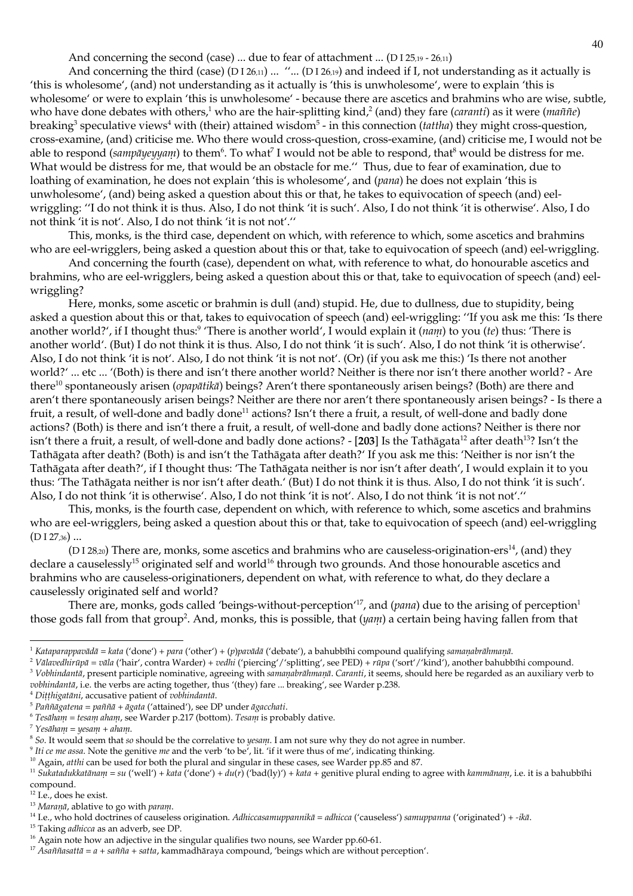And concerning the second (case) ... due to fear of attachment ... (D I 25,19 - 26,11)

And concerning the third (case) (DI26,11) ... "... (DI26,19) and indeed if I, not understanding as it actually is 'this is wholesome', (and) not understanding as it actually is 'this is unwholesome', were to explain 'this is wholesome' or were to explain 'this is unwholesome' - because there are ascetics and brahmins who are wise, subtle, who have done debates with others,<sup>1</sup> who are the hair-splitting kind,<sup>2</sup> (and) they fare (*caranti*) as it were (*maññe*) breaking<sup>3</sup> speculative views<sup>4</sup> with (their) attained wisdom<sup>5</sup> - in this connection (*tattha*) they might cross-question, cross-examine, (and) criticise me. Who there would cross-question, cross-examine, (and) criticise me, I would not be able to respond (sampāyeyyam) to them<sup>6</sup>. To what<sup>7</sup> I would not be able to respond, that<sup>8</sup> would be distress for me. What would be distress for me, that would be an obstacle for me." Thus, due to fear of examination, due to loathing of examination, he does not explain 'this is wholesome', and (pana) he does not explain 'this is unwholesome', (and) being asked a question about this or that, he takes to equivocation of speech (and) eelwriggling: "I do not think it is thus. Also, I do not think 'it is such'. Also, I do not think 'it is otherwise'. Also, I do not think 'it is not'. Also, I do not think 'it is not not'."

This, monks, is the third case, dependent on which, with reference to which, some ascetics and brahmins who are eel-wrigglers, being asked a question about this or that, take to equivocation of speech (and) eel-wriggling.

And concerning the fourth (case), dependent on what, with reference to what, do honourable ascetics and brahmins, who are eel-wrigglers, being asked a question about this or that, take to equivocation of speech (and) eelwriggling?

Here, monks, some ascetic or brahmin is dull (and) stupid. He, due to dullness, due to stupidity, being asked a question about this or that, takes to equivocation of speech (and) eel-wriggling: "If you ask me this: 'Is there another world?', if I thought thus: There is another world', I would explain it ( $num$ ) to you (te) thus: 'There is another world'. (But) I do not think it is thus. Also, I do not think 'it is such'. Also, I do not think 'it is otherwise'. Also, I do not think 'it is not'. Also, I do not think 'it is not not'. (Or) (if you ask me this:) 'Is there not another world?' ... etc ... '(Both) is there and isn't there another world? Neither is there nor isn't there another world? - Are there<sup>10</sup> spontaneously arisen (*opapātikā*) beings? Aren't there spontaneously arisen beings? (Both) are there and aren't there spontaneously arisen beings? Neither are there nor aren't there spontaneously arisen beings? - Is there a fruit, a result, of well-done and badly done<sup>11</sup> actions? Isn't there a fruit, a result, of well-done and badly done actions? (Both) is there and isn't there a fruit, a result, of well-done and badly done actions? Neither is there nor isn't there a fruit, a result, of well-done and badly done actions? - [203] Is the Tathāgata<sup>12</sup> after death<sup>13</sup>? Isn't the Tathāgata after death? (Both) is and isn't the Tathāgata after death?' If you ask me this: 'Neither is nor isn't the Tathāgata after death?', if I thought thus: 'The Tathāgata neither is nor isn't after death', I would explain it to you thus: 'The Tathāgata neither is nor isn't after death.' (But) I do not think it is thus. Also, I do not think 'it is such'. Also, I do not think 'it is otherwise'. Also, I do not think 'it is not'. Also, I do not think 'it is not not'."

This, monks, is the fourth case, dependent on which, with reference to which, some ascetics and brahmins who are eel-wrigglers, being asked a question about this or that, take to equivocation of speech (and) eel-wriggling  $(DI27.36)$  ...

(D I 28,20) There are, monks, some ascetics and brahmins who are causeless-origination-ers<sup>14</sup>, (and) they declare a causelessly<sup>15</sup> originated self and world<sup>16</sup> through two grounds. And those honourable ascetics and brahmins who are causeless-originationers, dependent on what, with reference to what, do they declare a causelessly originated self and world?

There are, monks, gods called 'beings-without-perception'<sup>17</sup>, and ( $pana$ ) due to the arising of perception<sup>1</sup> those gods fall from that group<sup>2</sup>. And, monks, this is possible, that  $(yam)$  a certain being having fallen from that

<sup>2</sup> Vālavedhirūpā = vāla ('hair', contra Warder) + vedhi ('piercing'/'splitting', see PED) + rūpa ('sort'/'kind'), another bahubbīhi compound.

<sup>3</sup> Vobhindantā, present participle nominative, agreeing with samanabrāhmanā. Caranti, it seems, should here be regarded as an auxiliary verb to vobhindantā, i.e. the verbs are acting together, thus '(they) fare ... breaking', see Warder p.238.

<sup>4</sup> Ditthigatāni, accusative patient of vobhindantā.

<sup>&</sup>lt;sup>1</sup> Kataparappavādā = kata ('done') + para ('other') + (p)pavādā ('debate'), a bahubbīhi compound qualifying samaņabrāhmaņā.

 ${}^5$  Paññāgatena = paññā + āgata ('attained'), see DP under āgacchati.

 $6$  Tesāham = tesam aham, see Warder p.217 (bottom). Tesam is probably dative.

 $7 Yes\bar{a}ham = yesan_1 + ahan_1.$ 

 $8$  So. It would seem that so should be the correlative to *yesam*. I am not sure why they do not agree in number.

<sup>&</sup>lt;sup>9</sup> Iti ce me assa. Note the genitive me and the verb 'to be', lit. 'if it were thus of me', indicating thinking.

<sup>&</sup>lt;sup>10</sup> Again, atthi can be used for both the plural and singular in these cases, see Warder pp.85 and 87.

<sup>&</sup>lt;sup>11</sup> Sukatadukkatānam = su ('well') + kata ('done') + du(r) ('bad(ly)') + kata + genitive plural ending to agree with kammānam, i.e. it is a bahubbīhi compound.

 $12$  I.e., does he exist.

<sup>&</sup>lt;sup>13</sup> Maranā, ablative to go with param.

<sup>&</sup>lt;sup>14</sup> I.e., who hold doctrines of causeless origination. Adhiccasamuppannikā = adhicca ('causeless') samuppanna ('originated') + -ikā.

<sup>&</sup>lt;sup>15</sup> Taking *adhicca* as an adverb, see DP.

<sup>&</sup>lt;sup>16</sup> Again note how an adjective in the singular qualifies two nouns, see Warder pp.60-61.

<sup>&</sup>lt;sup>17</sup> Asaññasattā =  $a +$ sañña + satta, kammadhāraya compound, 'beings which are without perception'.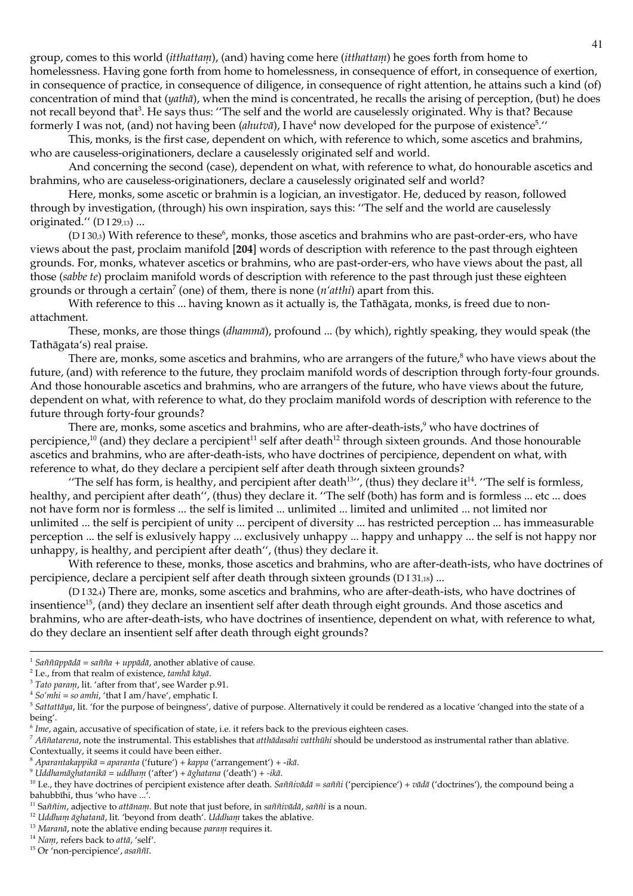group, comes to this world *(itthattam)*, (and) having come here *(itthattam)* he goes forth from home to homelessness. Having gone forth from home to homelessness, in consequence of effort, in consequence of exertion, in consequence of practice, in consequence of diligence, in consequence of right attention, he attains such a kind (of) concentration of mind that (yathā), when the mind is concentrated, he recalls the arising of perception, (but) he does not recall beyond that<sup>3</sup>. He says thus: "The self and the world are causelessly originated. Why is that? Because formerly I was not, (and) not having been (*alutoa*), I have<sup>4</sup> now developed for the purpose of existence<sup>5</sup>."

This, monks, is the first case, dependent on which, with reference to which, some ascetics and brahmins, who are causeless-originationers, declare a causelessly originated self and world.

And concerning the second (case), dependent on what, with reference to what, do honourable ascetics and brahmins, who are causeless-originationers, declare a causelessly originated self and world?

Here, monks, some ascetic or brahmin is a logician, an investigator. He, deduced by reason, followed through by investigation, (through) his own inspiration, says this: "The self and the world are causelessly originated." (DI 29,13) ...

(D I 30.3) With reference to these<sup>6</sup>, monks, those ascetics and brahmins who are past-order-ers, who have views about the past, proclaim manifold [204] words of description with reference to the past through eighteen grounds. For, monks, whatever ascetics or brahmins, who are past-order-ers, who have views about the past, all those (sabbe te) proclaim manifold words of description with reference to the past through just these eighteen grounds or through a certain<sup>7</sup> (one) of them, there is none  $(n'atthi)$  apart from this.

With reference to this ... having known as it actually is, the Tathagata, monks, is freed due to nonattachment.

These, monks, are those things (*dhammā*), profound ... (by which), rightly speaking, they would speak (the Tathāgata's) real praise.

There are, monks, some ascetics and brahmins, who are arrangers of the future,<sup>8</sup> who have views about the future, (and) with reference to the future, they proclaim manifold words of description through forty-four grounds. And those honourable ascetics and brahmins, who are arrangers of the future, who have views about the future, dependent on what, with reference to what, do they proclaim manifold words of description with reference to the future through forty-four grounds?

There are, monks, some ascetics and brahmins, who are after-death-ists,<sup>9</sup> who have doctrines of percipience,<sup>10</sup> (and) they declare a percipient<sup>11</sup> self after death<sup>12</sup> through sixteen grounds. And those honourable ascetics and brahmins, who are after-death-ists, who have doctrines of percipience, dependent on what, with reference to what, do they declare a percipient self after death through sixteen grounds?

"The self has form, is healthy, and percipient after death $13''$ , (thus) they declare it $14$ . "The self is formless, healthy, and percipient after death", (thus) they declare it. "The self (both) has form and is formless ... etc ... does not have form nor is formless ... the self is limited ... unlimited ... limited and unlimited ... not limited nor unlimited ... the self is percipient of unity ... percipent of diversity ... has restricted perception ... has immeasurable perception ... the self is exlusively happy ... exclusively unhappy ... happy and unhappy ... the self is not happy nor unhappy, is healthy, and percipient after death", (thus) they declare it.

With reference to these, monks, those ascetics and brahmins, who are after-death-ists, who have doctrines of percipience, declare a percipient self after death through sixteen grounds (D I 31,18) ...

(DI324) There are, monks, some ascetics and brahmins, who are after-death-ists, who have doctrines of insentience<sup>15</sup>, (and) they declare an insentient self after death through eight grounds. And those ascetics and brahmins, who are after-death-ists, who have doctrines of insentience, dependent on what, with reference to what, do they declare an insentient self after death through eight grounds?

<sup>&</sup>lt;sup>1</sup> Saññūppādā = sañña + uppādā, another ablative of cause.

<sup>&</sup>lt;sup>2</sup> I.e., from that realm of existence, tamha kaya.

<sup>&</sup>lt;sup>3</sup> Tato param, lit. 'after from that', see Warder p.91.

<sup>&</sup>lt;sup>4</sup> So'mhi = so amhi, 'that I am/have', emphatic I.

<sup>&</sup>lt;sup>5</sup> Sattattāya, lit. 'for the purpose of beingness', dative of purpose. Alternatively it could be rendered as a locative 'changed into the state of a being'.

 $6$  Ime, again, accusative of specification of state, i.e. it refers back to the previous eighteen cases.

 $\frac{1}{4}$  Aññatarena, note the instrumental. This establishes that atthādasahi vatthūhi should be understood as instrumental rather than ablative.

Contextually, it seems it could have been either.

<sup>&</sup>lt;sup>8</sup> Aparantakappikā = aparanta ('future') + kappa ('arrangement') + -ikā.

 $9$  Uddhamāghatanikā = uddham ('after') + āghatana ('death') + -ikā.

<sup>&</sup>lt;sup>10</sup> I.e., they have doctrines of percipient existence after death. Saññivādā = saññi ('percipience') + vādā ('doctrines'), the compound being a bahubbīhi, thus 'who have ...'.

<sup>&</sup>lt;sup>11</sup> Saññim, adjective to attānam. But note that just before, in saññivādā, saññi is a noun.

<sup>&</sup>lt;sup>12</sup> Uddham āghatanā, lit. 'beyond from death'. Uddham takes the ablative.

<sup>&</sup>lt;sup>13</sup> Maranā, note the ablative ending because parani requires it.

<sup>&</sup>lt;sup>14</sup> Nam, refers back to attā, 'self'.

<sup>&</sup>lt;sup>15</sup> Or 'non-percipience', asaññī.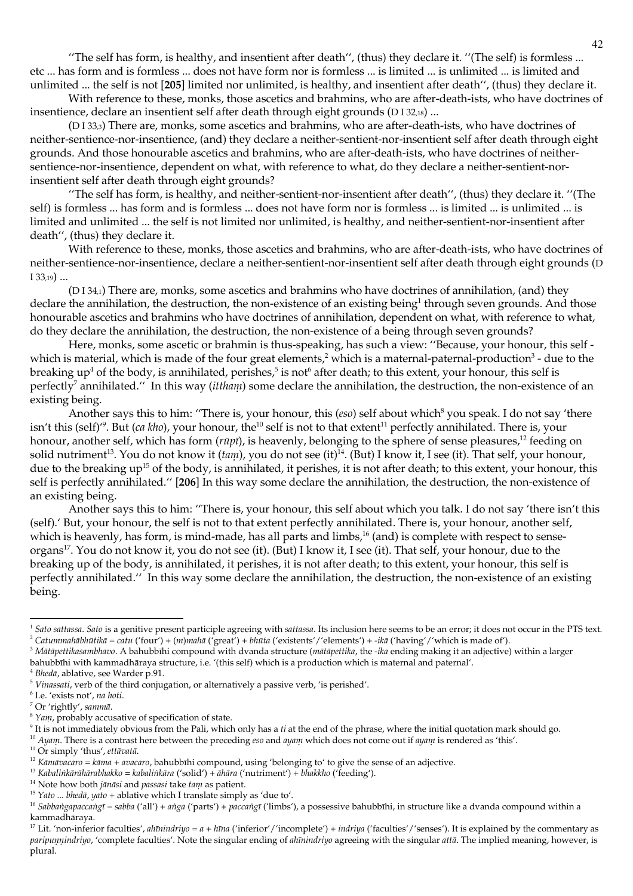"The self has form, is healthy, and insentient after death", (thus) they declare it. "(The self) is formless ... etc ... has form and is formless ... does not have form nor is formless ... is limited ... is unlimited ... is limited and unlimited ... the self is not [205] limited nor unlimited, is healthy, and insentient after death", (thus) they declare it.

With reference to these, monks, those ascetics and brahmins, who are after-death-ists, who have doctrines of insentience, declare an insentient self after death through eight grounds (D13218)...

(D133,a) There are, monks, some ascetics and brahmins, who are after-death-ists, who have doctrines of neither-sentience-nor-insentience, (and) they declare a neither-sentient-nor-insentient self after death through eight grounds. And those honourable ascetics and brahmins, who are after-death-ists, who have doctrines of neithersentience-nor-insentience, dependent on what, with reference to what, do they declare a neither-sentient-norinsentient self after death through eight grounds?

"The self has form, is healthy, and neither-sentient-nor-insentient after death", (thus) they declare it. "(The self) is formless ... has form and is formless ... does not have form nor is formless ... is limited ... is unlimited ... is limited and unlimited ... the self is not limited nor unlimited, is healthy, and neither-sentient-nor-insentient after death", (thus) they declare it.

With reference to these, monks, those ascetics and brahmins, who are after-death-ists, who have doctrines of neither-sentience-nor-insentience, declare a neither-sentient-nor-insentient self after death through eight grounds (D  $133,19)$  ...

(D134,1) There are, monks, some ascetics and brahmins who have doctrines of annihilation, (and) they declare the annihilation, the destruction, the non-existence of an existing being<sup>1</sup> through seven grounds. And those honourable ascetics and brahmins who have doctrines of annihilation, dependent on what, with reference to what, do they declare the annihilation, the destruction, the non-existence of a being through seven grounds?

Here, monks, some ascetic or brahmin is thus-speaking, has such a view: "Because, your honour, this self which is material, which is made of the four great elements,<sup>2</sup> which is a maternal-paternal-production<sup>3</sup> - due to the breaking  $up<sup>4</sup>$  of the body, is annihilated, perishes,<sup>5</sup> is not<sup>6</sup> after death; to this extent, your honour, this self is perfectly<sup>7</sup> annihilated." In this way (ittham) some declare the annihilation, the destruction, the non-existence of an existing being.

Another says this to him: "There is, your honour, this (eso) self about which<sup>8</sup> you speak. I do not say 'there isn't this (self)<sup>6</sup>. But (ca kho), your honour, the<sup>10</sup> self is not to that extent<sup>11</sup> perfectly annihilated. There is, your honour, another self, which has form (rūpī), is heavenly, belonging to the sphere of sense pleasures,<sup>12</sup> feeding on solid nutriment<sup>13</sup>. You do not know it (tam), you do not see (it)<sup>14</sup>. (But) I know it, I see (it). That self, your honour, due to the breaking up<sup>15</sup> of the body, is annihilated, it perishes, it is not after death; to this extent, your honour, this self is perfectly annihilated." [206] In this way some declare the annihilation, the destruction, the non-existence of an existing being.

Another says this to him: "There is, your honour, this self about which you talk. I do not say 'there isn't this (self).' But, your honour, the self is not to that extent perfectly annihilated. There is, your honour, another self, which is heavenly, has form, is mind-made, has all parts and limbs,<sup>16</sup> (and) is complete with respect to senseorgans<sup>17</sup>. You do not know it, you do not see (it). (But) I know it, I see (it). That self, your honour, due to the breaking up of the body, is annihilated, it perishes, it is not after death; to this extent, your honour, this self is perfectly annihilated." In this way some declare the annihilation, the destruction, the non-existence of an existing being.

 $9$  It is not immediately obvious from the Pali, which only has a ti at the end of the phrase, where the initial quotation mark should go.

<sup>10</sup> Ayam. There is a contrast here between the preceding eso and ayam which does not come out if ayam is rendered as 'this'.

<sup>14</sup> Note how both jānāsi and passasi take tam as patient.

<sup>&</sup>lt;sup>1</sup> Sato sattassa. Sato is a genitive present participle agreeing with sattassa. Its inclusion here seems to be an error; it does not occur in the PTS text. <sup>2</sup> Catunmahābhūtikā = catu ('four') + (m)mahā ('great') + bhūta ('existents'/'elements') + -ikā ('having'/'which is made of').

<sup>&</sup>lt;sup>3</sup> Mātāpettikasambhavo. A bahubbīhi compound with dvanda structure (mātāpettika, the -ika ending making it an adjective) within a larger bahubbīhi with kammadhāraya structure, i.e. '(this self) which is a production which is maternal and paternal'.

<sup>&</sup>lt;sup>4</sup> Bhedā, ablative, see Warder p.91.

 $5$  Vinassati, verb of the third conjugation, or alternatively a passive verb, 'is perished'.

 $6$  I.e. 'exists not', na hoti.

<sup>&</sup>lt;sup>7</sup> Or 'rightly', sammā.

<sup>&</sup>lt;sup>8</sup> Yam, probably accusative of specification of state.

<sup>&</sup>lt;sup>11</sup> Or simply 'thus', ettāvatā.

<sup>&</sup>lt;sup>12</sup> Kāmāvacaro = kāma + avacaro, bahubbīhi compound, using 'belonging to' to give the sense of an adjective.

<sup>&</sup>lt;sup>13</sup> Kabalinkārāhārabhakko = kabalinkāra ('solid') + ahāra ('nutriment') + bhakkho ('feeding').

<sup>&</sup>lt;sup>15</sup> Yato ... bhedā, yato + ablative which I translate simply as 'due to'.

<sup>&</sup>lt;sup>16</sup> Sabbangapaccangī = sabba ('all') + anga ('parts') + paccangī ('limbs'), a possessive bahubbīhi, in structure like a dvanda compound within a kammadhāraya.

<sup>&</sup>lt;sup>17</sup> Lit. 'non-inferior faculties', ahīnindriyo =  $a + h\bar{u}$ a ('inferior'/'incomplete') + indriya ('faculties'/'senses'). It is explained by the commentary as paripumindriyo, 'complete faculties'. Note the singular ending of ahimindriyo agreeing with the singular attā. The implied meaning, however, is plural.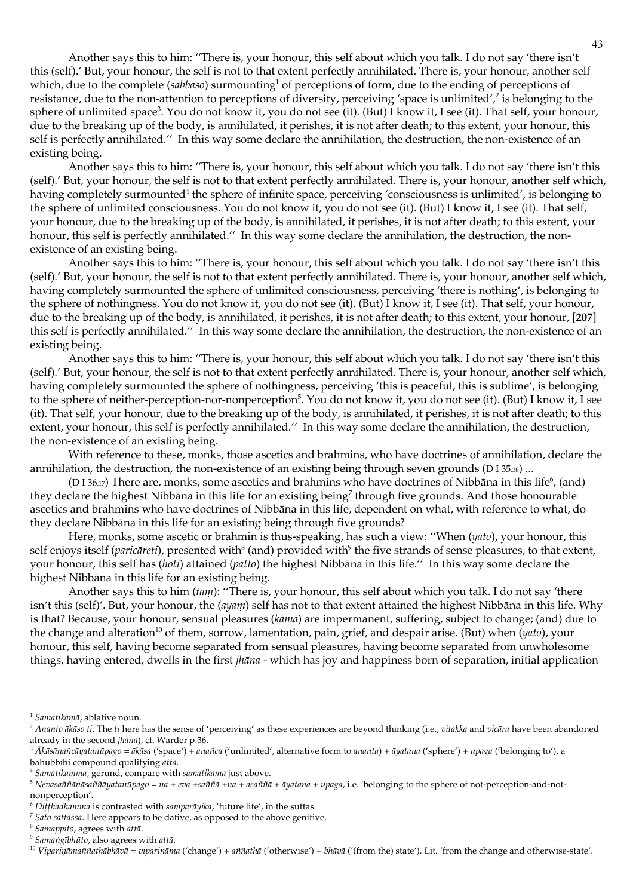Another says this to him: "There is, your honour, this self about which you talk. I do not say 'there isn't this (self). But, your honour, the self is not to that extent perfectly annihilated. There is, your honour, another self which, due to the complete (sabbaso) surmounting<sup>1</sup> of perceptions of form, due to the ending of perceptions of resistance, due to the non-attention to perceptions of diversity, perceiving 'space is unlimited',<sup>2</sup> is belonging to the sphere of unlimited space<sup>3</sup>. You do not know it, you do not see (it). (But) I know it, I see (it). That self, your honour, due to the breaking up of the body, is annihilated, it perishes, it is not after death; to this extent, your honour, this self is perfectly annihilated." In this way some declare the annihilation, the destruction, the non-existence of an existing being.

Another says this to him: "There is, your honour, this self about which you talk. I do not say 'there isn't this (self).' But, your honour, the self is not to that extent perfectly annihilated. There is, your honour, another self which, having completely surmounted<sup>4</sup> the sphere of infinite space, perceiving 'consciousness is unlimited', is belonging to the sphere of unlimited consciousness. You do not know it, you do not see (it). (But) I know it, I see (it). That self, your honour, due to the breaking up of the body, is annihilated, it perishes, it is not after death; to this extent, your honour, this self is perfectly annihilated." In this way some declare the annihilation, the destruction, the nonexistence of an existing being.

Another says this to him: "There is, your honour, this self about which you talk. I do not say 'there isn't this (self).' But, your honour, the self is not to that extent perfectly annihilated. There is, your honour, another self which, having completely surmounted the sphere of unlimited consciousness, perceiving 'there is nothing', is belonging to the sphere of nothingness. You do not know it, you do not see (it). (But) I know it, I see (it). That self, your honour, due to the breaking up of the body, is annihilated, it perishes, it is not after death; to this extent, your honour, [207] this self is perfectly annihilated." In this way some declare the annihilation, the destruction, the non-existence of an existing being.

Another says this to him: "There is, your honour, this self about which you talk. I do not say 'there isn't this (self).' But, your honour, the self is not to that extent perfectly annihilated. There is, your honour, another self which, having completely surmounted the sphere of nothingness, perceiving 'this is peaceful, this is sublime', is belonging to the sphere of neither-perception-nor-nonperception<sup>5</sup>. You do not know it, you do not see (it). (But) I know it, I see (it). That self, your honour, due to the breaking up of the body, is annihilated, it perishes, it is not after death; to this extent, your honour, this self is perfectly annihilated." In this way some declare the annihilation, the destruction, the non-existence of an existing being.

With reference to these, monks, those ascetics and brahmins, who have doctrines of annihilation, declare the annihilation, the destruction, the non-existence of an existing being through seven grounds (D I 35,38) ...

(D<sub>136,17</sub>) There are, monks, some ascetics and brahmins who have doctrines of Nibbāna in this life<sup>6</sup>, (and) they declare the highest Nibbāna in this life for an existing being<sup>7</sup> through five grounds. And those honourable ascetics and brahmins who have doctrines of Nibbāna in this life, dependent on what, with reference to what, do they declare Nibbāna in this life for an existing being through five grounds?

Here, monks, some ascetic or brahmin is thus-speaking, has such a view: "When (yato), your honour, this self enjoys itself (paricareti), presented with<sup>8</sup> (and) provided with<sup>9</sup> the five strands of sense pleasures, to that extent, your honour, this self has (hoti) attained (patto) the highest Nibbāna in this life." In this way some declare the highest Nibbāna in this life for an existing being.

Another says this to him (tam): "There is, your honour, this self about which you talk. I do not say 'there isn't this (self)'. But, your honour, the  $(ayan)$  self has not to that extent attained the highest Nibbāna in this life. Why is that? Because, your honour, sensual pleasures (kāmā) are impermanent, suffering, subject to change; (and) due to the change and alteration<sup>10</sup> of them, sorrow, lamentation, pain, grief, and despair arise. (But) when  $(yato)$ , your honour, this self, having become separated from sensual pleasures, having become separated from unwholesome things, having entered, dwells in the first *jhāna* - which has joy and happiness born of separation, initial application

 $^1$  Samatikamā, ablative noun.

<sup>&</sup>lt;sup>2</sup> Ananto ākāso ti. The ti here has the sense of 'perceiving' as these experiences are beyond thinking (i.e., vitakka and vicāra have been abandoned already in the second jhāna), cf. Warder p.36.

<sup>&</sup>lt;sup>3</sup> Ākāsānañcāyatanūpago = ākāsa ('space') + anañca ('unlimited', alternative form to ananta) + āyatana ('sphere') + upaga ('belonging to'), a bahubbīhi compound qualifying attā.

<sup>&</sup>lt;sup>4</sup> Samatikamma, gerund, compare with samatikamā just above.

<sup>&</sup>lt;sup>5</sup> Nevasaññānāsaññāyatanūpago = na + eva +saññā + na + asaññā + āyatana + upaga, i.e. 'belonging to the sphere of not-perception-and-notnonperception'.

 $6$  Ditthadhamma is contrasted with samparāyika, 'future life', in the suttas.

 $\frac{7}{1}$  Sato sattassa. Here appears to be dative, as opposed to the above genitive.

 $8$  Samappito, agrees with attā.

<sup>&</sup>lt;sup>9</sup> Samangībhūto, also agrees with attā.

<sup>10</sup> Viparināmaññathābhāvā = viparināma ('change') + aññathā ('otherwise') + bhāvā ('(from the) state'). Lit. 'from the change and otherwise-state'.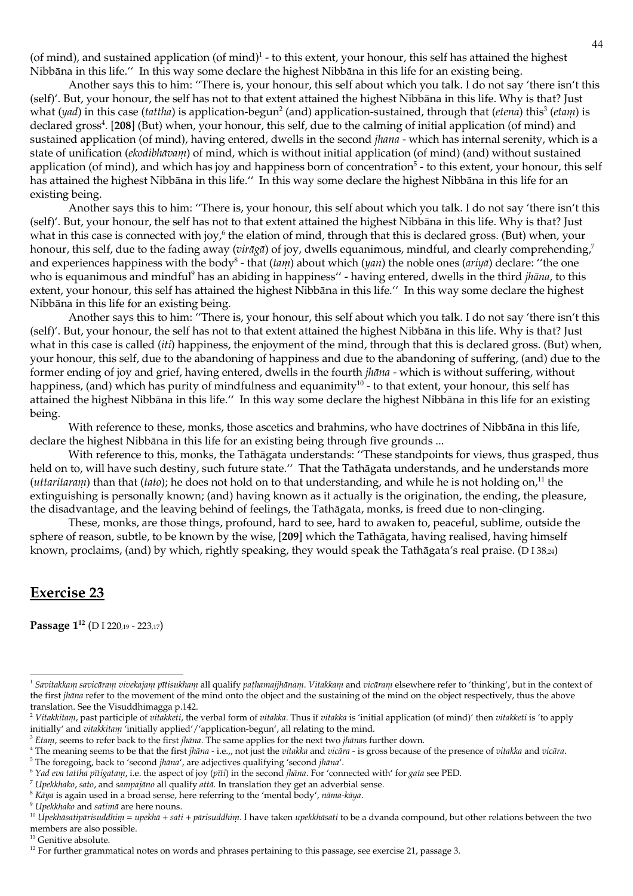(of mind), and sustained application (of mind) $1$  - to this extent, your honour, this self has attained the highest Nibbāna in this life." In this way some declare the highest Nibbāna in this life for an existing being.

Another says this to him: "There is, your honour, this self about which you talk. I do not say 'there isn't this (self)'. But, your honour, the self has not to that extent attained the highest Nibbāna in this life. Why is that? Just what  $(yad)$  in this case (tattha) is application-begun<sup>2</sup> (and) application-sustained, through that (*etena*) this<sup>3</sup> (*etam*) is declared gross<sup>4</sup>. [208] (But) when, your honour, this self, due to the calming of initial application (of mind) and sustained application (of mind), having entered, dwells in the second *jhana* - which has internal serenity, which is a state of unification (ekodiblutionn) of mind, which is without initial application (of mind) (and) without sustained application (of mind), and which has joy and happiness born of concentration<sup>5</sup> - to this extent, your honour, this self has attained the highest Nibbāna in this life." In this way some declare the highest Nibbāna in this life for an existing being.

Another says this to him: "There is, your honour, this self about which you talk. I do not say 'there isn't this (self)'. But, your honour, the self has not to that extent attained the highest Nibbāna in this life. Why is that? Just what in this case is connected with joy,<sup>6</sup> the elation of mind, through that this is declared gross. (But) when, your honour, this self, due to the fading away ( $vir\bar{q}q\bar{q}$ ) of joy, dwells equanimous, mindful, and clearly comprehending,<sup>7</sup> and experiences happiness with the body<sup>8</sup> - that (tam) about which (yan) the noble ones (ariya) declare: "the one who is equanimous and mindful<sup>9</sup> has an abiding in happiness" - having entered, dwells in the third *jhāna*, to this extent, your honour, this self has attained the highest Nibbāna in this life." In this way some declare the highest Nibbāna in this life for an existing being.

Another says this to him: "There is, your honour, this self about which you talk. I do not say 'there isn't this (self)'. But, your honour, the self has not to that extent attained the highest Nibbana in this life. Why is that? Just what in this case is called *(iti)* happiness, the enjoyment of the mind, through that this is declared gross. (But) when, your honour, this self, due to the abandoning of happiness and due to the abandoning of suffering, (and) due to the former ending of joy and grief, having entered, dwells in the fourth *jhāna* - which is without suffering, without happiness, (and) which has purity of mindfulness and equanimity<sup>10</sup> - to that extent, your honour, this self has attained the highest Nibbāna in this life." In this way some declare the highest Nibbāna in this life for an existing being.

With reference to these, monks, those ascetics and brahmins, who have doctrines of Nibbāna in this life, declare the highest Nibbāna in this life for an existing being through five grounds...

With reference to this, monks, the Tathāgata understands: "These standpoints for views, thus grasped, thus held on to, will have such destiny, such future state." That the Tathāgata understands, and he understands more (*uttaritaram*) than that (*tato*); he does not hold on to that understanding, and while he is not holding on,<sup>11</sup> the extinguishing is personally known; (and) having known as it actually is the origination, the ending, the pleasure, the disadvantage, and the leaving behind of feelings, the Tathāgata, monks, is freed due to non-clinging.

These, monks, are those things, profound, hard to see, hard to awaken to, peaceful, sublime, outside the sphere of reason, subtle, to be known by the wise, [209] which the Tathagata, having realised, having himself known, proclaims, (and) by which, rightly speaking, they would speak the Tathāgata's real praise. (D I 38,24)

# **Exercise 23**

Passage 1<sup>12</sup> (D I 220,19 - 223,17)

<sup>11</sup> Genitive absolute.

<sup>&</sup>lt;sup>1</sup> Savitakkam savicāram vivekajam pītisukham all qualify pathamajjhānam. Vitakkam and vicāram elsewhere refer to 'thinking', but in the context of the first *jhana* refer to the movement of the mind onto the object and the sustaining of the mind on the object respectively, thus the above translation. See the Visuddhimagga p.142.

<sup>&</sup>lt;sup>2</sup> Vitakkitam, past participle of vitakketi, the verbal form of vitakka. Thus if vitakka is 'initial application (of mind)' then vitakketi is 'to apply initially' and vitakkitam 'initially applied'/'application-begun', all relating to the mind.

<sup>&</sup>lt;sup>3</sup> Etam, seems to refer back to the first *jhāna*. The same applies for the next two *jhānas* further down.

<sup>&</sup>lt;sup>4</sup> The meaning seems to be that the first jhāna - i.e.,, not just the vitakka and vicāra - is gross because of the presence of vitakka and vicāra.

<sup>&</sup>lt;sup>5</sup> The foregoing, back to 'second jhāna', are adjectives qualifying 'second jhāna'.

 $6$  Yad eva tattha pītigatam, i.e. the aspect of joy (pīti) in the second jhāna. For 'connected with' for gata see PED.

 $^7$  Upekkhako, sato, and sampajāno all qualify attā. In translation they get an adverbial sense.

 $8$  Ka $\eta$ a is again used in a broad sense, here referring to the 'mental body', nama-ka $\eta$ a.

<sup>&</sup>lt;sup>9</sup> Upekkhako and satimā are here nouns.

<sup>&</sup>lt;sup>10</sup> Upekhāsatipārisuddhim = upekhā + sati + pārisuddhim. I have taken upekkhāsati to be a dvanda compound, but other relations between the two members are also possible.

<sup>&</sup>lt;sup>12</sup> For further grammatical notes on words and phrases pertaining to this passage, see exercise 21, passage 3.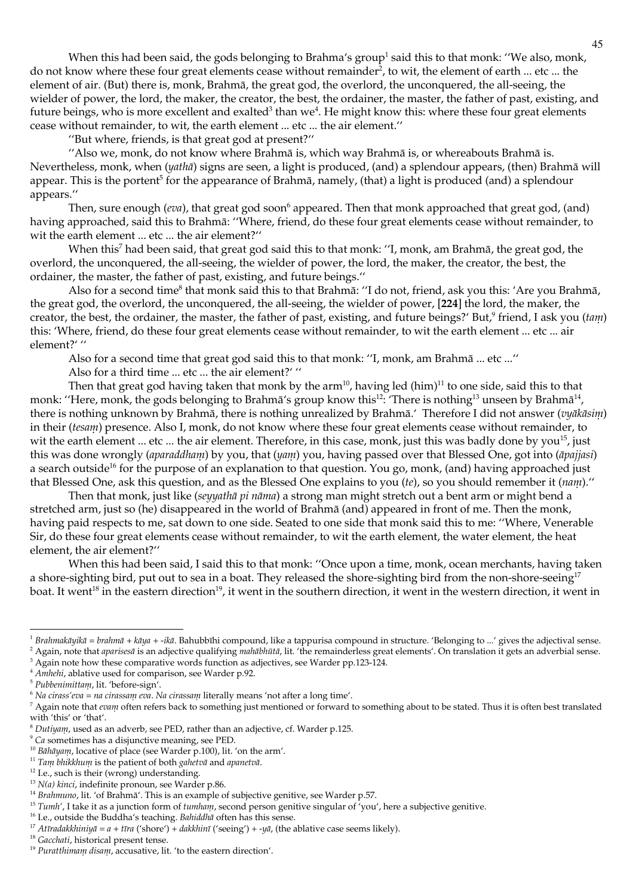When this had been said, the gods belonging to Brahma's group<sup>1</sup> said this to that monk: "We also, monk, do not know where these four great elements cease without remainder<sup>2</sup>, to wit, the element of earth ... etc ... the element of air. (But) there is, monk, Brahmā, the great god, the overlord, the unconquered, the all-seeing, the wielder of power, the lord, the maker, the creator, the best, the ordainer, the master, the father of past, existing, and future beings, who is more excellent and exalted<sup>3</sup> than we<sup>4</sup>. He might know this: where these four great elements cease without remainder, to wit, the earth element ... etc ... the air element."

"But where, friends, is that great god at present?"

"Also we, monk, do not know where Brahmā is, which way Brahmā is, or whereabouts Brahmā is. Nevertheless, monk, when (yathā) signs are seen, a light is produced, (and) a splendour appears, (then) Brahmā will appear. This is the portent<sup>5</sup> for the appearance of Brahma, namely, (that) a light is produced (and) a splendour appears."

Then, sure enough (eva), that great god soon<sup>6</sup> appeared. Then that monk approached that great god, (and) having approached, said this to Brahmā: "Where, friend, do these four great elements cease without remainder, to wit the earth element ... etc ... the air element?"

When this<sup>7</sup> had been said, that great god said this to that monk: "I, monk, am Brahmā, the great god, the overlord, the unconquered, the all-seeing, the wielder of power, the lord, the maker, the creator, the best, the ordainer, the master, the father of past, existing, and future beings."

Also for a second time<sup>8</sup> that monk said this to that Brahmā: "I do not, friend, ask you this: 'Are you Brahmā, the great god, the overlord, the unconquered, the all-seeing, the wielder of power, [224] the lord, the maker, the creator, the best, the ordainer, the master, the father of past, existing, and future beings?' But,<sup>9</sup> friend, I ask you (tam) this: 'Where, friend, do these four great elements cease without remainder, to wit the earth element ... etc ... air element?' "

Also for a second time that great god said this to that monk: "I, monk, am Brahmā ... etc ..."

Also for a third time ... etc ... the air element?' "

Then that great god having taken that monk by the  $arm^{10}$ , having led  $(him)^{11}$  to one side, said this to that monk: "Here, monk, the gods belonging to Brahma's group know this<sup>12</sup>. There is nothing<sup>13</sup> unseen by Brahma<sup>14</sup>, there is nothing unknown by Brahmā, there is nothing unrealized by Brahmā.' Therefore I did not answer (vyākāsim) in their (tesam) presence. Also I, monk, do not know where these four great elements cease without remainder, to wit the earth element ... etc ... the air element. Therefore, in this case, monk, just this was badly done by you<sup>15</sup>, just this was done wrongly (aparaddham) by you, that (yam) you, having passed over that Blessed One, got into (āpajjasi) a search outside<sup>16</sup> for the purpose of an explanation to that question. You go, monk, (and) having approached just that Blessed One, ask this question, and as the Blessed One explains to you (te), so you should remember it (nam)."

Then that monk, just like (seywathā pi nāma) a strong man might stretch out a bent arm or might bend a stretched arm, just so (he) disappeared in the world of Brahmā (and) appeared in front of me. Then the monk, having paid respects to me, sat down to one side. Seated to one side that monk said this to me: "Where, Venerable Sir, do these four great elements cease without remainder, to wit the earth element, the water element, the heat element, the air element?"

When this had been said, I said this to that monk: "Once upon a time, monk, ocean merchants, having taken a shore-sighting bird, put out to sea in a boat. They released the shore-sighting bird from the non-shore-seeing<sup>17</sup> boat. It went<sup>18</sup> in the eastern direction<sup>19</sup>, it went in the southern direction, it went in the western direction, it went in

<sup>3</sup> Again note how these comparative words function as adjectives, see Warder pp.123-124.

<sup>&</sup>lt;sup>1</sup> Brahmakāyikā = brahmā + kāya + -ikā. Bahubbīhi compound, like a tappurisa compound in structure. 'Belonging to ...' gives the adjectival sense. <sup>2</sup> Again, note that *aparises* a is an adjective qualifying *mahabhūta*, lit. 'the remainderless great elements'. On translation it gets an adverbial sense.

<sup>&</sup>lt;sup>4</sup> Amhelti, ablative used for comparison, see Warder p.92.

<sup>&</sup>lt;sup>5</sup> Pubbenimittam, lit. 'before-sign'.

 $6$  Na cirass' eva = na cirassani eva. Na cirassani literally means 'not after a long time'.

 $^7$  Again note that evam often refers back to something just mentioned or forward to something about to be stated. Thus it is often best translated with 'this' or 'that'.

 $8$  Dutiyam, used as an adverb, see PED, rather than an adjective, cf. Warder p.125.

 $\degree$  Ca sometimes has a disjunctive meaning, see PED.

<sup>&</sup>lt;sup>10</sup> Bāhāyam, locative of place (see Warder p.100), lit. 'on the arm'.

<sup>&</sup>lt;sup>11</sup> Tam bhikkhum is the patient of both gahetvā and apanetvā.

<sup>&</sup>lt;sup>12</sup> I.e., such is their (wrong) understanding.

 $13$  N(a) kinci, indefinite pronoun, see Warder p.86.

<sup>&</sup>lt;sup>14</sup> Brahmuno, lit. 'of Brahmā'. This is an example of subjective genitive, see Warder p.57.

<sup>&</sup>lt;sup>15</sup> Tumh', I take it as a junction form of tumham, second person genitive singular of 'you', here a subjective genitive.

<sup>&</sup>lt;sup>16</sup> I.e., outside the Buddha's teaching. Bahiddha often has this sense.

 $^{17}$ Atīradakklini<br/>yā = a + tīra ('shore') + dakklinī ('seeing') + -yā, (the ablative case seems likely).

<sup>&</sup>lt;sup>18</sup> Gacchati, historical present tense.

<sup>&</sup>lt;sup>19</sup> Puratthimam disam, accusative, lit. 'to the eastern direction'.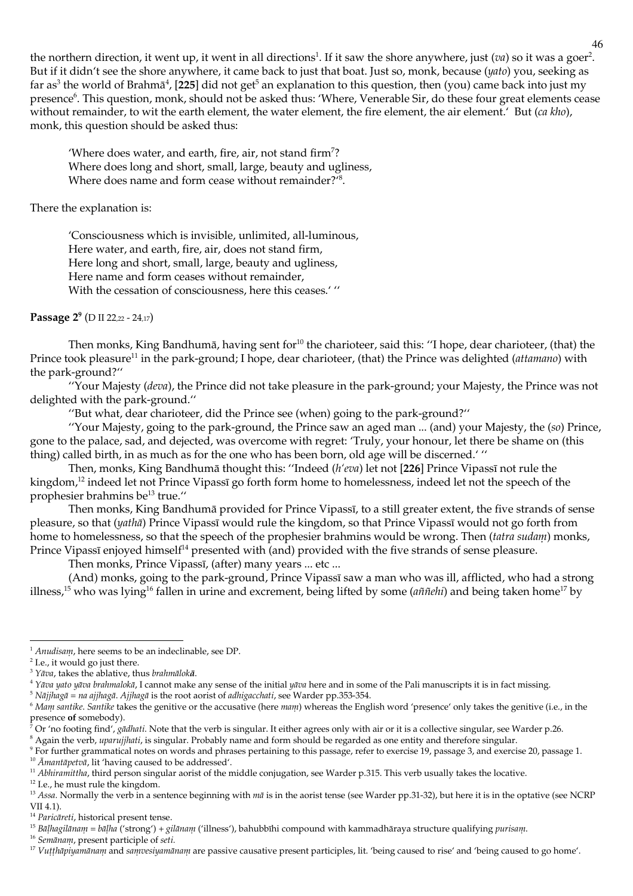the northern direction, it went up, it went in all directions<sup>1</sup>. If it saw the shore anywhere, just (*va*) so it was a goer<sup>2</sup>. But if it didn't see the shore anywhere, it came back to just that boat. Just so, monk, because (yato) you, seeking as far as<sup>3</sup> the world of Brahm $\bar{a}^4$ , [225] did not get<sup>5</sup> an explanation to this question, then (you) came back into just my presence<sup>6</sup>. This question, monk, should not be asked thus: 'Where, Venerable Sir, do these four great elements cease without remainder, to wit the earth element, the water element, the fire element, the air element.' But (ca kho), monk, this question should be asked thus:

'Where does water, and earth, fire, air, not stand firm<sup>7</sup>? Where does long and short, small, large, beauty and ugliness, Where does name and form cease without remainder?<sup>18</sup>.

There the explanation is:

'Consciousness which is invisible, unlimited, all-luminous, Here water, and earth, fire, air, does not stand firm, Here long and short, small, large, beauty and ugliness, Here name and form ceases without remainder, With the cessation of consciousness, here this ceases.' "

Passage 2<sup>9</sup> (D II 22,22 - 24,17)

Then monks, King Bandhumā, having sent for<sup>10</sup> the charioteer, said this: "I hope, dear charioteer, (that) the Prince took pleasure<sup>11</sup> in the park-ground; I hope, dear charioteer, (that) the Prince was delighted *(attamano)* with the park-ground?"

"Your Majesty (deva), the Prince did not take pleasure in the park-ground; your Majesty, the Prince was not delighted with the park-ground."

"But what, dear charioteer, did the Prince see (when) going to the park-ground?"

"Your Majesty, going to the park-ground, the Prince saw an aged man ... (and) your Majesty, the (so) Prince, gone to the palace, sad, and dejected, was overcome with regret: 'Truly, your honour, let there be shame on (this thing) called birth, in as much as for the one who has been born, old age will be discerned.'"

Then, monks, King Bandhumā thought this: "Indeed (h'eva) let not [226] Prince Vipassī not rule the kingdom,<sup>12</sup> indeed let not Prince Vipassī go forth form home to homelessness, indeed let not the speech of the prophesier brahmins be<sup>13</sup> true."

Then monks, King Bandhumā provided for Prince Vipassī, to a still greater extent, the five strands of sense pleasure, so that (*yatha*) Prince Vipassi would rule the kingdom, so that Prince Vipassi would not go forth from home to homelessness, so that the speech of the prophesier brahmins would be wrong. Then (tatra sudam) monks, Prince Vipassī enjoyed himself<sup>14</sup> presented with (and) provided with the five strands of sense pleasure.

Then monks, Prince Vipassī, (after) many years ... etc ...

(And) monks, going to the park-ground, Prince Vipassī saw a man who was ill, afflicted, who had a strong illness,<sup>15</sup> who was lying<sup>16</sup> fallen in urine and excrement, being lifted by some (*anneli*) and being taken home<sup>17</sup> by

<sup>9</sup> For further grammatical notes on words and phrases pertaining to this passage, refer to exercise 19, passage 3, and exercise 20, passage 1.

<sup>10</sup> Amantapetva, lit 'having caused to be addressed'.

<sup>12</sup> I.e., he must rule the kingdom.

 $1$  Anudisam, here seems to be an indeclinable, see DP.

 $2$  I.e., it would go just there.

 $3 \text{ Y}$  $\bar{a}$  va, takes the ablative, thus brahmaloka.

<sup>&</sup>lt;sup>4</sup> Yāva yato yāva brahmalokā, I cannot make any sense of the initial yāva here and in some of the Pali manuscripts it is in fact missing.

<sup>&</sup>lt;sup>5</sup> Nājjhagā = na ajjhagā. Ajjhagā is the root aorist of adhigacchati, see Warder pp.353-354.

<sup>&</sup>lt;sup>6</sup> Mann santike. Santike takes the genitive or the accusative (here mann) whereas the English word 'presence' only takes the genitive (i.e., in the presence of somebody).

Or 'no footing find', gādhati. Note that the verb is singular. It either agrees only with air or it is a collective singular, see Warder p.26. <sup>8</sup> Again the verb, *uparujjhati*, is singular. Probably name and form should be regarded as one entity and therefore singular.

<sup>&</sup>lt;sup>11</sup> Abhiramittha, third person singular aorist of the middle conjugation, see Warder p.315. This verb usually takes the locative.

<sup>&</sup>lt;sup>13</sup> Assa. Normally the verb in a sentence beginning with mā is in the aorist tense (see Warder pp.31-32), but here it is in the optative (see NCRP  $VII$  4.1).

<sup>&</sup>lt;sup>14</sup> Paricareti, historical present tense.

<sup>&</sup>lt;sup>15</sup> Bāļlugilānam = bāļha ('strong') + gilānam ('illness'), bahubbīhi compound with kammadhāraya structure qualifying purisam.

<sup>&</sup>lt;sup>16</sup> Semānam, present participle of seti.

<sup>&</sup>lt;sup>17</sup> Vutthapiyamanam and samvesiyamanam are passive causative present participles, lit. 'being caused to rise' and 'being caused to go home'.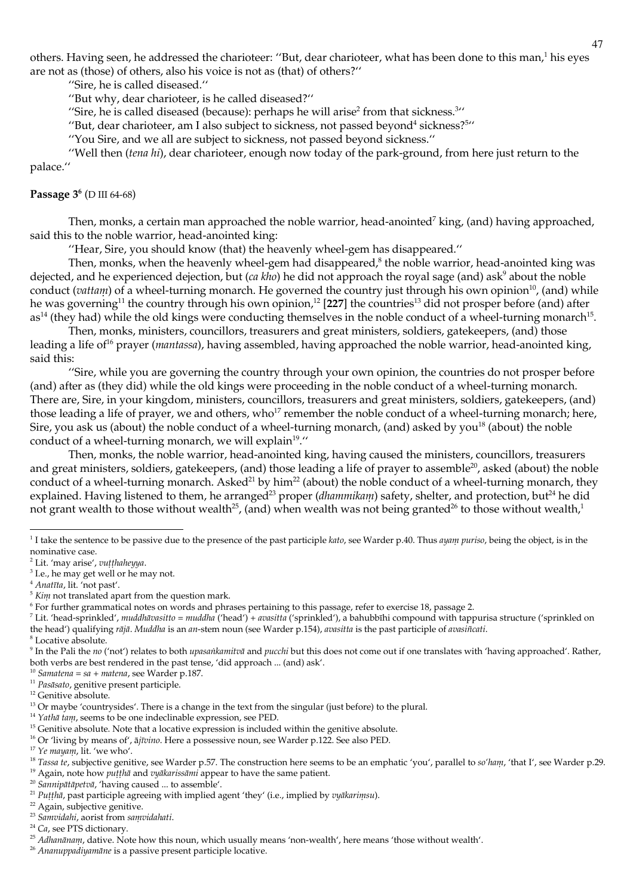others. Having seen, he addressed the charioteer: "But, dear charioteer, what has been done to this man,<sup>1</sup> his eyes are not as (those) of others, also his voice is not as (that) of others?"

"Sire, he is called diseased."

"But why, dear charioteer, is he called diseased?"

"Sire, he is called diseased (because): perhaps he will arise<sup>2</sup> from that sickness.<sup>311</sup>

"But, dear charioteer, am I also subject to sickness, not passed beyond<sup>4</sup> sickness?<sup>511</sup>

"You Sire, and we all are subject to sickness, not passed beyond sickness."

"Well then (tena hi), dear charioteer, enough now today of the park-ground, from here just return to the palace."

## Passage  $3^6$  (D III 64-68)

Then, monks, a certain man approached the noble warrior, head-anointed<sup>7</sup> king, (and) having approached, said this to the noble warrior, head-anointed king:

"Hear, Sire, you should know (that) the heavenly wheel-gem has disappeared."

Then, monks, when the heavenly wheel-gem had disappeared, $\delta$  the noble warrior, head-anointed king was dejected, and he experienced dejection, but (ca kho) he did not approach the royal sage (and) ask<sup>9</sup> about the noble conduct (vattam) of a wheel-turning monarch. He governed the country just through his own opinion<sup>10</sup>, (and) while he was governing<sup>11</sup> the country through his own opinion,<sup>12</sup> [227] the countries<sup>13</sup> did not prosper before (and) after  $as<sup>14</sup>$  (they had) while the old kings were conducting themselves in the noble conduct of a wheel-turning monarch<sup>15</sup>.

Then, monks, ministers, councillors, treasurers and great ministers, soldiers, gatekeepers, (and) those leading a life of<sup>16</sup> prayer (*mantassa*), having assembled, having approached the noble warrior, head-anointed king, said this:

"Sire, while you are governing the country through your own opinion, the countries do not prosper before (and) after as (they did) while the old kings were proceeding in the noble conduct of a wheel-turning monarch. There are, Sire, in your kingdom, ministers, councillors, treasurers and great ministers, soldiers, gatekeepers, (and) those leading a life of prayer, we and others, who<sup>17</sup> remember the noble conduct of a wheel-turning monarch; here, Sire, you ask us (about) the noble conduct of a wheel-turning monarch, (and) asked by you<sup>18</sup> (about) the noble conduct of a wheel-turning monarch, we will explain<sup>19</sup>."

Then, monks, the noble warrior, head-anointed king, having caused the ministers, councillors, treasurers and great ministers, soldiers, gatekeepers, (and) those leading a life of prayer to assemble<sup>20</sup>, asked (about) the noble conduct of a wheel-turning monarch. Asked<sup>21</sup> by him<sup>22</sup> (about) the noble conduct of a wheel-turning monarch, they explained. Having listened to them, he arranged<sup>23</sup> proper (dhammikam) safety, shelter, and protection, but<sup>24</sup> he did not grant wealth to those without wealth<sup>25</sup>, (and) when wealth was not being granted<sup>26</sup> to those without wealth,<sup>1</sup>

<sup>4</sup> Anatīta, lit. 'not past'.

 $10$  Samatena = sa + matena, see Warder p.187.

<sup>&</sup>lt;sup>1</sup> I take the sentence to be passive due to the presence of the past participle kato, see Warder p.40. Thus ayan puriso, being the object, is in the nominative case.

<sup>&</sup>lt;sup>2</sup> Lit. 'may arise', vuțțhaheyya.

<sup>&</sup>lt;sup>3</sup> I.e., he may get well or he may not.

 $5$  Kim not translated apart from the question mark.

<sup>&</sup>lt;sup>6</sup> For further grammatical notes on words and phrases pertaining to this passage, refer to exercise 18, passage 2.

<sup>&</sup>lt;sup>7</sup> Lit. 'head-sprinkled', muddhāvasitto = muddha ('head') + avasitta ('sprinkled'), a bahubbīhi compound with tappurisa structure ('sprinkled on the head') qualifying rājā. Muddha is an an-stem noun (see Warder p.154), avasitta is the past participle of avasiñcati.

<sup>&</sup>lt;sup>8</sup> Locative absolute.

<sup>&</sup>lt;sup>9</sup> In the Pali the *no* ('not') relates to both *upasankamitva* and *pucchi* but this does not come out if one translates with 'having approached'. Rather, both verbs are best rendered in the past tense, 'did approach ... (and) ask'.

<sup>&</sup>lt;sup>11</sup> Pasāsato, genitive present participle.

<sup>&</sup>lt;sup>12</sup> Genitive absolute.

<sup>&</sup>lt;sup>13</sup> Or maybe 'countrysides'. There is a change in the text from the singular (just before) to the plural.

 $14$  Yatlıa tanı, seems to be one indeclinable expression, see PED.

<sup>&</sup>lt;sup>15</sup> Genitive absolute. Note that a locative expression is included within the genitive absolute.

<sup>&</sup>lt;sup>16</sup> Or 'living by means of', ājīvino. Here a possessive noun, see Warder p.122. See also PED.

<sup>&</sup>lt;sup>17</sup> Ye mayam, lit. 'we who'.

<sup>&</sup>lt;sup>18</sup> Tassa te, subjective genitive, see Warder p.57. The construction here seems to be an emphatic 'you', parallel to so'ham, 'that I', see Warder p.29.

<sup>&</sup>lt;sup>19</sup> Again, note how *puttha* and *vyakarissami* appear to have the same patient.

<sup>&</sup>lt;sup>20</sup> Sannipātāpetvā, 'having caused ... to assemble'.

<sup>&</sup>lt;sup>21</sup> Puțțhā, past participle agreeing with implied agent 'they' (i.e., implied by vyākariņisu).

<sup>&</sup>lt;sup>22</sup> Again, subjective genitive.

<sup>&</sup>lt;sup>23</sup> Sanwidahi, aorist from sanwidahati.

<sup>&</sup>lt;sup>24</sup> Ca, see PTS dictionary.

<sup>&</sup>lt;sup>25</sup> Adhanānam, dative. Note how this noun, which usually means 'non-wealth', here means 'those without wealth'.

<sup>&</sup>lt;sup>26</sup> Ananuppadiyamāne is a passive present participle locative.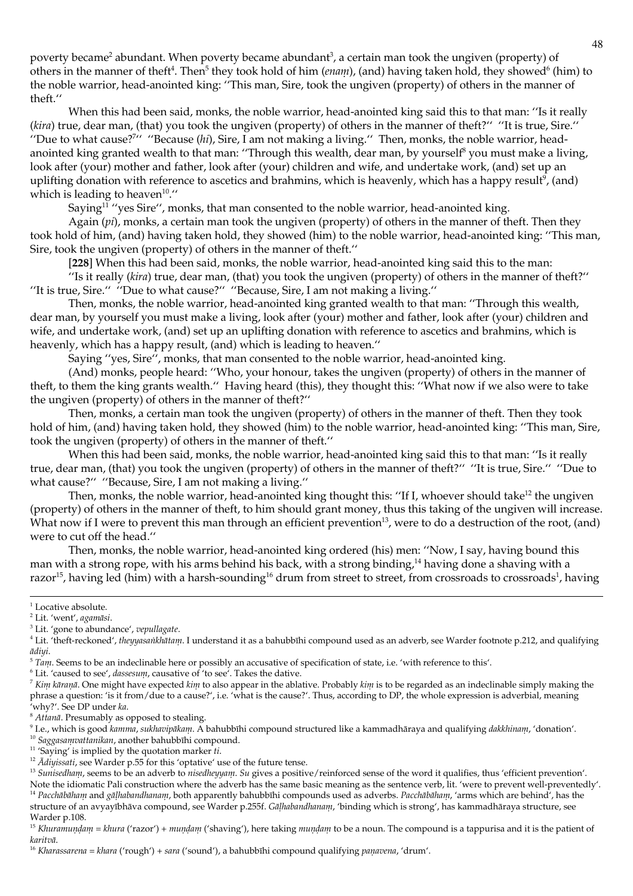poverty became<sup>2</sup> abundant. When poverty became abundant<sup>3</sup>, a certain man took the ungiven (property) of others in the manner of theft<sup>4</sup>. Then<sup>5</sup> they took hold of him (*enam*), (and) having taken hold, they showed<sup>6</sup> (him) to the noble warrior, head-anointed king: "This man, Sire, took the ungiven (property) of others in the manner of theft."

When this had been said, monks, the noble warrior, head-anointed king said this to that man: "Is it really (kira) true, dear man, (that) you took the ungiven (property) of others in the manner of theft?" "It is true, Sire." "Due to what cause?" "Because (hi), Sire, I am not making a living." Then, monks, the noble warrior, headanointed king granted wealth to that man: "Through this wealth, dear man, by yourself<sup>8</sup> you must make a living, look after (your) mother and father, look after (your) children and wife, and undertake work, (and) set up an uplifting donation with reference to ascetics and brahmins, which is heavenly, which has a happy result<sup>9</sup>, (and) which is leading to heaven<sup>10</sup>."

Saying<sup>11</sup> "yes Sire", monks, that man consented to the noble warrior, head-anointed king.

Again (pi), monks, a certain man took the ungiven (property) of others in the manner of theft. Then they took hold of him, (and) having taken hold, they showed (him) to the noble warrior, head-anointed king: "This man, Sire, took the ungiven (property) of others in the manner of theft."

[228] When this had been said, monks, the noble warrior, head-anointed king said this to the man:

"Is it really (kira) true, dear man, (that) you took the ungiven (property) of others in the manner of theft?" "It is true, Sire." "Due to what cause?" "Because, Sire, I am not making a living."

Then, monks, the noble warrior, head-anointed king granted wealth to that man: "Through this wealth, dear man, by yourself you must make a living, look after (your) mother and father, look after (your) children and wife, and undertake work, (and) set up an uplifting donation with reference to ascetics and brahmins, which is heavenly, which has a happy result, (and) which is leading to heaven."

Saying "yes, Sire", monks, that man consented to the noble warrior, head-anointed king.

(And) monks, people heard: "Who, your honour, takes the ungiven (property) of others in the manner of theft, to them the king grants wealth." Having heard (this), they thought this: "What now if we also were to take the ungiven (property) of others in the manner of theft?"

Then, monks, a certain man took the ungiven (property) of others in the manner of theft. Then they took hold of him, (and) having taken hold, they showed (him) to the noble warrior, head-anointed king: "This man, Sire, took the ungiven (property) of others in the manner of theft."

When this had been said, monks, the noble warrior, head-anointed king said this to that man: "Is it really true, dear man, (that) you took the ungiven (property) of others in the manner of theft?" "It is true, Sire." "Due to what cause?" "Because, Sire, I am not making a living."

Then, monks, the noble warrior, head-anointed king thought this: "If I, whoever should take<sup>12</sup> the ungiven (property) of others in the manner of theft, to him should grant money, thus this taking of the ungiven will increase. What now if I were to prevent this man through an efficient prevention<sup>13</sup>, were to do a destruction of the root, (and) were to cut off the head."

Then, monks, the noble warrior, head-anointed king ordered (his) men: "Now, I say, having bound this man with a strong rope, with his arms behind his back, with a strong binding,<sup>14</sup> having done a shaving with a razor<sup>15</sup>, having led (him) with a harsh-sounding<sup>16</sup> drum from street to street, from crossroads to crossroads<sup>1</sup>, having

 $^6$  Lit. 'caused to see', dassesum, causative of 'to see'. Takes the dative.

<sup>10</sup> Saggasamvattanikan, another bahubbīhi compound.

 $1$  Locative absolute.

<sup>&</sup>lt;sup>2</sup> Lit. 'went', agamāsi.

<sup>&</sup>lt;sup>3</sup> Lit. 'gone to abundance', vepullagate.

<sup>&</sup>lt;sup>4</sup> Lit. 'theft-reckoned', theyyasaikhātam. I understand it as a bahubbīhi compound used as an adverb, see Warder footnote p.212, and qualifying ādivi.

 $5$  Tam. Seems to be an indeclinable here or possibly an accusative of specification of state, i.e. 'with reference to this'.

 $^7$  Kim kāranā. One might have expected kim to also appear in the ablative. Probably kim is to be regarded as an indeclinable simply making the phrase a question: 'is it from/due to a cause?', i.e. 'what is the cause?'. Thus, according to DP, the whole expression is adverbial, meaning 'why?'. See DP under ka.

<sup>&</sup>lt;sup>8</sup> Attanā. Presumably as opposed to stealing.

<sup>&</sup>lt;sup>9</sup> I.e., which is good *kanma*, sukhavipākam. A bahubbīhi compound structured like a kammadhāraya and qualifying dakkhinam, 'donation'.

<sup>&</sup>lt;sup>11</sup> 'Saying' is implied by the quotation marker  $ti$ .

<sup>&</sup>lt;sup>12</sup>  $\bar{A}$ divissati, see Warder p.55 for this 'optative' use of the future tense.

<sup>&</sup>lt;sup>13</sup> Sunisedham, seems to be an adverb to nisedheyyam. Su gives a positive/reinforced sense of the word it qualifies, thus 'efficient prevention'. Note the idiomatic Pali construction where the adverb has the same basic meaning as the sentence verb, lit. 'were to prevent well-preventedly'. <sup>14</sup> Pacchābāham and gāļhabandhanam, both apparently bahubbīhi compounds used as adverbs. Pacchābāham, 'arms which are behind', has the structure of an avyayībhāva compound, see Warder p.255f. Gālhabandhanam, 'binding which is strong', has kammadhāraya structure, see

Warder p.108.

<sup>&</sup>lt;sup>15</sup> Khuranundam = khura ('razor') + mundam ('shaving'), here taking mundam to be a noun. The compound is a tappurisa and it is the patient of karitvā.

<sup>&</sup>lt;sup>16</sup> Kharassarena = khara ('rough') + sara ('sound'), a bahubbīhi compound qualifying panavena, 'drum'.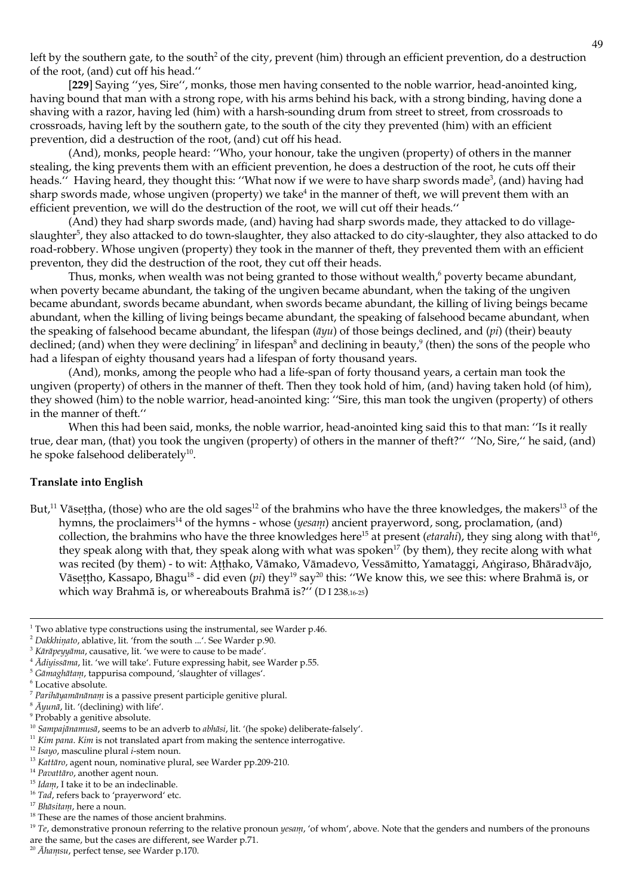left by the southern gate, to the south<sup>2</sup> of the city, prevent (him) through an efficient prevention, do a destruction of the root, (and) cut off his head."

[229] Saying "yes, Sire", monks, those men having consented to the noble warrior, head-anointed king, having bound that man with a strong rope, with his arms behind his back, with a strong binding, having done a shaving with a razor, having led (him) with a harsh-sounding drum from street to street, from crossroads to crossroads, having left by the southern gate, to the south of the city they prevented (him) with an efficient prevention, did a destruction of the root, (and) cut off his head.

(And), monks, people heard: "Who, your honour, take the ungiven (property) of others in the manner stealing, the king prevents them with an efficient prevention, he does a destruction of the root, he cuts off their heads." Having heard, they thought this: "What now if we were to have sharp swords made<sup>3</sup>, (and) having had sharp swords made, whose ungiven (property) we take<sup>4</sup> in the manner of theft, we will prevent them with an efficient prevention, we will do the destruction of the root, we will cut off their heads."

(And) they had sharp swords made, (and) having had sharp swords made, they attacked to do villageslaughter<sup>5</sup>, they also attacked to do town-slaughter, they also attacked to do city-slaughter, they also attacked to do road-robbery. Whose ungiven (property) they took in the manner of theft, they prevented them with an efficient preventon, they did the destruction of the root, they cut off their heads.

Thus, monks, when wealth was not being granted to those without wealth,<sup>6</sup> poverty became abundant, when poverty became abundant, the taking of the ungiven became abundant, when the taking of the ungiven became abundant, swords became abundant, when swords became abundant, the killing of living beings became abundant, when the killing of living beings became abundant, the speaking of falsehood became abundant, when the speaking of falsehood became abundant, the lifespan  $(\bar{a}yu)$  of those beings declined, and (*pi*) (their) beauty declined; (and) when they were declining<sup>7</sup> in lifespan<sup>8</sup> and declining in beauty,<sup>9</sup> (then) the sons of the people who had a lifespan of eighty thousand years had a lifespan of forty thousand years.

(And), monks, among the people who had a life-span of forty thousand years, a certain man took the ungiven (property) of others in the manner of theft. Then they took hold of him, (and) having taken hold (of him), they showed (him) to the noble warrior, head-anointed king: "Sire, this man took the ungiven (property) of others in the manner of theft."

When this had been said, monks, the noble warrior, head-anointed king said this to that man: "Is it really true, dear man, (that) you took the ungiven (property) of others in the manner of theft?" "No, Sire," he said, (and) he spoke falsehood deliberately<sup>10</sup>.

## **Translate into English**

But,<sup>11</sup> Vāsettha, (those) who are the old sages<sup>12</sup> of the brahmins who have the three knowledges, the makers<sup>13</sup> of the hymns, the proclaimers<sup>14</sup> of the hymns - whose (*yesam*) ancient prayerword, song, proclamation, (and) collection, the brahmins who have the three knowledges here<sup>15</sup> at present (*ctarahi*), they sing along with that<sup>16</sup>, they speak along with that, they speak along with what was spoken<sup>17</sup> (by them), they recite along with what was recited (by them) - to wit: Atthako, Vāmako, Vāmadevo, Vessāmitto, Yamataggi, Angiraso, Bhāradvājo, Vāsettho, Kassapo, Bhagu<sup>18</sup> - did even (pi) they<sup>19</sup> say<sup>20</sup> this: "We know this, we see this: where Brahmā is, or which way Brahmā is, or whereabouts Brahmā is?" (DI 238,16-25)

<sup>16</sup> Tad, refers back to 'prayerword' etc.

 $1$  Two ablative type constructions using the instrumental, see Warder p.46.

<sup>&</sup>lt;sup>2</sup> Dakkhinato, ablative, lit. 'from the south ...'. See Warder p.90.

<sup>&</sup>lt;sup>3</sup> Kārāpeņņāma, causative, lit. 'we were to cause to be made'.

<sup>&</sup>lt;sup>4</sup> Adivissana, lit. 'we will take'. Future expressing habit, see Warder p.55.

<sup>&</sup>lt;sup>5</sup> Gāmaghātam, tappurisa compound, 'slaughter of villages'.

<sup>&</sup>lt;sup>6</sup> Locative absolute.

 $^7$  Parihāyamānānam is a passive present participle genitive plural.

 $^8$   $\bar{A}$ yuna, lit. '(declining) with life'.

<sup>&</sup>lt;sup>9</sup> Probably a genitive absolute.

<sup>&</sup>lt;sup>10</sup> Sampajānamusā, seems to be an adverb to abhāsi, lit. '(he spoke) deliberate-falsely'.

 $11$  Kim pana. Kim is not translated apart from making the sentence interrogative.

 $\frac{12}{12}$  Isayo, masculine plural *i*-stem noun.

<sup>&</sup>lt;sup>13</sup> Kattāro, agent noun, nominative plural, see Warder pp.209-210.

<sup>&</sup>lt;sup>14</sup> Pavattāro, another agent noun.

<sup>&</sup>lt;sup>15</sup> Idam, I take it to be an indeclinable.

<sup>&</sup>lt;sup>17</sup> Bhāsitam, here a noun.

 $^{18}$  These are the names of those ancient brahmins.

 $19$  Te, demonstrative pronoun referring to the relative pronoun *yesant*, 'of whom', above. Note that the genders and numbers of the pronouns are the same, but the cases are different, see Warder p.71.

<sup>&</sup>lt;sup>20</sup> Ahamsu, perfect tense, see Warder p.170.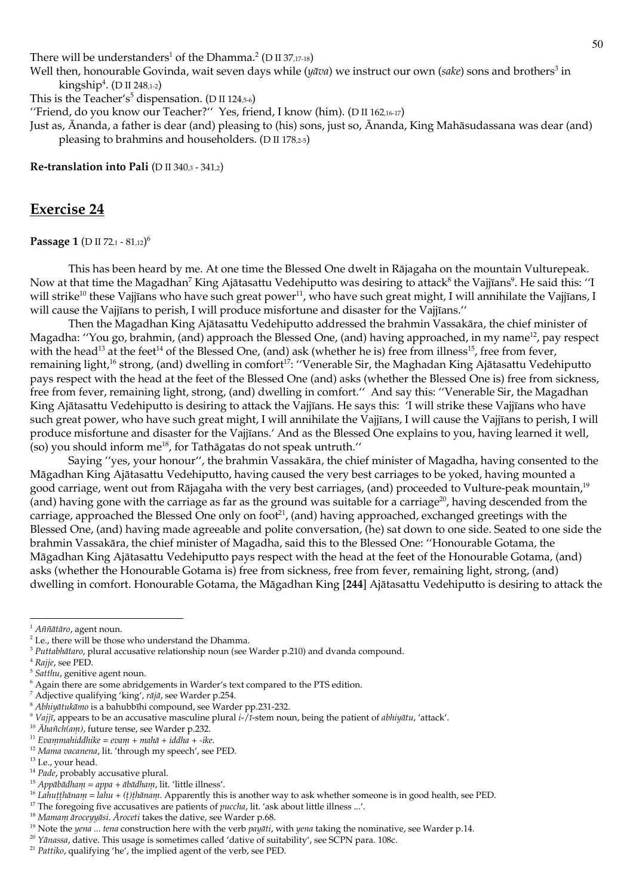There will be understanders<sup>1</sup> of the Dhamma.<sup>2</sup> (D II 37,17-18)

Well then, honourable Govinda, wait seven days while ( $y\bar{a}va$ ) we instruct our own (sake) sons and brothers<sup>3</sup> in kingship<sup>4</sup>. (D II 248,1-2)

This is the Teacher's<sup>5</sup> dispensation. (D II 124,5-6)

"Friend, do you know our Teacher?" Yes, friend, I know (him). (D II 162,16-17)

Just as, Ananda, a father is dear (and) pleasing to (his) sons, just so, Ananda, King Mahāsudassana was dear (and) pleasing to brahmins and householders. (D II 178,2-5)

Re-translation into Pali (D II 340,3 - 341,2)

# **Exercise 24**

Passage 1 (D II 72.1 - 81.12)<sup>6</sup>

This has been heard by me. At one time the Blessed One dwelt in Rājagaha on the mountain Vulturepeak. Now at that time the Magadhan<sup>7</sup> King Ajātasattu Vedehiputto was desiring to attack<sup>8</sup> the Vajjīans<sup>9</sup>. He said this: "I will strike<sup>10</sup> these Vajjīans who have such great power<sup>11</sup>, who have such great might, I will annihilate the Vajjīans, I will cause the Vajjīans to perish, I will produce misfortune and disaster for the Vajjīans."

Then the Magadhan King Ajātasattu Vedehiputto addressed the brahmin Vassakāra, the chief minister of Magadha: "You go, brahmin, (and) approach the Blessed One, (and) having approached, in my name<sup>12</sup>, pay respect with the head<sup>13</sup> at the feet<sup>14</sup> of the Blessed One, (and) ask (whether he is) free from illness<sup>15</sup>, free from fever, remaining light,<sup>16</sup> strong, (and) dwelling in comfort<sup>17</sup>: "Venerable Sir, the Maghadan King Ajātasattu Vedehiputto pays respect with the head at the feet of the Blessed One (and) asks (whether the Blessed One is) free from sickness, free from fever, remaining light, strong, (and) dwelling in comfort." And say this: "Venerable Sir, the Magadhan King Ajātasattu Vedehiputto is desiring to attack the Vajjīans. He says this: 'I will strike these Vajjīans who have such great power, who have such great might, I will annihilate the Vajjīans, I will cause the Vajjīans to perish, I will produce misfortune and disaster for the Vajjīans.' And as the Blessed One explains to you, having learned it well, (so) you should inform me<sup>18</sup>, for Tathagatas do not speak untruth."

Saying "yes, your honour", the brahmin Vassakāra, the chief minister of Magadha, having consented to the Māgadhan King Ajātasattu Vedehiputto, having caused the very best carriages to be yoked, having mounted a good carriage, went out from Rājagaha with the very best carriages, (and) proceeded to Vulture-peak mountain,<sup>19</sup> (and) having gone with the carriage as far as the ground was suitable for a carriage<sup>20</sup>, having descended from the carriage, approached the Blessed One only on foot<sup>21</sup>, (and) having approached, exchanged greetings with the Blessed One, (and) having made agreeable and polite conversation, (he) sat down to one side. Seated to one side the brahmin Vassakāra, the chief minister of Magadha, said this to the Blessed One: "Honourable Gotama, the Māgadhan King Ajātasattu Vedehiputto pays respect with the head at the feet of the Honourable Gotama, (and) asks (whether the Honourable Gotama is) free from sickness, free from fever, remaining light, strong, (and) dwelling in comfort. Honourable Gotama, the Māgadhan King [244] Ajātasattu Vedehiputto is desiring to attack the

 $1$  Aññātāro, agent noun.

<sup>&</sup>lt;sup>2</sup> I.e., there will be those who understand the Dhamma.

 $3$  Puttabhātaro, plural accusative relationship noun (see Warder p.210) and dvanda compound.

<sup>&</sup>lt;sup>4</sup> Rajje, see PED.

<sup>&</sup>lt;sup>5</sup> Satthu, genitive agent noun.

<sup>&</sup>lt;sup>6</sup> Again there are some abridgements in Warder's text compared to the PTS edition.

 $^7$  Adjective qualifying 'king', rājā, see Warder p.254.

<sup>&</sup>lt;sup>8</sup> Abhiyātukāmo is a bahubbīhi compound, see Warder pp.231-232.

<sup>&</sup>lt;sup>9</sup> Vajjī, appears to be an accusative masculine plural i-/ $\bar{i}$ -stem noun, being the patient of *abhiyātu*, 'attack'.

<sup>&</sup>lt;sup>10</sup>  $\bar{A}$ hañch(am), future tense, see Warder p.232.

<sup>&</sup>lt;sup>11</sup> Evanmahiddhike = evanı + mahā + iddha + -ike.

<sup>&</sup>lt;sup>12</sup> Mama vacanena, lit. 'through my speech', see PED.

<sup>&</sup>lt;sup>13</sup> I.e., your head.

<sup>&</sup>lt;sup>14</sup> Pade, probably accusative plural.

<sup>&</sup>lt;sup>15</sup> Appābādham = appa + ābādham, lit. 'little illness'.

<sup>&</sup>lt;sup>16</sup> Lahuṭṭhānaṇ = lahu + (t)ṭhānaṇ. Apparently this is another way to ask whether someone is in good health, see PED.

<sup>&</sup>lt;sup>17</sup> The foregoing five accusatives are patients of *puccha*, lit. 'ask about little illness ...'.

<sup>&</sup>lt;sup>18</sup> Mamam āroceyyāsi. Āroceti takes the dative, see Warder p.68.

<sup>&</sup>lt;sup>19</sup> Note the yena ... tena construction here with the verb payati, with yena taking the nominative, see Warder p.14.

<sup>&</sup>lt;sup>20</sup> Yānassa, dative. This usage is sometimes called 'dative of suitability', see SCPN para. 108c.

<sup>&</sup>lt;sup>21</sup> Pattiko, qualifying 'he', the implied agent of the verb, see PED.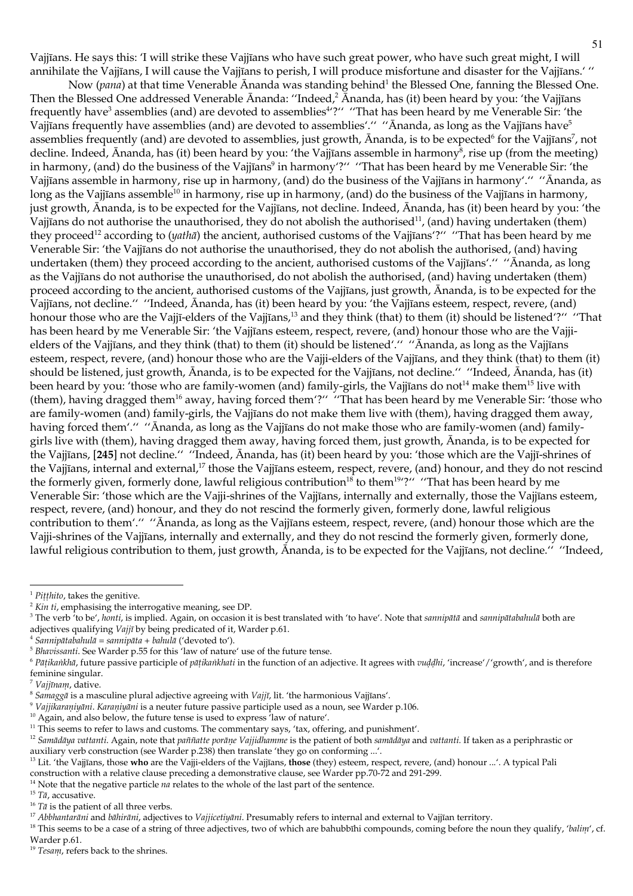Vajjīans. He says this: 'I will strike these Vajjīans who have such great power, who have such great might, I will annihilate the Vajjīans, I will cause the Vajjīans to perish, I will produce misfortune and disaster for the Vajjīans.'"

Now (pana) at that time Venerable Ananda was standing behind<sup>1</sup> the Blessed One, fanning the Blessed One. Then the Blessed One addressed Venerable  $\bar{A}$ nanda: "Indeed, $\bar{A}$  Ananda, has (it) been heard by you: 'the Vajjīans frequently have<sup>3</sup> assemblies (and) are devoted to assemblies<sup>472"</sup> "That has been heard by me Venerable Sir. 'the Vajjīans frequently have assemblies (and) are devoted to assemblies'." "Ananda, as long as the Vajjīans have<sup>5</sup> assemblies frequently (and) are devoted to assemblies, just growth, Ananda, is to be expected<sup>6</sup> for the Vajjīans<sup>7</sup>, not decline. Indeed, Ananda, has (it) been heard by you: 'the Vajjīans assemble in harmony<sup>8</sup>, rise up (from the meeting) in harmony, (and) do the business of the Vajjīans<sup>9</sup> in harmony'?" "That has been heard by me Venerable Sir: 'the Vajjīans assemble in harmony, rise up in harmony, (and) do the business of the Vajjīans in harmony'." "Ānanda, as long as the Vajjīans assemble<sup>10</sup> in harmony, rise up in harmony, (and) do the business of the Vajjīans in harmony, just growth, Ananda, is to be expected for the Vajjians, not decline. Indeed, Ananda, has (it) been heard by you: 'the Vajjīans do not authorise the unauthorised, they do not abolish the authorised<sup>11</sup>, (and) having undertaken (them) they proceed<sup>12</sup> according to (*yatha*) the ancient, authorised customs of the Vajjūans'?" "That has been heard by me Venerable Sir: 'the Vajjīans do not authorise the unauthorised, they do not abolish the authorised, (and) having undertaken (them) they proceed according to the ancient, authorised customs of the Vajjīans'." "Ānanda, as long as the Vajjīans do not authorise the unauthorised, do not abolish the authorised, (and) having undertaken (them) proceed according to the ancient, authorised customs of the Vajjīans, just growth, Ānanda, is to be expected for the Vajjīans, not decline." "Indeed, Ānanda, has (it) been heard by you: 'the Vajjīans esteem, respect, revere, (and) honour those who are the Vajjī-elders of the Vajjīans,<sup>13</sup> and they think (that) to them (it) should be listened'?" "That has been heard by me Venerable Sir: 'the Vajjīans esteem, respect, revere, (and) honour those who are the Vajjielders of the Vajjians, and they think (that) to them (it) should be listened'." "Ananda, as long as the Vajjians esteem, respect, revere, (and) honour those who are the Vajji-elders of the Vajjīans, and they think (that) to them (it) should be listened, just growth, Ananda, is to be expected for the Vajjīans, not decline." "Indeed, Ananda, has (it) been heard by you: 'those who are family-women (and) family-girls, the Vajjīans do not<sup>14</sup> make them<sup>15</sup> live with (them), having dragged them<sup>16</sup> away, having forced them'?" "That has been heard by me Venerable Sir: 'those who are family-women (and) family-girls, the Vajjīans do not make them live with (them), having dragged them away, having forced them'." "Ānanda, as long as the Vajjīans do not make those who are family-women (and) familygirls live with (them), having dragged them away, having forced them, just growth, Ananda, is to be expected for the Vajjīans, [245] not decline." "Indeed, Ānanda, has (it) been heard by you: 'those which are the Vajjī-shrines of the Vajjīans, internal and external,<sup>17</sup> those the Vajjīans esteem, respect, revere, (and) honour, and they do not rescind the formerly given, formerly done, lawful religious contribution<sup>18</sup> to them<sup>19</sup>'?" "That has been heard by me Venerable Sir: 'those which are the Vajji-shrines of the Vajjīans, internally and externally, those the Vajjīans esteem, respect, revere, (and) honour, and they do not rescind the formerly given, formerly done, lawful religious contribution to them'." "Ananda, as long as the Vajjīans esteem, respect, revere, (and) honour those which are the Vajji-shrines of the Vajjīans, internally and externally, and they do not rescind the formerly given, formerly done, lawful religious contribution to them, just growth, Ananda, is to be expected for the Vajjīans, not decline." "Indeed,

 $^1$  Piṭṭhito, takes the genitive.

 $2$  Kin ti, emphasising the interrogative meaning, see DP.

<sup>&</sup>lt;sup>3</sup> The verb 'to be', honti, is implied. Again, on occasion it is best translated with 'to have'. Note that sannipata and sannipatabahula both are adjectives qualifying Vajjī by being predicated of it, Warder p.61.

<sup>&</sup>lt;sup>4</sup> Sannipātabahulā = sannipāta + bahulā ('devoted to').

<sup>&</sup>lt;sup>5</sup> Bhavissanti. See Warder p.55 for this 'law of nature' use of the future tense.

 $6$  Pāṭikankhā, future passive participle of pāṭikankhati in the function of an adjective. It agrees with vuddhi, 'increase'/'growth', and is therefore feminine singular.

<sup>&</sup>lt;sup>7</sup> Vajjīnam, dative.

<sup>&</sup>lt;sup>8</sup> Samagga is a masculine plural adjective agreeing with Vajjī, lit. 'the harmonious Vajjīans'.

<sup>&</sup>lt;sup>9</sup> Vajjikaraniyāni. Karaniyāni is a neuter future passive participle used as a noun, see Warder p.106.

<sup>&</sup>lt;sup>10</sup> Again, and also below, the future tense is used to express 'law of nature'.

<sup>&</sup>lt;sup>11</sup> This seems to refer to laws and customs. The commentary says, 'tax, offering, and punishment'.

<sup>&</sup>lt;sup>12</sup> Samādāya vattanti. Again, note that paññatte porāne Vajjidhamme is the patient of both samādāya and vattanti. If taken as a periphrastic or auxiliary verb construction (see Warder p.238) then translate 'they go on conforming ...'.

<sup>&</sup>lt;sup>13</sup> Lit. 'the Vajjīans, those who are the Vajji-elders of the Vajjīans, those (they) esteem, respect, revere, (and) honour ...'. A typical Pali construction with a relative clause preceding a demonstrative clause, see Warder pp.70-72 and 291-299.

 $14$  Note that the negative particle  $na$  relates to the whole of the last part of the sentence.

 $15$  T $\bar{a}$ , accusative.

 $^{16}$   $T\bar{a}$  is the patient of all three verbs.

 $17$  Abbhantarāni and bāhirāni, adjectives to Vajjicetiyāni. Presumably refers to internal and external to Vajjīan territory.

<sup>&</sup>lt;sup>18</sup> This seems to be a case of a string of three adjectives, two of which are bahubbīhi compounds, coming before the noun they qualify, 'balint', cf. Warder p.61.

<sup>&</sup>lt;sup>19</sup> Tesam, refers back to the shrines.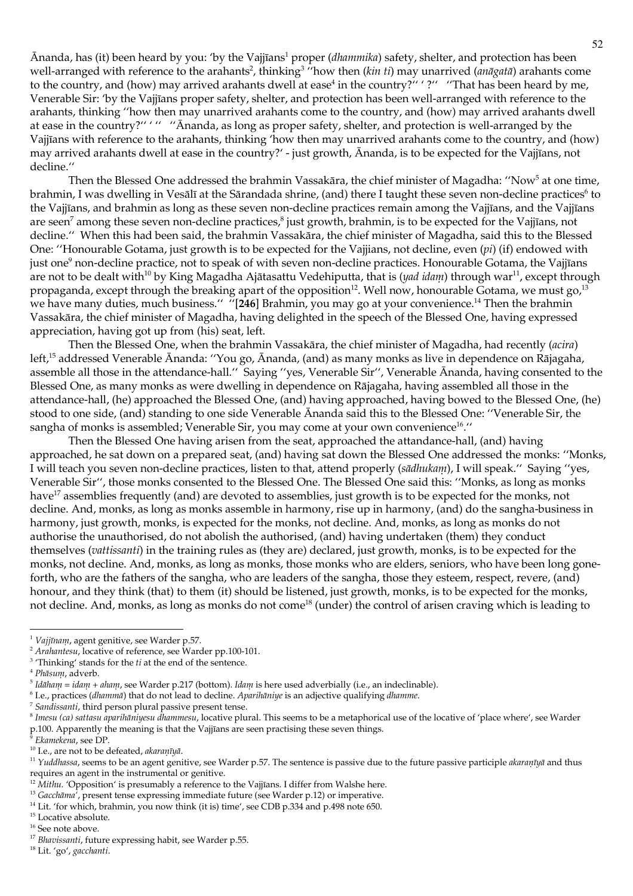Ānanda, has (it) been heard by you: 'by the Vajjīans<sup>1</sup> proper (dhammika) safety, shelter, and protection has been well-arranged with reference to the arahants<sup>2</sup>, thinking<sup>3</sup> "how then (kin ti) may unarrived (anagata) arahants come to the country, and (how) may arrived arahants dwell at ease<sup>4</sup> in the country?" '?" "That has been heard by me, Venerable Sir: 'by the Vajjīans proper safety, shelter, and protection has been well-arranged with reference to the arahants, thinking "how then may unarrived arahants come to the country, and (how) may arrived arahants dwell at ease in the country?" '" "Ananda, as long as proper safety, shelter, and protection is well-arranged by the Vajjīans with reference to the arahants, thinking 'how then may unarrived arahants come to the country, and (how) may arrived arahants dwell at ease in the country?' - just growth, Ananda, is to be expected for the Vajjīans, not decline."

Then the Blessed One addressed the brahmin Vassakāra, the chief minister of Magadha: "Now<sup>5</sup> at one time, brahmin, I was dwelling in Vesālī at the Sārandada shrine, (and) there I taught these seven non-decline practices<sup>6</sup> to the Vajjīans, and brahmin as long as these seven non-decline practices remain among the Vajjīans, and the Vajjīans are seen<sup>7</sup> among these seven non-decline practices,<sup>8</sup> just growth, brahmin, is to be expected for the Vajjīans, not decline." When this had been said, the brahmin Vassakāra, the chief minister of Magadha, said this to the Blessed One: "Honourable Gotama, just growth is to be expected for the Vajjians, not decline, even (pi) (if) endowed with just one<sup>9</sup> non-decline practice, not to speak of with seven non-decline practices. Honourable Gotama, the Vajjīans are not to be dealt with<sup>10</sup> by King Magadha Ajātasattu Vedehiputta, that is (*yad idam*) through war<sup>11</sup>, except through propaganda, except through the breaking apart of the opposition<sup>12</sup>. Well now, honourable Gotama, we must go,<sup>13</sup> we have many duties, much business." "[246] Brahmin, you may go at your convenience.<sup>14</sup> Then the brahmin Vassakāra, the chief minister of Magadha, having delighted in the speech of the Blessed One, having expressed appreciation, having got up from (his) seat, left.

Then the Blessed One, when the brahmin Vassakāra, the chief minister of Magadha, had recently (acira) left,<sup>15</sup> addressed Venerable Ānanda: "You go, Ānanda, (and) as many monks as live in dependence on Rājagaha, assemble all those in the attendance-hall." Saying "yes, Venerable Sir", Venerable Ananda, having consented to the Blessed One, as many monks as were dwelling in dependence on Rājagaha, having assembled all those in the attendance-hall, (he) approached the Blessed One, (and) having approached, having bowed to the Blessed One, (he) stood to one side, (and) standing to one side Venerable Ananda said this to the Blessed One: "Venerable Sir, the sangha of monks is assembled; Venerable Sir, you may come at your own convenience<sup>16</sup>."

Then the Blessed One having arisen from the seat, approached the attandance-hall, (and) having approached, he sat down on a prepared seat, (and) having sat down the Blessed One addressed the monks: "Monks, I will teach you seven non-decline practices, listen to that, attend properly (sādhukam), I will speak." Saying "yes, Venerable Sir", those monks consented to the Blessed One. The Blessed One said this: "Monks, as long as monks have<sup>17</sup> assemblies frequently (and) are devoted to assemblies, just growth is to be expected for the monks, not decline. And, monks, as long as monks assemble in harmony, rise up in harmony, (and) do the sangha-business in harmony, just growth, monks, is expected for the monks, not decline. And, monks, as long as monks do not authorise the unauthorised, do not abolish the authorised, (and) having undertaken (them) they conduct themselves (vattissanti) in the training rules as (they are) declared, just growth, monks, is to be expected for the monks, not decline. And, monks, as long as monks, those monks who are elders, seniors, who have been long goneforth, who are the fathers of the sangha, who are leaders of the sangha, those they esteem, respect, revere, (and) honour, and they think (that) to them (it) should be listened, just growth, monks, is to be expected for the monks, not decline. And, monks, as long as monks do not come<sup>18</sup> (under) the control of arisen craving which is leading to

<sup>&</sup>lt;sup>1</sup> Vajjīnam, agent genitive, see Warder p.57.

<sup>&</sup>lt;sup>2</sup> Arahantesu, locative of reference, see Warder pp.100-101.

 $3$  'Thinking' stands for the  $ti$  at the end of the sentence.

<sup>&</sup>lt;sup>4</sup> Phāsum, adverb.

 $5$  Idāham = idam + aham, see Warder p.217 (bottom). Idam is here used adverbially (i.e., an indeclinable).

 $6$  I.e., practices (dhammā) that do not lead to decline. Aparihāniye is an adjective qualifying dhamme.

<sup>&</sup>lt;sup>7</sup> Sandissanti, third person plural passive present tense.

<sup>&</sup>lt;sup>8</sup> Intesu (ca) sattasu aparihāniyesu dhammesu, locative plural. This seems to be a metaphorical use of the locative of 'place where', see Warder p.100. Apparently the meaning is that the Vajjīans are seen practising these seven things.

Ekamekena, see DP.

<sup>&</sup>lt;sup>10</sup> I.e., are not to be defeated, akaranīyā.

<sup>&</sup>lt;sup>11</sup> Yuddhassa, seems to be an agent genitive, see Warder p.57. The sentence is passive due to the future passive participle akaraniya and thus requires an agent in the instrumental or genitive.

 $^{12}$  Mithu. 'Opposition' is presumably a reference to the Vajjīans. I differ from Walshe here.

<sup>&</sup>lt;sup>13</sup> Gacchāma<sup>2</sup>, present tense expressing immediate future (see Warder p.12) or imperative.

<sup>&</sup>lt;sup>14</sup> Lit. 'for which, brahmin, you now think (it is) time', see CDB p.334 and p.498 note 650.

 $^{\rm 15}$  Locative absolute.

 $^{\rm 16}$  See note above.

<sup>&</sup>lt;sup>17</sup> Bhavissanti, future expressing habit, see Warder p.55.

<sup>&</sup>lt;sup>18</sup> Lit. 'go', gacchanti.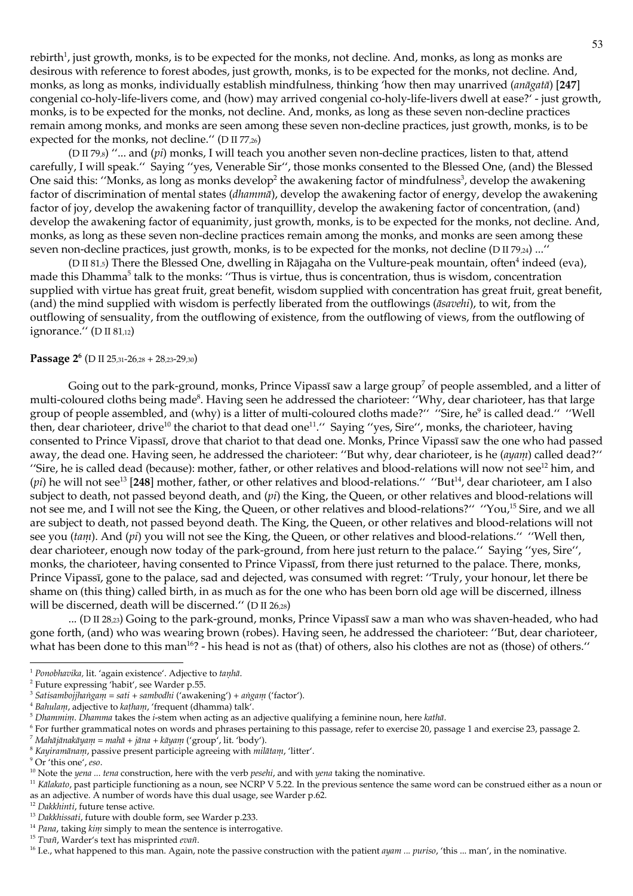rebirth<sup>1</sup>, just growth, monks, is to be expected for the monks, not decline. And, monks, as long as monks are desirous with reference to forest abodes, just growth, monks, is to be expected for the monks, not decline. And, monks, as long as monks, individually establish mindfulness, thinking 'how then may unarrived (anāgatā) [247] congenial co-holy-life-livers come, and (how) may arrived congenial co-holy-life-livers dwell at ease?' - just growth, monks, is to be expected for the monks, not decline. And, monks, as long as these seven non-decline practices remain among monks, and monks are seen among these seven non-decline practices, just growth, monks, is to be expected for the monks, not decline." ( $D \text{ II } 77,26$ )

(D II 79,s) "... and ( $pi$ ) monks, I will teach you another seven non-decline practices, listen to that, attend carefully, I will speak." Saying "yes, Venerable Sir", those monks consented to the Blessed One, (and) the Blessed One said this: "Monks, as long as monks develop<sup>2</sup> the awakening factor of mindfulness<sup>3</sup>, develop the awakening factor of discrimination of mental states (*dhammā*), develop the awakening factor of energy, develop the awakening factor of joy, develop the awakening factor of tranquillity, develop the awakening factor of concentration, (and) develop the awakening factor of equanimity, just growth, monks, is to be expected for the monks, not decline. And, monks, as long as these seven non-decline practices remain among the monks, and monks are seen among these seven non-decline practices, just growth, monks, is to be expected for the monks, not decline (D II 79,24) ..."

(D II 81,5) There the Blessed One, dwelling in Rājagaha on the Vulture-peak mountain, often<sup>4</sup> indeed (eva), made this Dhamma<sup>5</sup> talk to the monks: "Thus is virtue, thus is concentration, thus is wisdom, concentration supplied with virtue has great fruit, great benefit, wisdom supplied with concentration has great fruit, great benefit, (and) the mind supplied with wisdom is perfectly liberated from the outflowings (āsavehi), to wit, from the outflowing of sensuality, from the outflowing of existence, from the outflowing of views, from the outflowing of ignorance." (D II 81,12)

### Passage  $2^6$  (D II 25,31-26,28 + 28,23-29,30)

Going out to the park-ground, monks, Prince Vipassī saw a large group<sup>7</sup> of people assembled, and a litter of multi-coloured cloths being made<sup>8</sup>. Having seen he addressed the charioteer: "Why, dear charioteer, has that large group of people assembled, and (why) is a litter of multi-coloured cloths made?" "Sire, he<sup>9</sup> is called dead." "Well then, dear charioteer, drive<sup>10</sup> the chariot to that dead one<sup>11</sup>." Saying "yes, Sire", monks, the charioteer, having consented to Prince Vipassī, drove that chariot to that dead one. Monks, Prince Vipassī saw the one who had passed away, the dead one. Having seen, he addressed the charioteer: "But why, dear charioteer, is he (ayam) called dead?" "Sire, he is called dead (because): mother, father, or other relatives and blood-relations will now not see<sup>12</sup> him, and (pi) he will not see<sup>13</sup> [248] mother, father, or other relatives and blood-relations." "But<sup>14</sup>, dear charioteer, am I also subject to death, not passed beyond death, and (pi) the King, the Queen, or other relatives and blood-relations will not see me, and I will not see the King, the Queen, or other relatives and blood-relations?" "You,<sup>15</sup> Sire, and we all are subject to death, not passed beyond death. The King, the Queen, or other relatives and blood-relations will not see you (tam). And (pi) you will not see the King, the Queen, or other relatives and blood-relations." "Well then, dear charioteer, enough now today of the park-ground, from here just return to the palace." Saying "yes, Sire", monks, the charioteer, having consented to Prince Vipassī, from there just returned to the palace. There, monks, Prince Vipassī, gone to the palace, sad and dejected, was consumed with regret: "Truly, your honour, let there be shame on (this thing) called birth, in as much as for the one who has been born old age will be discerned, illness will be discerned, death will be discerned." (D II 26,28)

... (D II 28,23) Going to the park-ground, monks, Prince Vipassī saw a man who was shaven-headed, who had gone forth, (and) who was wearing brown (robes). Having seen, he addressed the charioteer: "But, dear charioteer, what has been done to this man<sup>16</sup>? - his head is not as (that) of others, also his clothes are not as (those) of others."

<sup>&</sup>lt;sup>1</sup> Ponobhavika, lit. 'again existence'. Adjective to tanhā.

<sup>&</sup>lt;sup>2</sup> Future expressing 'habit', see Warder p.55.

<sup>&</sup>lt;sup>3</sup> Satisambojjhangam = sati + sambodhi ('awakening') + angam ('factor').

<sup>&</sup>lt;sup>4</sup> Bahulam, adjective to katham, 'frequent (dhamma) talk'.

 $5$  Dhammim. Dhamma takes the *i*-stem when acting as an adjective qualifying a feminine noun, here katha.

<sup>&</sup>lt;sup>6</sup> For further grammatical notes on words and phrases pertaining to this passage, refer to exercise 20, passage 1 and exercise 23, passage 2.

 $\overline{a}^7$ Mahājānakāyam = mahā + jāna + kāyam ('group', lit. 'body').

<sup>&</sup>lt;sup>8</sup> Kayiramānam, passive present participle agreeing with milātam, 'litter'.

<sup>&</sup>lt;sup>9</sup> Or 'this one', eso.

<sup>&</sup>lt;sup>10</sup> Note the yena ... tena construction, here with the verb peselui, and with yena taking the nominative.

 $11$  Kālakato, past participle functioning as a noun, see NCRP V 5.22. In the previous sentence the same word can be construed either as a noun or as an adjective. A number of words have this dual usage, see Warder p.62.

<sup>&</sup>lt;sup>12</sup> Dakkhinti, future tense active.

 $^{13}$  Dakklussati, future with double form, see Warder p.233.

 $14$  Pana, taking  $kin\mu$  simply to mean the sentence is interrogative.

<sup>&</sup>lt;sup>15</sup> Tvañ, Warder's text has misprinted evañ.

<sup>&</sup>lt;sup>16</sup> I.e., what happened to this man. Again, note the passive construction with the patient *ayam ... puriso*, 'this ... man', in the nominative.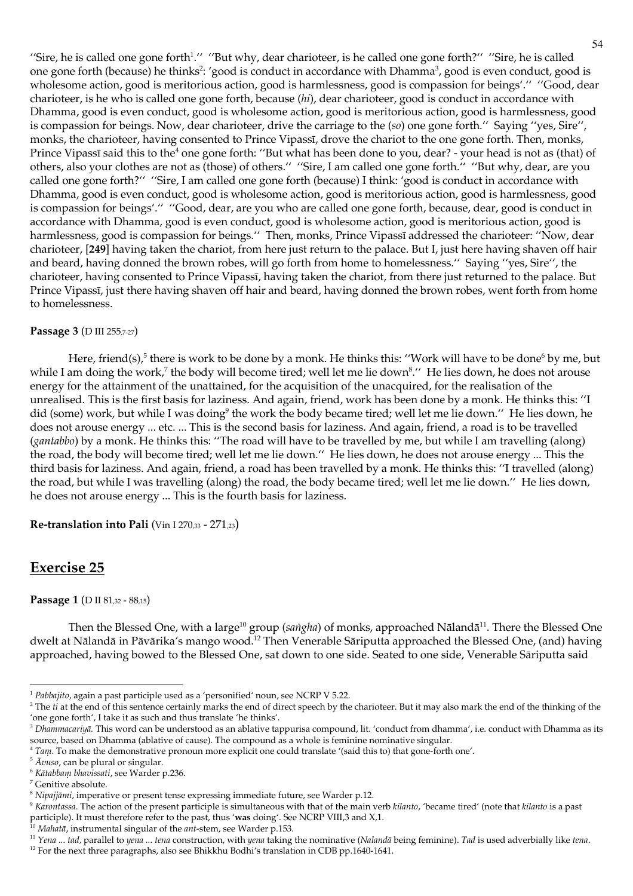"Sire, he is called one gone forth<sup>1</sup>." "But why, dear charioteer, is he called one gone forth?" "Sire, he is called one gone forth (because) he thinks<sup>2</sup>: 'good is conduct in accordance with Dhamma<sup>3</sup>, good is even conduct, good is wholesome action, good is meritorious action, good is harmlessness, good is compassion for beings'." "Good, dear charioteer, is he who is called one gone forth, because (hi), dear charioteer, good is conduct in accordance with Dhamma, good is even conduct, good is wholesome action, good is meritorious action, good is harmlessness, good is compassion for beings. Now, dear charioteer, drive the carriage to the  $(s_0)$  one gone forth." Saying "yes, Sire", monks, the charioteer, having consented to Prince Vipassi, drove the chariot to the one gone forth. Then, monks, Prince Vipassī said this to the<sup>4</sup> one gone forth: "But what has been done to you, dear? - your head is not as (that) of others, also your clothes are not as (those) of others." "Sire, I am called one gone forth." "But why, dear, are you called one gone forth?" "Sire, I am called one gone forth (because) I think: 'good is conduct in accordance with Dhamma, good is even conduct, good is wholesome action, good is meritorious action, good is harmlessness, good is compassion for beings'." "Good, dear, are you who are called one gone forth, because, dear, good is conduct in accordance with Dhamma, good is even conduct, good is wholesome action, good is meritorious action, good is harmlessness, good is compassion for beings." Then, monks, Prince Vipassī addressed the charioteer: "Now, dear charioteer, [249] having taken the chariot, from here just return to the palace. But I, just here having shaven off hair and beard, having donned the brown robes, will go forth from home to homelessness." Saying "yes, Sire", the charioteer, having consented to Prince Vipassī, having taken the chariot, from there just returned to the palace. But Prince Vipassī, just there having shaven off hair and beard, having donned the brown robes, went forth from home to homelessness.

## Passage 3 (D III 255,7-27)

Here, friend(s),<sup>5</sup> there is work to be done by a monk. He thinks this: "Work will have to be done<sup>6</sup> by me, but while I am doing the work,<sup>7</sup> the body will become tired; well let me lie down<sup>8</sup>." He lies down, he does not arouse energy for the attainment of the unattained, for the acquisition of the unacquired, for the realisation of the unrealised. This is the first basis for laziness. And again, friend, work has been done by a monk. He thinks this: "I did (some) work, but while I was doing<sup>9</sup> the work the body became tired; well let me lie down." He lies down, he does not arouse energy ... etc. ... This is the second basis for laziness. And again, friend, a road is to be travelled (gantabbo) by a monk. He thinks this: "The road will have to be travelled by me, but while I am travelling (along) the road, the body will become tired; well let me lie down." He lies down, he does not arouse energy ... This the third basis for laziness. And again, friend, a road has been travelled by a monk. He thinks this: "I travelled (along) the road, but while I was travelling (along) the road, the body became tired; well let me lie down." He lies down, he does not arouse energy ... This is the fourth basis for laziness.

Re-translation into Pali (Vin I 270,33 - 271,23)

# **Exercise 25**

Passage 1 (D II 81,32 - 88,15)

Then the Blessed One, with a large<sup>10</sup> group (saiigha) of monks, approached Nālandā<sup>11</sup>. There the Blessed One dwelt at Nālandā in Pāvārika's mango wood.<sup>12</sup> Then Venerable Sāriputta approached the Blessed One, (and) having approached, having bowed to the Blessed One, sat down to one side. Seated to one side, Venerable Sāriputta said

 $1$  Pabbajito, again a past participle used as a 'personified' noun, see NCRP V 5.22.

<sup>&</sup>lt;sup>2</sup> The *ti* at the end of this sentence certainly marks the end of direct speech by the charioteer. But it may also mark the end of the thinking of the 'one gone forth', I take it as such and thus translate 'he thinks'.

 $3$  Dhammacariyā. This word can be understood as an ablative tappurisa compound, lit. 'conduct from dhamma', i.e. conduct with Dhamma as its source, based on Dhamma (ablative of cause). The compound as a whole is feminine nominative singular.

<sup>&</sup>lt;sup>4</sup> Tam. To make the demonstrative pronoun more explicit one could translate '(said this to) that gone-forth one'.

 $5\$   $\bar{A}v$ *uso*, can be plural or singular.

<sup>&</sup>lt;sup>6</sup> Kātabbam bhavissati, see Warder p.236.

 $^7$  Genitive absolute.

<sup>&</sup>lt;sup>8</sup> Nipajjānii, imperative or present tense expressing immediate future, see Warder p.12.

<sup>&</sup>lt;sup>9</sup> Karontassa. The action of the present participle is simultaneous with that of the main verb kilanto, 'became tired' (note that kilanto is a past participle). It must therefore refer to the past, thus 'was doing'. See NCRP VIII,3 and X,1.<br><sup>10</sup> Mahatā, instrumental singular of the *ant*-stem, see Warder p.153.

<sup>&</sup>lt;sup>11</sup> Yena ... tad, parallel to yena ... tena construction, with yena taking the nominative (Nalanda being feminine). Tad is used adverbially like tena.

<sup>&</sup>lt;sup>12</sup> For the next three paragraphs, also see Bhikkhu Bodhi's translation in CDB pp.1640-1641.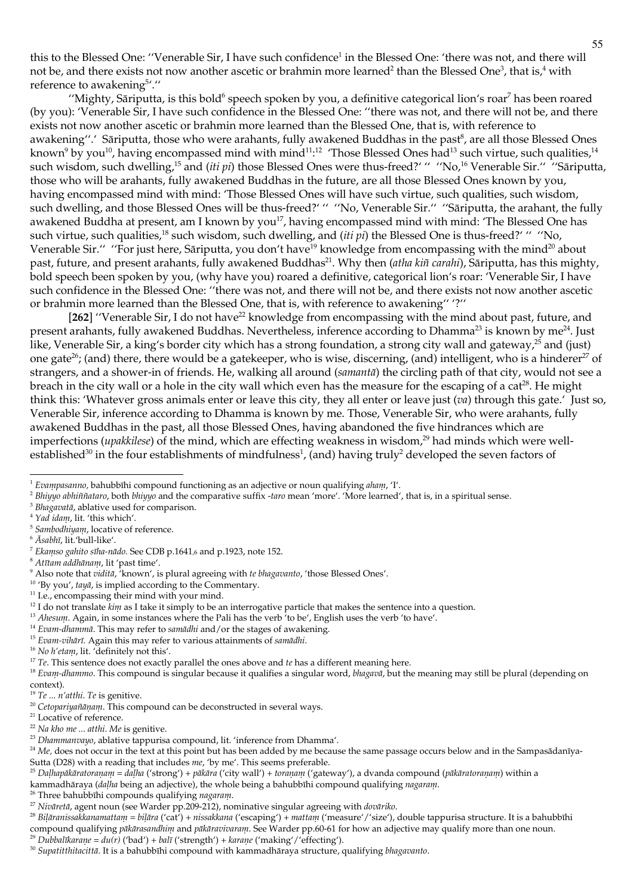this to the Blessed One: "Venerable Sir, I have such confidence<sup>1</sup> in the Blessed One: 'there was not, and there will not be, and there exists not now another ascetic or brahmin more learned<sup>2</sup> than the Blessed One<sup>3</sup>, that is,<sup>4</sup> with reference to awakening<sup>5</sup>'."

"Mighty, Sāriputta, is this bold<sup>6</sup> speech spoken by you, a definitive categorical lion's roar<sup>7</sup> has been roared (by you): 'Venerable Sir, I have such confidence in the Blessed One: "there was not, and there will not be, and there exists not now another ascetic or brahmin more learned than the Blessed One, that is, with reference to awakening".' Sāriputta, those who were arahants, fully awakened Buddhas in the past<sup>8</sup>, are all those Blessed Ones known<sup>9</sup> by you<sup>10</sup>, having encompassed mind with mind<sup>11,12</sup> Those Blessed Ones had<sup>13</sup> such virtue, such qualities,<sup>14</sup> such wisdom, such dwelling,<sup>15</sup> and (iti pi) those Blessed Ones were thus-freed?' " "No,<sup>16</sup> Venerable Sir." "Sāriputta, those who will be arahants, fully awakened Buddhas in the future, are all those Blessed Ones known by you, having encompassed mind with mind: 'Those Blessed Ones will have such virtue, such qualities, such wisdom, such dwelling, and those Blessed Ones will be thus-freed?' " "No, Venerable Sir." "Sariputta, the arahant, the fully awakened Buddha at present, am I known by you<sup>17</sup>, having encompassed mind with mind: 'The Blessed One has such virtue, such qualities,<sup>18</sup> such wisdom, such dwelling, and (iti pi) the Blessed One is thus-freed?' " "No, Venerable Sir." "For just here, Sāriputta, you don't have<sup>19</sup> knowledge from encompassing with the mind<sup>20</sup> about past, future, and present arahants, fully awakened Buddhas<sup>21</sup>. Why then (atha kiñ carahi), Sāriputta, has this mighty, bold speech been spoken by you, (why have you) roared a definitive, categorical lion's roar: Venerable Sir, I have such confidence in the Blessed One: "there was not, and there will not be, and there exists not now another ascetic or brahmin more learned than the Blessed One, that is, with reference to awakening" '?"

[262] "Venerable Sir, I do not have<sup>22</sup> knowledge from encompassing with the mind about past, future, and present arahants, fully awakened Buddhas. Nevertheless, inference according to Dhamma<sup>23</sup> is known by me<sup>24</sup>. Just like, Venerable Sir, a king's border city which has a strong foundation, a strong city wall and gateway,<sup>25</sup> and (just) one gate<sup>26</sup>; (and) there, there would be a gatekeeper, who is wise, discerning, (and) intelligent, who is a hinderer<sup>27</sup> of strangers, and a shower-in of friends. He, walking all around (samanta) the circling path of that city, would not see a breach in the city wall or a hole in the city wall which even has the measure for the escaping of a cat<sup>28</sup>. He might think this: 'Whatever gross animals enter or leave this city, they all enter or leave just  $(va)$  through this gate.' Just so, Venerable Sir, inference according to Dhamma is known by me. Those, Venerable Sir, who were arahants, fully awakened Buddhas in the past, all those Blessed Ones, having abandoned the five hindrances which are imperfections (*upakkilese*) of the mind, which are effecting weakness in wisdom,<sup>29</sup> had minds which were wellestablished<sup>30</sup> in the four establishments of mindfulness<sup>1</sup>, (and) having truly<sup>2</sup> developed the seven factors of

 $6$   $\bar{A}$ sabhī, lit. 'bull-like'.

<sup>26</sup> Three bahubbīhi compounds qualifying nagaram.

<sup>28</sup> Bilāranissakkanamattam = bilāra ('cat') + nissakkana ('escaping') + mattam ('measure'/'size'), double tappurisa structure. It is a bahubbīhi compound qualifying pākārasandhiņu and pākāravivaraņi. See Warder pp.60-61 for how an adjective may qualify more than one noun. <sup>29</sup> Dubbalīkarane = du(r) ('bad') + balī ('strength') + karane ('making'/'effecting').

 $1$  Evanipasanno, bahubbīhi compound functioning as an adjective or noun qualifying ahani, T.

<sup>&</sup>lt;sup>2</sup> Bhivyo abhiñiataro, both bhiyyo and the comparative suffix -taro mean 'more'. 'More learned', that is, in a spiritual sense.

<sup>&</sup>lt;sup>3</sup> Bhagavatā, ablative used for comparison.

<sup>&</sup>lt;sup>4</sup> Yad idam, lit. 'this which'.

<sup>&</sup>lt;sup>5</sup> Sambodhiyam, locative of reference.

<sup>&</sup>lt;sup>7</sup> Ekaniso gahito sīha-nādo. See CDB p.1641,6 and p.1923, note 152.

<sup>&</sup>lt;sup>8</sup> Atītam addhānam, lit 'past time'.

 $9$  Also note that  $vidit\bar{a}$ , 'known', is plural agreeing with te blagavanto, 'those Blessed Ones'.

 $10$  'By you', tayā, is implied according to the Commentary.

<sup>&</sup>lt;sup>11</sup> I.e., encompassing their mind with your mind.

 $12$  I do not translate  $kin\mu$  as I take it simply to be an interrogative particle that makes the sentence into a question.

<sup>&</sup>lt;sup>13</sup> Ahesum. Again, in some instances where the Pali has the verb 'to be', English uses the verb 'to have'.

<sup>&</sup>lt;sup>14</sup> Evani-dhanimā. This may refer to samādhi and/or the stages of awakening.

 $15$  Evant-vihārī. Again this may refer to various attainments of samādhi.

<sup>&</sup>lt;sup>16</sup> No h'etam, lit. 'definitely not this'.

 $17$  Te. This sentence does not exactly parallel the ones above and te has a different meaning here.

<sup>&</sup>lt;sup>18</sup> Evam-dhammo. This compound is singular because it qualifies a singular word, bhagava, but the meaning may still be plural (depending on context)

<sup>&</sup>lt;sup>19</sup> Te ... *n'atthi*. Te is genitive.

<sup>&</sup>lt;sup>20</sup> Cetopariyañāṇaṇi. This compound can be deconstructed in several ways.

<sup>&</sup>lt;sup>21</sup> Locative of reference.

<sup>&</sup>lt;sup>22</sup> Na kho me ... atthi. Me is genitive.

<sup>&</sup>lt;sup>23</sup> Dhammanvayo, ablative tappurisa compound, lit. 'inference from Dhamma'.

<sup>&</sup>lt;sup>24</sup> Me, does not occur in the text at this point but has been added by me because the same passage occurs below and in the Sampasādanīya-Sutta (D28) with a reading that includes me, 'by me'. This seems preferable.

<sup>&</sup>lt;sup>25</sup> Dalhapākāratoraņam = daļha ('strong') + pākāra ('city wall') + toraņam ('gateway'), a dvanda compound (pākāratoraņam) within a

kammadhāraya (daļļa being an adjective), the whole being a bahubbīhi compound qualifying nagaram.

<sup>&</sup>lt;sup>27</sup> Nivāretā, agent noun (see Warder pp.209-212), nominative singular agreeing with *dovāriko*.

<sup>&</sup>lt;sup>30</sup> Supatitthitacittā. It is a bahubbīhi compound with kammadhāraya structure, qualifying bhagavanto.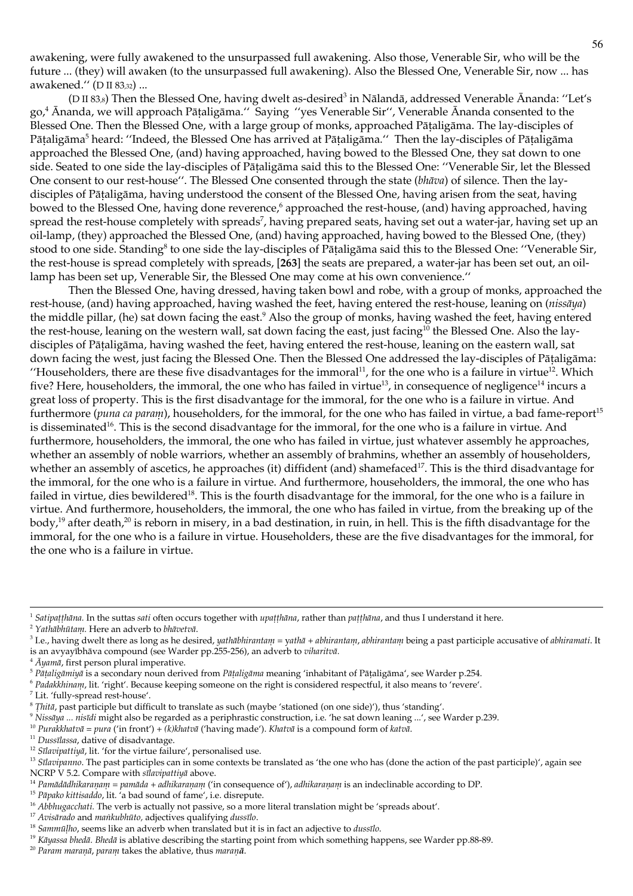awakening, were fully awakened to the unsurpassed full awakening. Also those, Venerable Sir, who will be the future ... (they) will awaken (to the unsurpassed full awakening). Also the Blessed One, Venerable Sir, now ... has awakened." (D II 83,32) ...

(D II 83,8) Then the Blessed One, having dwelt as-desired<sup>3</sup> in Nālandā, addressed Venerable Ānanda: "Let's go,<sup>4</sup> Ānanda, we will approach Pāṭaligāma." Saying "yes Venerable Sir", Venerable Ānanda consented to the Blessed One. Then the Blessed One, with a large group of monks, approached Pātaligāma. The lay-disciples of Pātaligāma<sup>5</sup> heard: "Indeed, the Blessed One has arrived at Pātaligāma." Then the lay-disciples of Pātaligāma approached the Blessed One, (and) having approached, having bowed to the Blessed One, they sat down to one side. Seated to one side the lay-disciples of Pātaligāma said this to the Blessed One: "Venerable Sir, let the Blessed One consent to our rest-house". The Blessed One consented through the state (blaīva) of silence. Then the laydisciples of Pātaligāma, having understood the consent of the Blessed One, having arisen from the seat, having bowed to the Blessed One, having done reverence,<sup>6</sup> approached the rest-house, (and) having approached, having spread the rest-house completely with spreads<sup>7</sup>, having prepared seats, having set out a water-jar, having set up an oil-lamp, (they) approached the Blessed One, (and) having approached, having bowed to the Blessed One, (they) stood to one side. Standing<sup>8</sup> to one side the lay-disciples of Pātaligāma said this to the Blessed One: "Venerable Sir, the rest-house is spread completely with spreads, [263] the seats are prepared, a water-jar has been set out, an oillamp has been set up, Venerable Sir, the Blessed One may come at his own convenience."

Then the Blessed One, having dressed, having taken bowl and robe, with a group of monks, approached the rest-house, (and) having approached, having washed the feet, having entered the rest-house, leaning on (nissāya) the middle pillar, (he) sat down facing the east.<sup>9</sup> Also the group of monks, having washed the feet, having entered the rest-house, leaning on the western wall, sat down facing the east, just facing<sup>10</sup> the Blessed One. Also the laydisciples of Pātaligāma, having washed the feet, having entered the rest-house, leaning on the eastern wall, sat down facing the west, just facing the Blessed One. Then the Blessed One addressed the lay-disciples of Pātaligāma: "Householders, there are these five disadvantages for the immoral<sup>11</sup>, for the one who is a failure in virtue<sup>12</sup>. Which five? Here, householders, the immoral, the one who has failed in virtue<sup>13</sup>, in consequence of negligence<sup>14</sup> incurs a great loss of property. This is the first disadvantage for the immoral, for the one who is a failure in virtue. And furthermore (puna ca parani), householders, for the immoral, for the one who has failed in virtue, a bad fame-report<sup>15</sup> is disseminated<sup>16</sup>. This is the second disadvantage for the immoral, for the one who is a failure in virtue. And furthermore, householders, the immoral, the one who has failed in virtue, just whatever assembly he approaches, whether an assembly of noble warriors, whether an assembly of brahmins, whether an assembly of householders, whether an assembly of ascetics, he approaches (it) diffident (and) shamefaced<sup>17</sup>. This is the third disadvantage for the immoral, for the one who is a failure in virtue. And furthermore, householders, the immoral, the one who has failed in virtue, dies bewildered<sup>18</sup>. This is the fourth disadvantage for the immoral, for the one who is a failure in virtue. And furthermore, householders, the immoral, the one who has failed in virtue, from the breaking up of the body,<sup>19</sup> after death,<sup>20</sup> is reborn in misery, in a bad destination, in ruin, in hell. This is the fifth disadvantage for the immoral, for the one who is a failure in virtue. Householders, these are the five disadvantages for the immoral, for the one who is a failure in virtue.

<sup>15</sup> Pāpako kittisaddo, lit. 'a bad sound of fame', i.e. disrepute.

<sup>20</sup> Param maranā, param takes the ablative, thus maranā.

<sup>&</sup>lt;sup>1</sup> Satipaṭṭhāna. In the suttas sati often occurs together with upaṭṭḥāna, rather than paṭṭḥāna, and thus I understand it here.

<sup>&</sup>lt;sup>2</sup> Yathābhūtam. Here an adverb to bhāvetvā.

<sup>&</sup>lt;sup>3</sup> I.e., having dwelt there as long as he desired, *yathabhirantam* = yatha + *abhirantam*, *abhirantam* being a past participle accusative of *abhiramati*. It is an avyayībhāva compound (see Warder pp.255-256), an adverb to viharitvā.

 $4$   $\bar{A}$ <sub>1</sub> $a$ <sub>11</sub> $\bar{a}$ , first person plural imperative.

<sup>&</sup>lt;sup>5</sup> Pāțaligāmiyā is a secondary noun derived from Pāțaligāma meaning 'inhabitant of Pāṭaligāma', see Warder p.254.

<sup>&</sup>lt;sup>6</sup> Padakkhinam, lit. 'right'. Because keeping someone on the right is considered respectful, it also means to 'revere'.

 $^7$  Lit. 'fully-spread rest-house'.

 ${}^8$  Thitā, past participle but difficult to translate as such (maybe 'stationed (on one side)'), thus 'standing'.

 $\degree$  Nissāya ... nisīdi might also be regarded as a periphrastic construction, i.e. 'he sat down leaning ...', see Warder p.239.

<sup>&</sup>lt;sup>10</sup> Purakkhatvā = pura ('in front') + (k)khatvā ('having made'). Khatvā is a compound form of katvā.

<sup>&</sup>lt;sup>11</sup> Dussīlassa, dative of disadvantage.

<sup>&</sup>lt;sup>12</sup> Sīlavipattiyā, lit. 'for the virtue failure', personalised use.

<sup>&</sup>lt;sup>13</sup> Silavipanno. The past participles can in some contexts be translated as 'the one who has (done the action of the past participle)', again see NCRP V 5.2. Compare with silavipattiya above.

<sup>&</sup>lt;sup>14</sup> Pannādādhikaraņam = pannāda + adhikaraņam ('in consequence of'), adhikaraņam is an indeclinable according to DP.

<sup>&</sup>lt;sup>16</sup> Abbhugacchati. The verb is actually not passive, so a more literal translation might be 'spreads about'.

<sup>&</sup>lt;sup>17</sup> Avisārado and mankubhūto, adjectives qualifying dussīlo.

 $18$  Sammūlho, seems like an adverb when translated but it is in fact an adjective to dussilo.

<sup>&</sup>lt;sup>19</sup> Kāyassa bhedā. Bhedā is ablative describing the starting point from which something happens, see Warder pp.88-89.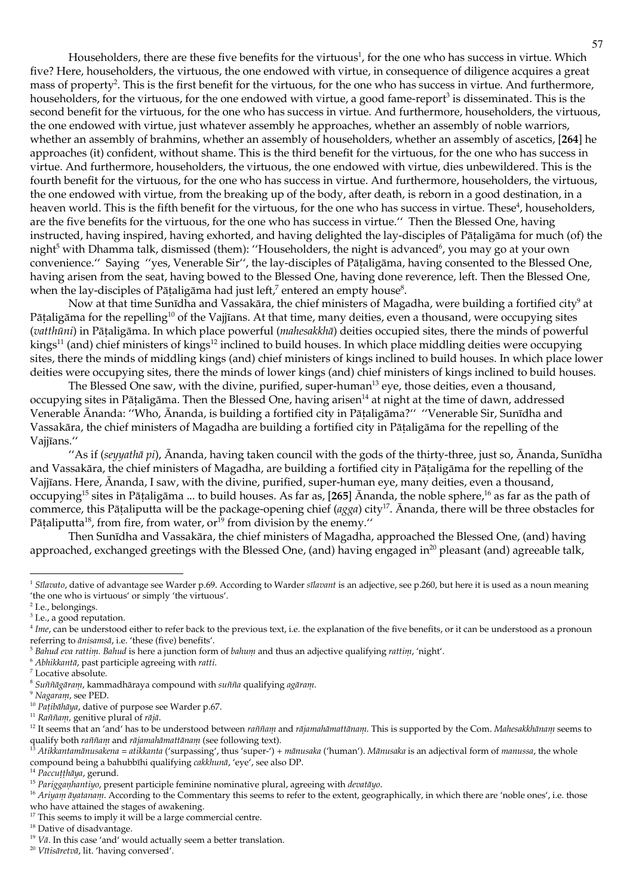Householders, there are these five benefits for the virtuous<sup>1</sup>, for the one who has success in virtue. Which five? Here, householders, the virtuous, the one endowed with virtue, in consequence of diligence acquires a great mass of property<sup>2</sup>. This is the first benefit for the virtuous, for the one who has success in virtue. And furthermore, householders, for the virtuous, for the one endowed with virtue, a good fame-report<sup>3</sup> is disseminated. This is the second benefit for the virtuous, for the one who has success in virtue. And furthermore, householders, the virtuous, the one endowed with virtue, just whatever assembly he approaches, whether an assembly of noble warriors, whether an assembly of brahmins, whether an assembly of householders, whether an assembly of ascetics, [264] he approaches (it) confident, without shame. This is the third benefit for the virtuous, for the one who has success in virtue. And furthermore, householders, the virtuous, the one endowed with virtue, dies unbewildered. This is the fourth benefit for the virtuous, for the one who has success in virtue. And furthermore, householders, the virtuous, the one endowed with virtue, from the breaking up of the body, after death, is reborn in a good destination, in a heaven world. This is the fifth benefit for the virtuous, for the one who has success in virtue. These<sup>4</sup>, householders, are the five benefits for the virtuous, for the one who has success in virtue." Then the Blessed One, having instructed, having inspired, having exhorted, and having delighted the lay-disciples of Pātaligāma for much (of) the night<sup>5</sup> with Dhamma talk, dismissed (them): "Householders, the night is advanced<sup>6</sup>, you may go at your own convenience." Saying "yes, Venerable Sir", the lay-disciples of Pātaligāma, having consented to the Blessed One, having arisen from the seat, having bowed to the Blessed One, having done reverence, left. Then the Blessed One, when the lay-disciples of Pātaligāma had just left,<sup>7</sup> entered an empty house<sup>8</sup>.

Now at that time Sunīdha and Vassakāra, the chief ministers of Magadha, were building a fortified city<sup>9</sup> at Pāṭaligāma for the repelling<sup>10</sup> of the Vajjīans. At that time, many deities, even a thousand, were occupying sites (vatthūni) in Pātaligāma. In which place powerful (mahesakkhā) deities occupied sites, there the minds of powerful  $\frac{1}{2}$  kings<sup>11</sup> (and) chief ministers of kings<sup>12</sup> inclined to build houses. In which place middling deities were occupying sites, there the minds of middling kings (and) chief ministers of kings inclined to build houses. In which place lower deities were occupying sites, there the minds of lower kings (and) chief ministers of kings inclined to build houses.

The Blessed One saw, with the divine, purified, super-human<sup>13</sup> eye, those deities, even a thousand, occupying sites in Pātaligāma. Then the Blessed One, having arisen<sup>14</sup> at night at the time of dawn, addressed Venerable Ānanda: "Who, Ānanda, is building a fortified city in Pātaligāma?" "Venerable Sir, Sunīdha and Vassakāra, the chief ministers of Magadha are building a fortified city in Pātaligāma for the repelling of the Vaijīans."

"As if (seyyathā pi), Ānanda, having taken council with the gods of the thirty-three, just so, Ānanda, Sunīdha and Vassakāra, the chief ministers of Magadha, are building a fortified city in Pāṭaligāma for the repelling of the Vajjīans. Here, Ānanda, I saw, with the divine, purified, super-human eye, many deities, even a thousand, occupying<sup>15</sup> sites in Pātaligāma ... to build houses. As far as, [265] Ananda, the noble sphere,<sup>16</sup> as far as the path of commerce, this Pāṭaliputta will be the package-opening chief ( $agga$ ) city<sup>17</sup>. Ananda, there will be three obstacles for Pātaliputta<sup>18</sup>, from fire, from water, or<sup>19</sup> from division by the enemy."

Then Sunīdha and Vassakāra, the chief ministers of Magadha, approached the Blessed One, (and) having approached, exchanged greetings with the Blessed One, (and) having engaged in<sup>20</sup> pleasant (and) agreeable talk,

<sup>14</sup> Paccuțțhāya, gerund.

<sup>&</sup>lt;sup>1</sup> Sīlavato, dative of advantage see Warder p.69. According to Warder sīlavant is an adjective, see p.260, but here it is used as a noun meaning 'the one who is virtuous' or simply 'the virtuous'.

<sup>&</sup>lt;sup>2</sup> I.e., belongings.

<sup>&</sup>lt;sup>3</sup> I.e., a good reputation.

 $4$  Ime, can be understood either to refer back to the previous text, i.e. the explanation of the five benefits, or it can be understood as a pronoun referring to  $\bar{a}$ nisams $\bar{a}$ , i.e. 'these (five) benefits'.

 $5$  Bahud eva rattini. Bahud is here a junction form of bahum and thus an adjective qualifying rattini, 'night'.

<sup>&</sup>lt;sup>6</sup> Abhikkantā, past participle agreeing with ratti.

 $^7$  Locative absolute.

 $8$  Suññāgāram, kammadhāraya compound with suñña qualifying agāram.

<sup>&</sup>lt;sup>9</sup> Nagaram, see PED.

<sup>&</sup>lt;sup>10</sup> Pațibāliāya, dative of purpose see Warder p.67.

<sup>&</sup>lt;sup>11</sup> Raññam, genitive plural of rājā.

<sup>&</sup>lt;sup>12</sup> It seems that an 'and' has to be understood between raññam and rājamahāmattānam. This is supported by the Com. Mahesakkhānam seems to qualify both raññam and rājamahāmattānam (see following text).

<sup>&</sup>lt;sup>13</sup> Atikkantamānusakena = atikkanta ('surpassing', thus 'super-') + mānusaka ('human'). Mānusaka is an adjectival form of manussa, the whole compound being a bahubbīhi qualifying cakkhunā, 'eye', see also DP.

<sup>&</sup>lt;sup>15</sup> Parigganhantiyo, present participle feminine nominative plural, agreeing with devatayo.

<sup>&</sup>lt;sup>16</sup> Ariyani āyatanam. According to the Commentary this seems to refer to the extent, geographically, in which there are 'noble ones', i.e. those who have attained the stages of awakening.

 $^{17}$  This seems to imply it will be a large commercial centre.

 $^{\rm 18}$  Dative of disadvantage.

<sup>&</sup>lt;sup>19</sup> V $\bar{a}$ . In this case 'and' would actually seem a better translation.

<sup>&</sup>lt;sup>20</sup> Vītisāretvā, lit. 'having conversed'.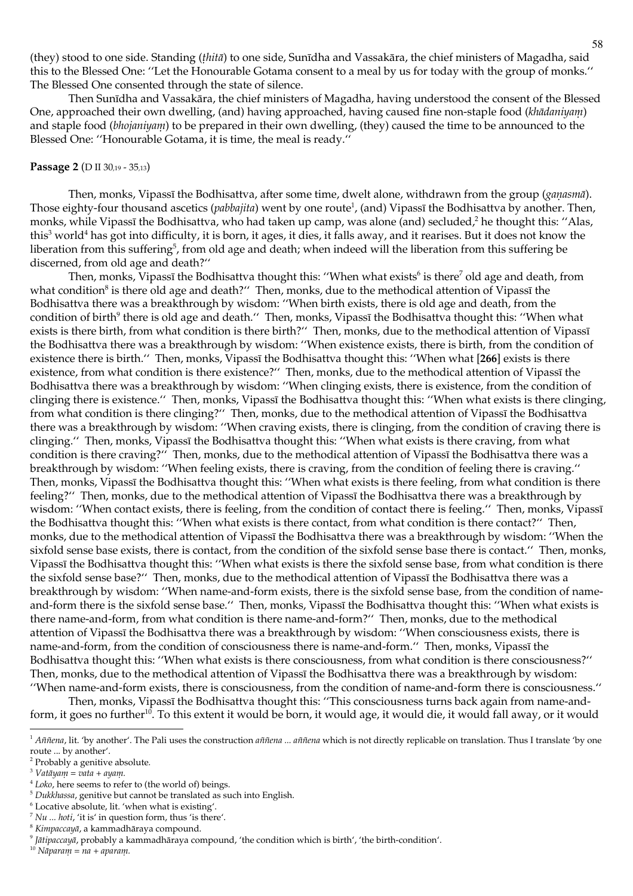(they) stood to one side. Standing (*thita*) to one side, Sunīdha and Vassakāra, the chief ministers of Magadha, said this to the Blessed One: "Let the Honourable Gotama consent to a meal by us for today with the group of monks." The Blessed One consented through the state of silence.

Then Sunīdha and Vassakāra, the chief ministers of Magadha, having understood the consent of the Blessed One, approached their own dwelling, (and) having approached, having caused fine non-staple food (khādaniyam) and staple food (bhojaniyam) to be prepared in their own dwelling, (they) caused the time to be announced to the Blessed One: "Honourable Gotama, it is time, the meal is ready."

#### Passage 2 (D II 30,19 - 35,13)

Then, monks, Vipassī the Bodhisattva, after some time, dwelt alone, withdrawn from the group (ganasmā). Those eighty-four thousand ascetics (*pabbajita*) went by one route<sup>1</sup>, (and) Vipassī the Bodhisattva by another. Then, monks, while Vipassī the Bodhisattva, who had taken up camp, was alone (and) secluded,<sup>2</sup> he thought this: "Alas, this<sup>3</sup> world<sup>4</sup> has got into difficulty, it is born, it ages, it dies, it falls away, and it rearises. But it does not know the liberation from this suffering<sup>5</sup>, from old age and death; when indeed will the liberation from this suffering be discerned, from old age and death?"

Then, monks, Vipassi the Bodhisattva thought this: "When what exists<sup>6</sup> is there<sup>7</sup> old age and death, from what condition<sup>8</sup> is there old age and death?" Then, monks, due to the methodical attention of Vipassī the Bodhisattva there was a breakthrough by wisdom: "When birth exists, there is old age and death, from the condition of birth<sup>9</sup> there is old age and death." Then, monks, Vipassī the Bodhisattva thought this: "When what exists is there birth, from what condition is there birth?" Then, monks, due to the methodical attention of Vipassī the Bodhisattva there was a breakthrough by wisdom: "When existence exists, there is birth, from the condition of existence there is birth." Then, monks, Vipassī the Bodhisattva thought this: "When what [266] exists is there existence, from what condition is there existence?" Then, monks, due to the methodical attention of Vipassī the Bodhisattva there was a breakthrough by wisdom: "When clinging exists, there is existence, from the condition of clinging there is existence." Then, monks, Vipassī the Bodhisattva thought this: "When what exists is there clinging, from what condition is there clinging?" Then, monks, due to the methodical attention of Vipassī the Bodhisattva there was a breakthrough by wisdom: "When craving exists, there is clinging, from the condition of craving there is clinging." Then, monks, Vipassī the Bodhisattva thought this: "When what exists is there craving, from what condition is there craving?" Then, monks, due to the methodical attention of Vipassī the Bodhisattva there was a breakthrough by wisdom: "When feeling exists, there is craving, from the condition of feeling there is craving." Then, monks, Vipassī the Bodhisattva thought this: "When what exists is there feeling, from what condition is there feeling?" Then, monks, due to the methodical attention of Vipassī the Bodhisattva there was a breakthrough by wisdom: "When contact exists, there is feeling, from the condition of contact there is feeling." Then, monks, Vipassī the Bodhisattva thought this: "When what exists is there contact, from what condition is there contact?" Then, monks, due to the methodical attention of Vipassī the Bodhisattva there was a breakthrough by wisdom: "When the sixfold sense base exists, there is contact, from the condition of the sixfold sense base there is contact." Then, monks, Vipassī the Bodhisattva thought this: "When what exists is there the sixfold sense base, from what condition is there the sixfold sense base?" Then, monks, due to the methodical attention of Vipassī the Bodhisattva there was a breakthrough by wisdom: "When name-and-form exists, there is the sixfold sense base, from the condition of nameand-form there is the sixfold sense base." Then, monks, Vipassi the Bodhisattva thought this: "When what exists is there name-and-form, from what condition is there name-and-form?" Then, monks, due to the methodical attention of Vipassī the Bodhisattva there was a breakthrough by wisdom: "When consciousness exists, there is name-and-form, from the condition of consciousness there is name-and-form." Then, monks, Vipassī the Bodhisattva thought this: "When what exists is there consciousness, from what condition is there consciousness?" Then, monks, due to the methodical attention of Vipassī the Bodhisattva there was a breakthrough by wisdom: "When name-and-form exists, there is consciousness, from the condition of name-and-form there is consciousness."

Then, monks, Vipassī the Bodhisattva thought this: "This consciousness turns back again from name-andform, it goes no further<sup>10</sup>. To this extent it would be born, it would age, it would die, it would fall away, or it would

<sup>&</sup>lt;sup>1</sup> Aññena, lit. 'by another'. The Pali uses the construction aññena ... aññena which is not directly replicable on translation. Thus I translate 'by one route ... by another'.

<sup>&</sup>lt;sup>2</sup> Probably a genitive absolute.

 $^3$ Vatāyam = vata + ayam.

 $4$  Loko, here seems to refer to (the world of) beings.

<sup>&</sup>lt;sup>5</sup> Dukkluassa, genitive but cannot be translated as such into English.

<sup>&</sup>lt;sup>6</sup> Locative absolute, lit. 'when what is existing'.

 $^7\,Nu$   $\ldots$   $hoti,$   $^{\prime}$  it is  $^{\prime}$  in question form, thus 'is there'.

 $^8$  Kimpaccayā, a kammadhāraya compound.

<sup>&</sup>lt;sup>9</sup> *[ātipaccava, probably a kammadharaya compound, 'the condition which is birth', 'the birth-condition'*.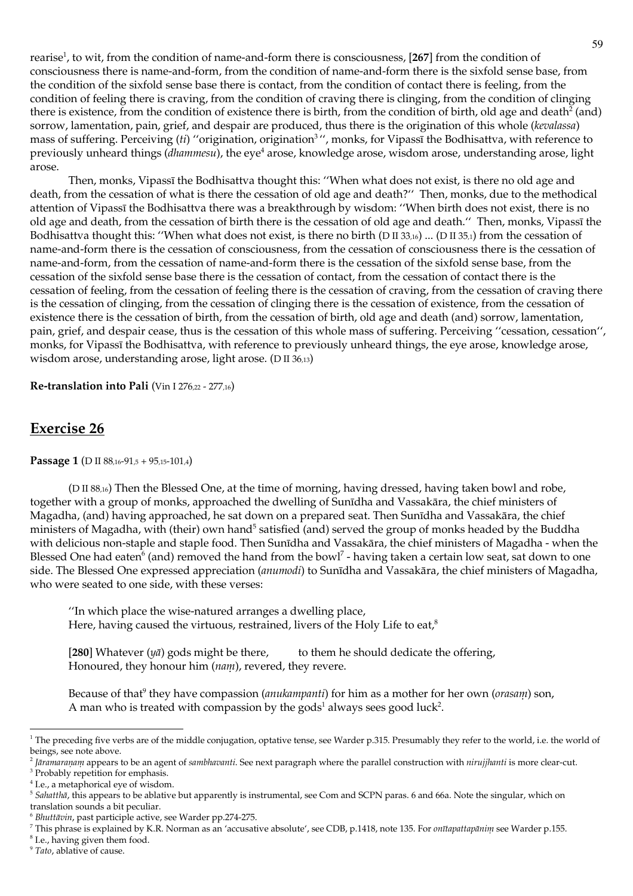rearise<sup>1</sup>, to wit, from the condition of name-and-form there is consciousness, [267] from the condition of consciousness there is name-and-form, from the condition of name-and-form there is the sixfold sense base, from the condition of the sixfold sense base there is contact, from the condition of contact there is feeling, from the condition of feeling there is craving, from the condition of craving there is clinging, from the condition of clinging there is existence, from the condition of existence there is birth, from the condition of birth, old age and death<sup>2</sup> (and) sorrow, lamentation, pain, grief, and despair are produced, thus there is the origination of this whole (kevalassa) mass of suffering. Perceiving (ti) "origination, origination<sup>3</sup>", monks, for Vipassī the Bodhisattva, with reference to previously unheard things (dhammesu), the eye<sup>4</sup> arose, knowledge arose, wisdom arose, understanding arose, light arose.

Then, monks, Vipassī the Bodhisattva thought this: "When what does not exist, is there no old age and death, from the cessation of what is there the cessation of old age and death?" Then, monks, due to the methodical attention of Vipassi the Bodhisattva there was a breakthrough by wisdom: "When birth does not exist, there is no old age and death, from the cessation of birth there is the cessation of old age and death." Then, monks, Vipassī the Bodhisattva thought this: "When what does not exist, is there no birth (D II 33,16) ... (D II 35,1) from the cessation of name-and-form there is the cessation of consciousness, from the cessation of consciousness there is the cessation of name-and-form, from the cessation of name-and-form there is the cessation of the sixfold sense base, from the cessation of the sixfold sense base there is the cessation of contact, from the cessation of contact there is the cessation of feeling, from the cessation of feeling there is the cessation of craving, from the cessation of craving there is the cessation of clinging, from the cessation of clinging there is the cessation of existence, from the cessation of existence there is the cessation of birth, from the cessation of birth, old age and death (and) sorrow, lamentation, pain, grief, and despair cease, thus is the cessation of this whole mass of suffering. Perceiving "cessation, cessation", monks, for Vipassi the Bodhisattva, with reference to previously unheard things, the eye arose, knowledge arose, wisdom arose, understanding arose, light arose. (D II 36,13)

Re-translation into Pali (Vin I 276,22 - 277,16)

# **Exercise 26**

### Passage 1 (D II 88,16-91,5 + 95,15-101,4)

(D II 88,16) Then the Blessed One, at the time of morning, having dressed, having taken bowl and robe, together with a group of monks, approached the dwelling of Sunīdha and Vassakāra, the chief ministers of Magadha, (and) having approached, he sat down on a prepared seat. Then Sunīdha and Vassakāra, the chief ministers of Magadha, with (their) own hand<sup>5</sup> satisfied (and) served the group of monks headed by the Buddha with delicious non-staple and staple food. Then Sunīdha and Vassakāra, the chief ministers of Magadha - when the Blessed One had eaten<sup>6</sup> (and) removed the hand from the bowl<sup>7</sup> - having taken a certain low seat, sat down to one side. The Blessed One expressed appreciation (anumodi) to Sunīdha and Vassakāra, the chief ministers of Magadha, who were seated to one side, with these verses:

"In which place the wise-natured arranges a dwelling place, Here, having caused the virtuous, restrained, livers of the Holy Life to eat,<sup>8</sup>

[280] Whatever  $(\eta \bar{a})$  gods might be there, to them he should dedicate the offering, Honoured, they honour him (nam), revered, they revere.

Because of that<sup>9</sup> they have compassion (anukampanti) for him as a mother for her own (*orasam*) son, A man who is treated with compassion by the gods<sup>1</sup> always sees good luck<sup>2</sup>.

<sup>&</sup>lt;sup>1</sup> The preceding five verbs are of the middle conjugation, optative tense, see Warder p.315. Presumably they refer to the world, i.e. the world of beings, see note above.

<sup>&</sup>lt;sup>2</sup> Jāramaraņam appears to be an agent of sambhavanti. See next paragraph where the parallel construction with nirujjhanti is more clear-cut.

<sup>&</sup>lt;sup>3</sup> Probably repetition for emphasis.

<sup>&</sup>lt;sup>4</sup> I.e., a metaphorical eye of wisdom.

<sup>&</sup>lt;sup>5</sup> Saluattluā, this appears to be ablative but apparently is instrumental, see Com and SCPN paras. 6 and 66a. Note the singular, which on translation sounds a bit peculiar.

<sup>&</sup>lt;sup>6</sup> Bluttāvin, past participle active, see Warder pp.274-275.

<sup>&</sup>lt;sup>7</sup> This phrase is explained by K.R. Norman as an 'accusative absolute', see CDB, p.1418, note 135. For *onttapattapānim* see Warder p.155.

<sup>&</sup>lt;sup>8</sup> I.e., having given them food.

<sup>&</sup>lt;sup>9</sup> Tato, ablative of cause.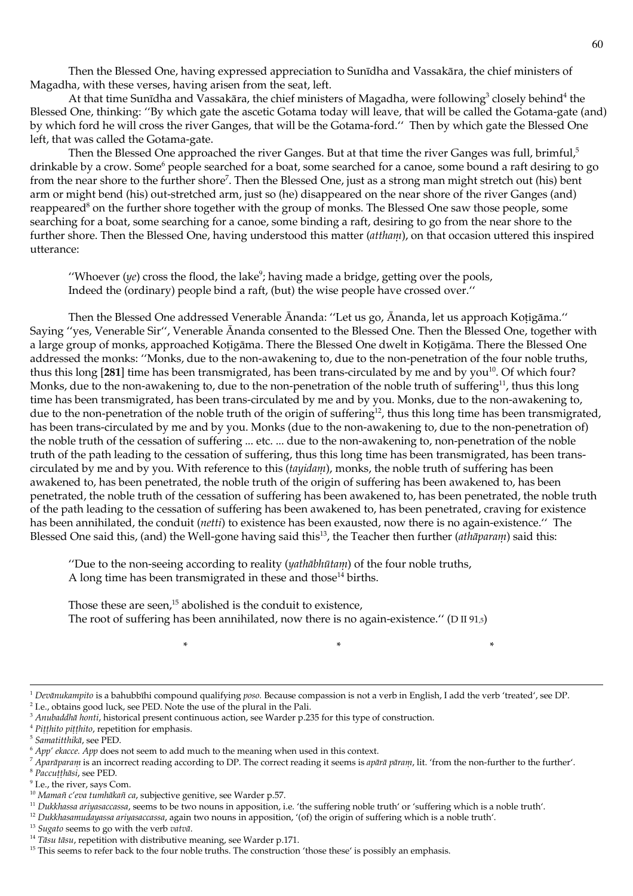Then the Blessed One, having expressed appreciation to Sunīdha and Vassakāra, the chief ministers of Magadha, with these verses, having arisen from the seat, left.

At that time Sunīdha and Vassakāra, the chief ministers of Magadha, were following<sup>3</sup> closely behind<sup>4</sup> the Blessed One, thinking: "By which gate the ascetic Gotama today will leave, that will be called the Gotama-gate (and) by which ford he will cross the river Ganges, that will be the Gotama-ford." Then by which gate the Blessed One left, that was called the Gotama-gate.

Then the Blessed One approached the river Ganges. But at that time the river Ganges was full, brimful,<sup>5</sup> drinkable by a crow. Some people searched for a boat, some searched for a canoe, some bound a raft desiring to go from the near shore to the further shore<sup>7</sup>. Then the Blessed One, just as a strong man might stretch out (his) bent arm or might bend (his) out-stretched arm, just so (he) disappeared on the near shore of the river Ganges (and) reappeared<sup>8</sup> on the further shore together with the group of monks. The Blessed One saw those people, some searching for a boat, some searching for a canoe, some binding a raft, desiring to go from the near shore to the further shore. Then the Blessed One, having understood this matter (attham), on that occasion uttered this inspired utterance:

"Whoever  $(ye)$  cross the flood, the lake"; having made a bridge, getting over the pools, Indeed the (ordinary) people bind a raft, (but) the wise people have crossed over."

Then the Blessed One addressed Venerable Ānanda: "Let us go, Ānanda, let us approach Koțigāma." Saying "yes, Venerable Sir", Venerable Ananda consented to the Blessed One. Then the Blessed One, together with a large group of monks, approached Kotigāma. There the Blessed One dwelt in Kotigāma. There the Blessed One addressed the monks: "Monks, due to the non-awakening to, due to the non-penetration of the four noble truths, thus this long [281] time has been transmigrated, has been trans-circulated by me and by you<sup>10</sup>. Of which four? Monks, due to the non-awakening to, due to the non-penetration of the noble truth of suffering<sup>11</sup>, thus this long time has been transmigrated, has been trans-circulated by me and by you. Monks, due to the non-awakening to, due to the non-penetration of the noble truth of the origin of suffering<sup>12</sup>, thus this long time has been transmigrated, has been trans-circulated by me and by you. Monks (due to the non-awakening to, due to the non-penetration of) the noble truth of the cessation of suffering ... etc. ... due to the non-awakening to, non-penetration of the noble truth of the path leading to the cessation of suffering, thus this long time has been transmigrated, has been transcirculated by me and by you. With reference to this (tayidam), monks, the noble truth of suffering has been awakened to, has been penetrated, the noble truth of the origin of suffering has been awakened to, has been penetrated, the noble truth of the cessation of suffering has been awakened to, has been penetrated, the noble truth of the path leading to the cessation of suffering has been awakened to, has been penetrated, craving for existence has been annihilated, the conduit (*netti*) to existence has been exausted, now there is no again-existence." The Blessed One said this, (and) the Well-gone having said this<sup>13</sup>, the Teacher then further (athāparam) said this:

"Due to the non-seeing according to reality (yathabhutam) of the four noble truths, A long time has been transmigrated in these and those<sup>14</sup> births.

Those these are seen,<sup>15</sup> abolished is the conduit to existence, The root of suffering has been annihilated, now there is no again-existence." ( $D \text{ II } 91.5$ )

 $\ast$ 

 $2$  I.e., obtains good luck, see PED. Note the use of the plural in the Pali.

<sup>&</sup>lt;sup>1</sup> Devānukampito is a bahubbīhi compound qualifying poso. Because compassion is not a verb in English, I add the verb 'treated', see DP.

<sup>&</sup>lt;sup>3</sup> Anubaddhā honti, historical present continuous action, see Warder p.235 for this type of construction.

<sup>&</sup>lt;sup>4</sup> Pitthito pitthito, repetition for emphasis.

<sup>&</sup>lt;sup>5</sup> Samatitthikā, see PED.

 $6$  App' ekacce. App does not seem to add much to the meaning when used in this context.

<sup>&</sup>lt;sup>7</sup> Aparāparam is an incorrect reading according to DP. The correct reading it seems is apārā pāram, lit. 'from the non-further to the further'.

<sup>&</sup>lt;sup>8</sup> Paccutthāsi, see PED.

<sup>&</sup>lt;sup>9</sup> I.e., the river, says Com.

<sup>&</sup>lt;sup>10</sup> Mamañ c'eva tumhākañ ca, subjective genitive, see Warder p.57.

<sup>&</sup>lt;sup>11</sup> Dukkhassa ariyasaccassa, seems to be two nouns in apposition, i.e. 'the suffering noble truth' or 'suffering which is a noble truth'.

<sup>&</sup>lt;sup>12</sup> Dukkhasamudayassa ariyasaccassa, again two nouns in apposition, '(of) the origin of suffering which is a noble truth'.

 $13$  Sugato seems to go with the verb vatvā.

 $14$  Tāsu tāsu, repetition with distributive meaning, see Warder p.171.

<sup>&</sup>lt;sup>15</sup> This seems to refer back to the four noble truths. The construction 'those these' is possibly an emphasis.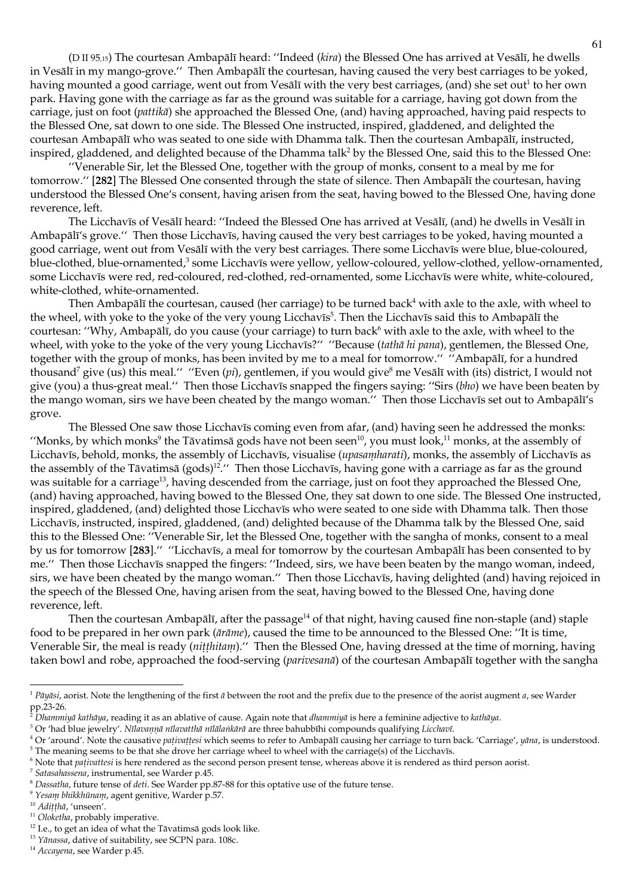(D II 95,15) The courtesan Ambapālī heard: "Indeed (kira) the Blessed One has arrived at Vesālī, he dwells in Vesālī in my mango-grove." Then Ambapālī the courtesan, having caused the very best carriages to be yoked, having mounted a good carriage, went out from Vesālī with the very best carriages, (and) she set out<sup>1</sup> to her own park. Having gone with the carriage as far as the ground was suitable for a carriage, having got down from the carriage, just on foot (*pattika*) she approached the Blessed One, (and) having approached, having paid respects to the Blessed One, sat down to one side. The Blessed One instructed, inspired, gladdened, and delighted the courtesan Ambapālī who was seated to one side with Dhamma talk. Then the courtesan Ambapālī, instructed, inspired, gladdened, and delighted because of the Dhamma talk<sup>2</sup> by the Blessed One, said this to the Blessed One:

"Venerable Sir, let the Blessed One, together with the group of monks, consent to a meal by me for tomorrow." [282] The Blessed One consented through the state of silence. Then Ambapali the courtesan, having understood the Blessed One's consent, having arisen from the seat, having bowed to the Blessed One, having done reverence, left.

The Licchavīs of Vesālī heard: "Indeed the Blessed One has arrived at Vesālī, (and) he dwells in Vesālī in Ambapālī's grove." Then those Licchavīs, having caused the very best carriages to be yoked, having mounted a good carriage, went out from Vesālī with the very best carriages. There some Licchavīs were blue, blue-coloured, blue-clothed, blue-ornamented,<sup>3</sup> some Licchavis were yellow, yellow-coloured, yellow-clothed, yellow-ornamented, some Licchavīs were red, red-coloured, red-clothed, red-ornamented, some Licchavīs were white, white-coloured, white-clothed, white-ornamented.

Then Ambapālī the courtesan, caused (her carriage) to be turned back<sup>4</sup> with axle to the axle, with wheel to the wheel, with yoke to the yoke of the very young Licchavis<sup>5</sup>. Then the Licchavis said this to Ambapali the courtesan: "Why, Ambapālī, do you cause (your carriage) to turn back<sup>6</sup> with axle to the axle, with wheel to the wheel, with yoke to the yoke of the very young Licchavis?" "Because (tathā hi pana), gentlemen, the Blessed One, together with the group of monks, has been invited by me to a meal for tomorrow." "Ambapalī, for a hundred thousand<sup>7</sup> give (us) this meal." "Even (pi), gentlemen, if you would give<sup>8</sup> me Vesali with (its) district, I would not give (you) a thus-great meal." Then those Licchavis snapped the fingers saying: "Sirs (blw) we have been beaten by the mango woman, sirs we have been cheated by the mango woman." Then those Licchavis set out to Ambapali's grove.

The Blessed One saw those Licchavis coming even from afar, (and) having seen he addressed the monks: "Monks, by which monks<sup>9</sup> the Tāvatimsā gods have not been seen<sup>10</sup>, you must look,<sup>11</sup> monks, at the assembly of Licchavīs, behold, monks, the assembly of Licchavīs, visualise (upasanılarati), monks, the assembly of Licchavīs as the assembly of the Tāvatimsā (gods)<sup>12</sup>." Then those Licchavīs, having gone with a carriage as far as the ground was suitable for a carriage<sup>13</sup>, having descended from the carriage, just on foot they approached the Blessed One, (and) having approached, having bowed to the Blessed One, they sat down to one side. The Blessed One instructed, inspired, gladdened, (and) delighted those Licchavīs who were seated to one side with Dhamma talk. Then those Licchavis, instructed, inspired, gladdened, (and) delighted because of the Dhamma talk by the Blessed One, said this to the Blessed One: "Venerable Sir, let the Blessed One, together with the sangha of monks, consent to a meal by us for tomorrow [283]." "Licchavīs, a meal for tomorrow by the courtesan Ambapālī has been consented to by me." Then those Licchavis snapped the fingers: "Indeed, sirs, we have been beaten by the mango woman, indeed, sirs, we have been cheated by the mango woman." Then those Licchavis, having delighted (and) having rejoiced in the speech of the Blessed One, having arisen from the seat, having bowed to the Blessed One, having done reverence, left.

Then the courtesan Ambapālī, after the passage<sup>14</sup> of that night, having caused fine non-staple (and) staple food to be prepared in her own park (ārāme), caused the time to be announced to the Blessed One: "It is time, Venerable Sir, the meal is ready (*nitthitam*)." Then the Blessed One, having dressed at the time of morning, having taken bowl and robe, approached the food-serving (parivesana) of the courtesan Ambapali together with the sangha

<sup>&</sup>lt;sup>1</sup> Pāyāsi, aorist. Note the lengthening of the first ā between the root and the prefix due to the presence of the aorist augment a, see Warder  $pp.23-26.$ 

Dhammiyā kathāya, reading it as an ablative of cause. Again note that dhammiyā is here a feminine adjective to kathāya.

<sup>&</sup>lt;sup>3</sup> Or 'had blue jewelry'. Nīlavannā nīlavatthā nīlālankārā are three bahubbīhi compounds qualifying Licchavī.

<sup>&</sup>lt;sup>4</sup> Or 'around'. Note the causative pativattesi which seems to refer to Ambapali causing her carriage to turn back. 'Carriage', yana, is understood.

<sup>&</sup>lt;sup>5</sup> The meaning seems to be that she drove her carriage wheel to wheel with the carriage(s) of the Licchavīs.

<sup>&</sup>lt;sup>6</sup> Note that pativattesi is here rendered as the second person present tense, whereas above it is rendered as third person aorist.

<sup>&</sup>lt;sup>7</sup> Satasahassena, instrumental, see Warder p.45.

 $8$  Dassatha, future tense of deti. See Warder pp.87-88 for this optative use of the future tense.

<sup>&</sup>lt;sup>9</sup> Yesanı bhikkhūnanı, agent genitive, Warder p.57.

<sup>&</sup>lt;sup>10</sup> Aditthā, 'unseen'.

<sup>&</sup>lt;sup>11</sup> Oloketha, probably imperative.

 $^{12}$  I.e., to get an idea of what the Tāvatimsā gods look like.

<sup>&</sup>lt;sup>13</sup> Yānassa, dative of suitability, see SCPN para. 108c.

<sup>&</sup>lt;sup>14</sup> Accayena, see Warder p.45.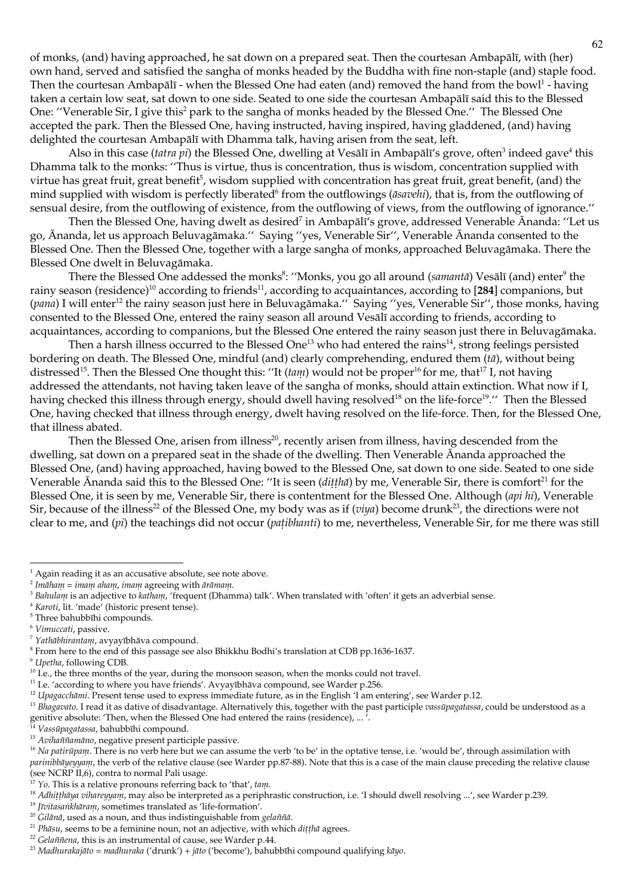of monks, (and) having approached, he sat down on a prepared seat. Then the courtesan Ambapālī, with (her) own hand, served and satisfied the sangha of monks headed by the Buddha with fine non-staple (and) staple food. Then the courtesan Ambapālī - when the Blessed One had eaten (and) removed the hand from the bowl<sup>1</sup> - having taken a certain low seat, sat down to one side. Seated to one side the courtesan Ambapālī said this to the Blessed One: "Venerable Sir, I give this<sup>2</sup> park to the sangha of monks headed by the Blessed One." The Blessed One accepted the park. Then the Blessed One, having instructed, having inspired, having gladdened, (and) having delighted the courtesan Ambapali with Dhamma talk, having arisen from the seat, left.

Also in this case (tatra pi) the Blessed One, dwelling at Vesālī in Ambapālī's grove, often<sup>3</sup> indeed gave<sup>4</sup> this Dhamma talk to the monks: "Thus is virtue, thus is concentration, thus is wisdom, concentration supplied with virtue has great fruit, great benefit<sup>5</sup>, wisdom supplied with concentration has great fruit, great benefit, (and) the mind supplied with wisdom is perfectly liberated<sup>6</sup> from the outflowings ( $\bar{a}$ *saveli*), that is, from the outflowing of sensual desire, from the outflowing of existence, from the outflowing of views, from the outflowing of ignorance."

Then the Blessed One, having dwelt as desired<sup>7</sup> in Ambapali's grove, addressed Venerable Ananda: "Let us go, Ananda, let us approach Beluvagāmaka." Saying "yes, Venerable Sir", Venerable Ananda consented to the Blessed One. Then the Blessed One, together with a large sangha of monks, approached Beluvagāmaka. There the Blessed One dwelt in Beluvagāmaka.

There the Blessed One addessed the monks<sup>8</sup>: "Monks, you go all around (samantā) Vesālī (and) enter<sup>9</sup> the rainy season (residence)<sup>10</sup> according to friends<sup>11</sup>, according to acquaintances, according to [284] companions, but (pana) I will enter<sup>12</sup> the rainy season just here in Beluvagāmaka." Saying "yes, Venerable Sir", those monks, having consented to the Blessed One, entered the rainy season all around Vesālī according to friends, according to acquaintances, according to companions, but the Blessed One entered the rainy season just there in Beluvagāmaka.

Then a harsh illness occurred to the Blessed One<sup>13</sup> who had entered the rains<sup>14</sup>, strong feelings persisted bordering on death. The Blessed One, mindful (and) clearly comprehending, endured them  $(t\bar{a})$ , without being distressed<sup>15</sup>. Then the Blessed One thought this: "It *(tam)* would not be proper<sup>16</sup> for me, that<sup>17</sup> I, not having addressed the attendants, not having taken leave of the sangha of monks, should attain extinction. What now if I, having checked this illness through energy, should dwell having resolved<sup>18</sup> on the life-force<sup>19</sup>." Then the Blessed One, having checked that illness through energy, dwelt having resolved on the life-force. Then, for the Blessed One, that illness abated.

Then the Blessed One, arisen from illness<sup>20</sup>, recently arisen from illness, having descended from the dwelling, sat down on a prepared seat in the shade of the dwelling. Then Venerable Ananda approached the Blessed One, (and) having approached, having bowed to the Blessed One, sat down to one side. Seated to one side Venerable Ānanda said this to the Blessed One: "It is seen (dittha) by me, Venerable Sir, there is comfort<sup>21</sup> for the Blessed One, it is seen by me, Venerable Sir, there is contentment for the Blessed One. Although (api hi), Venerable Sir, because of the illness<sup>22</sup> of the Blessed One, my body was as if ( $viya$ ) become drunk<sup>23</sup>, the directions were not clear to me, and (pi) the teachings did not occur (patibhanti) to me, nevertheless, Venerable Sir, for me there was still

<sup>7</sup> Yathābhirantam, avyayībhāva compound.

 $^1$  Again reading it as an accusative absolute, see note above.

 $2$  Imāham = imam aham, imam agreeing with ārāmam.

<sup>&</sup>lt;sup>3</sup> Baluılanı is an adjective to katlıanı, 'frequent (Dhamma) talk'. When translated with 'often' it gets an adverbial sense.

<sup>&</sup>lt;sup>4</sup> Karoti, lit. 'made' (historic present tense).

<sup>&</sup>lt;sup>5</sup> Three bahubbīhi compounds.

<sup>&</sup>lt;sup>6</sup> Vimuccati, passive.

<sup>&</sup>lt;sup>8</sup> From here to the end of this passage see also Bhikkhu Bodhi's translation at CDB pp.1636-1637.

<sup>&</sup>lt;sup>9</sup> Upetha, following CDB.

<sup>&</sup>lt;sup>10</sup> I.e., the three months of the year, during the monsoon season, when the monks could not travel.

<sup>&</sup>lt;sup>11</sup> I.e. 'according to where you have friends'. Avyayībhāva compound, see Warder p.256.

<sup>&</sup>lt;sup>12</sup> Upagacchānu. Present tense used to express immediate future, as in the English 'I am entering', see Warder p.12.

<sup>&</sup>lt;sup>13</sup> Blagavato. I read it as dative of disadvantage. Alternatively this, together with the past participle vassupagatassa, could be understood as a genitive absolute: 'Then, when the Blessed One had entered the rains (residence), ...'.

Vassūpagatassa, bahubbīhi compound.

<sup>&</sup>lt;sup>15</sup> Avihaññamāno, negative present participle passive.

<sup>&</sup>lt;sup>16</sup> Na patirūpam. There is no verb here but we can assume the verb 'to be' in the optative tense, i.e. 'would be', through assimilation with parinibbayeyyam, the verb of the relative clause (see Warder pp.87-88). Note that this is a case of the main clause preceding the relative clause (see NCRP II,6), contra to normal Pali usage.

<sup>&</sup>lt;sup>17</sup> Yo. This is a relative pronouns referring back to 'that', tam.

<sup>&</sup>lt;sup>18</sup> Adhitthaya vihareyyanı, may also be interpreted as a periphrastic construction, i.e. 'I should dwell resolving ...', see Warder p.239.

<sup>&</sup>lt;sup>19</sup> Jīvitasankhāram, sometimes translated as 'life-formation'.

<sup>&</sup>lt;sup>20</sup> Gilānā, used as a noun, and thus indistinguishable from *gelaññā*.

<sup>&</sup>lt;sup>21</sup> Phāsu, seems to be a feminine noun, not an adjective, with which dițțhā agrees.

<sup>&</sup>lt;sup>22</sup> Gelaññena, this is an instrumental of cause, see Warder p.44.

<sup>&</sup>lt;sup>23</sup> Madhurakajāto = madhuraka ('drunk') + jāto ('become'), bahubbīhi compound qualifying kāyo.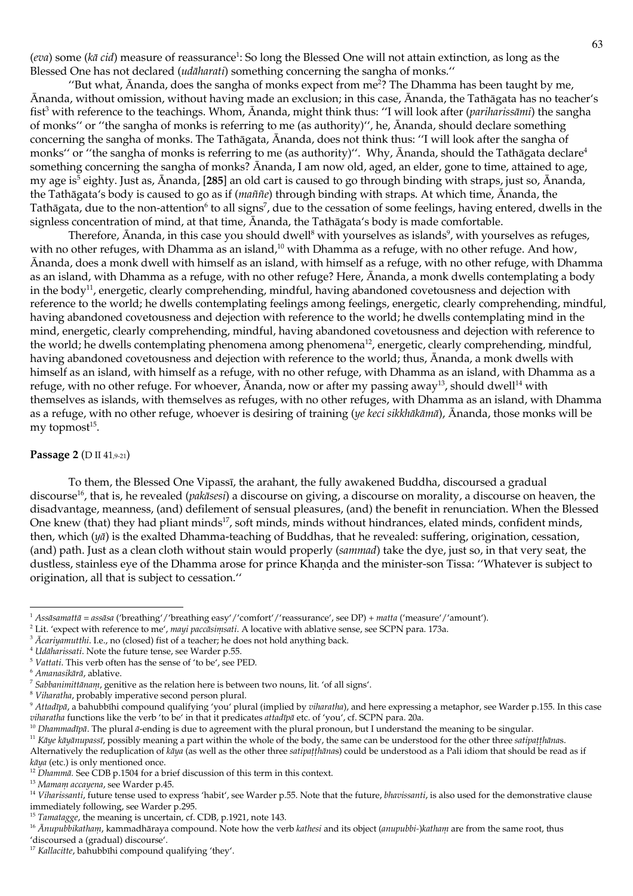(eva) some (kā cid) measure of reassurance<sup>1</sup>: So long the Blessed One will not attain extinction, as long as the Blessed One has not declared *(udāharati)* something concerning the sangha of monks."

"But what,  $\bar{A}$ nanda, does the sangha of monks expect from me<sup>2</sup>? The Dhamma has been taught by me, Ānanda, without omission, without having made an exclusion; in this case, Ānanda, the Tathāgata has no teacher's fist<sup>3</sup> with reference to the teachings. Whom, Ananda, might think thus: "I will look after (pariharissāmi) the sangha of monks" or "the sangha of monks is referring to me (as authority)", he, Ananda, should declare something concerning the sangha of monks. The Tathāgata, Ānanda, does not think thus: "I will look after the sangha of monks" or "the sangha of monks is referring to me (as authority)". Why, Ananda, should the Tathagata declare<sup>4</sup> something concerning the sangha of monks? Ananda, I am now old, aged, an elder, gone to time, attained to age, my age is<sup>5</sup> eighty. Just as, Ananda, [285] an old cart is caused to go through binding with straps, just so, Ananda, the Tathāgata's body is caused to go as if (*maññe*) through binding with straps. At which time, Ananda, the Tathāgata, due to the non-attention<sup>6</sup> to all signs<sup>7</sup>, due to the cessation of some feelings, having entered, dwells in the signless concentration of mind, at that time, Ananda, the Tathagata's body is made comfortable.

Therefore, Ananda, in this case you should dwell<sup>8</sup> with yourselves as islands<sup>9</sup>, with yourselves as refuges, with no other refuges, with Dhamma as an island,<sup>10</sup> with Dhamma as a refuge, with no other refuge. And how, Ananda, does a monk dwell with himself as an island, with himself as a refuge, with no other refuge, with Dhamma as an island, with Dhamma as a refuge, with no other refuge? Here, Ananda, a monk dwells contemplating a body in the body<sup>11</sup>, energetic, clearly comprehending, mindful, having abandoned covetousness and dejection with reference to the world; he dwells contemplating feelings among feelings, energetic, clearly comprehending, mindful, having abandoned covetousness and dejection with reference to the world; he dwells contemplating mind in the mind, energetic, clearly comprehending, mindful, having abandoned covetousness and dejection with reference to the world; he dwells contemplating phenomena among phenomena<sup>12</sup>, energetic, clearly comprehending, mindful, having abandoned covetousness and dejection with reference to the world; thus, Ananda, a monk dwells with himself as an island, with himself as a refuge, with no other refuge, with Dhamma as an island, with Dhamma as a refuge, with no other refuge. For whoever, Ananda, now or after my passing away<sup>13</sup>, should dwell<sup>14</sup> with themselves as islands, with themselves as refuges, with no other refuges, with Dhamma as an island, with Dhamma as a refuge, with no other refuge, whoever is desiring of training (ye keci sikkluākāmā), Ānanda, those monks will be my topmost $15$ .

### Passage 2 (D II 41,9-21)

To them, the Blessed One Vipassī, the arahant, the fully awakened Buddha, discoursed a gradual discourse<sup>16</sup>, that is, he revealed (*pakāsesi*) a discourse on giving, a discourse on morality, a discourse on heaven, the disadvantage, meanness, (and) defilement of sensual pleasures, (and) the benefit in renunciation. When the Blessed One knew (that) they had pliant minds<sup>17</sup>, soft minds, minds without hindrances, elated minds, confident minds, then, which  $(y\bar{a})$  is the exalted Dhamma-teaching of Buddhas, that he revealed: suffering, origination, cessation, (and) path. Just as a clean cloth without stain would properly (sammad) take the dye, just so, in that very seat, the dustless, stainless eye of the Dhamma arose for prince Khanda and the minister-son Tissa: "Whatever is subject to origination, all that is subject to cessation."

<sup>&</sup>lt;sup>1</sup> Assāsamattā = assāsa ('breathing'/'breathing easy'/'comfort'/'reassurance', see DP) + matta ('measure'/'amount').

<sup>&</sup>lt;sup>2</sup> Lit. 'expect with reference to me', mayi paccasimsati. A locative with ablative sense, see SCPN para. 173a.

<sup>&</sup>lt;sup>3</sup> Acariyanutthi. I.e., no (closed) fist of a teacher; he does not hold anything back.

<sup>&</sup>lt;sup>4</sup> Udāharissati. Note the future tense, see Warder p.55.

 $5$  Vattati. This verb often has the sense of 'to be', see PED.

 $6$  Amanasikārā, ablative.

 $\frac{7}{7}$  Sabbanimittānam, genitive as the relation here is between two nouns, lit. 'of all signs'.

<sup>&</sup>lt;sup>8</sup> Viharatha, probably imperative second person plural.

<sup>&</sup>lt;sup>9</sup> Attadīpā, a bahubbīhi compound qualifying 'you' plural (implied by viharatha), and here expressing a metaphor, see Warder p.155. In this case viharatha functions like the verb 'to be' in that it predicates attadīpā etc. of 'you', cf. SCPN para. 20a.

<sup>&</sup>lt;sup>10</sup> Dhammadīpā. The plural ā-ending is due to agreement with the plural pronoun, but I understand the meaning to be singular.

<sup>&</sup>lt;sup>11</sup> Kāye kāyānupassī, possibly meaning a part within the whole of the body, the same can be understood for the other three satipatthānas.

Alternatively the reduplication of kaya (as well as the other three satipatthanas) could be understood as a Pali idiom that should be read as if  $k\bar{a}$ ya (etc.) is only mentioned once.

<sup>&</sup>lt;sup>12</sup> Dhammā. See CDB p.1504 for a brief discussion of this term in this context.

<sup>&</sup>lt;sup>13</sup> Mamam accayena, see Warder p.45.

<sup>&</sup>lt;sup>14</sup> Viharissanti, future tense used to express 'habit', see Warder p.55. Note that the future, bhavissanti, is also used for the demonstrative clause immediately following, see Warder p.295.

<sup>&</sup>lt;sup>15</sup> Tamatagge, the meaning is uncertain, cf. CDB, p.1921, note 143.

<sup>&</sup>lt;sup>16</sup> Anupubbikatham, kammadhāraya compound. Note how the verb kathesi and its object (anupubbi-)katham are from the same root, thus 'discoursed a (gradual) discourse'.

<sup>&</sup>lt;sup>17</sup> Kallacitte, bahubbīhi compound qualifying 'they'.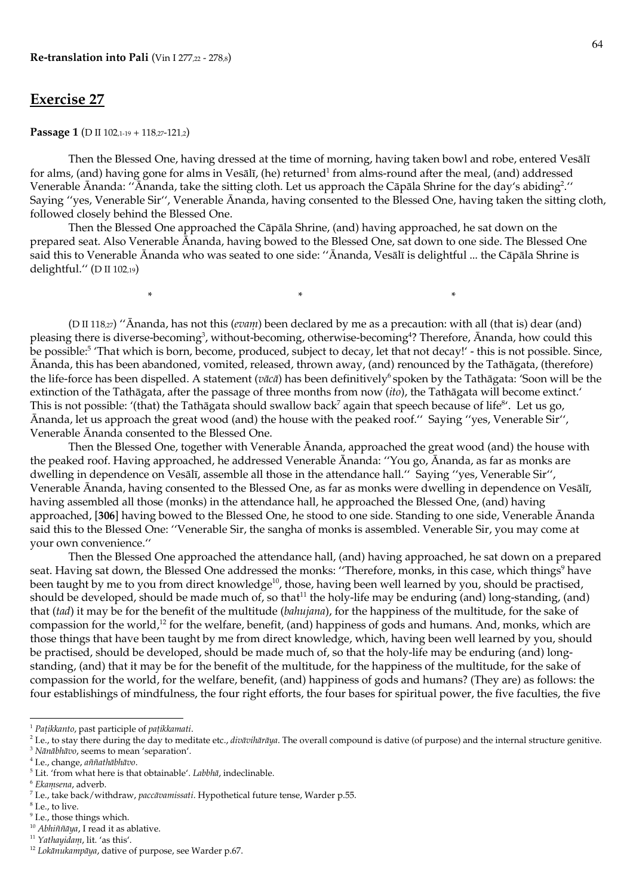$\ast$ 

# **Exercise 27**

Passage 1 (D II 102,1-19 + 118,27-121,2)

Then the Blessed One, having dressed at the time of morning, having taken bowl and robe, entered Vesalī for alms, (and) having gone for alms in Vesālī, (he) returned<sup>1</sup> from alms-round after the meal, (and) addressed Venerable Ananda: "Ananda, take the sitting cloth. Let us approach the Capala Shrine for the day's abiding<sup>2</sup>." Saying "yes, Venerable Sir", Venerable Ananda, having consented to the Blessed One, having taken the sitting cloth, followed closely behind the Blessed One.

Then the Blessed One approached the Cāpāla Shrine, (and) having approached, he sat down on the prepared seat. Also Venerable Ananda, having bowed to the Blessed One, sat down to one side. The Blessed One said this to Venerable Ānanda who was seated to one side: "Ānanda, Vesālī is delightful ... the Cāpāla Shrine is delightful." (D II 102,19)

> $\ast$  $\ast$

(D II 118,27) "Ānanda, has not this (evam) been declared by me as a precaution: with all (that is) dear (and) pleasing there is diverse-becoming<sup>3</sup>, without-becoming, otherwise-becoming<sup>4</sup>? Therefore, Ananda, how could this be possible:<sup>5</sup> 'That which is born, become, produced, subject to decay, let that not decay!' - this is not possible. Since, Ānanda, this has been abandoned, vomited, released, thrown away, (and) renounced by the Tathāgata, (therefore) the life-force has been dispelled. A statement ( $v\bar{a}c\bar{a}$ ) has been definitively<sup>6</sup> spoken by the Tathāgata: 'Soon will be the extinction of the Tathāgata, after the passage of three months from now (ito), the Tathāgata will become extinct. This is not possible: '(that) the Tathāgata should swallow back<sup>7</sup> again that speech because of life<sup>8'</sup>. Let us go, Ananda, let us approach the great wood (and) the house with the peaked roof." Saying "yes, Venerable Sir", Venerable Ananda consented to the Blessed One.

Then the Blessed One, together with Venerable Ananda, approached the great wood (and) the house with the peaked roof. Having approached, he addressed Venerable Ananda: "You go, Ananda, as far as monks are dwelling in dependence on Vesālī, assemble all those in the attendance hall." Saying "yes, Venerable Sir", Venerable Ānanda, having consented to the Blessed One, as far as monks were dwelling in dependence on Vesālī, having assembled all those (monks) in the attendance hall, he approached the Blessed One, (and) having approached, [306] having bowed to the Blessed One, he stood to one side. Standing to one side, Venerable Ananda said this to the Blessed One: "Venerable Sir, the sangha of monks is assembled. Venerable Sir, you may come at your own convenience."

Then the Blessed One approached the attendance hall, (and) having approached, he sat down on a prepared seat. Having sat down, the Blessed One addressed the monks: "Therefore, monks, in this case, which things<sup>9</sup> have been taught by me to you from direct knowledge<sup>10</sup>, those, having been well learned by you, should be practised, should be developed, should be made much of, so that<sup>11</sup> the holy-life may be enduring (and) long-standing, (and) that (tad) it may be for the benefit of the multitude (balugiana), for the happiness of the multitude, for the sake of compassion for the world,<sup>12</sup> for the welfare, benefit, (and) happiness of gods and humans. And, monks, which are those things that have been taught by me from direct knowledge, which, having been well learned by you, should be practised, should be developed, should be made much of, so that the holy-life may be enduring (and) longstanding, (and) that it may be for the benefit of the multitude, for the happiness of the multitude, for the sake of compassion for the world, for the welfare, benefit, (and) happiness of gods and humans? (They are) as follows: the four establishings of mindfulness, the four right efforts, the four bases for spiritual power, the five faculties, the five

 $9$  I.e., those things which.

<sup>&</sup>lt;sup>1</sup> Pațikkanto, past participle of pațikkamati.

<sup>&</sup>lt;sup>2</sup> I.e., to stay there during the day to meditate etc., divaviliaraya. The overall compound is dative (of purpose) and the internal structure genitive.

<sup>&</sup>lt;sup>3</sup> Nānābhāvo, seems to mean 'separation'.

<sup>&</sup>lt;sup>4</sup> I.e., change, aññathābhāvo.

 $5$  Lit. 'from what here is that obtainable'. Labbl $\bar{a}$ , indeclinable.

 $6$  Ekamsena, adverb.

<sup>&</sup>lt;sup>7</sup> I.e., take back/withdraw, paccāvamissati. Hypothetical future tense, Warder p.55.

<sup>&</sup>lt;sup>8</sup> I.e., to live.

 $^{10}$  Abhiññ<br/>āya, I read it as ablative.

<sup>&</sup>lt;sup>11</sup> Yathayidam, lit. 'as this'.

<sup>&</sup>lt;sup>12</sup> Lokānukampāya, dative of purpose, see Warder p.67.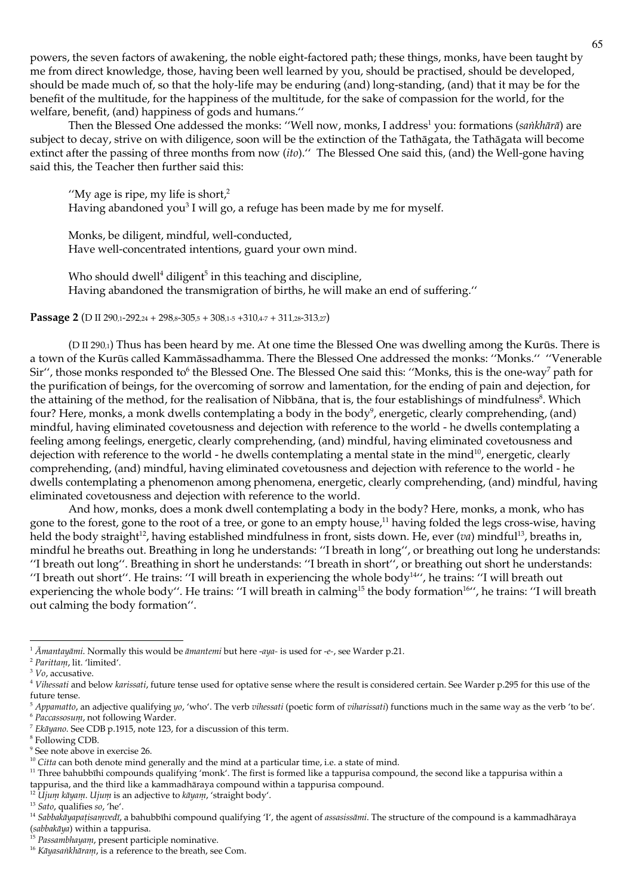powers, the seven factors of awakening, the noble eight-factored path; these things, monks, have been taught by me from direct knowledge, those, having been well learned by you, should be practised, should be developed, should be made much of, so that the holy-life may be enduring (and) long-standing, (and) that it may be for the benefit of the multitude, for the happiness of the multitude, for the sake of compassion for the world, for the welfare, benefit, (and) happiness of gods and humans."

Then the Blessed One addessed the monks: "Well now, monks, I address<sup>1</sup> you: formations (sankhārā) are subject to decay, strive on with diligence, soon will be the extinction of the Tathāgata, the Tathāgata will become extinct after the passing of three months from now (ito)." The Blessed One said this, (and) the Well-gone having said this, the Teacher then further said this:

"My age is ripe, my life is short, $2$ Having abandoned you<sup>3</sup> I will go, a refuge has been made by me for myself.

Monks, be diligent, mindful, well-conducted, Have well-concentrated intentions, guard your own mind.

Who should dwell<sup>4</sup> diligent<sup>5</sup> in this teaching and discipline, Having abandoned the transmigration of births, he will make an end of suffering."

Passage 2 (D II 290,1-292,24 + 298,8-305,5 + 308,1-5 + 310,4-7 + 311,28-313,27)

(D II 290,1) Thus has been heard by me. At one time the Blessed One was dwelling among the Kurūs. There is a town of the Kurūs called Kammāssadhamma. There the Blessed One addressed the monks: "Monks." "Venerable Sir", those monks responded to <sup>6</sup> the Blessed One. The Blessed One said this: "Monks, this is the one-way<sup>7</sup> path for the purification of beings, for the overcoming of sorrow and lamentation, for the ending of pain and dejection, for the attaining of the method, for the realisation of Nibbāna, that is, the four establishings of mindfulness<sup>8</sup>. Which four? Here, monks, a monk dwells contemplating a body in the body<sup>9</sup>, energetic, clearly comprehending, (and) mindful, having eliminated covetousness and dejection with reference to the world - he dwells contemplating a feeling among feelings, energetic, clearly comprehending, (and) mindful, having eliminated covetousness and dejection with reference to the world - he dwells contemplating a mental state in the mind<sup>10</sup>, energetic, clearly comprehending, (and) mindful, having eliminated covetousness and dejection with reference to the world - he dwells contemplating a phenomenon among phenomena, energetic, clearly comprehending, (and) mindful, having eliminated covetousness and dejection with reference to the world.

And how, monks, does a monk dwell contemplating a body in the body? Here, monks, a monk, who has gone to the forest, gone to the root of a tree, or gone to an empty house,<sup>11</sup> having folded the legs cross-wise, having held the body straight<sup>12</sup>, having established mindfulness in front, sists down. He, ever (va) mindful<sup>13</sup>, breaths in, mindful he breaths out. Breathing in long he understands: "I breath in long", or breathing out long he understands: "I breath out long". Breathing in short he understands: "I breath in short", or breathing out short he understands: "I breath out short". He trains: "I will breath in experiencing the whole body<sup>14"</sup>, he trains: "I will breath out experiencing the whole body". He trains: "I will breath in calming<sup>15</sup> the body formation<sup>16</sup>", he trains: "I will breath out calming the body formation".

<sup>&</sup>lt;sup>1</sup>  $\bar{A}$ *niantayāni*. Normally this would be *āniantenii* but here -aya- is used for -e-, see Warder p.21.

<sup>&</sup>lt;sup>2</sup> Parittam, lit. 'limited'.

 $3$   $Vo$ , accusative.

<sup>&</sup>lt;sup>4</sup> Viluessati and below karissati, future tense used for optative sense where the result is considered certain. See Warder p.295 for this use of the future tense

 $5$  Appanatto, an adjective qualifying yo, 'who'. The verb vilessati (poetic form of vilarissati) functions much in the same way as the verb 'to be'. <sup>6</sup> Paccassosum, not following Warder.

 $7$  Ekāyano. See CDB p.1915, note 123, for a discussion of this term.

<sup>&</sup>lt;sup>8</sup> Following CDB.

<sup>&</sup>lt;sup>9</sup> See note above in exercise 26.

 $10$  Citta can both denote mind generally and the mind at a particular time, i.e. a state of mind.

<sup>&</sup>lt;sup>11</sup> Three bahubbīhi compounds qualifying 'monk'. The first is formed like a tappurisa compound, the second like a tappurisa within a tappurisa, and the third like a kammadhāraya compound within a tappurisa compound.

<sup>&</sup>lt;sup>12</sup> Ujum kāyam. Ujum is an adjective to kāyam, 'straight body'.

<sup>&</sup>lt;sup>13</sup> Sato, qualifies so, 'he'.

<sup>&</sup>lt;sup>14</sup> Sabbakāyapațisanuvedī, a bahubbīhi compound qualifying 'I', the agent of assasissānui. The structure of the compound is a kammadhāraya (sabbakāya) within a tappurisa.<br> $15$  Passambhayam, present participle nominative.

<sup>&</sup>lt;sup>16</sup> Kāyasankhāram, is a reference to the breath, see Com.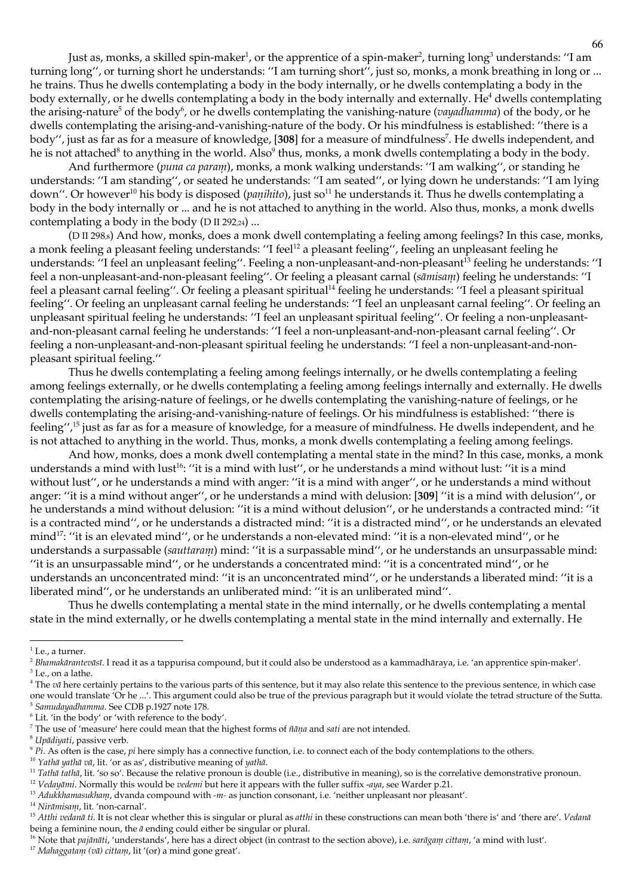Just as, monks, a skilled spin-maker<sup>1</sup>, or the apprentice of a spin-maker<sup>2</sup>, turning long<sup>3</sup> understands: "I am turning long", or turning short he understands: "I am turning short", just so, monks, a monk breathing in long or ... he trains. Thus he dwells contemplating a body in the body internally, or he dwells contemplating a body in the body externally, or he dwells contemplating a body in the body internally and externally. He<sup>4</sup> dwells contemplating the arising-nature<sup>5</sup> of the body<sup>6</sup>, or he dwells contemplating the vanishing-nature (*vayadhamma*) of the body, or he dwells contemplating the arising-and-vanishing-nature of the body. Or his mindfulness is established: "there is a body", just as far as for a measure of knowledge, [308] for a measure of mindfulness<sup>7</sup>. He dwells independent, and he is not attached<sup>8</sup> to anything in the world. Also<sup>9</sup> thus, monks, a monk dwells contemplating a body in the body.

And furthermore (puna ca param), monks, a monk walking understands: "I am walking", or standing he understands: "I am standing", or seated he understands: "I am seated", or lying down he understands: "I am lying down". Or however<sup>10</sup> his body is disposed (*panihito*), just so<sup>11</sup> he understands it. Thus he dwells contemplating a body in the body internally or ... and he is not attached to anything in the world. Also thus, monks, a monk dwells contemplating a body in the body (D II 292,24) ...

(D II 298.s) And how, monks, does a monk dwell contemplating a feeling among feelings? In this case, monks, a monk feeling a pleasant feeling understands: "I feel<sup>12</sup> a pleasant feeling", feeling an unpleasant feeling he understands: "I feel an unpleasant feeling". Feeling a non-unpleasant-and-non-pleasant<sup>13</sup> feeling he understands: "I feel a non-unpleasant-and-non-pleasant feeling". Or feeling a pleasant carnal (sāmisam) feeling he understands: "I feel a pleasant carnal feeling". Or feeling a pleasant spiritual<sup>14</sup> feeling he understands: "I feel a pleasant spiritual feeling". Or feeling an unpleasant carnal feeling he understands: "I feel an unpleasant carnal feeling". Or feeling an unpleasant spiritual feeling he understands: "I feel an unpleasant spiritual feeling". Or feeling a non-unpleasantand-non-pleasant carnal feeling he understands: "I feel a non-unpleasant-and-non-pleasant carnal feeling". Or feeling a non-unpleasant-and-non-pleasant spiritual feeling he understands: "I feel a non-unpleasant-and-nonpleasant spiritual feeling."

Thus he dwells contemplating a feeling among feelings internally, or he dwells contemplating a feeling among feelings externally, or he dwells contemplating a feeling among feelings internally and externally. He dwells contemplating the arising-nature of feelings, or he dwells contemplating the vanishing-nature of feelings, or he dwells contemplating the arising-and-vanishing-nature of feelings. Or his mindfulness is established: "there is feeling",<sup>15</sup> just as far as for a measure of knowledge, for a measure of mindfulness. He dwells independent, and he is not attached to anything in the world. Thus, monks, a monk dwells contemplating a feeling among feelings.

And how, monks, does a monk dwell contemplating a mental state in the mind? In this case, monks, a monk understands a mind with lust<sup>16</sup>: "it is a mind with lust", or he understands a mind without lust: "it is a mind without lust", or he understands a mind with anger: "it is a mind with anger", or he understands a mind without anger: "it is a mind without anger", or he understands a mind with delusion: [309] "it is a mind with delusion", or he understands a mind without delusion: "it is a mind without delusion", or he understands a contracted mind: "it is a contracted mind", or he understands a distracted mind: "it is a distracted mind", or he understands an elevated mind<sup>17</sup>: "it is an elevated mind", or he understands a non-elevated mind: "it is a non-elevated mind", or he understands a surpassable (sauttaram) mind: "it is a surpassable mind", or he understands an unsurpassable mind: "it is an unsurpassable mind", or he understands a concentrated mind: "it is a concentrated mind", or he understands an unconcentrated mind: "it is an unconcentrated mind", or he understands a liberated mind: "it is a liberated mind", or he understands an unliberated mind: "it is an unliberated mind".

Thus he dwells contemplating a mental state in the mind internally, or he dwells contemplating a mental state in the mind externally, or he dwells contemplating a mental state in the mind internally and externally. He

<sup>6</sup> Lit. 'in the body' or 'with reference to the body'.

 $1$  I.e., a turner.

<sup>&</sup>lt;sup>2</sup> Bhamakārantevāsī. I read it as a tappurisa compound, but it could also be understood as a kammadhāraya, i.e. 'an apprentice spin-maker'.  $3$  I.e., on a lathe.

 $4$  The  $v\bar{a}$  here certainly pertains to the various parts of this sentence, but it may also relate this sentence to the previous sentence, in which case one would translate 'Or he ...'. This argument could also be true of the previous paragraph but it would violate the tetrad structure of the Sutta. <sup>5</sup> Samudayadhamma. See CDB p.1927 note 178.

<sup>&</sup>lt;sup>7</sup> The use of 'measure' here could mean that the highest forms of ñana and sati are not intended.

<sup>&</sup>lt;sup>8</sup> Upādiyati, passive verb.

 $\frac{9}{2}$  Pi. As often is the case, pi here simply has a connective function, i.e. to connect each of the body contemplations to the others.

<sup>&</sup>lt;sup>10</sup> Yathā vathā vā, lit. 'or as as', distributive meaning of yathā.

<sup>&</sup>lt;sup>11</sup> Tathā tathā, lit. 'so so'. Because the relative pronoun is double (i.e., distributive in meaning), so is the correlative demonstrative pronoun.

<sup>&</sup>lt;sup>12</sup> Vedayānii. Normally this would be vedenii but here it appears with the fuller suffix -aya, see Warder p.21.

<sup>&</sup>lt;sup>13</sup> Adukkhamasukham, dvanda compound with -m- as junction consonant, i.e. 'neither unpleasant nor pleasant'.

<sup>&</sup>lt;sup>14</sup> Nirāmisam, lit. 'non-carnal'.

<sup>&</sup>lt;sup>15</sup> Atthi vedanā ti. It is not clear whether this is singular or plural as atthi in these constructions can mean both 'there is' and 'there are'. Vedanā being a feminine noun, the  $\bar{a}$  ending could either be singular or plural.

<sup>&</sup>lt;sup>16</sup> Note that pajānāti, 'understands', here has a direct object (in contrast to the section above), i.e. sarāgam cittam, 'a mind with lust'.

<sup>&</sup>lt;sup>17</sup> Mahaggatam (vā) cittam, lit '(or) a mind gone great'.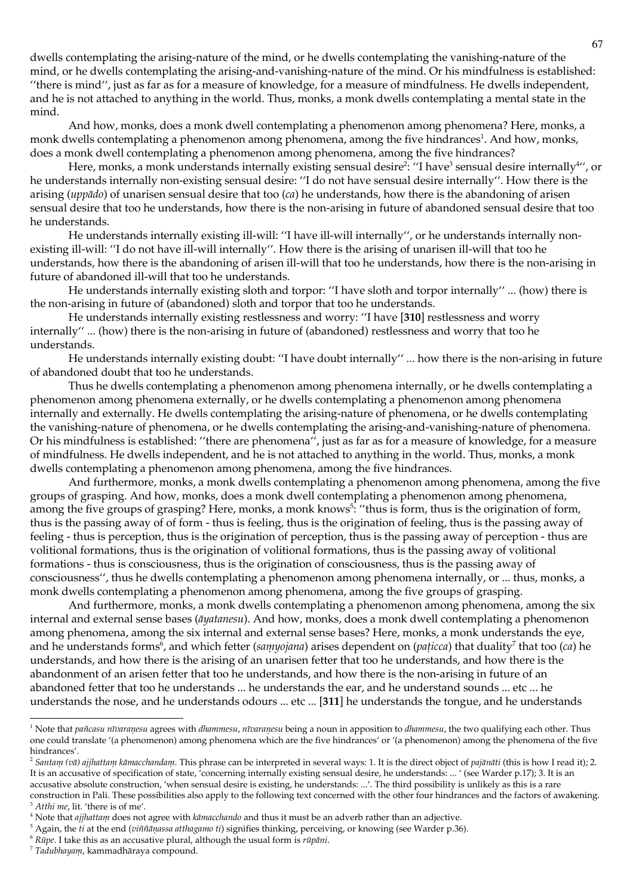dwells contemplating the arising-nature of the mind, or he dwells contemplating the vanishing-nature of the mind, or he dwells contemplating the arising-and-vanishing-nature of the mind. Or his mindfulness is established: "there is mind", just as far as for a measure of knowledge, for a measure of mindfulness. He dwells independent, and he is not attached to anything in the world. Thus, monks, a monk dwells contemplating a mental state in the mind.

And how, monks, does a monk dwell contemplating a phenomenon among phenomena? Here, monks, a monk dwells contemplating a phenomenon among phenomena, among the five hindrances<sup>1</sup>. And how, monks, does a monk dwell contemplating a phenomenon among phenomena, among the five hindrances?

Here, monks, a monk understands internally existing sensual desire<sup>2</sup>: "I have<sup>3</sup> sensual desire internally<sup>4</sup>", or he understands internally non-existing sensual desire: "I do not have sensual desire internally". How there is the arising (*upp* $\bar{a}$ *do*) of unarisen sensual desire that too (*ca*) he understands, how there is the abandoning of arisen sensual desire that too he understands, how there is the non-arising in future of abandoned sensual desire that too he understands.

He understands internally existing ill-will: "I have ill-will internally", or he understands internally nonexisting ill-will: "I do not have ill-will internally". How there is the arising of unarisen ill-will that too he understands, how there is the abandoning of arisen ill-will that too he understands, how there is the non-arising in future of abandoned ill-will that too he understands.

He understands internally existing sloth and torpor: "I have sloth and torpor internally" ... (how) there is the non-arising in future of (abandoned) sloth and torpor that too he understands.

He understands internally existing restlessness and worry: "I have [310] restlessness and worry internally" ... (how) there is the non-arising in future of (abandoned) restlessness and worry that too he understands.

He understands internally existing doubt: "I have doubt internally" ... how there is the non-arising in future of abandoned doubt that too he understands.

Thus he dwells contemplating a phenomenon among phenomena internally, or he dwells contemplating a phenomenon among phenomena externally, or he dwells contemplating a phenomenon among phenomena internally and externally. He dwells contemplating the arising-nature of phenomena, or he dwells contemplating the vanishing-nature of phenomena, or he dwells contemplating the arising-and-vanishing-nature of phenomena. Or his mindfulness is established: "there are phenomena", just as far as for a measure of knowledge, for a measure of mindfulness. He dwells independent, and he is not attached to anything in the world. Thus, monks, a monk dwells contemplating a phenomenon among phenomena, among the five hindrances.

And furthermore, monks, a monk dwells contemplating a phenomenon among phenomena, among the five groups of grasping. And how, monks, does a monk dwell contemplating a phenomenon among phenomena, among the five groups of grasping? Here, monks, a monk knows<sup>5</sup>: "thus is form, thus is the origination of form, thus is the passing away of of form - thus is feeling, thus is the origination of feeling, thus is the passing away of feeling - thus is perception, thus is the origination of perception, thus is the passing away of perception - thus are volitional formations, thus is the origination of volitional formations, thus is the passing away of volitional formations - thus is consciousness, thus is the origination of consciousness, thus is the passing away of consciousness", thus he dwells contemplating a phenomenon among phenomena internally, or ... thus, monks, a monk dwells contemplating a phenomenon among phenomena, among the five groups of grasping.

And furthermore, monks, a monk dwells contemplating a phenomenon among phenomena, among the six internal and external sense bases (āyatanesu). And how, monks, does a monk dwell contemplating a phenomenon among phenomena, among the six internal and external sense bases? Here, monks, a monk understands the eye, and he understands forms<sup>6</sup>, and which fetter (samyojana) arises dependent on (paticca) that duality<sup>7</sup> that too (ca) he understands, and how there is the arising of an unarisen fetter that too he understands, and how there is the abandonment of an arisen fetter that too he understands, and how there is the non-arising in future of an abandoned fetter that too he understands ... he understands the ear, and he understand sounds ... etc ... he understands the nose, and he understands odours ... etc ... [311] he understands the tongue, and he understands

- $6$  Rūpe. I take this as an accusative plural, although the usual form is  $r\bar{u}p\bar{a}ni$ .
- 7 Tadubhayam, kammadhāraya compound.

<sup>&</sup>lt;sup>1</sup> Note that pañcasu nīvaraņesu agrees with dhammesu, nīvaraņesu being a noun in apposition to dhammesu, the two qualifying each other. Thus one could translate '(a phenomenon) among phenomena which are the five hindrances' or '(a phenomenon) among the phenomena of the five hindrances'.

<sup>&</sup>lt;sup>2</sup> Santam (vā) ajjhattam kāmacchandam. This phrase can be interpreted in several ways: 1. It is the direct object of pajānāti (this is how I read it); 2. It is an accusative of specification of state, concerning internally existing sensual desire, he understands: ... ' (see Warder p.17); 3. It is an accusative absolute construction, 'when sensual desire is existing, he understands: ...'. The third possibility is unlikely as this is a rare construction in Pali. These possibilities also apply to the following text concerned with the other four hindrances and the factors of awakening. <sup>3</sup> Atthi me, lit. 'there is of me'.

<sup>&</sup>lt;sup>4</sup> Note that *ajjhattam* does not agree with  $k\bar{a}$  *macchando* and thus it must be an adverb rather than an adjective.

 $5$  Again, the *ii* at the end (*viññāṇassa atthagamo ti*) signifies thinking, perceiving, or knowing (see Warder p.36).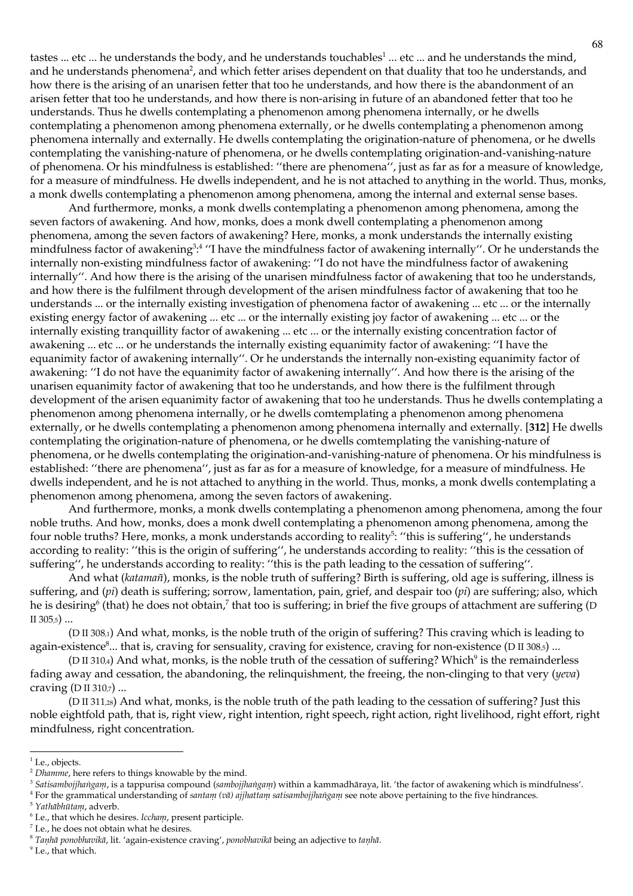tastes ... etc ... he understands the body, and he understands touchables<sup>1</sup> ... etc ... and he understands the mind, and he understands phenomena<sup>2</sup>, and which fetter arises dependent on that duality that too he understands, and how there is the arising of an unarisen fetter that too he understands, and how there is the abandonment of an arisen fetter that too he understands, and how there is non-arising in future of an abandoned fetter that too he understands. Thus he dwells contemplating a phenomenon among phenomena internally, or he dwells contemplating a phenomenon among phenomena externally, or he dwells contemplating a phenomenon among phenomena internally and externally. He dwells contemplating the origination-nature of phenomena, or he dwells contemplating the vanishing-nature of phenomena, or he dwells contemplating origination-and-vanishing-nature of phenomena. Or his mindfulness is established: "there are phenomena", just as far as for a measure of knowledge, for a measure of mindfulness. He dwells independent, and he is not attached to anything in the world. Thus, monks, a monk dwells contemplating a phenomenon among phenomena, among the internal and external sense bases.

And furthermore, monks, a monk dwells contemplating a phenomenon among phenomena, among the seven factors of awakening. And how, monks, does a monk dwell contemplating a phenomenon among phenomena, among the seven factors of awakening? Here, monks, a monk understands the internally existing mindfulness factor of awakening<sup>3</sup>:<sup>4</sup> "I have the mindfulness factor of awakening internally". Or he understands the internally non-existing mindfulness factor of awakening: "I do not have the mindfulness factor of awakening internally". And how there is the arising of the unarisen mindfulness factor of awakening that too he understands, and how there is the fulfilment through development of the arisen mindfulness factor of awakening that too he understands ... or the internally existing investigation of phenomena factor of awakening ... etc ... or the internally existing energy factor of awakening ... etc ... or the internally existing joy factor of awakening ... etc ... or the internally existing tranquillity factor of awakening ... etc ... or the internally existing concentration factor of awakening ... etc ... or he understands the internally existing equanimity factor of awakening: "I have the equanimity factor of awakening internally". Or he understands the internally non-existing equanimity factor of awakening: "I do not have the equanimity factor of awakening internally". And how there is the arising of the unarisen equanimity factor of awakening that too he understands, and how there is the fulfilment through development of the arisen equanimity factor of awakening that too he understands. Thus he dwells contemplating a phenomenon among phenomena internally, or he dwells comtemplating a phenomenon among phenomena externally, or he dwells contemplating a phenomenon among phenomena internally and externally. [312] He dwells contemplating the origination-nature of phenomena, or he dwells comtemplating the vanishing-nature of phenomena, or he dwells contemplating the origination-and-vanishing-nature of phenomena. Or his mindfulness is established: "there are phenomena", just as far as for a measure of knowledge, for a measure of mindfulness. He dwells independent, and he is not attached to anything in the world. Thus, monks, a monk dwells contemplating a phenomenon among phenomena, among the seven factors of awakening.

And furthermore, monks, a monk dwells contemplating a phenomenon among phenomena, among the four noble truths. And how, monks, does a monk dwell contemplating a phenomenon among phenomena, among the four noble truths? Here, monks, a monk understands according to reality<sup>5</sup>: "this is suffering", he understands according to reality: "this is the origin of suffering", he understands according to reality: "this is the cessation of suffering", he understands according to reality: "this is the path leading to the cessation of suffering".

And what (katamañ), monks, is the noble truth of suffering? Birth is suffering, old age is suffering, illness is suffering, and (pi) death is suffering; sorrow, lamentation, pain, grief, and despair too (pi) are suffering; also, which he is desiring<sup>6</sup> (that) he does not obtain, that too is suffering; in brief the five groups of attachment are suffering (D II 305,5) ...

(D II 308,1) And what, monks, is the noble truth of the origin of suffering? This craving which is leading to again-existence<sup>8</sup>... that is, craving for sensuality, craving for existence, craving for non-existence (D II 308,5) ...

(D II 310,4) And what, monks, is the noble truth of the cessation of suffering? Which<sup>9</sup> is the remainderless fading away and cessation, the abandoning, the relinquishment, the freeing, the non-clinging to that very (yeva) craving  $(D II 310<sub>7</sub>)$  ...

(D II 311,2s) And what, monks, is the noble truth of the path leading to the cessation of suffering? Just this noble eightfold path, that is, right view, right intention, right speech, right action, right livelihood, right effort, right mindfulness, right concentration.

<sup>&</sup>lt;sup>1</sup> I.e., objects.

<sup>&</sup>lt;sup>2</sup> Dhamme, here refers to things knowable by the mind.

<sup>&</sup>lt;sup>3</sup> Satisambojjhangam, is a tappurisa compound (sambojjhangam) within a kammadhāraya, lit. 'the factor of awakening which is mindfulness'.  $4$  For the grammatical understanding of santam (vā) ajjhattam satisambojjhangam see note above pertaining to the five hindrances.

<sup>&</sup>lt;sup>5</sup> Yathābhūtam, adverb.

 $6$  I.e., that which he desires. Iccham, present participle.

 $^7$  I.e., he does not obtain what he desires.

<sup>&</sup>lt;sup>8</sup> Tanhā ponobhavikā, lit. 'again-existence craving', ponobhavikā being an adjective to tanhā.

<sup>&</sup>lt;sup>9</sup> I.e., that which.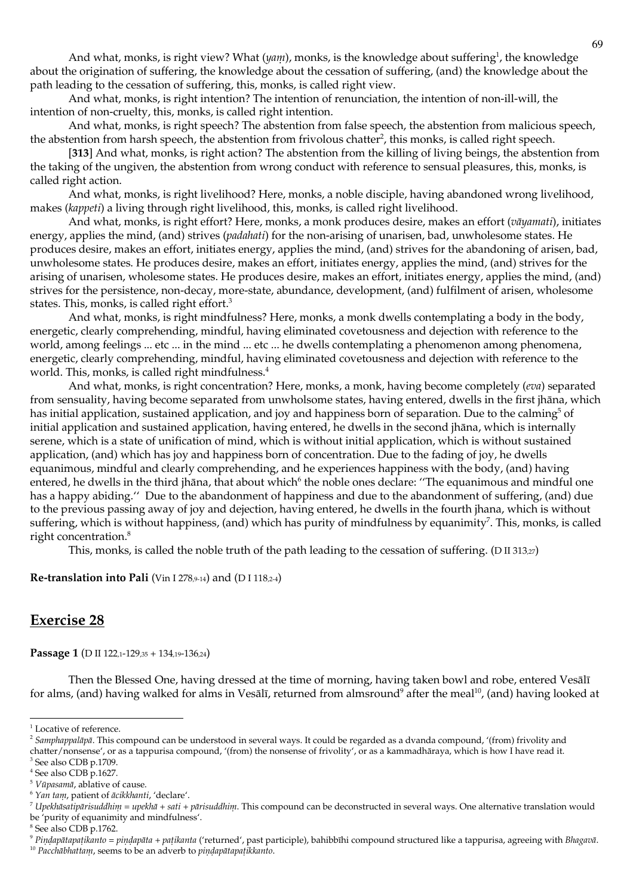And what, monks, is right view? What  $(ya_{ij})$ , monks, is the knowledge about suffering<sup>1</sup>, the knowledge about the origination of suffering, the knowledge about the cessation of suffering, (and) the knowledge about the path leading to the cessation of suffering, this, monks, is called right view.

And what, monks, is right intention? The intention of renunciation, the intention of non-ill-will, the intention of non-cruelty, this, monks, is called right intention.

And what, monks, is right speech? The abstention from false speech, the abstention from malicious speech, the abstention from harsh speech, the abstention from frivolous chatter<sup>2</sup>, this monks, is called right speech.

[313] And what, monks, is right action? The abstention from the killing of living beings, the abstention from the taking of the ungiven, the abstention from wrong conduct with reference to sensual pleasures, this, monks, is called right action.

And what, monks, is right livelihood? Here, monks, a noble disciple, having abandoned wrong livelihood, makes (kappeti) a living through right livelihood, this, monks, is called right livelihood.

And what, monks, is right effort? Here, monks, a monk produces desire, makes an effort (vāyamati), initiates energy, applies the mind, (and) strives (*padalati*) for the non-arising of unarisen, bad, unwholesome states. He produces desire, makes an effort, initiates energy, applies the mind, (and) strives for the abandoning of arisen, bad, unwholesome states. He produces desire, makes an effort, initiates energy, applies the mind, (and) strives for the arising of unarisen, wholesome states. He produces desire, makes an effort, initiates energy, applies the mind, (and) strives for the persistence, non-decay, more-state, abundance, development, (and) fulfilment of arisen, wholesome states. This, monks, is called right effort.<sup>3</sup>

And what, monks, is right mindfulness? Here, monks, a monk dwells contemplating a body in the body, energetic, clearly comprehending, mindful, having eliminated covetousness and dejection with reference to the world, among feelings ... etc ... in the mind ... etc ... he dwells contemplating a phenomenon among phenomena, energetic, clearly comprehending, mindful, having eliminated covetousness and dejection with reference to the world. This, monks, is called right mindfulness.<sup>4</sup>

And what, monks, is right concentration? Here, monks, a monk, having become completely (eva) separated from sensuality, having become separated from unwholsome states, having entered, dwells in the first jhāna, which has initial application, sustained application, and joy and happiness born of separation. Due to the calming<sup>5</sup> of initial application and sustained application, having entered, he dwells in the second jhāna, which is internally serene, which is a state of unification of mind, which is without initial application, which is without sustained application, (and) which has joy and happiness born of concentration. Due to the fading of joy, he dwells equanimous, mindful and clearly comprehending, and he experiences happiness with the body, (and) having entered, he dwells in the third jhana, that about which<sup>6</sup> the noble ones declare: "The equanimous and mindful one has a happy abiding." Due to the abandonment of happiness and due to the abandonment of suffering, (and) due to the previous passing away of joy and dejection, having entered, he dwells in the fourth jhana, which is without suffering, which is without happiness, (and) which has purity of mindfulness by equanimity<sup>7</sup>. This, monks, is called right concentration.<sup>8</sup>

This, monks, is called the noble truth of the path leading to the cessation of suffering. (D II 313,27)

## Re-translation into Pali (Vin I 278,9-14) and (D I 118,2-4)

# **Exercise 28**

Passage 1 (D II 122,1-129,35 + 134,19-136,24)

Then the Blessed One, having dressed at the time of morning, having taken bowl and robe, entered Vesālī for alms, (and) having walked for alms in Vesālī, returned from almsround<sup>9</sup> after the meal<sup>10</sup>, (and) having looked at

<sup>9</sup> Pindapātapațikanto = pindapāta + pațikanta ('returned', past participle), bahibbīhi compound structured like a tappurisa, agreeing with Bhagavā.

<sup>&</sup>lt;sup>1</sup> Locative of reference.

<sup>&</sup>lt;sup>2</sup> Samphappalāpā. This compound can be understood in several ways. It could be regarded as a dvanda compound, '(from) frivolity and chatter/nonsense', or as a tappurisa compound, '(from) the nonsense of frivolity', or as a kammadhāraya, which is how I have read it.

<sup>&</sup>lt;sup>3</sup> See also CDB p.1709.

 $4$  See also CDB  $\bar{p}$ .1627.

<sup>&</sup>lt;sup>5</sup> Vūpasamā, ablative of cause.

<sup>&</sup>lt;sup>6</sup> Yan tam, patient of ācikkhanti, 'declare'.

 $^7$  Upekhāsatipārisuddhim = upekhā + sati + pārisuddhim. This compound can be deconstructed in several ways. One alternative translation would be 'purity of equanimity and mindfulness'.

<sup>&</sup>lt;sup>8</sup> See also CDB p.1762.

<sup>&</sup>lt;sup>10</sup> Pacchābhattam, seems to be an adverb to pindapātapatikkanto.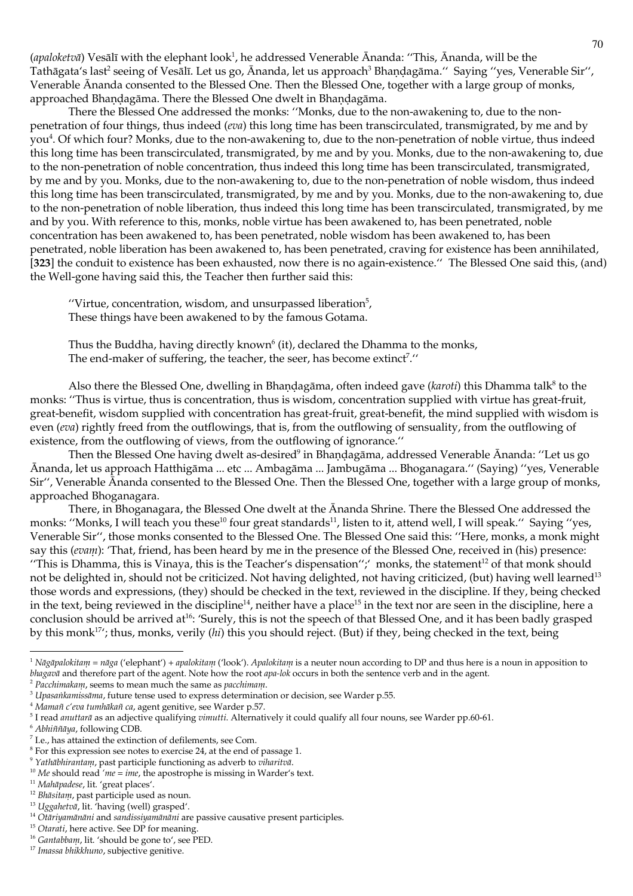(apaloketvā) Vesālī with the elephant look<sup>1</sup>, he addressed Venerable Ānanda: "This, Ānanda, will be the Tathāgata's last<sup>2</sup> seeing of Vesālī. Let us go, Ānanda, let us approach<sup>3</sup> Bhaņḍagāma." Saying "yes, Venerable Sir", Venerable Ananda consented to the Blessed One. Then the Blessed One, together with a large group of monks, approached Bhandagāma. There the Blessed One dwelt in Bhandagāma.

There the Blessed One addressed the monks: "Monks, due to the non-awakening to, due to the nonpenetration of four things, thus indeed (*eva*) this long time has been transcirculated, transmigrated, by me and by you<sup>4</sup>. Of which four? Monks, due to the non-awakening to, due to the non-penetration of noble virtue, thus indeed this long time has been transcirculated, transmigrated, by me and by you. Monks, due to the non-awakening to, due to the non-penetration of noble concentration, thus indeed this long time has been transcirculated, transmigrated, by me and by you. Monks, due to the non-awakening to, due to the non-penetration of noble wisdom, thus indeed this long time has been transcirculated, transmigrated, by me and by you. Monks, due to the non-awakening to, due to the non-penetration of noble liberation, thus indeed this long time has been transcirculated, transmigrated, by me and by you. With reference to this, monks, noble virtue has been awakened to, has been penetrated, noble concentration has been awakened to, has been penetrated, noble wisdom has been awakened to, has been penetrated, noble liberation has been awakened to, has been penetrated, craving for existence has been annihilated, [323] the conduit to existence has been exhausted, now there is no again-existence." The Blessed One said this, (and) the Well-gone having said this, the Teacher then further said this:

"Virtue, concentration, wisdom, and unsurpassed liberation $5$ , These things have been awakened to by the famous Gotama.

Thus the Buddha, having directly known<sup>6</sup> (it), declared the Dhamma to the monks, The end-maker of suffering, the teacher, the seer, has become extinct<sup>7</sup>."

Also there the Blessed One, dwelling in Bhandagāma, often indeed gave (karoti) this Dhamma talk<sup>8</sup> to the monks: "Thus is virtue, thus is concentration, thus is wisdom, concentration supplied with virtue has great-fruit, great-benefit, wisdom supplied with concentration has great-fruit, great-benefit, the mind supplied with wisdom is even  $(cva)$  rightly freed from the outflowings, that is, from the outflowing of sensuality, from the outflowing of existence, from the outflowing of views, from the outflowing of ignorance."

Then the Blessed One having dwelt as-desired<sup>9</sup> in Bhandagāma, addressed Venerable Ānanda: "Let us go Ānanda, let us approach Hatthigāma ... etc ... Ambagāma ... Jambugāma ... Bhoganagara." (Saying) "yes, Venerable Sir", Venerable Ananda consented to the Blessed One. Then the Blessed One, together with a large group of monks, approached Bhoganagara.

There, in Bhoganagara, the Blessed One dwelt at the Ananda Shrine. There the Blessed One addressed the monks: "Monks, I will teach you these<sup>10</sup> four great standards<sup>11</sup>, listen to it, attend well, I will speak." Saying "yes, Venerable Sir", those monks consented to the Blessed One. The Blessed One said this: "Here, monks, a monk might say this (evam): 'That, friend, has been heard by me in the presence of the Blessed One, received in (his) presence: "This is Dhamma, this is Vinaya, this is the Teacher's dispensation";' monks, the statement<sup>12</sup> of that monk should not be delighted in, should not be criticized. Not having delighted, not having criticized, (but) having well learned<sup>13</sup> those words and expressions, (they) should be checked in the text, reviewed in the discipline. If they, being checked in the text, being reviewed in the discipline<sup>14</sup>, neither have a place<sup>15</sup> in the text nor are seen in the discipline, here a conclusion should be arrived at<sup>16</sup>: 'Surely, this is not the speech of that Blessed One, and it has been badly grasped by this monk<sup>17</sup>'; thus, monks, verily (hi) this you should reject. (But) if they, being checked in the text, being

 $2$  Pacchimakam, seems to mean much the same as pacchimam.

<sup>&</sup>lt;sup>1</sup> Nāgāpalokitam = nāga ('elephant') + apalokitam ('look'). Apalokitam is a neuter noun according to DP and thus here is a noun in apposition to blagavā and therefore part of the agent. Note how the root apa-lok occurs in both the sentence verb and in the agent.

<sup>&</sup>lt;sup>3</sup> Upasankamissāma, future tense used to express determination or decision, see Warder p.55.

<sup>&</sup>lt;sup>4</sup> Mamañ c'eva tumhākañ ca, agent genitive, see Warder p.57.

<sup>&</sup>lt;sup>5</sup> I read anuttarā as an adjective qualifying vimutti. Alternatively it could qualify all four nouns, see Warder pp.60-61.

<sup>&</sup>lt;sup>6</sup> Abhiññāya, following CDB.

<sup>&</sup>lt;sup>7</sup> I.e., has attained the extinction of defilements, see Com.

 $8$  For this expression see notes to exercise 24, at the end of passage 1.

<sup>&</sup>lt;sup>9</sup> Yathābhirantam, past participle functioning as adverb to viharitvā.

<sup>&</sup>lt;sup>10</sup> Me should read 'me = ime, the apostrophe is missing in Warder's text.

<sup>&</sup>lt;sup>11</sup> Mahāpadese, lit. 'great places'.

<sup>&</sup>lt;sup>12</sup> Bhāsitam, past participle used as noun.

<sup>&</sup>lt;sup>13</sup> Uggahetvā, lit. <sup>7</sup>having (well) grasped'.

<sup>&</sup>lt;sup>14</sup> Otāriyamānāni and sandissiyamānāni are passive causative present participles.

<sup>&</sup>lt;sup>15</sup> Otarati, here active. See DP for meaning.

<sup>&</sup>lt;sup>16</sup> Gantabbam, lit. 'should be gone to', see PED.

<sup>&</sup>lt;sup>17</sup> Imassa bhikkhuno, subjective genitive.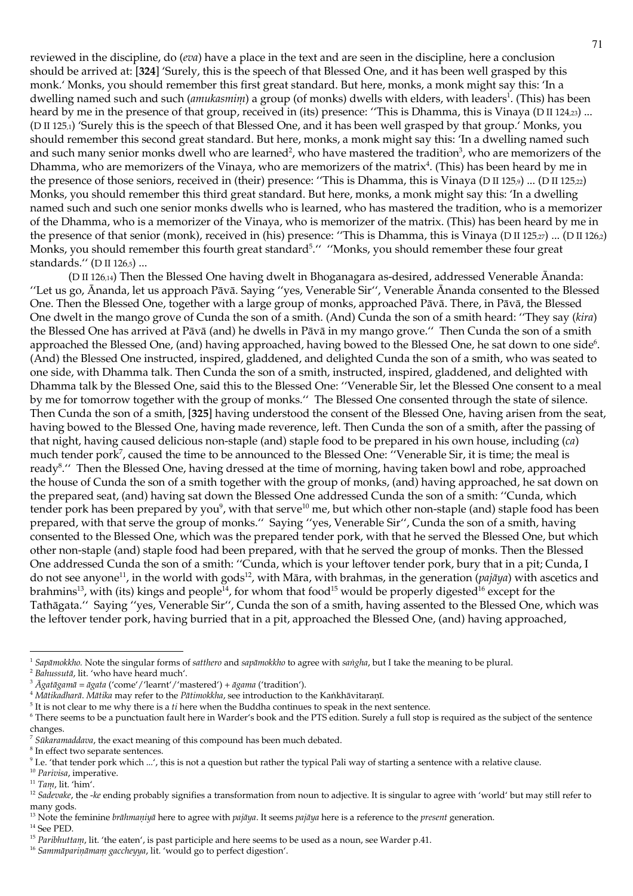reviewed in the discipline, do (*eva*) have a place in the text and are seen in the discipline, here a conclusion should be arrived at: [324] 'Surely, this is the speech of that Blessed One, and it has been well grasped by this monk.' Monks, you should remember this first great standard. But here, monks, a monk might say this: 'In a dwelling named such and such (anukasmim) a group (of monks) dwells with elders, with leaders<sup>1</sup>. (This) has been heard by me in the presence of that group, received in (its) presence: "This is Dhamma, this is Vinaya (D II 124.23) ... (D II 125,1) 'Surely this is the speech of that Blessed One, and it has been well grasped by that group.' Monks, you should remember this second great standard. But here, monks, a monk might say this: 'In a dwelling named such and such many senior monks dwell who are learned<sup>2</sup>, who have mastered the tradition<sup>3</sup>, who are memorizers of the Dhamma, who are memorizers of the Vinaya, who are memorizers of the matrix<sup>4</sup>. (This) has been heard by me in the presence of those seniors, received in (their) presence: "This is Dhamma, this is Vinaya (D II 125,  $\mu$ ) ... (D II 125,  $\alpha$ ) Monks, you should remember this third great standard. But here, monks, a monk might say this: 'In a dwelling named such and such one senior monks dwells who is learned, who has mastered the tradition, who is a memorizer of the Dhamma, who is a memorizer of the Vinaya, who is memorizer of the matrix. (This) has been heard by me in the presence of that senior (monk), received in (his) presence: "This is Dhamma, this is Vinaya (D II 125,27) ... (D II 126,2) Monks, you should remember this fourth great standard<sup>5</sup>." "Monks, you should remember these four great standards." (D II 126,5) ...

(D II 126,14) Then the Blessed One having dwelt in Bhoganagara as-desired, addressed Venerable Ānanda: "Let us go, Ananda, let us approach Pāvā. Saying "yes, Venerable Sir", Venerable Ananda consented to the Blessed One. Then the Blessed One, together with a large group of monks, approached Pāvā. There, in Pāvā, the Blessed One dwelt in the mango grove of Cunda the son of a smith. (And) Cunda the son of a smith heard: "They say (kira) the Blessed One has arrived at Pāvā (and) he dwells in Pāvā in my mango grove." Then Cunda the son of a smith approached the Blessed One, (and) having approached, having bowed to the Blessed One, he sat down to one side<sup>6</sup>. (And) the Blessed One instructed, inspired, gladdened, and delighted Cunda the son of a smith, who was seated to one side, with Dhamma talk. Then Cunda the son of a smith, instructed, inspired, gladdened, and delighted with Dhamma talk by the Blessed One, said this to the Blessed One: "Venerable Sir, let the Blessed One consent to a meal by me for tomorrow together with the group of monks." The Blessed One consented through the state of silence. Then Cunda the son of a smith, [325] having understood the consent of the Blessed One, having arisen from the seat, having bowed to the Blessed One, having made reverence, left. Then Cunda the son of a smith, after the passing of that night, having caused delicious non-staple (and) staple food to be prepared in his own house, including (ca) much tender pork<sup>7</sup>, caused the time to be announced to the Blessed One: "Venerable Sir, it is time; the meal is ready<sup>8</sup>." Then the Blessed One, having dressed at the time of morning, having taken bowl and robe, approached the house of Cunda the son of a smith together with the group of monks, (and) having approached, he sat down on the prepared seat, (and) having sat down the Blessed One addressed Cunda the son of a smith: "Cunda, which tender pork has been prepared by you<sup>9</sup>, with that serve<sup>10</sup> me, but which other non-staple (and) staple food has been prepared, with that serve the group of monks." Saying "yes, Venerable Sir", Cunda the son of a smith, having consented to the Blessed One, which was the prepared tender pork, with that he served the Blessed One, but which other non-staple (and) staple food had been prepared, with that he served the group of monks. Then the Blessed One addressed Cunda the son of a smith: "Cunda, which is your leftover tender pork, bury that in a pit; Cunda, I do not see anyone<sup>11</sup>, in the world with gods<sup>12</sup>, with Māra, with brahmas, in the generation (*pajāya*) with ascetics and brahmins<sup>13</sup>, with (its) kings and people<sup>14</sup>, for whom that food<sup>15</sup> would be properly digested<sup>16</sup> except for the Tathāgata." Saying "yes, Venerable Sir", Cunda the son of a smith, having assented to the Blessed One, which was the leftover tender pork, having burried that in a pit, approached the Blessed One, (and) having approached,

<sup>16</sup> Sammāpariņāmam gaccheyya, lit. 'would go to perfect digestion'.

<sup>&</sup>lt;sup>1</sup> Sapāmokkho. Note the singular forms of satthero and sapāmokkho to agree with sangha, but I take the meaning to be plural.

<sup>&</sup>lt;sup>2</sup> Bahussutā, lit. 'who have heard much'.

 $3 \bar{A}$ gatāgamā = āgata ('come'/'learnt'/'mastered') + āgama ('tradition').

<sup>&</sup>lt;sup>4</sup> Mātikadharā. Mātika may refer to the Pātimokkha, see introduction to the Kankhāvitaranī.

 $5$  It is not clear to me why there is a  $ti$  here when the Buddha continues to speak in the next sentence.

<sup>&</sup>lt;sup>6</sup> There seems to be a punctuation fault here in Warder's book and the PTS edition. Surely a full stop is required as the subject of the sentence changes.

 $7$  Sūkaramaddava, the exact meaning of this compound has been much debated.

 $<sup>8</sup>$  In effect two separate sentences.</sup>

<sup>&</sup>lt;sup>9</sup> I.e. 'that tender pork which ...', this is not a question but rather the typical Pali way of starting a sentence with a relative clause.

<sup>&</sup>lt;sup>10</sup> Parivisa, imperative.

 $11$  Tam, lit. 'him'.

<sup>&</sup>lt;sup>12</sup> Sadevake, the -ke ending probably signifies a transformation from noun to adjective. It is singular to agree with 'world' but may still refer to many gods.

<sup>&</sup>lt;sup>13</sup> Note the feminine *brāhmaņiyā* here to agree with *pajāya*. It seems *pajāya* here is a reference to the *present* generation.

 $^{14}$  See PED.

<sup>&</sup>lt;sup>15</sup> Paribluttanu, lit. 'the eaten', is past participle and here seems to be used as a noun, see Warder p.41.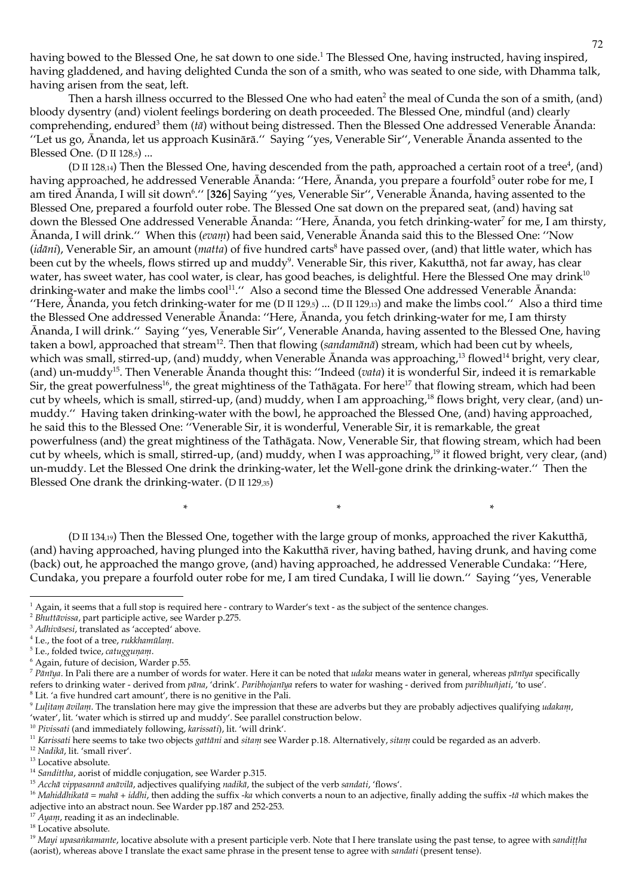having bowed to the Blessed One, he sat down to one side.<sup>1</sup> The Blessed One, having instructed, having inspired, having gladdened, and having delighted Cunda the son of a smith, who was seated to one side, with Dhamma talk, having arisen from the seat, left.

Then a harsh illness occurred to the Blessed One who had eaten<sup>2</sup> the meal of Cunda the son of a smith, (and) bloody dysentry (and) violent feelings bordering on death proceeded. The Blessed One, mindful (and) clearly comprehending, endured<sup>3</sup> them ( $t\bar{a}$ ) without being distressed. Then the Blessed One addressed Venerable Ananda: "Let us go, Ānanda, let us approach Kusinārā." Saying "yes, Venerable Sir", Venerable Ānanda assented to the Blessed One. (D II 128,5) ...

(D II 128,14) Then the Blessed One, having descended from the path, approached a certain root of a tree<sup>4</sup>, (and) having approached, he addressed Venerable Ānanda: "Here, Ānanda, you prepare a fourfold<sup>5</sup> outer robe for me, I am tired Ānanda, I will sit down<sup>6</sup>." [326] Saying "yes, Venerable Sir", Venerable Ānanda, having assented to the Blessed One, prepared a fourfold outer robe. The Blessed One sat down on the prepared seat, (and) having sat down the Blessed One addressed Venerable Ananda: "Here, Ananda, you fetch drinking-water<sup>7</sup> for me, I am thirsty, Ananda, I will drink." When this (*evam*) had been said, Venerable Ananda said this to the Blessed One: "Now *(idāni)*, Venerable Sir, an amount *(matta)* of five hundred carts<sup>8</sup> have passed over, (and) that little water, which has been cut by the wheels, flows stirred up and muddy<sup>9</sup>. Venerable Sir, this river, Kakutthā, not far away, has clear water, has sweet water, has cool water, is clear, has good beaches, is delightful. Here the Blessed One may drink<sup>10</sup> drinking-water and make the limbs cool<sup>11</sup>." Also a second time the Blessed One addressed Venerable Ananda: "Here, Ananda, you fetch drinking-water for me (D II 129,5) ... (D II 129,13) and make the limbs cool." Also a third time the Blessed One addressed Venerable Ānanda: "Here, Ānanda, you fetch drinking-water for me, I am thirsty Ānanda, I will drink." Saying "yes, Venerable Sir", Venerable Ananda, having assented to the Blessed One, having taken a bowl, approached that stream<sup>12</sup>. Then that flowing (sandamānā) stream, which had been cut by wheels, which was small, stirred-up, (and) muddy, when Venerable Ananda was approaching,<sup>13</sup> flowed<sup>14</sup> bright, very clear, (and) un-muddy<sup>15</sup>. Then Venerable Ananda thought this: "Indeed (*vata*) it is wonderful Sir, indeed it is remarkable Sir, the great powerfulness<sup>16</sup>, the great mightiness of the Tathāgata. For here<sup>17</sup> that flowing stream, which had been cut by wheels, which is small, stirred-up, (and) muddy, when I am approaching,<sup>18</sup> flows bright, very clear, (and) unmuddy." Having taken drinking-water with the bowl, he approached the Blessed One, (and) having approached, he said this to the Blessed One: "Venerable Sir, it is wonderful, Venerable Sir, it is remarkable, the great powerfulness (and) the great mightiness of the Tathāgata. Now, Venerable Sir, that flowing stream, which had been cut by wheels, which is small, stirred-up, (and) muddy, when I was approaching,<sup>19</sup> it flowed bright, very clear, (and) un-muddy. Let the Blessed One drink the drinking-water, let the Well-gone drink the drinking-water." Then the Blessed One drank the drinking-water. (D II 129,35)

( $D \text{ II } 134_{19}$ ) Then the Blessed One, together with the large group of monks, approached the river Kakutthā, (and) having approached, having plunged into the Kakutthā river, having bathed, having drunk, and having come (back) out, he approached the mango grove, (and) having approached, he addressed Venerable Cundaka: "Here, Cundaka, you prepare a fourfold outer robe for me, I am tired Cundaka, I will lie down." Saying "yes, Venerable

 $\ast$ 

 $\ast$ 

<sup>3</sup> Adhivāsesi, translated as 'accepted' above.

<sup>10</sup> Pivissati (and immediately following, karissati), lit. 'will drink'.

<sup>&</sup>lt;sup>1</sup> Again, it seems that a full stop is required here - contrary to Warder's text - as the subject of the sentence changes.

<sup>&</sup>lt;sup>2</sup> Bhuttāvissa, part participle active, see Warder p.275.

<sup>&</sup>lt;sup>4</sup> I.e., the foot of a tree, rukkhamulam.

<sup>&</sup>lt;sup>5</sup> I.e., folded twice, catuggunam.

<sup>&</sup>lt;sup>6</sup> Again, future of decision, Warder p.55.

 $^7$  Pānīya. In Pali there are a number of words for water. Here it can be noted that *udaka* means water in general, whereas pānīya specifically refers to drinking water - derived from pāna, 'drink'. Paribhojanīya refers to water for washing - derived from paribhuñjati, 'to use'.  $<sup>8</sup>$  Lit. 'a five hundred cart amount', there is no genitive in the Pali.</sup>

<sup>&</sup>lt;sup>9</sup> Lulitam āvilam. The translation here may give the impression that these are adverbs but they are probably adjectives qualifying udakam, 'water', lit. 'water which is stirred up and muddy'. See parallel construction below.

<sup>&</sup>lt;sup>11</sup> Karissati here seems to take two objects gattāni and sitam see Warder p.18. Alternatively, sitam could be regarded as an adverb.

<sup>&</sup>lt;sup>12</sup> Nadikā, lit. 'small river'.

<sup>&</sup>lt;sup>13</sup> Locative absolute.

<sup>&</sup>lt;sup>14</sup> Sandittha, aorist of middle conjugation, see Warder p.315.

<sup>&</sup>lt;sup>15</sup> Acchā vippasannā anāvilā, adjectives qualifying nadikā, the subject of the verb sandati, 'flows'.

<sup>&</sup>lt;sup>16</sup> Maliiddhikatā = mahā + iddhi, then adding the suffix -ka which converts a noun to an adjective, finally adding the suffix -tā which makes the adjective into an abstract noun. See Warder pp.187 and 252-253.

<sup>&</sup>lt;sup>17</sup> Ayam, reading it as an indeclinable.

 $^{18}$  Locative absolute.

<sup>&</sup>lt;sup>19</sup> Mayi upasankamante, locative absolute with a present participle verb. Note that I here translate using the past tense, to agree with sandittha (aorist), whereas above I translate the exact same phrase in the present tense to agree with *sandati* (present tense).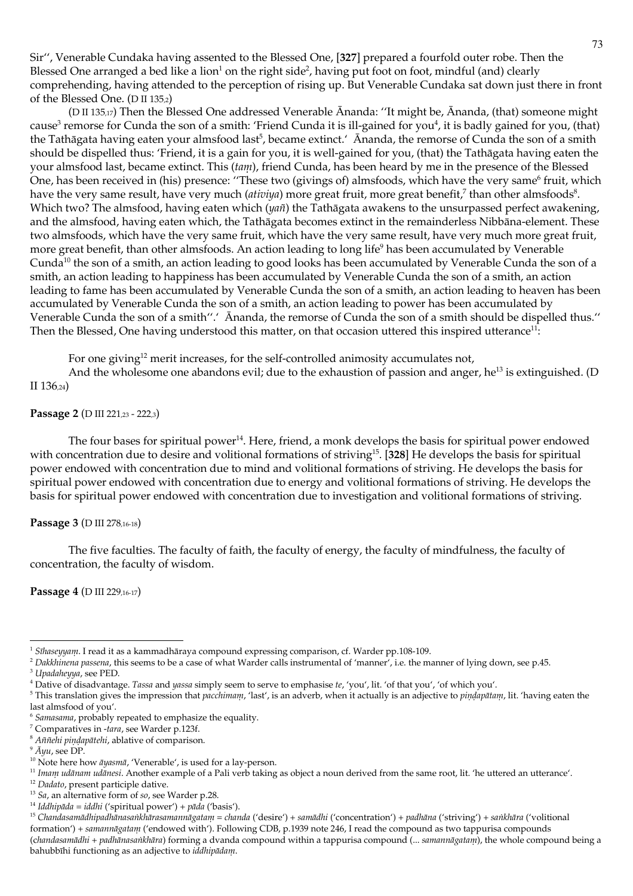Sir", Venerable Cundaka having assented to the Blessed One, [327] prepared a fourfold outer robe. Then the Blessed One arranged a bed like a lion<sup>1</sup> on the right side<sup>2</sup>, having put foot on foot, mindful (and) clearly comprehending, having attended to the perception of rising up. But Venerable Cundaka sat down just there in front of the Blessed One. (D II 135,2)

(D II 135,17) Then the Blessed One addressed Venerable Ananda: "It might be, Ananda, (that) someone might cause<sup>3</sup> remorse for Cunda the son of a smith: 'Friend Cunda it is ill-gained for you<sup>4</sup>, it is badly gained for you, (that) the Tathāgata having eaten your almsfood last<sup>5</sup>, became extinct. Ananda, the remorse of Cunda the son of a smith should be dispelled thus: 'Friend, it is a gain for you, it is well-gained for you, (that) the Tathāgata having eaten the your almsfood last, became extinct. This (tam), friend Cunda, has been heard by me in the presence of the Blessed One, has been received in (his) presence: "These two (givings of) almsfoods, which have the very same<sup>6</sup> fruit, which have the very same result, have very much *(ativiya)* more great fruit, more great benefit,<sup>7</sup> than other almsfoods<sup>8</sup>. Which two? The almsfood, having eaten which  $(ya\tilde{n})$  the Tathāgata awakens to the unsurpassed perfect awakening, and the almsfood, having eaten which, the Tathāgata becomes extinct in the remainderless Nibbāna-element. These two almsfoods, which have the very same fruit, which have the very same result, have very much more great fruit, more great benefit, than other almsfoods. An action leading to long life<sup>9</sup> has been accumulated by Venerable Cunda<sup>10</sup> the son of a smith, an action leading to good looks has been accumulated by Venerable Cunda the son of a smith, an action leading to happiness has been accumulated by Venerable Cunda the son of a smith, an action leading to fame has been accumulated by Venerable Cunda the son of a smith, an action leading to heaven has been accumulated by Venerable Cunda the son of a smith, an action leading to power has been accumulated by Venerable Cunda the son of a smith".' Ananda, the remorse of Cunda the son of a smith should be dispelled thus." Then the Blessed, One having understood this matter, on that occasion uttered this inspired utterance<sup>11</sup>:

For one giving<sup>12</sup> merit increases, for the self-controlled animosity accumulates not,

And the wholesome one abandons evil; due to the exhaustion of passion and anger,  $he^{13}$  is extinguished. (D II  $136,24)$ 

## Passage 2 (D III 221,23 - 222,3)

The four bases for spiritual power<sup>14</sup>. Here, friend, a monk develops the basis for spiritual power endowed with concentration due to desire and volitional formations of striving<sup>15</sup>. [328] He develops the basis for spiritual power endowed with concentration due to mind and volitional formations of striving. He develops the basis for spiritual power endowed with concentration due to energy and volitional formations of striving. He develops the basis for spiritual power endowed with concentration due to investigation and volitional formations of striving.

## Passage 3 (D III 278,16-18)

The five faculties. The faculty of faith, the faculty of energy, the faculty of mindfulness, the faculty of concentration, the faculty of wisdom.

Passage 4 (D III 229,16-17)

<sup>&</sup>lt;sup>1</sup> Sīluseyyam. I read it as a kammadhāraya compound expressing comparison, cf. Warder pp.108-109.

<sup>&</sup>lt;sup>2</sup> Dakkhinena passena, this seems to be a case of what Warder calls instrumental of 'manner', i.e. the manner of lying down, see p.45.

<sup>&</sup>lt;sup>3</sup> Upadaheyya, see PED.

<sup>&</sup>lt;sup>4</sup> Dative of disadvantage. Tassa and yassa simply seem to serve to emphasise te, 'you', lit. 'of that you', 'of which you'.

<sup>&</sup>lt;sup>5</sup> This translation gives the impression that pacchimam, 'last', is an adverb, when it actually is an adjective to pindapātam, lit. 'having eaten the last almsfood of you'.

<sup>&</sup>lt;sup>6</sup> Samasama, probably repeated to emphasize the equality.

<sup>&</sup>lt;sup>7</sup> Comparatives in -tara, see Warder p.123f.

<sup>&</sup>lt;sup>8</sup> Aññelii pindapātehi, ablative of comparison.

 $^9$   $\bar A$   $\gamma u$  , see DP.

<sup>&</sup>lt;sup>10</sup> Note here how  $\bar{a}$ yasm $\bar{a}$ , 'Venerable', is used for a lay-person.

<sup>&</sup>lt;sup>11</sup> Imam udānam udānesi. Another example of a Pali verb taking as object a noun derived from the same root, lit. 'he uttered an utterance'.

<sup>&</sup>lt;sup>12</sup> Dadato, present participle dative.

<sup>&</sup>lt;sup>13</sup> Sa, an alternative form of so, see Warder p.28.

<sup>&</sup>lt;sup>14</sup> Iddhipāda = iddhi ('spiritual power') + pāda ('basis').

<sup>&</sup>lt;sup>15</sup> Chandasamādhipadhānasankhārasamannāgatam = chanda ('desire') + samādhi ('concentration') + padhāna ('striving') + sankhāra ('volitional formation') + samannāgatam ('endowed with'). Following CDB, p.1939 note 246, I read the compound as two tappurisa compounds (chandasamādhi + padhānasankhāra) forming a dvanda compound within a tappurisa compound (... samannāgatam), the whole compound being a bahubbīhi functioning as an adjective to *iddhipādam*.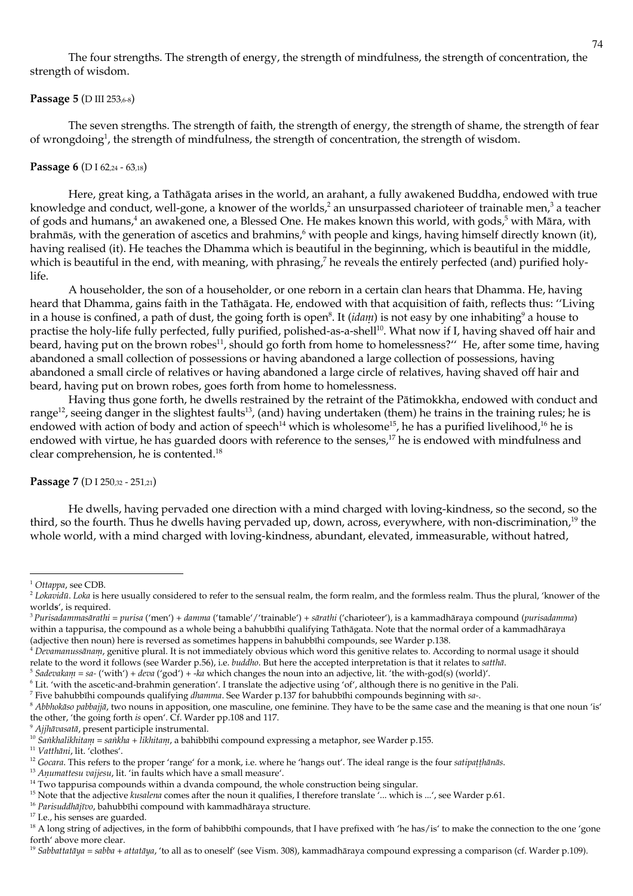The four strengths. The strength of energy, the strength of mindfulness, the strength of concentration, the strength of wisdom.

## Passage 5 (D III 253,6-8)

The seven strengths. The strength of faith, the strength of energy, the strength of shame, the strength of fear of wrongdoing<sup>1</sup>, the strength of mindfulness, the strength of concentration, the strength of wisdom.

## Passage 6 (DI 62,24 - 63,18)

Here, great king, a Tathāgata arises in the world, an arahant, a fully awakened Buddha, endowed with true knowledge and conduct, well-gone, a knower of the worlds,<sup>2</sup> an unsurpassed charioteer of trainable men,<sup>3</sup> a teacher of gods and humans,<sup>4</sup> an awakened one, a Blessed One. He makes known this world, with gods,<sup>5</sup> with Māra, with brahmās, with the generation of ascetics and brahmins,<sup>6</sup> with people and kings, having himself directly known (it), having realised (it). He teaches the Dhamma which is beautiful in the beginning, which is beautiful in the middle, which is beautiful in the end, with meaning, with phrasing,<sup>7</sup> he reveals the entirely perfected (and) purified holy $l$ ife

A householder, the son of a householder, or one reborn in a certain clan hears that Dhamma. He, having heard that Dhamma, gains faith in the Tathāgata. He, endowed with that acquisition of faith, reflects thus: "Living in a house is confined, a path of dust, the going forth is open<sup>8</sup>. It *(idam)* is not easy by one inhabiting<sup>9</sup> a house to practise the holy-life fully perfected, fully purified, polished-as-a-shell<sup>10</sup>. What now if I, having shaved off hair and beard, having put on the brown robes<sup>11</sup>, should go forth from home to homelessness?" He, after some time, having abandoned a small collection of possessions or having abandoned a large collection of possessions, having abandoned a small circle of relatives or having abandoned a large circle of relatives, having shaved off hair and beard, having put on brown robes, goes forth from home to homelessness.

Having thus gone forth, he dwells restrained by the retraint of the Pātimokkha, endowed with conduct and range<sup>12</sup>, seeing danger in the slightest faults<sup>13</sup>, (and) having undertaken (them) he trains in the training rules; he is endowed with action of body and action of speech<sup>14</sup> which is wholesome<sup>15</sup>, he has a purified livelihood,<sup>16</sup> he is endowed with virtue, he has guarded doors with reference to the senses,<sup>17</sup> he is endowed with mindfulness and clear comprehension, he is contented.<sup>18</sup>

# Passage 7 (D I 250,32 - 251,21)

He dwells, having pervaded one direction with a mind charged with loving-kindness, so the second, so the third, so the fourth. Thus he dwells having pervaded up, down, across, everywhere, with non-discrimination,<sup>19</sup> the whole world, with a mind charged with loving-kindness, abundant, elevated, immeasurable, without hatred,

<sup>11</sup> Vatthāni, lit. 'clothes'.

 $1$  Ottappa, see CDB.

<sup>&</sup>lt;sup>2</sup> Lokavidū. Loka is here usually considered to refer to the sensual realm, the form realm, and the formless realm. Thus the plural, 'knower of the worlds', is required.

<sup>&</sup>lt;sup>3</sup> Purisadammasārathi = purisa ('men') + damma ('tamable'/'trainable') + sārathi ('charioteer'), is a kammadhāraya compound (purisadamma) within a tappurisa, the compound as a whole being a bahubbīhi qualifying Tathāgata. Note that the normal order of a kammadhāraya (adjective then noun) here is reversed as sometimes happens in bahubbīhi compounds, see Warder p.138.

 $4$  Devamanussānam, genitive plural. It is not immediately obvious which word this genitive relates to. According to normal usage it should relate to the word it follows (see Warder p.56), i.e. buddho. But here the accepted interpretation is that it relates to satthā.

<sup>&</sup>lt;sup>5</sup> Sadevakam = sa- ('with') + deva ('god') + -ka which changes the noun into an adjective, lit. 'the with-god(s) (world)'.

<sup>&</sup>lt;sup>6</sup> Lit. 'with the ascetic-and-brahmin generation'. I translate the adjective using 'of', although there is no genitive in the Pali.

 $^7$  Five bahubbīhi compounds qualifying *dhamma*. See Warder p.137 for bahubbīhi compounds beginning with sa-.

<sup>8</sup> Abblokāso pabbajjā, two nouns in apposition, one masculine, one feminine. They have to be the same case and the meaning is that one noun 'is' the other, 'the going forth is open'. Cf. Warder pp.108 and 117.

<sup>&</sup>lt;sup>9</sup> Ajjhāvasatā, present participle instrumental.

<sup>&</sup>lt;sup>10</sup> Sankhalikhitani = sankha + likhitani, a bahibbīhi compound expressing a metaphor, see Warder p.155.

<sup>&</sup>lt;sup>12</sup> Gocara. This refers to the proper 'range' for a monk, i.e. where he 'hangs out'. The ideal range is the four satipat!hanas.

<sup>&</sup>lt;sup>13</sup> Anumattesu vajjesu, lit. 'in faults which have a small measure'.

 $14$  Two tappurisa compounds within a dvanda compound, the whole construction being singular.

<sup>&</sup>lt;sup>15</sup> Note that the adjective kusalena comes after the noun it qualifies, I therefore translate '... which is ...', see Warder p.61.

<sup>&</sup>lt;sup>16</sup> Parisuddhājīvo, bahubbīhi compound with kammadhāraya structure.

<sup>&</sup>lt;sup>17</sup> I.e., his senses are guarded.

<sup>&</sup>lt;sup>18</sup> A long string of adjectives, in the form of bahibbīhi compounds, that I have prefixed with 'he has/is' to make the connection to the one 'gone forth' above more clear.

<sup>&</sup>lt;sup>19</sup> Sabbattatāya = sabba + attatāya, 'to all as to oneself' (see Vism. 308), kammadhāraya compound expressing a comparison (cf. Warder p.109).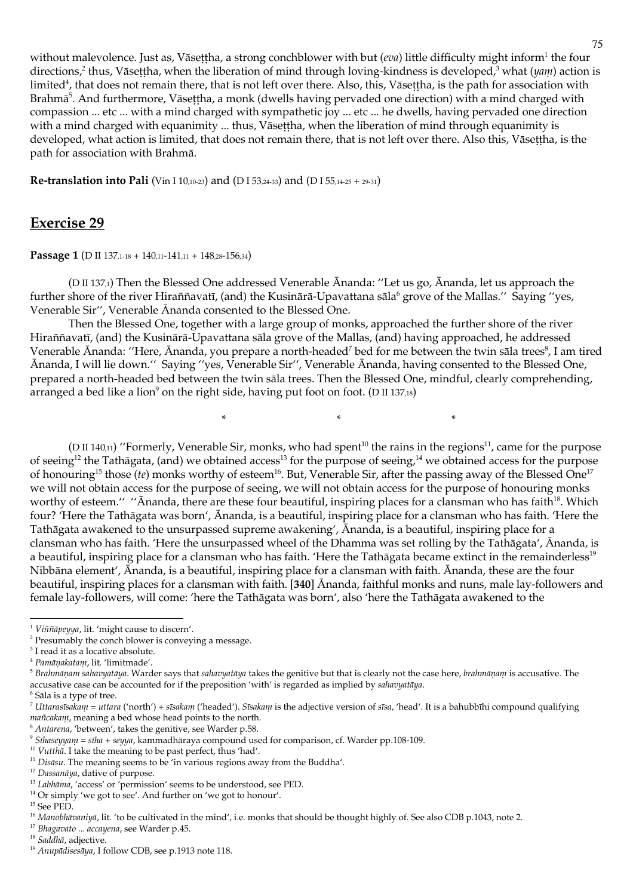without malevolence. Just as, Vāsettha, a strong conchblower with but (eva) little difficulty might inform<sup>1</sup> the four directions,<sup>2</sup> thus, Vāsettha, when the liberation of mind through loving-kindness is developed,<sup>3</sup> what (yann) action is limited<sup>4</sup>, that does not remain there, that is not left over there. Also, this, Vāsettha, is the path for association with Brahmā<sup>5</sup>. And furthermore, Vāsettha, a monk (dwells having pervaded one direction) with a mind charged with compassion ... etc ... with a mind charged with sympathetic joy ... etc ... he dwells, having pervaded one direction with a mind charged with equanimity ... thus, Vāsettha, when the liberation of mind through equanimity is developed, what action is limited, that does not remain there, that is not left over there. Also this, Vāsettha, is the path for association with Brahmā.

**Re-translation into Pali** (Vin I 10,10-23) and (D I 53,24-33) and (D I 55,14-25 + 29-31)

# **Exercise 29**

**Passage 1** (D II 137,1-18 + 140,11-141,11 + 148,28-156,34)

(D II 137,1) Then the Blessed One addressed Venerable Ānanda: "Let us go, Ānanda, let us approach the further shore of the river Hiraññavatī, (and) the Kusinārā-Upavattana sāla<sup>6</sup> grove of the Mallas." Saying "yes, Venerable Sir", Venerable Ananda consented to the Blessed One.

Then the Blessed One, together with a large group of monks, approached the further shore of the river Hiraññavatī, (and) the Kusinārā-Upavattana sāla grove of the Mallas, (and) having approached, he addressed Venerable Ānanda: "Here, Ānanda, you prepare a north-headed<sup>7</sup> bed for me between the twin sāla trees<sup>8</sup>, I am tired Ananda, I will lie down." Saying "yes, Venerable Sir", Venerable Ananda, having consented to the Blessed One, prepared a north-headed bed between the twin sāla trees. Then the Blessed One, mindful, clearly comprehending, arranged a bed like a lion<sup>9</sup> on the right side, having put foot on foot. (D II 137,18)

 $\ast$ 

(D II 140,11) "Formerly, Venerable Sir, monks, who had spent<sup>10</sup> the rains in the regions<sup>11</sup>, came for the purpose of seeing<sup>12</sup> the Tathāgata, (and) we obtained access<sup>13</sup> for the purpose of seeing,<sup>14</sup> we obtained access for the purpose of honouring<sup>15</sup> those (te) monks worthy of esteem<sup>16</sup>. But, Venerable Sir, after the passing away of the Blessed One<sup>17</sup> we will not obtain access for the purpose of seeing, we will not obtain access for the purpose of honouring monks worthy of esteem." "Ananda, there are these four beautiful, inspiring places for a clansman who has faith<sup>18</sup>. Which four? 'Here the Tathāgata was born', Ānanda, is a beautiful, inspiring place for a clansman who has faith. 'Here the Tathāgata awakened to the unsurpassed supreme awakening', Ananda, is a beautiful, inspiring place for a clansman who has faith. 'Here the unsurpassed wheel of the Dhamma was set rolling by the Tathāgata', Ānanda, is a beautiful, inspiring place for a clansman who has faith. 'Here the Tathagata became extinct in the remainderless<sup>19</sup> Nibbāna element', Ānanda, is a beautiful, inspiring place for a clansman with faith. Ānanda, these are the four beautiful, inspiring places for a clansman with faith. [340] Ananda, faithful monks and nuns, male lay-followers and female lay-followers, will come: 'here the Tathāgata was born', also 'here the Tathāgata awakened to the

<sup>&</sup>lt;sup>1</sup> Viññāpeyya, lit. 'might cause to discern'.

<sup>&</sup>lt;sup>2</sup> Presumably the conch blower is conveying a message.

<sup>&</sup>lt;sup>3</sup> I read it as a locative absolute.

<sup>&</sup>lt;sup>4</sup> Pamāņakatam, lit. 'limitmade'.

<sup>&</sup>lt;sup>5</sup> Brahmāņam sahavyatāya. Warder says that sahavyatāya takes the genitive but that is clearly not the case here, brahmāņam is accusative. The accusative case can be accounted for if the preposition 'with' is regarded as implied by sahavyatāya.

<sup>&</sup>lt;sup>6</sup> Sāla is a type of tree.

<sup>&</sup>lt;sup>7</sup> Uttarasīsakam = uttara ('north') + sīsakam ('headed'). Sīsakam is the adjective version of sīsa, 'head'. It is a bahubbīhi compound qualifying mañcakam, meaning a bed whose head points to the north.

<sup>&</sup>lt;sup>8</sup> Antarena, 'between', takes the genitive, see Warder p.58.

 $\degree$  Sīluseyyam = sīlu + seyya, kammadhāraya compound used for comparison, cf. Warder pp.108-109.

<sup>&</sup>lt;sup>10</sup> Vuttha. I take the meaning to be past perfect, thus 'had'.

<sup>&</sup>lt;sup>11</sup> Disāsu. The meaning seems to be 'in various regions away from the Buddha'.

<sup>&</sup>lt;sup>12</sup> Dassanāya, dative of purpose.

<sup>&</sup>lt;sup>13</sup> Labhāma, 'access' or 'permission' seems to be understood, see PED.

 $^{14}$  Or simply 'we got to see'. And further on 'we got to honour'.

 $^{\rm 15}$  See PED.

<sup>&</sup>lt;sup>16</sup> Manobhāvaniyā, lit. 'to be cultivated in the mind', i.e. monks that should be thought highly of. See also CDB p.1043, note 2.

<sup>&</sup>lt;sup>17</sup> Bhagavato ... accayena, see Warder p.45.

<sup>&</sup>lt;sup>18</sup> Saddhā, adjective.

<sup>&</sup>lt;sup>19</sup> Anupādisesāya, I follow CDB, see p.1913 note 118.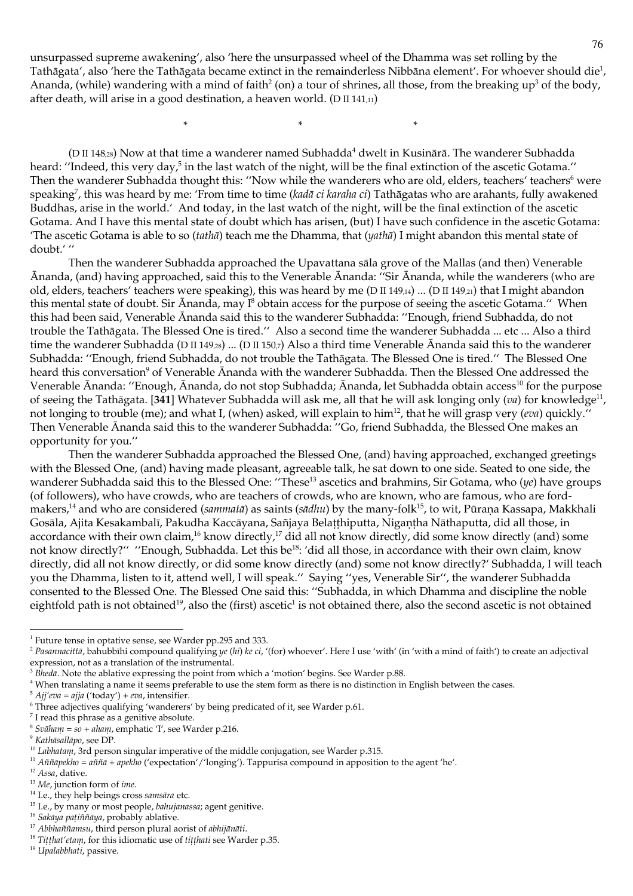unsurpassed supreme awakening', also 'here the unsurpassed wheel of the Dhamma was set rolling by the Tathāgata', also 'here the Tathāgata became extinct in the remainderless Nibbāna element'. For whoever should die<sup>1</sup>, Ananda, (while) wandering with a mind of faith<sup>2</sup> (on) a tour of shrines, all those, from the breaking up<sup>3</sup> of the body, after death, will arise in a good destination, a heaven world. (D II 141,11)

 $\ast$ 

(D II 148,28) Now at that time a wanderer named Subhadda<sup>4</sup> dwelt in Kusinārā. The wanderer Subhadda heard: "Indeed, this very day,<sup>5</sup> in the last watch of the night, will be the final extinction of the ascetic Gotama." Then the wanderer Subhadda thought this: "Now while the wanderers who are old, elders, teachers' teachers<sup>6</sup> were speaking<sup>7</sup>, this was heard by me: 'From time to time (kadā ci karaha ci) Tathāgatas who are arahants, fully awakened Buddhas, arise in the world.' And today, in the last watch of the night, will be the final extinction of the ascetic Gotama. And I have this mental state of doubt which has arisen, (but) I have such confidence in the ascetic Gotama: The ascetic Gotama is able to so (tatha) teach me the Dhamma, that (yatha) I might abandon this mental state of doubt.'"

Then the wanderer Subhadda approached the Upavattana sāla grove of the Mallas (and then) Venerable Ananda, (and) having approached, said this to the Venerable Ananda: "Sir Ananda, while the wanderers (who are old, elders, teachers' teachers were speaking), this was heard by me (D II 149,14) ... (D II 149,21) that I might abandon this mental state of doubt. Sir  $\bar{A}$ nanda, may  $I^8$  obtain access for the purpose of seeing the ascetic Gotama." When this had been said, Venerable Ananda said this to the wanderer Subhadda: "Enough, friend Subhadda, do not trouble the Tathāgata. The Blessed One is tired." Also a second time the wanderer Subhadda ... etc ... Also a third time the wanderer Subhadda (D II 149,28) ... (D II 150,7) Also a third time Venerable Ananda said this to the wanderer Subhadda: "Enough, friend Subhadda, do not trouble the Tathāgata. The Blessed One is tired." The Blessed One heard this conversation<sup>9</sup> of Venerable Ananda with the wanderer Subhadda. Then the Blessed One addressed the Venerable Ānanda: "Enough, Ānanda, do not stop Subhadda; Ānanda, let Subhadda obtain access<sup>10</sup> for the purpose of seeing the Tathāgata. [341] Whatever Subhadda will ask me, all that he will ask longing only (va) for knowledge<sup>11</sup>, not longing to trouble (me); and what I, (when) asked, will explain to him<sup>12</sup>, that he will grasp very (eva) quickly." Then Venerable Ananda said this to the wanderer Subhadda: "Go, friend Subhadda, the Blessed One makes an opportunity for you."

Then the wanderer Subhadda approached the Blessed One, (and) having approached, exchanged greetings with the Blessed One, (and) having made pleasant, agreeable talk, he sat down to one side. Seated to one side, the wanderer Subhadda said this to the Blessed One: "These<sup>13</sup> ascetics and brahmins, Sir Gotama, who  $(ye)$  have groups (of followers), who have crowds, who are teachers of crowds, who are known, who are famous, who are fordmakers,<sup>14</sup> and who are considered (sammatā) as saints (sādhu) by the many-folk<sup>15</sup>, to wit, Pūraṇa Kassapa, Makkhali Gosāla, Ajita Kesakambalī, Pakudha Kaccāyana, Sañjaya Belatthiputta, Nigantha Nāthaputta, did all those, in accordance with their own claim,<sup>16</sup> know directly,<sup>17</sup> did all not know directly, did some know directly (and) some not know directly?" "Enough, Subhadda. Let this be<sup>18</sup>: 'did all those, in accordance with their own claim, know directly, did all not know directly, or did some know directly (and) some not know directly?' Subhadda, I will teach you the Dhamma, listen to it, attend well, I will speak." Saying "yes, Venerable Sir", the wanderer Subhadda consented to the Blessed One. The Blessed One said this: "Subhadda, in which Dhamma and discipline the noble eightfold path is not obtained<sup>19</sup>, also the (first) ascetic<sup>1</sup> is not obtained there, also the second ascetic is not obtained

<sup>&</sup>lt;sup>1</sup> Future tense in optative sense, see Warder pp.295 and 333.

<sup>&</sup>lt;sup>2</sup> Pasanuacittā, bahubbīhi compound qualifying ye (hi) ke ci, '(for) whoever'. Here I use 'with' (in 'with a mind of faith') to create an adjectival expression, not as a translation of the instrumental.

 $3$  Blueda. Note the ablative expressing the point from which a 'motion' begins. See Warder p.88.

<sup>&</sup>lt;sup>4</sup> When translating a name it seems preferable to use the stem form as there is no distinction in English between the cases.

 $5$  Ajj'eva = ajja ('today') + eva, intensifier.

<sup>&</sup>lt;sup>6</sup> Three adjectives qualifying 'wanderers' by being predicated of it, see Warder p.61.

 $7$  I read this phrase as a genitive absolute.

 $8$  Svāham = so + aham, emphatic 'I', see Warder p.216.

<sup>&</sup>lt;sup>9</sup> Kathāsallāpo, see DP.

<sup>&</sup>lt;sup>10</sup> Labhatani, 3rd person singular imperative of the middle conjugation, see Warder p.315.

<sup>&</sup>lt;sup>11</sup> Aññāpekho = aññā + apekho ('expectation'/'longing'). Tappurisa compound in apposition to the agent 'he'.

 $12$  Assa, dative.

<sup>&</sup>lt;sup>13</sup> Me, junction form of *ime*.

<sup>&</sup>lt;sup>14</sup> I.e., they help beings cross samsara etc.

<sup>&</sup>lt;sup>15</sup> I.e., by many or most people, bahujanassa; agent genitive.

<sup>&</sup>lt;sup>16</sup> Sakāya pațiññāya, probably ablative.

<sup>&</sup>lt;sup>17</sup> Abbhaññamsu, third person plural aorist of abhijānāti.

<sup>&</sup>lt;sup>18</sup> Titthat' etam, for this idiomatic use of titthati see Warder p.35.

<sup>&</sup>lt;sup>19</sup> Upalabbhati, passive.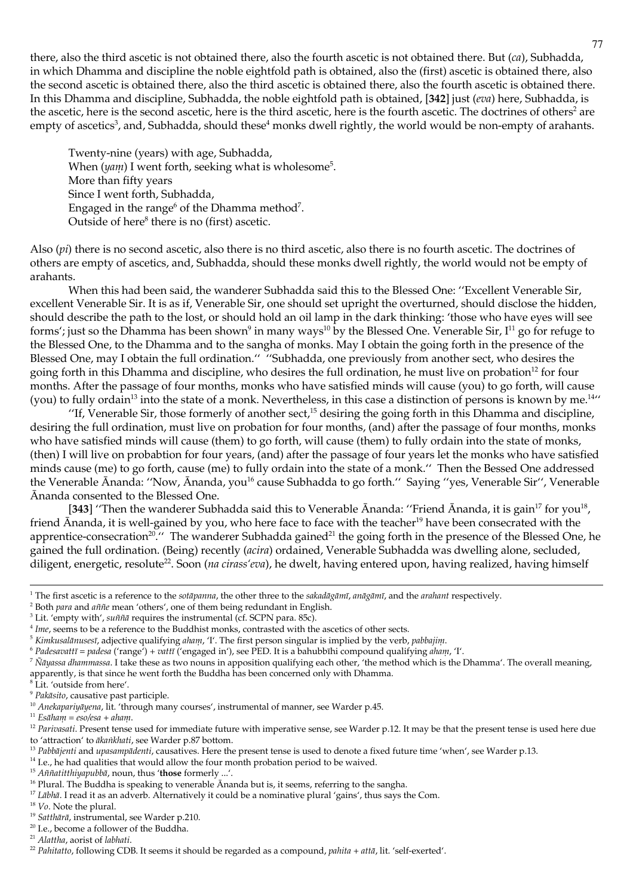there, also the third ascetic is not obtained there, also the fourth ascetic is not obtained there. But  $(ca)$ , Subhadda, in which Dhamma and discipline the noble eightfold path is obtained, also the (first) ascetic is obtained there, also the second ascetic is obtained there, also the third ascetic is obtained there, also the fourth ascetic is obtained there. In this Dhamma and discipline, Subhadda, the noble eightfold path is obtained, [342] just (eva) here, Subhadda, is the ascetic, here is the second ascetic, here is the third ascetic, here is the fourth ascetic. The doctrines of others<sup>2</sup> are empty of ascetics<sup>3</sup>, and, Subhadda, should these<sup>4</sup> monks dwell rightly, the world would be non-empty of arahants.

Twenty-nine (years) with age, Subhadda, When  $(yam)$  I went forth, seeking what is wholesome<sup>5</sup>. More than fifty years Since I went forth, Subhadda, Engaged in the range<sup>6</sup> of the Dhamma method<sup>7</sup>. Outside of here<sup>8</sup> there is no (first) ascetic.

Also  $(pi)$  there is no second ascetic, also there is no third ascetic, also there is no fourth ascetic. The doctrines of others are empty of ascetics, and, Subhadda, should these monks dwell rightly, the world would not be empty of arahants.

When this had been said, the wanderer Subhadda said this to the Blessed One: "Excellent Venerable Sir, excellent Venerable Sir. It is as if, Venerable Sir, one should set upright the overturned, should disclose the hidden, should describe the path to the lost, or should hold an oil lamp in the dark thinking: 'those who have eyes will see forms'; just so the Dhamma has been shown<sup>9</sup> in many ways<sup>10</sup> by the Blessed One. Venerable Sir,  $I^{11}$  go for refuge to the Blessed One, to the Dhamma and to the sangha of monks. May I obtain the going forth in the presence of the Blessed One, may I obtain the full ordination." "Subhadda, one previously from another sect, who desires the going forth in this Dhamma and discipline, who desires the full ordination, he must live on probation<sup>12</sup> for four months. After the passage of four months, monks who have satisfied minds will cause (you) to go forth, will cause (you) to fully ordain<sup>13</sup> into the state of a monk. Nevertheless, in this case a distinction of persons is known by me.<sup>14</sup>

"If, Venerable Sir, those formerly of another sect,<sup>15</sup> desiring the going forth in this Dhamma and discipline, desiring the full ordination, must live on probation for four months, (and) after the passage of four months, monks who have satisfied minds will cause (them) to go forth, will cause (them) to fully ordain into the state of monks, (then) I will live on probabtion for four years, (and) after the passage of four years let the monks who have satisfied minds cause (me) to go forth, cause (me) to fully ordain into the state of a monk." Then the Bessed One addressed the Venerable Ananda: "Now, Ananda, you<sup>16</sup> cause Subhadda to go forth." Saying "yes, Venerable Sir", Venerable Ananda consented to the Blessed One.

[343] "Then the wanderer Subhadda said this to Venerable Ananda: "Friend Ananda, it is gain<sup>17</sup> for you<sup>18</sup>, friend Ananda, it is well-gained by you, who here face to face with the teacher<sup>19</sup> have been consecrated with the apprentice-consecration<sup>20</sup>.<sup>"</sup> The wanderer Subhadda gained<sup>21</sup> the going forth in the presence of the Blessed One, he gained the full ordination. (Being) recently (acira) ordained, Venerable Subhadda was dwelling alone, secluded, diligent, energetic, resolute<sup>22</sup>. Soon (na cirass'eva), he dwelt, having entered upon, having realized, having himself

<sup>8</sup>Lit. 'outside from here'.

 $20$  I.e., become a follower of the Buddha.

<sup>&</sup>lt;sup>1</sup> The first ascetic is a reference to the sotāpanna, the other three to the sakadāgānuī, anāgānuī, and the arahant respectively.

<sup>&</sup>lt;sup>2</sup> Both para and aññe mean 'others', one of them being redundant in English.

<sup>&</sup>lt;sup>3</sup> Lit. 'empty with', *suññā* requires the instrumental (cf. SCPN para. 85c).

<sup>&</sup>lt;sup>4</sup> Ime, seems to be a reference to the Buddhist monks, contrasted with the ascetics of other sects.

 $5$  Kimkusalānusesī, adjective qualifying aham, 'I'. The first person singular is implied by the verb, pabbajim.

<sup>&</sup>lt;sup>6</sup> Padesavattī = padesa ('range') + vattī ('engaged in'), see PED. It is a bahubbīhi compound qualifying aham, 'I'.

<sup>&</sup>lt;sup>7</sup> Nayassa dhanimassa. I take these as two nouns in apposition qualifying each other, 'the method which is the Dhamma'. The overall meaning, apparently, is that since he went forth the Buddha has been concerned only with Dhamma.

<sup>&</sup>lt;sup>9</sup> Pakāsito, causative past participle.

<sup>&</sup>lt;sup>10</sup> Anekapariyāyena, lit. 'through many courses', instrumental of manner, see Warder p.45.

 $11$  Esāham = eso/esa + aham.

<sup>&</sup>lt;sup>12</sup> Parivasati. Present tense used for immediate future with imperative sense, see Warder p.12. It may be that the present tense is used here due to 'attraction' to ākankhati, see Warder p.87 bottom.

<sup>&</sup>lt;sup>13</sup> Pabbājenti and upasampādenti, causatives. Here the present tense is used to denote a fixed future time 'when', see Warder p.13.

<sup>&</sup>lt;sup>14</sup> I.e., he had qualities that would allow the four month probation period to be waived.

<sup>&</sup>lt;sup>15</sup> Aññatitthiyapubbā, noun, thus 'those formerly ...'.

<sup>&</sup>lt;sup>16</sup> Plural. The Buddha is speaking to venerable Ananda but is, it seems, referring to the sangha.

<sup>&</sup>lt;sup>17</sup> Labha. I read it as an adverb. Alternatively it could be a nominative plural 'gains', thus says the Com.

 $18$  V<sub>0</sub>. Note the plural.

<sup>&</sup>lt;sup>19</sup> Satthārā, instrumental, see Warder p.210.

<sup>&</sup>lt;sup>21</sup> Alattha, aorist of labhati.

<sup>&</sup>lt;sup>22</sup> Pahitatto, following CDB. It seems it should be regarded as a compound, pahita + attā, lit. 'self-exerted'.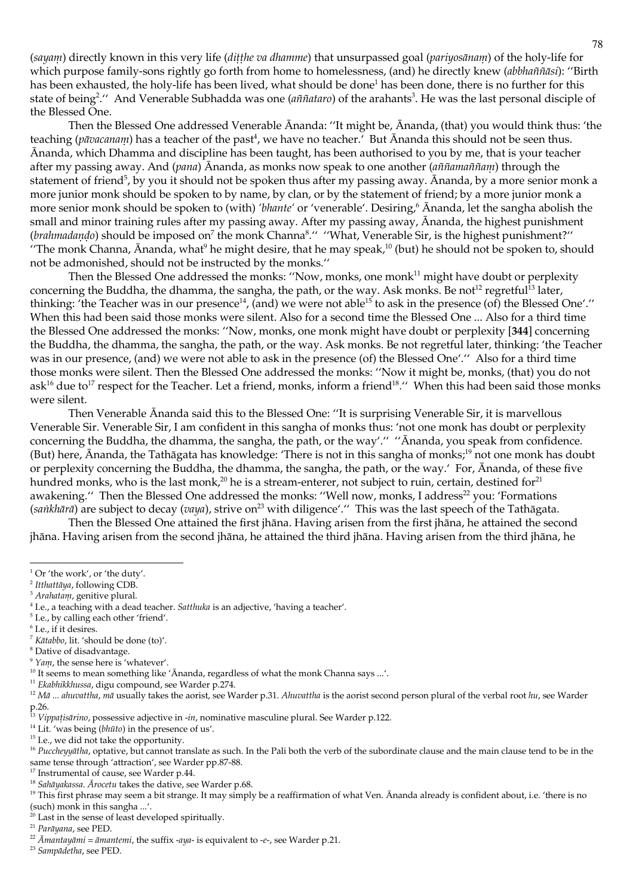(sayani) directly known in this very life (ditthe va dhamme) that unsurpassed goal (pariyosānam) of the holy-life for which purpose family-sons rightly go forth from home to homelessness, (and) he directly knew (abbhaññāsi): "Birth has been exhausted, the holy-life has been lived, what should be done<sup>1</sup> has been done, there is no further for this state of being<sup>2</sup>." And Venerable Subhadda was one (aññataro) of the arahants<sup>3</sup>. He was the last personal disciple of the Blessed One.

Then the Blessed One addressed Venerable Ananda: "It might be, Ananda, (that) you would think thus: 'the teaching (*pāvacanam*) has a teacher of the past<sup>4</sup>, we have no teacher. But Ananda this should not be seen thus. Ananda, which Dhamma and discipline has been taught, has been authorised to you by me, that is your teacher after my passing away. And (pana) Ananda, as monks now speak to one another (antiamantianu) through the statement of friend<sup>5</sup>, by you it should not be spoken thus after my passing away. Ananda, by a more senior monk a more junior monk should be spoken to by name, by clan, or by the statement of friend; by a more junior monk a more senior monk should be spoken to (with) 'bhante' or 'venerable'. Desiring,<sup>6</sup> Ananda, let the sangha abolish the small and minor training rules after my passing away. After my passing away, Ānanda, the highest punishment (*brahmadando*) should be imposed on<sup>7</sup> the monk Channa<sup>8</sup>." "What, Venerable Sir, is the highest punishment?" "The monk Channa, Ananda, what<sup>9</sup> he might desire, that he may speak,<sup>10</sup> (but) he should not be spoken to, should not be admonished, should not be instructed by the monks."

Then the Blessed One addressed the monks: "Now, monks, one monk<sup>11</sup> might have doubt or perplexity concerning the Buddha, the dhamma, the sangha, the path, or the way. Ask monks. Be not<sup>12</sup> regretful<sup>13</sup> later, thinking: 'the Teacher was in our presence<sup>14</sup>, (and) we were not able<sup>15</sup> to ask in the presence (of) the Blessed One'." When this had been said those monks were silent. Also for a second time the Blessed One ... Also for a third time the Blessed One addressed the monks: "Now, monks, one monk might have doubt or perplexity [344] concerning the Buddha, the dhamma, the sangha, the path, or the way. Ask monks. Be not regretful later, thinking: 'the Teacher was in our presence, (and) we were not able to ask in the presence (of) the Blessed One'." Also for a third time those monks were silent. Then the Blessed One addressed the monks: "Now it might be, monks, (that) you do not ask<sup>16</sup> due to<sup>17</sup> respect for the Teacher. Let a friend, monks, inform a friend<sup>18</sup>." When this had been said those monks were silent.

Then Venerable Ananda said this to the Blessed One: "It is surprising Venerable Sir, it is marvellous Venerable Sir. Venerable Sir, I am confident in this sangha of monks thus: 'not one monk has doubt or perplexity concerning the Buddha, the dhamma, the sangha, the path, or the way'." "Ananda, you speak from confidence. (But) here, Ananda, the Tathāgata has knowledge: 'There is not in this sangha of monks;<sup>19</sup> not one monk has doubt or perplexity concerning the Buddha, the dhamma, the sangha, the path, or the way. For, Ananda, of these five hundred monks, who is the last monk,<sup>20</sup> he is a stream-enterer, not subject to ruin, certain, destined for<sup>21</sup> awakening." Then the Blessed One addressed the monks: "Well now, monks, I address<sup>22</sup> you: 'Formations (sankhārā) are subject to decay (vaya), strive on<sup>23</sup> with diligence'." This was the last speech of the Tathāgata.

Then the Blessed One attained the first jhāna. Having arisen from the first jhāna, he attained the second jhāna. Having arisen from the second jhāna, he attained the third jhāna. Having arisen from the third jhāna, he

- <sup>5</sup> I.e., by calling each other 'friend'.
- <sup>6</sup> I.e., if it desires.
- <sup>7</sup> Kātabbo. lit. 'should be done (to)'.
- <sup>8</sup> Dative of disadvantage.
- $9$  Yam, the sense here is 'whatever'.
- <sup>10</sup> It seems to mean something like 'Ananda, regardless of what the monk Channa says ...'.
- <sup>11</sup> Ekabhikkhussa, digu compound, see Warder p.274.

<sup>15</sup> I.e., we did not take the opportunity.

- <sup>17</sup> Instrumental of cause, see Warder p.44.
- <sup>18</sup> Sahāyakassa. Ārocetu takes the dative, see Warder p.68.

- $20$  Last in the sense of least developed spiritually.
- <sup>21</sup> Parāyana, see PED.

<sup>23</sup> Sampādetha, see PED.

<sup>&</sup>lt;sup>1</sup> Or 'the work', or 'the duty'.

 $^2$ Itthattāya, following CDB.

<sup>&</sup>lt;sup>3</sup> Arahatam, genitive plural.

<sup>&</sup>lt;sup>4</sup> I.e., a teaching with a dead teacher. Satthuka is an adjective, 'having a teacher'.

<sup>&</sup>lt;sup>12</sup> Mā ... ahuvattha, nuā usually takes the aorist, see Warder p.31. Ahuvattha is the aorist second person plural of the verbal root hu, see Warder p.26.<br><sup>13</sup> *Vippațisārino*, possessive adjective in -*in*, nominative masculine plural. See Warder p.122.

<sup>&</sup>lt;sup>14</sup> Lit. 'was being (bhūto) in the presence of us'.

<sup>&</sup>lt;sup>16</sup> Pucclieyyātlia, optative, but cannot translate as such. In the Pali both the verb of the subordinate clause and the main clause tend to be in the same tense through 'attraction', see Warder pp.87-88.

<sup>&</sup>lt;sup>19</sup> This first phrase may seem a bit strange. It may simply be a reaffirmation of what Ven. Ananda already is confident about, i.e. 'there is no (such) monk in this sangha ...'.

<sup>&</sup>lt;sup>22</sup>  $\bar{A}$ mantayāmi = āmantemi, the suffix -aya- is equivalent to -e-, see Warder p.21.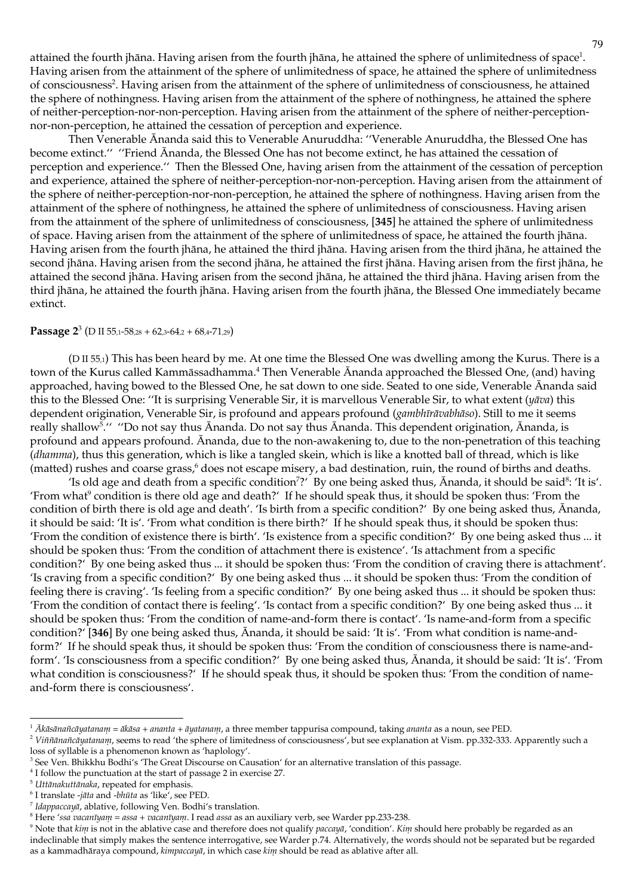attained the fourth jhāna. Having arisen from the fourth jhāna, he attained the sphere of unlimitedness of space<sup>1</sup>. Having arisen from the attainment of the sphere of unlimitedness of space, he attained the sphere of unlimitedness of consciousness<sup>2</sup>. Having arisen from the attainment of the sphere of unlimitedness of consciousness, he attained the sphere of nothingness. Having arisen from the attainment of the sphere of nothingness, he attained the sphere of neither-perception-nor-non-perception. Having arisen from the attainment of the sphere of neither-perceptionnor-non-perception, he attained the cessation of perception and experience.

Then Venerable Ananda said this to Venerable Anuruddha: "Venerable Anuruddha, the Blessed One has become extinct." "Friend Ananda, the Blessed One has not become extinct, he has attained the cessation of perception and experience." Then the Blessed One, having arisen from the attainment of the cessation of perception and experience, attained the sphere of neither-perception-nor-non-perception. Having arisen from the attainment of the sphere of neither-perception-nor-non-perception, he attained the sphere of nothingness. Having arisen from the attainment of the sphere of nothingness, he attained the sphere of unlimitedness of consciousness. Having arisen from the attainment of the sphere of unlimitedness of consciousness, [345] he attained the sphere of unlimitedness of space. Having arisen from the attainment of the sphere of unlimitedness of space, he attained the fourth jhāna. Having arisen from the fourth jhāna, he attained the third jhāna. Having arisen from the third jhāna, he attained the second jhāna. Having arisen from the second jhāna, he attained the first jhāna. Having arisen from the first jhāna, he attained the second jhāna. Having arisen from the second jhāna, he attained the third jhāna. Having arisen from the third jhāna, he attained the fourth jhāna. Having arisen from the fourth jhāna, the Blessed One immediately became extinct.

#### **Passage 2<sup>3</sup>** (D II 55,1-58,28 + 62,3-64,2 + 68,4-71,29)

(D II 55,1) This has been heard by me. At one time the Blessed One was dwelling among the Kurus. There is a town of the Kurus called Kammāssadhamma.<sup>4</sup> Then Venerable Ānanda approached the Blessed One, (and) having approached, having bowed to the Blessed One, he sat down to one side. Seated to one side, Venerable Ananda said this to the Blessed One: "It is surprising Venerable Sir, it is marvellous Venerable Sir, to what extent (yāva) this dependent origination, Venerable Sir, is profound and appears profound (gambhūrāvabhāso). Still to me it seems really shallow<sup>5</sup>." "Do not say thus Ananda. Do not say thus Ananda. This dependent origination, Ananda, is profound and appears profound. Ananda, due to the non-awakening to, due to the non-penetration of this teaching (dhamma), thus this generation, which is like a tangled skein, which is like a knotted ball of thread, which is like (matted) rushes and coarse grass,<sup>6</sup> does not escape misery, a bad destination, ruin, the round of births and deaths.

'Is old age and death from a specific condition<sup>7</sup>?' By one being asked thus, Ananda, it should be said<sup>8</sup>: 'It is'. 'From what<sup>9</sup> condition is there old age and death?' If he should speak thus, it should be spoken thus: 'From the condition of birth there is old age and death'. 'Is birth from a specific condition?' By one being asked thus, Ānanda, it should be said: 'It is'. 'From what condition is there birth?' If he should speak thus, it should be spoken thus: 'From the condition of existence there is birth'. 'Is existence from a specific condition?' By one being asked thus ... it should be spoken thus: 'From the condition of attachment there is existence'. 'Is attachment from a specific condition?' By one being asked thus ... it should be spoken thus: 'From the condition of craving there is attachment'. 'Is craving from a specific condition?' By one being asked thus ... it should be spoken thus: 'From the condition of feeling there is craving'. 'Is feeling from a specific condition?' By one being asked thus ... it should be spoken thus: 'From the condition of contact there is feeling'. 'Is contact from a specific condition?' By one being asked thus ... it should be spoken thus: 'From the condition of name-and-form there is contact'. 'Is name-and-form from a specific condition?' [346] By one being asked thus, Ananda, it should be said: 'It is'. 'From what condition is name-andform?' If he should speak thus, it should be spoken thus: 'From the condition of consciousness there is name-andform'. 'Is consciousness from a specific condition?' By one being asked thus, Ananda, it should be said: 'It is'. 'From what condition is consciousness?' If he should speak thus, it should be spoken thus: 'From the condition of nameand-form there is consciousness'.

<sup>&</sup>lt;sup>1</sup> Ākāsānañcāyatanam = ākāsa + ananta + āyatanam, a three member tappurisa compound, taking ananta as a noun, see PED.

<sup>&</sup>lt;sup>2</sup> Viññānañcāyatanam, seems to read 'the sphere of limitedness of consciousness', but see explanation at Vism. pp.332-333. Apparently such a loss of syllable is a phenomenon known as 'haplology'.

<sup>&</sup>lt;sup>3</sup> See Ven. Bhikkhu Bodhi's 'The Great Discourse on Causation' for an alternative translation of this passage.

 $^4$  I follow the punctuation at the start of passage 2 in exercise 27.

<sup>&</sup>lt;sup>5</sup> Uttānakuttānaka, repeated for emphasis.

 $6$  I translate -jāta and -bhūta as 'like', see PED.

 $^7$  Idappaccaya, ablative, following Ven. Bodhi's translation.

 $^8$  Here 'ssa vacanīyam = assa + vacanīyam. I read assa as an auxiliary verb, see Warder pp.233-238.

<sup>&</sup>lt;sup>9</sup> Note that kim is not in the ablative case and therefore does not qualify paccaya, 'condition'. Kim should here probably be regarded as an indeclinable that simply makes the sentence interrogative, see Warder p.74. Alternatively, the words should not be separated but be regarded as a kammadhāraya compound, kimpaccayā, in which case kim should be read as ablative after all.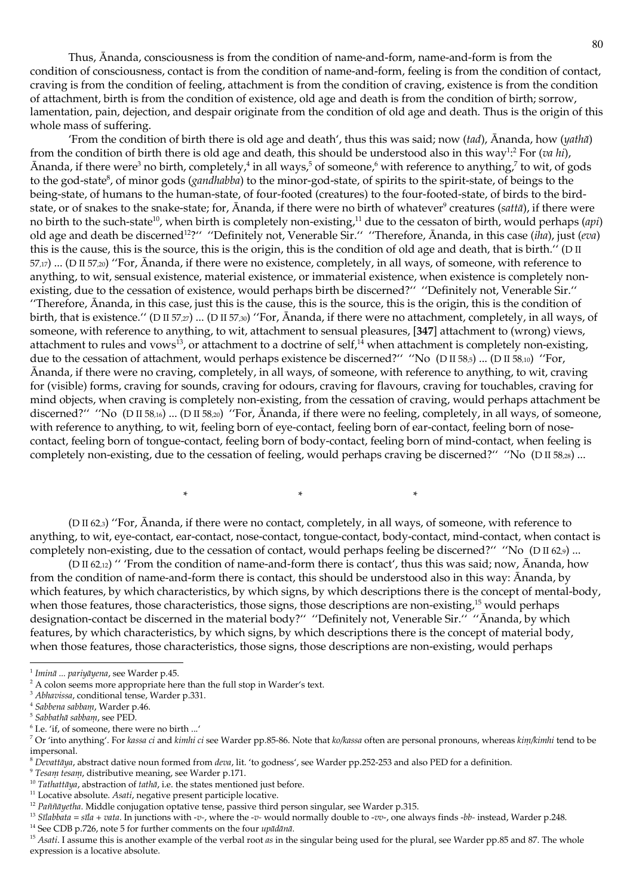Thus, Ananda, consciousness is from the condition of name-and-form, name-and-form is from the condition of consciousness, contact is from the condition of name-and-form, feeling is from the condition of contact, craving is from the condition of feeling, attachment is from the condition of craving, existence is from the condition of attachment, birth is from the condition of existence, old age and death is from the condition of birth; sorrow, lamentation, pain, dejection, and despair originate from the condition of old age and death. Thus is the origin of this whole mass of suffering.

'From the condition of birth there is old age and death', thus this was said; now (tad),  $\bar{A}$ nanda, how (yatha) from the condition of birth there is old age and death, this should be understood also in this way<sup>1</sup>:<sup>2</sup> For (va lii), Ananda, if there were<sup>3</sup> no birth, completely,<sup>4</sup> in all ways,<sup>5</sup> of someone,<sup>6</sup> with reference to anything,<sup>7</sup> to wit, of gods to the god-state<sup>8</sup>, of minor gods (*gandhabba*) to the minor-god-state, of spirits to the spirit-state, of beings to the being-state, of humans to the human-state, of four-footed (creatures) to the four-footed-state, of birds to the birdstate, or of snakes to the snake-state; for, Ananda, if there were no birth of whatever<sup>9</sup> creatures (sattā), if there were no birth to the such-state<sup>10</sup>, when birth is completely non-existing,<sup>11</sup> due to the cessaton of birth, would perhaps (api) old age and death be discerned<sup>12</sup>?" "Definitely not, Venerable Sir." "Therefore, Ananda, in this case (*iha*), just (*cva*) this is the cause, this is the source, this is the origin, this is the condition of old age and death, that is birth." (D II  $57,17)$  ... (D II 57,20) "For, Ananda, if there were no existence, completely, in all ways, of someone, with reference to anything, to wit, sensual existence, material existence, or immaterial existence, when existence is completely nonexisting, due to the cessation of existence, would perhaps birth be discerned?" "Definitely not, Venerable Sir." "Therefore, Ananda, in this case, just this is the cause, this is the source, this is the origin, this is the condition of birth, that is existence." (D II 57,27) ... (D II 57,30) "For, Ananda, if there were no attachment, completely, in all ways, of someone, with reference to anything, to wit, attachment to sensual pleasures, [347] attachment to (wrong) views, attachment to rules and vows<sup>13</sup>, or attachment to a doctrine of self,<sup>14</sup> when attachment is completely non-existing, due to the cessation of attachment, would perhaps existence be discerned?" "No (D II 58,5) ... (D II 58,10) "For, Ananda, if there were no craving, completely, in all ways, of someone, with reference to anything, to wit, craving for (visible) forms, craving for sounds, craving for odours, craving for flavours, craving for touchables, craving for mind objects, when craving is completely non-existing, from the cessation of craving, would perhaps attachment be discerned?" "No ( $D \text{ II } 58,16$ ) ... ( $D \text{ II } 58,20$ ) "For, Ananda, if there were no feeling, completely, in all ways, of someone, with reference to anything, to wit, feeling born of eye-contact, feeling born of ear-contact, feeling born of nosecontact, feeling born of tongue-contact, feeling born of body-contact, feeling born of mind-contact, when feeling is completely non-existing, due to the cessation of feeling, would perhaps craving be discerned?" "No (D II 58,28) ...

(D II 62,3) "For, Ananda, if there were no contact, completely, in all ways, of someone, with reference to anything, to wit, eye-contact, ear-contact, nose-contact, tongue-contact, body-contact, mind-contact, when contact is completely non-existing, due to the cessation of contact, would perhaps feeling be discerned?" "No (D II 62,9) ...

(D II 62,12) " 'From the condition of name-and-form there is contact', thus this was said; now, Ananda, how from the condition of name-and-form there is contact, this should be understood also in this way: Ananda, by which features, by which characteristics, by which signs, by which descriptions there is the concept of mental-body, when those features, those characteristics, those signs, those descriptions are non-existing,  $15$  would perhaps designation-contact be discerned in the material body?" "Definitely not, Venerable Sir." "Ānanda, by which features, by which characteristics, by which signs, by which descriptions there is the concept of material body, when those features, those characteristics, those signs, those descriptions are non-existing, would perhaps

<sup>&</sup>lt;sup>1</sup> Iminā ... pariyāyena, see Warder p.45.

<sup>&</sup>lt;sup>2</sup> A colon seems more appropriate here than the full stop in Warder's text.

<sup>&</sup>lt;sup>3</sup> Abhavissa, conditional tense, Warder p.331.

<sup>&</sup>lt;sup>4</sup> Sabbena sabbanı, Warder p.46.

<sup>&</sup>lt;sup>5</sup> Sabbathā sabbanı, see PED.

<sup>&</sup>lt;sup>6</sup> I.e. 'if, of someone, there were no birth ...'

<sup>&</sup>lt;sup>7</sup> Or 'into anything'. For kassa ci and kimhi ci see Warder pp.85-86. Note that ko/kassa often are personal pronouns, whereas kim/kimhi tend to be impersonal.

<sup>&</sup>lt;sup>8</sup> Devattāya, abstract dative noun formed from deva, lit. 'to godness', see Warder pp.252-253 and also PED for a definition.

<sup>&</sup>lt;sup>9</sup> Tesam tesam, distributive meaning, see Warder p.171.

 $10$  Tatliattāya, abstraction of tatliā, i.e. the states mentioned just before.

<sup>&</sup>lt;sup>11</sup> Locative absolute. Asati, negative present participle locative.

<sup>&</sup>lt;sup>12</sup> Paññāyetha. Middle conjugation optative tense, passive third person singular, see Warder p.315.

<sup>&</sup>lt;sup>13</sup> Silabbata = sīla + vata. In junctions with -v-, where the -v- would normally double to -vv-, one always finds -bb- instead, Warder p.248.

<sup>&</sup>lt;sup>14</sup> See CDB p.726, note 5 for further comments on the four *upādānā*.

<sup>&</sup>lt;sup>15</sup> Asati. I assume this is another example of the verbal rootXts in the singular being used for the plural, see Warder pp.85 and 87. The whole expression is a locative absolute.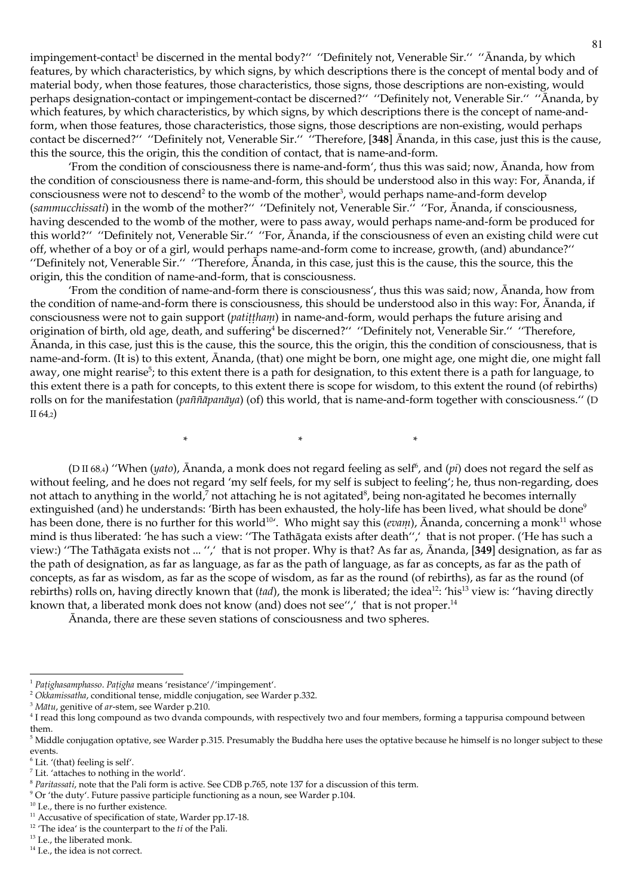impingement-contact<sup>1</sup> be discerned in the mental body?" "Definitely not, Venerable Sir." "Ānanda, by which features, by which characteristics, by which signs, by which descriptions there is the concept of mental body and of material body, when those features, those characteristics, those signs, those descriptions are non-existing, would perhaps designation-contact or impingement-contact be discerned?" "Definitely not, Venerable Sir." "Ananda, by which features, by which characteristics, by which signs, by which descriptions there is the concept of name-andform, when those features, those characteristics, those signs, those descriptions are non-existing, would perhaps contact be discerned?" "Definitely not, Venerable Sir." "Therefore, [348] Ananda, in this case, just this is the cause, this the source, this the origin, this the condition of contact, that is name-and-form.

'From the condition of consciousness there is name-and-form', thus this was said; now, Ananda, how from the condition of consciousness there is name-and-form, this should be understood also in this way: For, Ananda, if consciousness were not to descend<sup>2</sup> to the womb of the mother<sup>3</sup>, would perhaps name-and-form develop (sammucchissati) in the womb of the mother?" "Definitely not, Venerable Sir." "For, Ananda, if consciousness, having descended to the womb of the mother, were to pass away, would perhaps name-and-form be produced for this world?" "Definitely not, Venerable Sir." "For, Ananda, if the consciousness of even an existing child were cut off, whether of a boy or of a girl, would perhaps name-and-form come to increase, growth, (and) abundance?" "Definitely not, Venerable Sir." "Therefore, Ananda, in this case, just this is the cause, this the source, this the origin, this the condition of name-and-form, that is consciousness.

'From the condition of name-and-form there is consciousness', thus this was said; now, Ananda, how from the condition of name-and-form there is consciousness, this should be understood also in this way: For, Ananda, if consciousness were not to gain support (*patittham*) in name-and-form, would perhaps the future arising and origination of birth, old age, death, and suffering<sup>4</sup> be discerned?" "Definitely not, Venerable Sir." "Therefore, Ananda, in this case, just this is the cause, this the source, this the origin, this the condition of consciousness, that is name-and-form. (It is) to this extent, Ananda, (that) one might be born, one might age, one might die, one might fall away, one might rearise<sup>5</sup>; to this extent there is a path for designation, to this extent there is a path for language, to this extent there is a path for concepts, to this extent there is scope for wisdom, to this extent the round (of rebirths) rolls on for the manifestation (*paññapanava*) (of) this world, that is name-and-form together with consciousness." (D  $II 64,2)$ 

> $\ast$  $\ast$

(D II 68.4) "When (yato), Ananda, a monk does not regard feeling as self<sup>6</sup>, and (pi) does not regard the self as without feeling, and he does not regard 'my self feels, for my self is subject to feeling'; he, thus non-regarding, does not attach to anything in the world,<sup>7</sup> not attaching he is not agitated<sup>8</sup>, being non-agitated he becomes internally extinguished (and) he understands: 'Birth has been exhausted, the holy-life has been lived, what should be done<sup>9</sup> has been done, there is no further for this world<sup>10</sup>'. Who might say this (*evam*), Ananda, concerning a monk<sup>11</sup> whose mind is thus liberated: 'he has such a view: "The Tathāgata exists after death",' that is not proper. ('He has such a view:) "The Tathāgata exists not ... ",' that is not proper. Why is that? As far as, Ānanda, [349] designation, as far as the path of designation, as far as language, as far as the path of language, as far as concepts, as far as the path of concepts, as far as wisdom, as far as the scope of wisdom, as far as the round (of rebirths), as far as the round (of rebirths) rolls on, having directly known that  $(tad)$ , the monk is liberated; the idea<sup>12</sup>: 'his<sup>13</sup> view is: "having directly known that, a liberated monk does not know (and) does not see", that is not proper.<sup>14</sup>

Ananda, there are these seven stations of consciousness and two spheres.

 $\ast$ 

<sup>&</sup>lt;sup>1</sup> Pațighasamphasso. Pațigha means 'resistance'/'impingement'.

<sup>&</sup>lt;sup>2</sup> Okkamissatha, conditional tense, middle conjugation, see Warder p.332.

<sup>&</sup>lt;sup>3</sup> Mātu, genitive of ar-stem, see Warder p.210.

<sup>&</sup>lt;sup>4</sup> I read this long compound as two dvanda compounds, with respectively two and four members, forming a tappurisa compound between them.

<sup>&</sup>lt;sup>5</sup> Middle conjugation optative, see Warder p.315. Presumably the Buddha here uses the optative because he himself is no longer subject to these events.

<sup>&</sup>lt;sup>6</sup> Lit. '(that) feeling is self'.

 $7$  Lit. 'attaches to nothing in the world'.

 $8$  Paritassati, note that the Pali form is active. See CDB p.765, note 137 for a discussion of this term.

 $9$  Or 'the duty'. Future passive participle functioning as a noun, see Warder p.104.

<sup>&</sup>lt;sup>10</sup> I.e., there is no further existence.

<sup>&</sup>lt;sup>11</sup> Accusative of specification of state, Warder pp.17-18.

 $12$  'The idea' is the counterpart to the  $ti$  of the Pali.

<sup>&</sup>lt;sup>13</sup> I.e., the liberated monk.

<sup>&</sup>lt;sup>14</sup> I.e., the idea is not correct.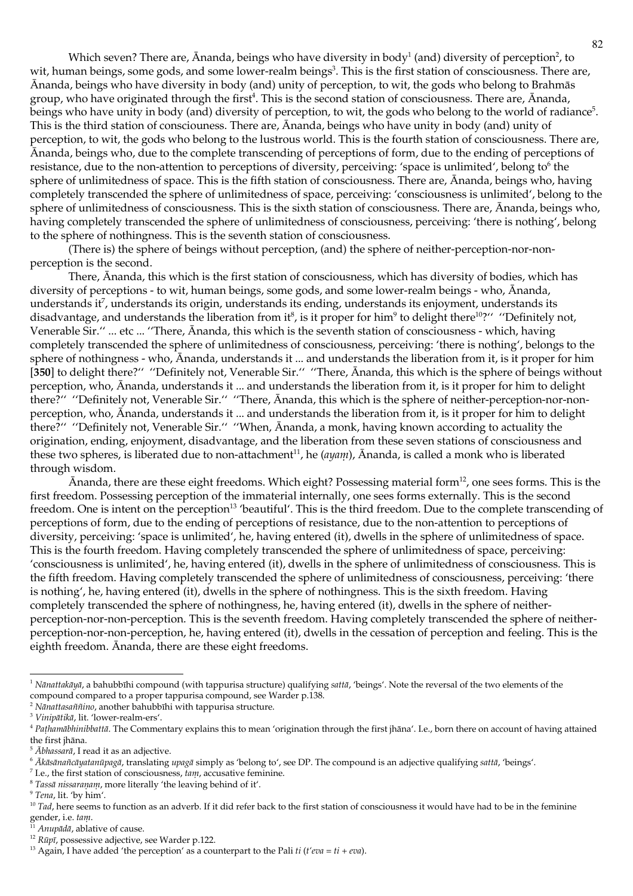Which seven? There are, Ananda, beings who have diversity in body<sup>1</sup> (and) diversity of perception<sup>2</sup>, to wit, human beings, some gods, and some lower-realm beings<sup>3</sup>. This is the first station of consciousness. There are, Ānanda, beings who have diversity in body (and) unity of perception, to wit, the gods who belong to Brahmās group, who have originated through the first<sup>4</sup>. This is the second station of consciousness. There are, Ananda, beings who have unity in body (and) diversity of perception, to wit, the gods who belong to the world of radiance<sup>5</sup>. This is the third station of consciouness. There are, Ananda, beings who have unity in body (and) unity of perception, to wit, the gods who belong to the lustrous world. This is the fourth station of consciousness. There are, Ananda, beings who, due to the complete transcending of perceptions of form, due to the ending of perceptions of resistance, due to the non-attention to perceptions of diversity, perceiving: 'space is unlimited', belong to<sup>6</sup> the sphere of unlimitedness of space. This is the fifth station of consciousness. There are, Ananda, beings who, having completely transcended the sphere of unlimitedness of space, perceiving: 'consciousness is unlimited', belong to the sphere of unlimitedness of consciousness. This is the sixth station of consciousness. There are, Ananda, beings who, having completely transcended the sphere of unlimitedness of consciousness, perceiving: 'there is nothing', belong to the sphere of nothingness. This is the seventh station of consciousness.

(There is) the sphere of beings without perception, (and) the sphere of neither-perception-nor-nonperception is the second.

There, Ananda, this which is the first station of consciousness, which has diversity of bodies, which has diversity of perceptions - to wit, human beings, some gods, and some lower-realm beings - who, Ānanda, understands it<sup>7</sup>, understands its origin, understands its ending, understands its enjoyment, understands its disadvantage, and understands the liberation from it<sup>8</sup>, is it proper for him<sup>9</sup> to delight there<sup>10</sup>?" "Definitely not, Venerable Sir." ... etc ... "There, Ananda, this which is the seventh station of consciousness - which, having completely transcended the sphere of unlimitedness of consciousness, perceiving: 'there is nothing', belongs to the sphere of nothingness - who, Ananda, understands it ... and understands the liberation from it, is it proper for him [350] to delight there?" "Definitely not, Venerable Sir." "There, Ananda, this which is the sphere of beings without perception, who, Ananda, understands it ... and understands the liberation from it, is it proper for him to delight there?" "Definitely not, Venerable Sir." "There, Ananda, this which is the sphere of neither-perception-nor-nonperception, who, Ananda, understands it ... and understands the liberation from it, is it proper for him to delight there?" "Definitely not, Venerable Sir." "When, Ananda, a monk, having known according to actuality the origination, ending, enjoyment, disadvantage, and the liberation from these seven stations of consciousness and these two spheres, is liberated due to non-attachment<sup>11</sup>, he ( $a$ y $a$ <sub>11</sub>),  $\bar{A}$ nanda, is called a monk who is liberated through wisdom.

Ananda, there are these eight freedoms. Which eight? Possessing material form<sup>12</sup>, one sees forms. This is the first freedom. Possessing perception of the immaterial internally, one sees forms externally. This is the second freedom. One is intent on the perception<sup>13</sup> 'beautiful'. This is the third freedom. Due to the complete transcending of perceptions of form, due to the ending of perceptions of resistance, due to the non-attention to perceptions of diversity, perceiving: 'space is unlimited', he, having entered (it), dwells in the sphere of unlimitedness of space. This is the fourth freedom. Having completely transcended the sphere of unlimitedness of space, perceiving: 'consciousness is unlimited', he, having entered (it), dwells in the sphere of unlimitedness of consciousness. This is the fifth freedom. Having completely transcended the sphere of unlimitedness of consciousness, perceiving: 'there is nothing', he, having entered (it), dwells in the sphere of nothingness. This is the sixth freedom. Having completely transcended the sphere of nothingness, he, having entered (it), dwells in the sphere of neitherperception-nor-non-perception. This is the seventh freedom. Having completely transcended the sphere of neitherperception-nor-non-perception, he, having entered (it), dwells in the cessation of perception and feeling. This is the eighth freedom. Ananda, there are these eight freedoms.

<sup>&</sup>lt;sup>1</sup> Nānattakāyā, a bahubbīhi compound (with tappurisa structure) qualifying sattā, 'beings'. Note the reversal of the two elements of the compound compared to a proper tappurisa compound, see Warder p.138.

 $2$  Nanattasaññino, another bahubbīhi with tappurisa structure.

<sup>&</sup>lt;sup>3</sup> Vinipātikā, lit. 'lower-realm-ers'.

<sup>&</sup>lt;sup>4</sup> Pathamābhinibbattā. The Commentary explains this to mean 'origination through the first jhāna'. I.e., born there on account of having attained the first jhāna.

 $5\overline{Abh}$ assarā, I read it as an adjective.

<sup>&</sup>lt;sup>6</sup> Akāsānañcāyatanūpagā, translating upagā simply as 'belong to', see DP. The compound is an adjective qualifying sattā, 'beings'.

 $^7$  I.e., the first station of consciousness,  $tan\theta$ , accusative feminine.

 $8$  Tassā nissaraņam, more literally 'the leaving behind of it'.

<sup>&</sup>lt;sup>9</sup> Tena, lit. 'by him'.

 $10$  Tad, here seems to function as an adverb. If it did refer back to the first station of consciousness it would have had to be in the feminine gender, i.e.  $tan\theta$ .

Anupādā, ablative of cause.

<sup>&</sup>lt;sup>12</sup>  $R\bar{u}p\bar{i}$ , possessive adjective, see Warder p.122.

<sup>&</sup>lt;sup>13</sup> Again, I have added 'the perception' as a counterpart to the Pali ti (t'eva = ti + eva).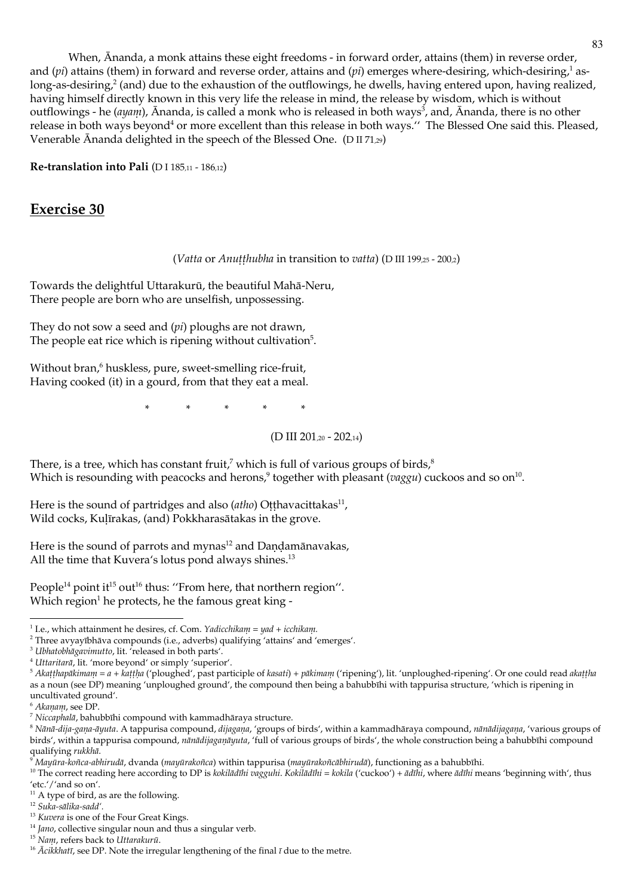When, Ananda, a monk attains these eight freedoms - in forward order, attains (them) in reverse order, and (*pi*) attains (them) in forward and reverse order, attains and (*pi*) emerges where-desiring, which-desiring,<sup>1</sup> aslong-as-desiring,<sup>2</sup> (and) due to the exhaustion of the outflowings, he dwells, having entered upon, having realized, having himself directly known in this very life the release in mind, the release by wisdom, which is without outflowings - he (ayam), Ānanda, is called a monk who is released in both ways<sup>3</sup>, and, Ānanda, there is no other release in both ways beyond<sup>4</sup> or more excellent than this release in both ways." The Blessed One said this. Pleased, Venerable Ananda delighted in the speech of the Blessed One. ( $D \text{ II } 71,29$ )

Re-translation into Pali (DI 185,11 - 186,12)

# **Exercise 30**

# (Vatta or Anutthubha in transition to vatta) (D III 199,25 - 200,2)

Towards the delightful Uttarakurū, the beautiful Mahā-Neru, There people are born who are unselfish, unpossessing.

They do not sow a seed and (pi) ploughs are not drawn, The people eat rice which is ripening without cultivation<sup>5</sup>.

Without bran,<sup>6</sup> huskless, pure, sweet-smelling rice-fruit, Having cooked (it) in a gourd, from that they eat a meal.

> $\ast$  $\ast$  $\ast$

> > (D III 201,20 - 202,14)

There, is a tree, which has constant fruit,<sup>7</sup> which is full of various groups of birds, $^8$ Which is resounding with peacocks and herons,<sup>9</sup> together with pleasant ( $vaggu$ ) cuckoos and so on<sup>10</sup>.

Here is the sound of partridges and also  $(atho)$  Otthavacittakas<sup>11</sup>, Wild cocks, Kulīrakas, (and) Pokkharasātakas in the grove.

Here is the sound of parrots and mynas<sup>12</sup> and Dandamānavakas, All the time that Kuvera's lotus pond always shines.<sup>13</sup>

People<sup>14</sup> point it<sup>15</sup> out<sup>16</sup> thus: "From here, that northern region". Which region<sup>1</sup> he protects, he the famous great king -

<sup>&</sup>lt;sup>1</sup> I.e., which attainment he desires, cf. Com. *Yadicchikam* =  $yad + icchikan.$ 

<sup>&</sup>lt;sup>2</sup> Three avyayībhāva compounds (i.e., adverbs) qualifying 'attains' and 'emerges'.

<sup>&</sup>lt;sup>3</sup> Ubhatobhāgavimutto, lit. 'released in both parts'.

<sup>&</sup>lt;sup>4</sup> Uttaritarā, lit. 'more beyond' or simply 'superior'.

 $5$  Akatthapākimam = a + kattha ('ploughed', past participle of kasati) + pākimam ('ripening'), lit. 'unploughed-ripening'. Or one could read akattha as a noun (see DP) meaning 'unploughed ground', the compound then being a bahubbīhi with tappurisa structure, 'which is ripening in uncultivated ground'.

<sup>&</sup>lt;sup>6</sup> Akanam, see DP.

 $^7$  Niccaplulā, bahubbīhi compound with kammadhāraya structure.

<sup>&</sup>lt;sup>8</sup> Nānā-dija-gaṇa-āyuta. A tappurisa compound, dijagaṇa, 'groups of birds', within a kammadhāraya compound, nānādijagaṇa, 'various groups of birds', within a tappurisa compound, *nanadijaganayuta*, 'full of various groups of birds', the whole construction being a bahubbihi compound qualifying rukkhā.

<sup>&</sup>lt;sup>9</sup>Mayūra-koñca-abhirudā, dvanda (mayūrakoñca) within tappurisa (mayūrakoñcābhirudā), functioning as a bahubbīhi.

<sup>&</sup>lt;sup>10</sup> The correct reading here according to DP is kokilādīlu vaggulu. Kokilādīlu = kokila ('cuckoo') + ādīlu, where ādīlu means 'beginning with', thus 'etc.'/'and so on'.

 $11$  A type of bird, as are the following.

<sup>&</sup>lt;sup>12</sup> Suka-sālika-sadd'.

<sup>&</sup>lt;sup>13</sup> Kuvera is one of the Four Great Kings.

 $14$  Jano, collective singular noun and thus a singular verb.

<sup>&</sup>lt;sup>15</sup> Nam, refers back to Uttarakurū.

<sup>&</sup>lt;sup>16</sup>  $\bar{A}$ cikkhatī, see DP. Note the irregular lengthening of the final  $\bar{\imath}$  due to the metre.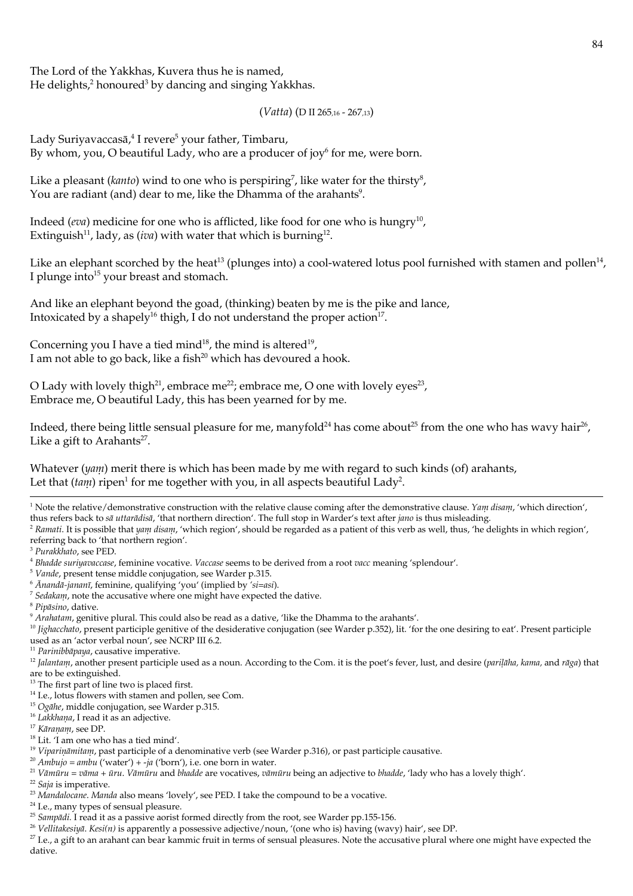The Lord of the Yakkhas, Kuvera thus he is named, He delights,<sup>2</sup> honoured<sup>3</sup> by dancing and singing Yakkhas.

# $( Vatta )$  (D II 265.16 - 267.13)

Lady Suriyavaccasā,<sup>4</sup> I revere<sup>5</sup> your father, Timbaru, By whom, you, O beautiful Lady, who are a producer of joy<sup>6</sup> for me, were born.

Like a pleasant (kanto) wind to one who is perspiring<sup>7</sup>, like water for the thirsty<sup>8</sup>, You are radiant (and) dear to me, like the Dhamma of the arahants<sup>9</sup>.

Indeed (*eva*) medicine for one who is afflicted, like food for one who is hungry<sup>10</sup>, Extinguish<sup>11</sup>, lady, as *(iva)* with water that which is burning<sup>12</sup>.

Like an elephant scorched by the heat<sup>13</sup> (plunges into) a cool-watered lotus pool furnished with stamen and pollen<sup>14</sup>, I plunge into<sup>15</sup> your breast and stomach.

And like an elephant beyond the goad, (thinking) beaten by me is the pike and lance, Intoxicated by a shapely<sup>16</sup> thigh, I do not understand the proper action<sup>17</sup>.

Concerning you I have a tied mind<sup>18</sup>, the mind is altered<sup>19</sup>, I am not able to go back, like a fish<sup>20</sup> which has devoured a hook.

O Lady with lovely thigh<sup>21</sup>, embrace me<sup>22</sup>; embrace me, O one with lovely eyes<sup>23</sup>, Embrace me, O beautiful Lady, this has been yearned for by me.

Indeed, there being little sensual pleasure for me, manyfold<sup>24</sup> has come about<sup>25</sup> from the one who has way hair<sup>26</sup>, Like a gift to Arahants<sup>27</sup>.

Whatever  $(ya_{ll})$  merit there is which has been made by me with regard to such kinds (of) arahants, Let that  $(tam)$  ripen<sup>1</sup> for me together with you, in all aspects beautiful Lady<sup>2</sup>.

<sup>1</sup> Note the relative/demonstrative construction with the relative clause coming after the demonstrative clause. Yam disam, 'which direction', thus refers back to sā uttarādisā, 'that northern direction'. The full stop in Warder's text after jano is thus misleading.

<sup>2</sup> Ramati. It is possible that yam disam, 'which region', should be regarded as a patient of this verb as well, thus, 'he delights in which region', referring back to 'that northern region'.

<sup>3</sup> Purakkhato, see PED.

<sup>5</sup> Vande, present tense middle conjugation, see Warder p.315.

 $6$   $\bar{A}$ nandā-jananī, feminine, qualifying 'you' (implied by 'si=asi).

- $^7$  Sedakam, note the accusative where one might have expected the dative.
- <sup>8</sup> Pipāsino, dative.
- <sup>9</sup> Arahatam, genitive plural. This could also be read as a dative, 'like the Dhamma to the arahants'.

 $^{10}$  *lighacchato*, present participle genitive of the desiderative conjugation (see Warder p.352), lit. 'for the one desiring to eat'. Present participle used as an 'actor verbal noun', see NCRP III 6.2.

<sup>11</sup> Parinibbāpaya, causative imperative.

<sup>12</sup> Jalantani, another present participle used as a noun. According to the Com. it is the poet's fever, lust, and desire (parilalia, kanua, and raga) that are to be extinguished.

- <sup>20</sup> Ambujo = ambu ('water') + -ja ('born'), i.e. one born in water.
- <sup>21</sup> Vāmūru = vāma + ūru. Vāmūru and bhadde are vocatives, vāmūru being an adjective to bhadde, 'lady who has a lovely thigh'.

<sup>23</sup> Mandalocane. Manda also means 'lovely', see PED. I take the compound to be a vocative.

<sup>24</sup> I.e., many types of sensual pleasure.

<sup>25</sup> Sampādi. I read it as a passive aorist formed directly from the root, see Warder pp.155-156.

<sup>27</sup> I.e., a gift to an arahant can bear kammic fruit in terms of sensual pleasures. Note the accusative plural where one might have expected the dative.

<sup>4</sup> Bhadde suriyavaccase, feminine vocative. Vaccase seems to be derived from a rootXacc meaning 'splendour'.

<sup>&</sup>lt;sup>13</sup> The first part of line two is placed first.

<sup>&</sup>lt;sup>14</sup> I.e., lotus flowers with stamen and pollen, see Com.

<sup>&</sup>lt;sup>15</sup> Ogalie, middle conjugation, see Warder p.315.

<sup>&</sup>lt;sup>16</sup> Lakkhana, I read it as an adjective.

<sup>&</sup>lt;sup>17</sup> Kāranam, see DP.

<sup>&</sup>lt;sup>18</sup> Lit. 'I am one who has a tied mind'.

<sup>&</sup>lt;sup>19</sup> Viparināmitam, past participle of a denominative verb (see Warder p.316), or past participle causative.

<sup>&</sup>lt;sup>22</sup> Saja is imperative.

<sup>&</sup>lt;sup>26</sup> Vellitakesiyā. Kesi(n) is apparently a possessive adjective/noun, '(one who is) having (wavy) hair', see DP.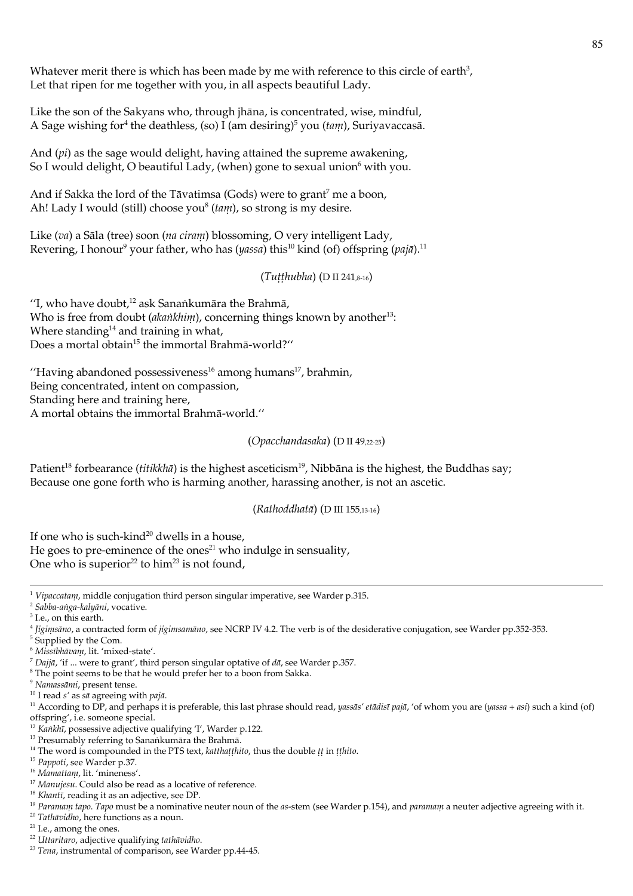Whatever merit there is which has been made by me with reference to this circle of earth<sup>3</sup>, Let that ripen for me together with you, in all aspects beautiful Lady.

Like the son of the Sakyans who, through jhāna, is concentrated, wise, mindful, A Sage wishing for <sup>4</sup> the deathless, (so) I (am desiring)<sup>5</sup> you (*tam*), Suriyavaccasā.

And  $pi)$  as the sage would delight, having attained the supreme awakening, So I would delight, O beautiful Lady, (when) gone to sexual union<sup>6</sup> with you.

And if Sakka the lord of the Tāvatimsa (Gods) were to grant<sup>7</sup> me a boon, Ah! Lady I would (still) choose you<sup>8</sup> ( $tani$ ), so strong is my desire.

Like (va) a Sāla (tree) soon (na ciram) blossoming, O very intelligent Lady, Revering, I honour<sup>9</sup> your father, who has  $(yassa)$  this<sup>10</sup> kind (of) offspring  $(pa|\bar{a}|$ .<sup>11</sup>

 $(Tuthubha)$  (D II 241,8-16)

"I, who have doubt,<sup>12</sup> ask Sanankumāra the Brahmā, Who is free from doubt (akankhim), concerning things known by another<sup>13</sup>: Where standing<sup>14</sup> and training in what, Does a mortal obtain<sup>15</sup> the immortal Brahmā-world?"

"Having abandoned possessiveness<sup>16</sup> among humans<sup>17</sup>, brahmin, Being concentrated, intent on compassion, Standing here and training here, A mortal obtains the immortal Brahmā-world."

(Opacchandasaka) (D II 49.22-25)

Patient<sup>18</sup> forbearance (*titikkha*̄) is the highest asceticism<sup>19</sup>, Nibbana is the highest, the Buddhas say; Because one gone forth who is harming another, harassing another, is not an ascetic.

(Rathoddhatā) (D III 155,13-16)

If one who is such-kind<sup>20</sup> dwells in a house.

He goes to pre-eminence of the ones<sup>21</sup> who indulge in sensuality, One who is superior<sup>22</sup> to him<sup>23</sup> is not found,

<sup>1</sup> Vipaccatanu, middle conjugation third person singular imperative, see Warder p.315.

<sup>2</sup> Sabba-anga-kalyāni, vocative.

<sup>&</sup>lt;sup>3</sup> I.e., on this earth.

 $4$  [iginisāno, a contracted form of *iginisamāno*, see NCRP IV 4.2. The verb is of the desiderative conjugation, see Warder pp.352-353.

<sup>&</sup>lt;sup>5</sup> Supplied by the Com.

<sup>&</sup>lt;sup>6</sup> Missībhāvam, lit. 'mixed-state'.

<sup>&</sup>lt;sup>7</sup> Dajjā, 'if ... were to grant', third person singular optative of  $d\bar{a}$ , see Warder p.357.

<sup>&</sup>lt;sup>8</sup> The point seems to be that he would prefer her to a boon from Sakka.

<sup>&</sup>lt;sup>9</sup> Namassāmi, present tense.

<sup>&</sup>lt;sup>10</sup> I read s' as  $s\bar{a}$  agreeing with pajā.

<sup>&</sup>lt;sup>11</sup> According to DP, and perhaps it is preferable, this last phrase should read, yassās' etādisī pajā, 'of whom you are (yassa + asi) such a kind (of) offspring', i.e. someone special.

<sup>&</sup>lt;sup>12</sup> Kanklu, possessive adjective qualifying  $T'$ , Warder p.122.

<sup>&</sup>lt;sup>13</sup> Presumably referring to Sanankumāra the Brahmā.

<sup>&</sup>lt;sup>14</sup> The word is compounded in the PTS text, katthatthito, thus the double tt in tthito.

<sup>&</sup>lt;sup>15</sup> Pappoti, see Warder p.37.

<sup>&</sup>lt;sup>16</sup> Mamattam, lit. 'mineness'.

<sup>&</sup>lt;sup>17</sup> Manujesu. Could also be read as a locative of reference.

<sup>&</sup>lt;sup>18</sup> Khantī, reading it as an adjective, see DP.

<sup>&</sup>lt;sup>19</sup> Paramam tapo. Tapo must be a nominative neuter noun of the as-stem (see Warder p.154), and paramam a neuter adjective agreeing with it.

 $20$  Tathāvidho, here functions as a noun.

 $^{\rm 21}$  I.e., among the ones.

<sup>&</sup>lt;sup>22</sup> Uttaritaro, adiective qualifying tathāvidho.

<sup>&</sup>lt;sup>23</sup> Tena, instrumental of comparison, see Warder pp.44-45.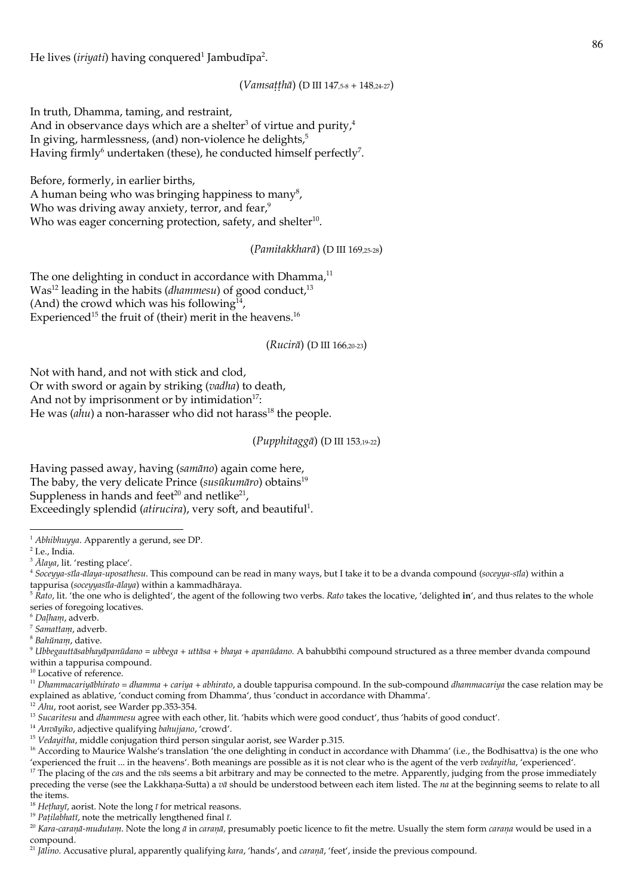He lives (iriyati) having conquered<sup>1</sup> Jambudīpa<sup>2</sup>.

(Vamsatthā) (D III 147,5-8 + 148,24-27)

In truth, Dhamma, taming, and restraint, And in observance days which are a shelter<sup>3</sup> of virtue and purity,<sup>4</sup> In giving, harmlessness, (and) non-violence he delights, $5<sup>5</sup>$ Having firmly<sup>6</sup> undertaken (these), he conducted himself perfectly<sup>7</sup>.

Before, formerly, in earlier births,

A human being who was bringing happiness to many<sup>8</sup>, Who was driving away anxiety, terror, and fear,<sup>9</sup> Who was eager concerning protection, safety, and shelter<sup>10</sup>.

(Pamitakkharā) (D III 169,25-28)

The one delighting in conduct in accordance with Dhamma,<sup>11</sup> Was<sup>12</sup> leading in the habits (dhammesu) of good conduct,<sup>13</sup> (And) the crowd which was his following $14$ , Experienced<sup>15</sup> the fruit of (their) merit in the heavens.<sup>16</sup>

(Rucirā) (D III 166,20-23)

Not with hand, and not with stick and clod, Or with sword or again by striking (vadha) to death, And not by imprisonment or by intimidation<sup>17</sup>: He was  $(ahu)$  a non-harasser who did not harass<sup>18</sup> the people.

(Pupphitaggā) (D III 153,19-22)

Having passed away, having (samāno) again come here, The baby, the very delicate Prince (susūkumāro) obtains<sup>19</sup> Suppleness in hands and feet<sup>20</sup> and netlike<sup>21</sup>, Exceedingly splendid (atirucira), very soft, and beautiful<sup>1</sup>.

<sup>14</sup> Anvāviko, adjective qualifying bahujjano, 'crowd'.

<sup>15</sup> Vedavitha, middle conjugation third person singular aorist, see Warder p.315.

<sup>&</sup>lt;sup>1</sup> Abhibhuyya. Apparently a gerund, see DP.

 $^2$  I.e., India.

<sup>&</sup>lt;sup>3</sup> Alaya, lit. 'resting place'.

<sup>4</sup> Soceyya-sīla-ālaya-uposatliesu. This compound can be read in many ways, but I take it to be a dvanda compound (soceyya-sīla) within a tappurisa (soceyyasīla-ālaya) within a kammadhāraya.

 $\frac{1}{2}$  Rato, lit. 'the one who is delighted', the agent of the following two verbs. Rato takes the locative, 'delighted in', and thus relates to the whole series of foregoing locatives.

<sup>&</sup>lt;sup>6</sup> Dalham, adverb.

 $7$  Samattam, adverb.

<sup>&</sup>lt;sup>8</sup> Bahunam, dative.

 $9$  Ubbegauttāsabhayāpanūdano = ubbega + uttāsa + bhaya + apanūdano. A bahubbīhi compound structured as a three member dvanda compound within a tappurisa compound.

<sup>&</sup>lt;sup>10</sup> Locative of reference.

<sup>&</sup>lt;sup>11</sup> Dhanunacariyābhirato = dhanuna + cariya + abhirato, a double tappurisa compound. In the sub-compound dhanunacariya the case relation may be explained as ablative, 'conduct coming from Dhamma', thus 'conduct in accordance with Dhamma'.

<sup>&</sup>lt;sup>12</sup> Ahu, root aorist, see Warder pp.353-354.

<sup>&</sup>lt;sup>13</sup> Sucaritesu and dhammesu agree with each other, lit. 'habits which were good conduct', thus 'habits of good conduct'.

<sup>&</sup>lt;sup>16</sup> According to Maurice Walshe's translation 'the one delighting in conduct in accordance with Dhamma' (i.e., the Bodhisattva) is the one who 'experienced the fruit ... in the heavens'. Both meanings are possible as it is not clear who is the agent of the verb vedayitha, 'experienced'.

<sup>&</sup>lt;sup>17</sup> The placing of the *cas* and the  $v\bar{a}$ s seems a bit arbitrary and may be connected to the metre. Apparently, judging from the prose immediately preceding the verse (see the Lakkhaṇa-Sutta) a vā should be understood between each item listed. The ua at the beginning seems to relate to all the items.

<sup>&</sup>lt;sup>18</sup> Hethayī, aorist. Note the long  $\bar{\imath}$  for metrical reasons.

<sup>&</sup>lt;sup>19</sup> Patilabhatī, note the metrically lengthened final ī.

<sup>&</sup>lt;sup>20</sup> Kara-caranā-mudutam. Note the long ā in caranā, presumably poetic licence to fit the metre. Usually the stem form carana would be used in a compound.

<sup>&</sup>lt;sup>21</sup> Jalino. Accusative plural, apparently qualifying kara, 'hands', and carana, 'feet', inside the previous compound.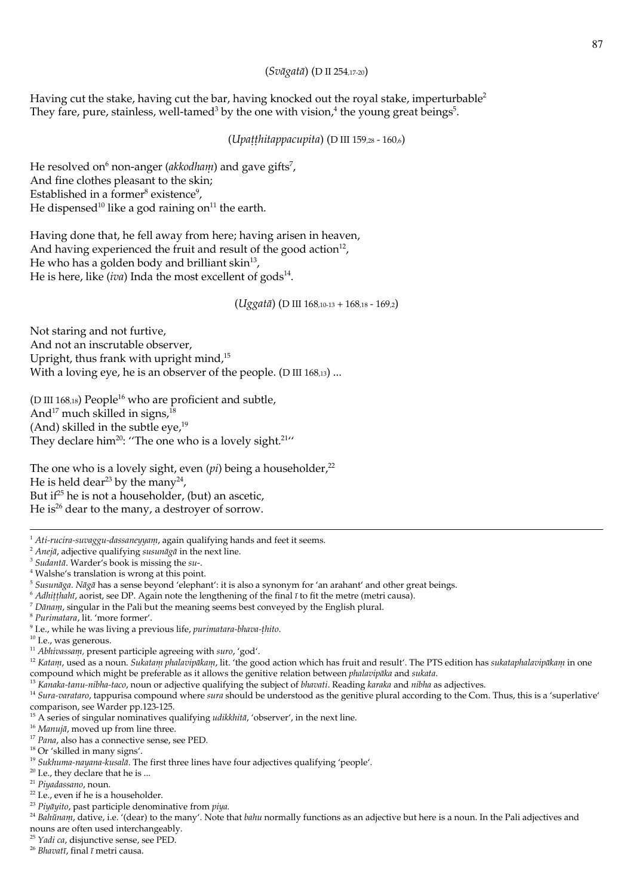## (Svāgatā) (D II 254,17-20)

Having cut the stake, having cut the bar, having knocked out the royal stake, imperturbable<sup>2</sup> They fare, pure, stainless, well-tamed<sup>3</sup> by the one with vision,<sup>4</sup> the young great beings<sup>5</sup>.

(Upatthitappacupita) (D III 159,28 - 160,6)

He resolved on<sup>6</sup> non-anger (*akkodham*) and gave gifts<sup>7</sup>, And fine clothes pleasant to the skin; Established in a former<sup>8</sup> existence<sup>9</sup>, He dispensed<sup>10</sup> like a god raining on<sup>11</sup> the earth.

Having done that, he fell away from here; having arisen in heaven, And having experienced the fruit and result of the good action<sup>12</sup>, He who has a golden body and brilliant skin<sup>13</sup>, He is here, like (iva) Inda the most excellent of gods $^{14}$ .

(Uggatā) (D III 168,10-13 + 168,18 - 169,2)

Not staring and not furtive, And not an inscrutable observer, Upright, thus frank with upright mind,<sup>15</sup> With a loving eye, he is an observer of the people. (D III  $168,13$ ) ...

(D III 168,18) People<sup>16</sup> who are proficient and subtle, And<sup>17</sup> much skilled in signs,<sup>18</sup> (And) skilled in the subtle eye,<sup>19</sup> They declare him<sup>20</sup>: "The one who is a lovely sight.<sup>21</sup>"

The one who is a lovely sight, even  $pi)$  being a householder,<sup>22</sup> He is held dear<sup>23</sup> by the many<sup>24</sup>, But if<sup>25</sup> he is not a householder, (but) an ascetic, He is<sup>26</sup> dear to the many, a destroyer of sorrow.

<sup>3</sup> Sudantā. Warder's book is missing the su-.

<sup>20</sup> I.e., they declare that he is ...

<sup>25</sup> Yadi ca. disjunctive sense, see PED.

<sup>&</sup>lt;sup>1</sup> Ati-rucira-suvaggu-dassaneyyanu, again qualifying hands and feet it seems.

<sup>&</sup>lt;sup>2</sup> Anejā, adjective qualifying susunāgā in the next line.

<sup>&</sup>lt;sup>4</sup> Walshe's translation is wrong at this point.

<sup>&</sup>lt;sup>5</sup> Susunāga. Nāgā has a sense beyond 'elephant': it is also a synonym for 'an arahant' and other great beings.

 $6$  Adhitthahī, aorist, see DP. Again note the lengthening of the final  $\bar{\imath}$  to fit the metre (metri causa).

 $^7$  Dānam, singular in the Pali but the meaning seems best conveyed by the English plural.

<sup>&</sup>lt;sup>8</sup> Purimatara, lit. 'more former'.

<sup>&</sup>lt;sup>9</sup> I.e., while he was living a previous life, *purimatara-bhava-thito*.

 $10$  I.e., was generous.

<sup>&</sup>lt;sup>11</sup> Abhivassam, present participle agreeing with suro, 'god'.

<sup>&</sup>lt;sup>12</sup> Katanu, used as a noun. Sukatanu phalavipākanu, lit. 'the good action which has fruit and result'. The PTS edition has sukataphalavipākanu in one compound which might be preferable as it allows the genitive relation between phalavipāka and sukata.

<sup>&</sup>lt;sup>13</sup> Kanaka-tanu-nibha-taco, noun or adjective qualifying the subject of bhavati. Reading karaka and nibha as adjectives.

<sup>14</sup> Sura-varataro, tappurisa compound where sura should be understood as the genitive plural according to the Com. Thus, this is a 'superlative' comparison, see Warder pp.123-125.

<sup>&</sup>lt;sup>15</sup> A series of singular nominatives qualifying *udikkhitā*, 'observer', in the next line.

<sup>&</sup>lt;sup>16</sup> Manujā, moved up from line three.

<sup>&</sup>lt;sup>17</sup> Pana, also has a connective sense, see PED.

<sup>&</sup>lt;sup>18</sup> Or 'skilled in many signs'.

<sup>&</sup>lt;sup>19</sup> Sukhuma-nayana-kusalā. The first three lines have four adjectives qualifying 'people'.

<sup>&</sup>lt;sup>21</sup> Piyadassano, noun.

<sup>&</sup>lt;sup>22</sup> I.e., even if he is a householder.

<sup>&</sup>lt;sup>23</sup> Piyāyito, past participle denominative from piya.

<sup>&</sup>lt;sup>24</sup> Bahuman, dative, i.e. '(dear) to the many'. Note that bahu normally functions as an adjective but here is a noun. In the Pali adjectives and nouns are often used interchangeably.

<sup>&</sup>lt;sup>26</sup> Bhavatī, final ī metri causa.